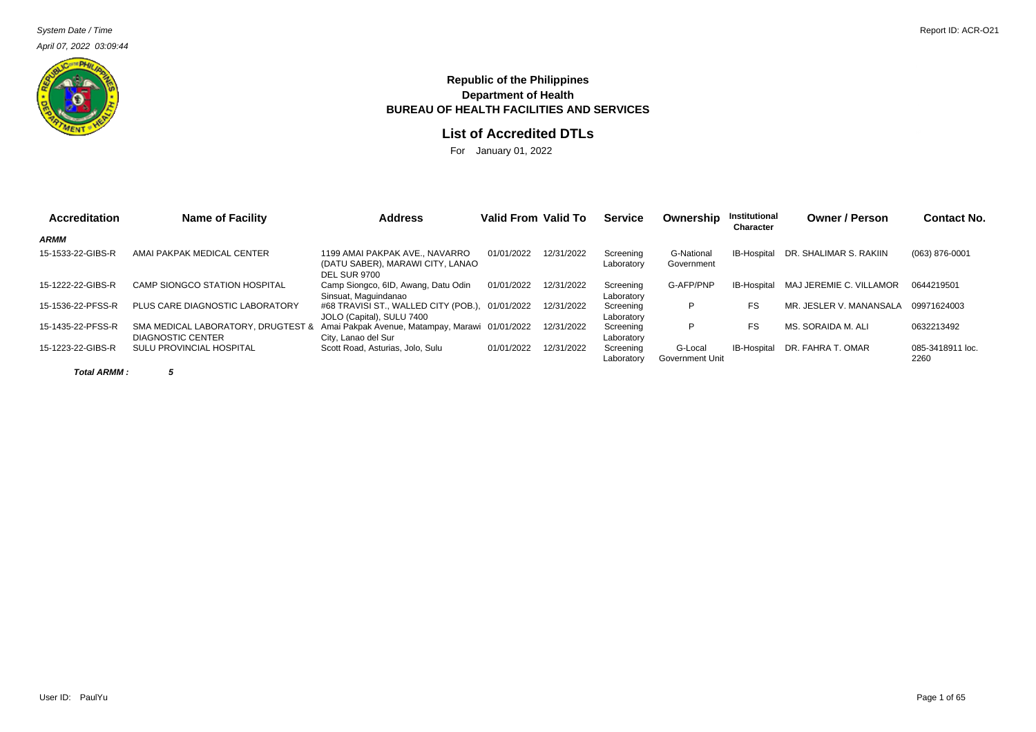April 07, 2022 03:09:44



## **Republic of the Philippines Department of Health BUREAU OF HEALTH FACILITIES AND SERVICES**

## **List of Accredited DTLs**

For January 01, 2022

| <b>Accreditation</b> | <b>Name of Facility</b>                                 | <b>Address</b>                                                                          | Valid From Valid To |            | <b>Service</b>          | Ownership                  | <b>Institutional</b><br>Character | <b>Owner / Person</b>   | <b>Contact No.</b>       |
|----------------------|---------------------------------------------------------|-----------------------------------------------------------------------------------------|---------------------|------------|-------------------------|----------------------------|-----------------------------------|-------------------------|--------------------------|
| ARMM                 |                                                         |                                                                                         |                     |            |                         |                            |                                   |                         |                          |
| 15-1533-22-GIBS-R    | AMAI PAKPAK MEDICAL CENTER                              | 1199 AMAI PAKPAK AVE NAVARRO<br>(DATU SABER), MARAWI CITY, LANAO<br><b>DEL SUR 9700</b> | 01/01/2022          | 12/31/2022 | Screening<br>Laboratory | G-National<br>Government   | IB-Hospital                       | DR. SHALIMAR S. RAKIIN  | (063) 876-0001           |
| 15-1222-22-GIBS-R    | CAMP SIONGCO STATION HOSPITAL                           | Camp Siongco, 6ID, Awang, Datu Odin<br>Sinsuat, Maguindanao                             | 01/01/2022          | 12/31/2022 | Screening<br>Laboratory | G-AFP/PNP                  | IB-Hospital                       | MAJ JEREMIE C. VILLAMOR | 0644219501               |
| 15-1536-22-PFSS-R    | PLUS CARE DIAGNOSTIC LABORATORY                         | #68 TRAVISI ST., WALLED CITY (POB.), 01/01/2022<br>JOLO (Capital), SULU 7400            |                     | 12/31/2022 | Screening<br>Laboratory | P                          | FS                                | MR. JESLER V. MANANSALA | 09971624003              |
| 15-1435-22-PFSS-R    | SMA MEDICAL LABORATORY, DRUGTEST &<br>DIAGNOSTIC CENTER | Amai Pakpak Avenue, Matampay, Marawi 01/01/2022<br>City, Lanao del Sur                  |                     | 12/31/2022 | Screening<br>Laboratory | D                          | FS                                | MS. SORAIDA M. ALI      | 0632213492               |
| 15-1223-22-GIBS-R    | SULU PROVINCIAL HOSPITAL                                | Scott Road, Asturias, Jolo, Sulu                                                        | 01/01/2022          | 12/31/2022 | Screening<br>Laboratory | G-Local<br>Government Unit | IB-Hospital                       | DR. FAHRA T. OMAR       | 085-3418911 loc.<br>2260 |

**Total ARMM : 5**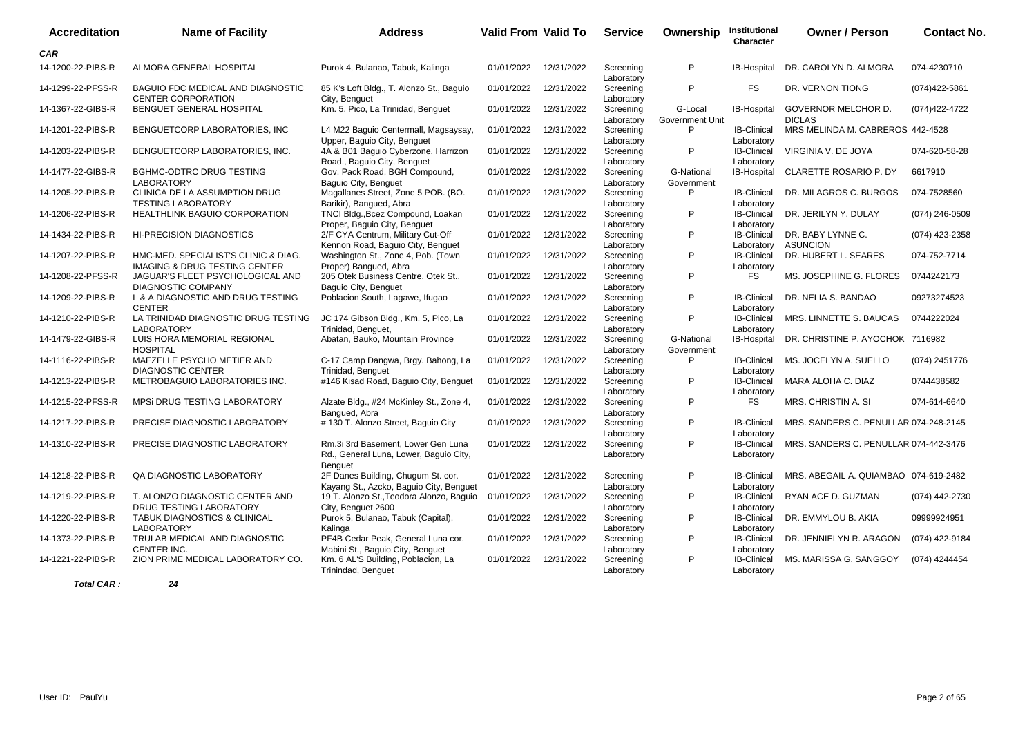| <b>Accreditation</b> | <b>Name of Facility</b>                                                          | <b>Address</b>                                                                          | <b>Valid From Valid To</b> |            | <b>Service</b>          | Ownership                  | Institutional<br>Character       | <b>Owner / Person</b>                 | <b>Contact No.</b> |
|----------------------|----------------------------------------------------------------------------------|-----------------------------------------------------------------------------------------|----------------------------|------------|-------------------------|----------------------------|----------------------------------|---------------------------------------|--------------------|
| <b>CAR</b>           |                                                                                  |                                                                                         |                            |            |                         |                            |                                  |                                       |                    |
| 14-1200-22-PIBS-R    | ALMORA GENERAL HOSPITAL                                                          | Purok 4, Bulanao, Tabuk, Kalinga                                                        | 01/01/2022                 | 12/31/2022 | Screening<br>Laboratory | P                          | IB-Hospital                      | DR. CAROLYN D. ALMORA                 | 074-4230710        |
| 14-1299-22-PFSS-R    | BAGUIO FDC MEDICAL AND DIAGNOSTIC<br><b>CENTER CORPORATION</b>                   | 85 K's Loft Bldg., T. Alonzo St., Baguio<br>City, Benguet                               | 01/01/2022                 | 12/31/2022 | Screening<br>Laboratory | P                          | <b>FS</b>                        | DR. VERNON TIONG                      | (074)422-5861      |
| 14-1367-22-GIBS-R    | BENGUET GENERAL HOSPITAL                                                         | Km. 5, Pico, La Trinidad, Benguet                                                       | 01/01/2022                 | 12/31/2022 | Screening<br>Laboratory | G-Local<br>Government Unit | <b>IB-Hospital</b>               | GOVERNOR MELCHOR D.<br><b>DICLAS</b>  | (074)422-4722      |
| 14-1201-22-PIBS-R    | BENGUETCORP LABORATORIES, INC.                                                   | L4 M22 Baguio Centermall, Magsaysay,<br>Upper, Baguio City, Benguet                     | 01/01/2022                 | 12/31/2022 | Screening<br>Laboratory | P                          | <b>IB-Clinical</b><br>Laboratory | MRS MELINDA M. CABREROS 442-4528      |                    |
| 14-1203-22-PIBS-R    | BENGUETCORP LABORATORIES, INC.                                                   | 4A & B01 Baguio Cyberzone, Harrizon<br>Road., Baguio City, Benguet                      | 01/01/2022                 | 12/31/2022 | Screening<br>Laboratory | P                          | <b>IB-Clinical</b><br>Laboratory | VIRGINIA V. DE JOYA                   | 074-620-58-28      |
| 14-1477-22-GIBS-R    | BGHMC-ODTRC DRUG TESTING<br><b>LABORATORY</b>                                    | Gov. Pack Road, BGH Compound,<br>Baguio City, Benguet                                   | 01/01/2022                 | 12/31/2022 | Screening<br>Laboratory | G-National<br>Government   | IB-Hospital                      | CLARETTE ROSARIO P. DY                | 6617910            |
| 14-1205-22-PIBS-R    | CLINICA DE LA ASSUMPTION DRUG<br><b>TESTING LABORATORY</b>                       | Magallanes Street, Zone 5 POB. (BO.<br>Barikir), Bangued, Abra                          | 01/01/2022                 | 12/31/2022 | Screening<br>Laboratory | P                          | <b>IB-Clinical</b><br>Laboratory | DR. MILAGROS C. BURGOS                | 074-7528560        |
| 14-1206-22-PIBS-R    | <b>HEALTHLINK BAGUIO CORPORATION</b>                                             | TNCI Bldg., Bcez Compound, Loakan<br>Proper, Baguio City, Benguet                       | 01/01/2022                 | 12/31/2022 | Screening<br>Laboratory | P                          | <b>IB-Clinical</b><br>Laboratory | DR. JERILYN Y. DULAY                  | (074) 246-0509     |
| 14-1434-22-PIBS-R    | <b>HI-PRECISION DIAGNOSTICS</b>                                                  | 2/F CYA Centrum, Military Cut-Off<br>Kennon Road, Baquio City, Benquet                  | 01/01/2022                 | 12/31/2022 | Screening<br>Laboratory | P                          | <b>IB-Clinical</b><br>Laboratory | DR. BABY LYNNE C.<br><b>ASUNCION</b>  | (074) 423-2358     |
| 14-1207-22-PIBS-R    | HMC-MED. SPECIALIST'S CLINIC & DIAG.<br><b>IMAGING &amp; DRUG TESTING CENTER</b> | Washington St., Zone 4, Pob. (Town<br>Proper) Banqued, Abra                             | 01/01/2022                 | 12/31/2022 | Screening<br>Laboratory | P                          | <b>IB-Clinical</b><br>Laboratory | DR. HUBERT L. SEARES                  | 074-752-7714       |
| 14-1208-22-PFSS-R    | JAGUAR'S FLEET PSYCHOLOGICAL AND<br><b>DIAGNOSTIC COMPANY</b>                    | 205 Otek Business Centre, Otek St.,<br>Baguio City, Benguet                             | 01/01/2022                 | 12/31/2022 | Screening<br>Laboratory | P                          | FS.                              | MS. JOSEPHINE G. FLORES               | 0744242173         |
| 14-1209-22-PIBS-R    | L & A DIAGNOSTIC AND DRUG TESTING<br><b>CENTER</b>                               | Poblacion South, Lagawe, Ifugao                                                         | 01/01/2022                 | 12/31/2022 | Screening<br>Laboratory | P                          | <b>IB-Clinical</b><br>Laboratory | DR. NELIA S. BANDAO                   | 09273274523        |
| 14-1210-22-PIBS-R    | LA TRINIDAD DIAGNOSTIC DRUG TESTING<br><b>LABORATORY</b>                         | JC 174 Gibson Bldg., Km. 5, Pico, La<br>Trinidad, Benguet,                              | 01/01/2022                 | 12/31/2022 | Screening<br>Laboratory | P                          | <b>IB-Clinical</b><br>Laboratory | MRS. LINNETTE S. BAUCAS               | 0744222024         |
| 14-1479-22-GIBS-R    | LUIS HORA MEMORIAL REGIONAL<br><b>HOSPITAL</b>                                   | Abatan, Bauko, Mountain Province                                                        | 01/01/2022                 | 12/31/2022 | Screening<br>Laboratory | G-National<br>Government   | IB-Hospital                      | DR. CHRISTINE P. AYOCHOK 7116982      |                    |
| 14-1116-22-PIBS-R    | MAEZELLE PSYCHO METIER AND<br><b>DIAGNOSTIC CENTER</b>                           | C-17 Camp Dangwa, Brgy. Bahong, La<br>Trinidad, Benguet                                 | 01/01/2022                 | 12/31/2022 | Screening<br>Laboratory | P                          | <b>IB-Clinical</b><br>Laboratory | MS. JOCELYN A. SUELLO                 | (074) 2451776      |
| 14-1213-22-PIBS-R    | METROBAGUIO LABORATORIES INC.                                                    | #146 Kisad Road, Baguio City, Benguet                                                   | 01/01/2022                 | 12/31/2022 | Screening<br>Laboratory | P                          | <b>IB-Clinical</b><br>Laboratory | MARA ALOHA C. DIAZ                    | 0744438582         |
| 14-1215-22-PFSS-R    | MPSI DRUG TESTING LABORATORY                                                     | Alzate Bldg., #24 McKinley St., Zone 4,<br>Bangued, Abra                                | 01/01/2022                 | 12/31/2022 | Screening<br>Laboratory | P                          | <b>FS</b>                        | MRS. CHRISTIN A. SI                   | 074-614-6640       |
| 14-1217-22-PIBS-R    | PRECISE DIAGNOSTIC LABORATORY                                                    | # 130 T. Alonzo Street, Baguio City                                                     | 01/01/2022                 | 12/31/2022 | Screening<br>Laboratory | P                          | <b>IB-Clinical</b><br>Laboratory | MRS. SANDERS C. PENULLAR 074-248-2145 |                    |
| 14-1310-22-PIBS-R    | PRECISE DIAGNOSTIC LABORATORY                                                    | Rm.3i 3rd Basement, Lower Gen Luna<br>Rd., General Luna, Lower, Baguio City,<br>Benguet | 01/01/2022                 | 12/31/2022 | Screening<br>Laboratory | P                          | <b>IB-Clinical</b><br>Laboratory | MRS. SANDERS C. PENULLAR 074-442-3476 |                    |
| 14-1218-22-PIBS-R    | QA DIAGNOSTIC LABORATORY                                                         | 2F Danes Building, Chugum St. cor.<br>Kayang St., Azcko, Baguio City, Benguet           | 01/01/2022                 | 12/31/2022 | Screening<br>Laboratory | P                          | <b>IB-Clinical</b><br>Laboratory | MRS. ABEGAIL A. QUIAMBAO 074-619-2482 |                    |
| 14-1219-22-PIBS-R    | T. ALONZO DIAGNOSTIC CENTER AND<br>DRUG TESTING LABORATORY                       | 19 T. Alonzo St., Teodora Alonzo, Baguio<br>City, Benguet 2600                          | 01/01/2022                 | 12/31/2022 | Screening<br>Laboratory | P                          | <b>IB-Clinical</b><br>Laboratory | RYAN ACE D. GUZMAN                    | (074) 442-2730     |
| 14-1220-22-PIBS-R    | <b>TABUK DIAGNOSTICS &amp; CLINICAL</b><br><b>LABORATORY</b>                     | Purok 5, Bulanao, Tabuk (Capital),<br>Kalinga                                           | 01/01/2022                 | 12/31/2022 | Screening<br>Laboratory | P                          | <b>IB-Clinical</b><br>Laboratory | DR. EMMYLOU B. AKIA                   | 09999924951        |
| 14-1373-22-PIBS-R    | TRULAB MEDICAL AND DIAGNOSTIC<br>CENTER INC.                                     | PF4B Cedar Peak, General Luna cor.<br>Mabini St., Baguio City, Benguet                  | 01/01/2022                 | 12/31/2022 | Screening<br>Laboratory | P                          | <b>IB-Clinical</b><br>Laboratory | DR. JENNIELYN R. ARAGON               | (074) 422-9184     |
| 14-1221-22-PIBS-R    | ZION PRIME MEDICAL LABORATORY CO.                                                | Km. 6 AL'S Building, Poblacion, La<br>Trinindad, Benquet                                | 01/01/2022                 | 12/31/2022 | Screening<br>Laboratory | P                          | <b>IB-Clinical</b><br>Laboratory | MS. MARISSA G. SANGGOY                | (074) 4244454      |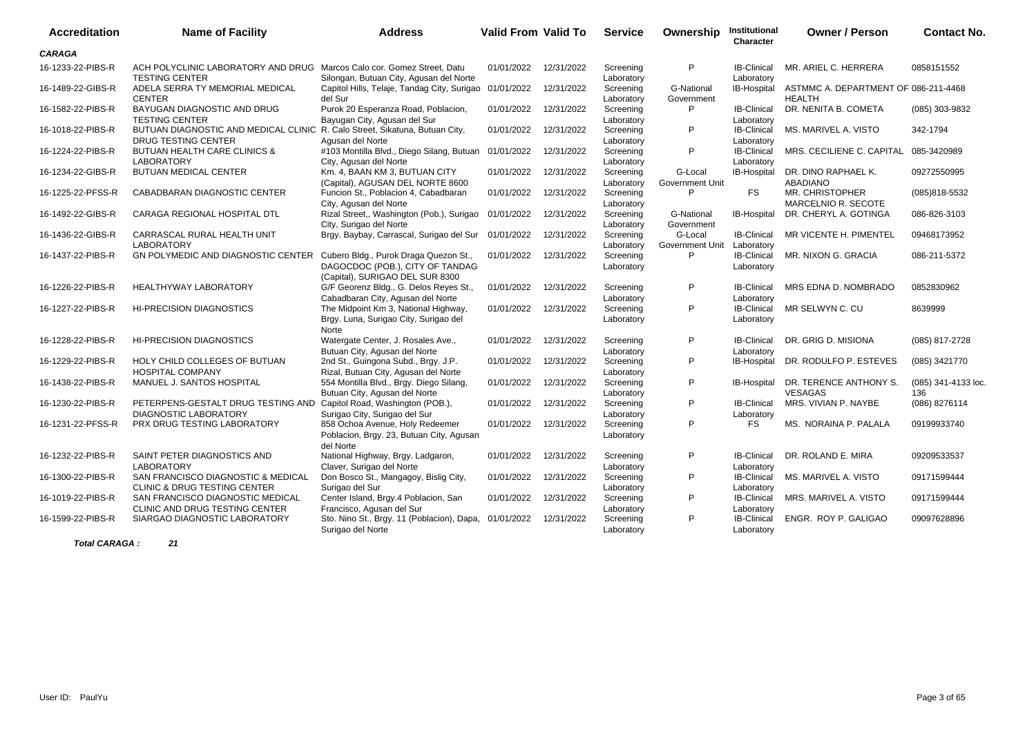| <b>Accreditation</b> | <b>Name of Facility</b>                                                                                   | <b>Address</b>                                                                                              | <b>Valid From Valid To</b> |            | <b>Service</b>          | Ownership                  | Institutional<br>Character       | <b>Owner / Person</b>                                 | <b>Contact No.</b>         |
|----------------------|-----------------------------------------------------------------------------------------------------------|-------------------------------------------------------------------------------------------------------------|----------------------------|------------|-------------------------|----------------------------|----------------------------------|-------------------------------------------------------|----------------------------|
| <b>CARAGA</b>        |                                                                                                           |                                                                                                             |                            |            |                         |                            |                                  |                                                       |                            |
| 16-1233-22-PIBS-R    | ACH POLYCLINIC LABORATORY AND DRUG Marcos Calo cor. Gomez Street, Datu<br><b>TESTING CENTER</b>           | Silongan, Butuan City, Agusan del Norte                                                                     | 01/01/2022                 | 12/31/2022 | Screening<br>Laboratory | P                          | <b>IB-Clinical</b><br>Laboratory | MR. ARIEL C. HERRERA                                  | 0858151552                 |
| 16-1489-22-GIBS-R    | ADELA SERRA TY MEMORIAL MEDICAL<br><b>CENTER</b>                                                          | Capitol Hills, Telaje, Tandag City, Surigao<br>del Sur                                                      | 01/01/2022                 | 12/31/2022 | Screening<br>Laboratory | G-National<br>Government   | IB-Hospital                      | ASTMMC A. DEPARTMENT OF 086-211-4468<br><b>HEALTH</b> |                            |
| 16-1582-22-PIBS-R    | BAYUGAN DIAGNOSTIC AND DRUG<br><b>TESTING CENTER</b>                                                      | Purok 20 Esperanza Road, Poblacion,<br>Bayugan City, Agusan del Sur                                         | 01/01/2022                 | 12/31/2022 | Screening<br>Laboratory | P                          | <b>IB-Clinical</b><br>Laboratory | DR. NENITA B. COMETA                                  | (085) 303-9832             |
| 16-1018-22-PIBS-R    | BUTUAN DIAGNOSTIC AND MEDICAL CLINIC R. Calo Street, Sikatuna, Butuan City,<br><b>DRUG TESTING CENTER</b> | Agusan del Norte                                                                                            | 01/01/2022                 | 12/31/2022 | Screening<br>Laboratory | P                          | <b>IB-Clinical</b><br>Laboratory | MS. MARIVEL A. VISTO                                  | 342-1794                   |
| 16-1224-22-PIBS-R    | <b>BUTUAN HEALTH CARE CLINICS &amp;</b><br><b>LABORATORY</b>                                              | #103 Montilla Blvd., Diego Silang, Butuan<br>City, Agusan del Norte                                         | 01/01/2022                 | 12/31/2022 | Screening<br>Laboratory | P                          | <b>IB-Clinical</b><br>Laboratory | MRS. CECILIENE C. CAPITAL                             | 085-3420989                |
| 16-1234-22-GIBS-R    | BUTUAN MEDICAL CENTER                                                                                     | Km. 4, BAAN KM 3, BUTUAN CITY<br>(Capital), AGUSAN DEL NORTE 8600                                           | 01/01/2022                 | 12/31/2022 | Screening<br>Laboratory | G-Local<br>Government Unit | IB-Hospital                      | DR. DINO RAPHAEL K.<br><b>ABADIANO</b>                | 09272550995                |
| 16-1225-22-PFSS-R    | CABADBARAN DIAGNOSTIC CENTER                                                                              | Funcion St., Poblacion 4, Cabadbaran<br>City, Agusan del Norte                                              | 01/01/2022                 | 12/31/2022 | Screening<br>Laboratory | P                          | <b>FS</b>                        | MR. CHRISTOPHER<br>MARCELNIO R. SECOTE                | (085)818-5532              |
| 16-1492-22-GIBS-R    | CARAGA REGIONAL HOSPITAL DTL                                                                              | Rizal Street,, Washington (Pob.), Surigao<br>City, Surigao del Norte                                        | 01/01/2022                 | 12/31/2022 | Screening<br>Laboratory | G-National<br>Government   | <b>IB-Hospital</b>               | DR. CHERYL A. GOTINGA                                 | 086-826-3103               |
| 16-1436-22-GIBS-R    | CARRASCAL RURAL HEALTH UNIT<br><b>LABORATORY</b>                                                          | Brgy. Baybay, Carrascal, Surigao del Sur                                                                    | 01/01/2022                 | 12/31/2022 | Screening<br>Laboratory | G-Local<br>Government Unit | <b>IB-Clinical</b><br>Laboratory | MR VICENTE H. PIMENTEL                                | 09468173952                |
| 16-1437-22-PIBS-R    | <b>GN POLYMEDIC AND DIAGNOSTIC CENTER</b>                                                                 | Cubero Bldg., Purok Draga Quezon St.,<br>DAGOCDOC (POB.), CITY OF TANDAG<br>(Capital), SURIGAO DEL SUR 8300 | 01/01/2022                 | 12/31/2022 | Screening<br>Laboratory | P                          | <b>IB-Clinical</b><br>Laboratory | MR. NIXON G. GRACIA                                   | 086-211-5372               |
| 16-1226-22-PIBS-R    | <b>HEALTHYWAY LABORATORY</b>                                                                              | G/F Georenz Bldg., G. Delos Reyes St.,<br>Cabadbaran City, Agusan del Norte                                 | 01/01/2022                 | 12/31/2022 | Screening<br>Laboratory | P                          | <b>IB-Clinical</b><br>Laboratory | MRS EDNA D. NOMBRADO                                  | 0852830962                 |
| 16-1227-22-PIBS-R    | <b>HI-PRECISION DIAGNOSTICS</b>                                                                           | The Midpoint Km 3, National Highway,<br>Brgy. Luna, Surigao City, Surigao del<br>Norte                      | 01/01/2022                 | 12/31/2022 | Screening<br>Laboratory | P                          | <b>IB-Clinical</b><br>Laboratory | MR SELWYN C. CU                                       | 8639999                    |
| 16-1228-22-PIBS-R    | <b>HI-PRECISION DIAGNOSTICS</b>                                                                           | Watergate Center, J. Rosales Ave.,<br>Butuan City, Agusan del Norte                                         | 01/01/2022                 | 12/31/2022 | Screening<br>Laboratory | P                          | <b>IB-Clinical</b><br>Laboratory | DR. GRIG D. MISIONA                                   | (085) 817-2728             |
| 16-1229-22-PIBS-R    | HOLY CHILD COLLEGES OF BUTUAN<br><b>HOSPITAL COMPANY</b>                                                  | 2nd St., Guingona Subd., Brgy. J.P.<br>Rizal, Butuan City, Agusan del Norte                                 | 01/01/2022                 | 12/31/2022 | Screening<br>Laboratory | P                          | IB-Hospital                      | DR. RODULFO P. ESTEVES                                | (085) 3421770              |
| 16-1438-22-PIBS-R    | MANUEL J. SANTOS HOSPITAL                                                                                 | 554 Montilla Blvd., Brgy. Diego Silang,<br>Butuan City, Agusan del Norte                                    | 01/01/2022                 | 12/31/2022 | Screening<br>Laboratory | P                          | <b>IB-Hospital</b>               | DR. TERENCE ANTHONY S.<br><b>VESAGAS</b>              | (085) 341-4133 loc.<br>136 |
| 16-1230-22-PIBS-R    | PETERPENS-GESTALT DRUG TESTING AND Capitol Road, Washington (POB.),<br><b>DIAGNOSTIC LABORATORY</b>       | Surigao City, Surigao del Sur                                                                               | 01/01/2022                 | 12/31/2022 | Screening<br>Laboratory | P                          | <b>IB-Clinical</b><br>Laboratory | MRS. VIVIAN P. NAYBE                                  | (086) 8276114              |
| 16-1231-22-PFSS-R    | PRX DRUG TESTING LABORATORY                                                                               | 858 Ochoa Avenue, Holy Redeemer<br>Poblacion, Brgy. 23, Butuan City, Agusan<br>del Norte                    | 01/01/2022                 | 12/31/2022 | Screening<br>Laboratory | P                          | <b>FS</b>                        | MS. NORAINA P. PALALA                                 | 09199933740                |
| 16-1232-22-PIBS-R    | SAINT PETER DIAGNOSTICS AND<br><b>LABORATORY</b>                                                          | National Highway, Brgy. Ladgaron,<br>Claver, Surigao del Norte                                              | 01/01/2022                 | 12/31/2022 | Screening<br>Laboratory | P                          | <b>IB-Clinical</b><br>Laboratory | DR. ROLAND E. MIRA                                    | 09209533537                |
| 16-1300-22-PIBS-R    | SAN FRANCISCO DIAGNOSTIC & MEDICAL<br>CLINIC & DRUG TESTING CENTER                                        | Don Bosco St., Mangagoy, Bislig City,<br>Surigao del Sur                                                    | 01/01/2022                 | 12/31/2022 | Screening<br>Laboratory | P                          | <b>IB-Clinical</b><br>Laboratory | MS. MARIVEL A. VISTO                                  | 09171599444                |
| 16-1019-22-PIBS-R    | SAN FRANCISCO DIAGNOSTIC MEDICAL<br>CLINIC AND DRUG TESTING CENTER                                        | Center Island, Brgy.4 Poblacion, San<br>Francisco, Agusan del Sur                                           | 01/01/2022                 | 12/31/2022 | Screening<br>Laboratory | P                          | <b>IB-Clinical</b><br>Laboratory | MRS. MARIVEL A. VISTO                                 | 09171599444                |
| 16-1599-22-PIBS-R    | SIARGAO DIAGNOSTIC LABORATORY                                                                             | Sto. Nino St., Brgy. 11 (Poblacion), Dapa,<br>Surigao del Norte                                             | 01/01/2022                 | 12/31/2022 | Screening<br>Laboratory | P                          | <b>IB-Clinical</b><br>Laboratory | ENGR. ROY P. GALIGAO                                  | 09097628896                |

**Total CARAGA : 21**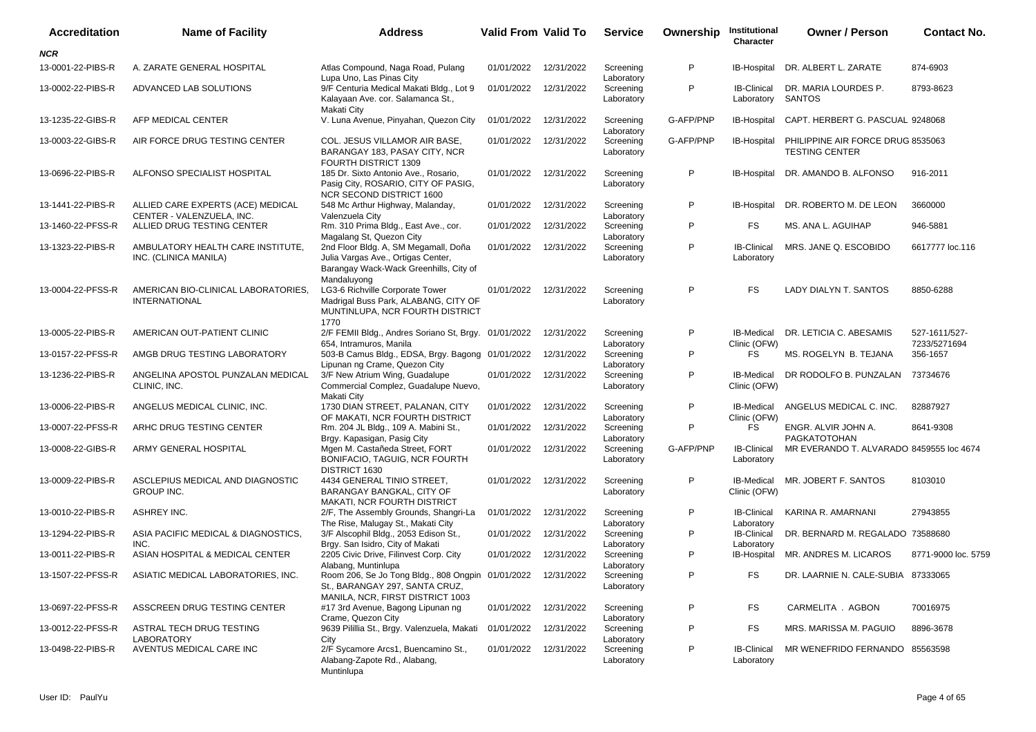| <b>Accreditation</b> | <b>Name of Facility</b>                                        | <b>Address</b>                                                                                                                      | <b>Valid From Valid To</b> |            | <b>Service</b>          | Ownership | Institutional<br>Character        | <b>Owner / Person</b>                                      | <b>Contact No.</b>            |
|----------------------|----------------------------------------------------------------|-------------------------------------------------------------------------------------------------------------------------------------|----------------------------|------------|-------------------------|-----------|-----------------------------------|------------------------------------------------------------|-------------------------------|
| NCR                  |                                                                |                                                                                                                                     |                            |            |                         |           |                                   |                                                            |                               |
| 13-0001-22-PIBS-R    | A. ZARATE GENERAL HOSPITAL                                     | Atlas Compound, Naga Road, Pulang<br>Lupa Uno, Las Pinas City                                                                       | 01/01/2022                 | 12/31/2022 | Screening<br>Laboratory | P         | IB-Hospital                       | DR. ALBERT L. ZARATE                                       | 874-6903                      |
| 13-0002-22-PIBS-R    | ADVANCED LAB SOLUTIONS                                         | 9/F Centuria Medical Makati Bldg., Lot 9<br>Kalayaan Ave. cor. Salamanca St.,<br>Makati City                                        | 01/01/2022                 | 12/31/2022 | Screening<br>Laboratory | P         | <b>IB-Clinical</b><br>Laboratory  | DR. MARIA LOURDES P.<br>SANTOS                             | 8793-8623                     |
| 13-1235-22-GIBS-R    | AFP MEDICAL CENTER                                             | V. Luna Avenue, Pinyahan, Quezon City                                                                                               | 01/01/2022                 | 12/31/2022 | Screening<br>Laboratory | G-AFP/PNP | IB-Hospital                       | CAPT. HERBERT G. PASCUAL 9248068                           |                               |
| 13-0003-22-GIBS-R    | AIR FORCE DRUG TESTING CENTER                                  | COL. JESUS VILLAMOR AIR BASE,<br>BARANGAY 183, PASAY CITY, NCR<br>FOURTH DISTRICT 1309                                              | 01/01/2022                 | 12/31/2022 | Screening<br>Laboratory | G-AFP/PNP | IB-Hospital                       | PHILIPPINE AIR FORCE DRUG 8535063<br><b>TESTING CENTER</b> |                               |
| 13-0696-22-PIBS-R    | ALFONSO SPECIALIST HOSPITAL                                    | 185 Dr. Sixto Antonio Ave., Rosario,<br>Pasig City, ROSARIO, CITY OF PASIG,<br>NCR SECOND DISTRICT 1600                             | 01/01/2022                 | 12/31/2022 | Screening<br>Laboratory | P         | <b>IB-Hospital</b>                | DR. AMANDO B. ALFONSO                                      | 916-2011                      |
| 13-1441-22-PIBS-R    | ALLIED CARE EXPERTS (ACE) MEDICAL<br>CENTER - VALENZUELA, INC. | 548 Mc Arthur Highway, Malanday,<br>Valenzuela City                                                                                 | 01/01/2022                 | 12/31/2022 | Screening<br>Laboratory | P         | IB-Hospital                       | DR. ROBERTO M. DE LEON                                     | 3660000                       |
| 13-1460-22-PFSS-R    | ALLIED DRUG TESTING CENTER                                     | Rm. 310 Prima Bldg., East Ave., cor.<br>Magalang St, Quezon City                                                                    | 01/01/2022                 | 12/31/2022 | Screening<br>Laboratory | P         | FS.                               | MS. ANA L. AGUIHAP                                         | 946-5881                      |
| 13-1323-22-PIBS-R    | AMBULATORY HEALTH CARE INSTITUTE,<br>INC. (CLINICA MANILA)     | 2nd Floor Bldg. A, SM Megamall, Doña<br>Julia Vargas Ave., Ortigas Center,<br>Barangay Wack-Wack Greenhills, City of<br>Mandaluyong | 01/01/2022                 | 12/31/2022 | Screening<br>Laboratory | P         | <b>IB-Clinical</b><br>Laboratory  | MRS. JANE Q. ESCOBIDO                                      | 6617777 loc.116               |
| 13-0004-22-PFSS-R    | AMERICAN BIO-CLINICAL LABORATORIES,<br><b>INTERNATIONAL</b>    | LG3-6 Richville Corporate Tower<br>Madrigal Buss Park, ALABANG, CITY OF<br>MUNTINLUPA, NCR FOURTH DISTRICT<br>1770                  | 01/01/2022                 | 12/31/2022 | Screening<br>Laboratory | P         | <b>FS</b>                         | LADY DIALYN T. SANTOS                                      | 8850-6288                     |
| 13-0005-22-PIBS-R    | AMERICAN OUT-PATIENT CLINIC                                    | 2/F FEMII Bldg., Andres Soriano St, Brgy. 01/01/2022<br>654, Intramuros, Manila                                                     |                            | 12/31/2022 | Screening<br>Laboratory | P         | IB-Medical<br>Clinic (OFW)        | DR. LETICIA C. ABESAMIS                                    | 527-1611/527-<br>7233/5271694 |
| 13-0157-22-PFSS-R    | AMGB DRUG TESTING LABORATORY                                   | 503-B Camus Bldg., EDSA, Brgy. Bagong 01/01/2022<br>Lipunan ng Crame, Quezon City                                                   |                            | 12/31/2022 | Screening<br>Laboratory | P         | FS.                               | MS. ROGELYN B. TEJANA                                      | 356-1657                      |
| 13-1236-22-PIBS-R    | ANGELINA APOSTOL PUNZALAN MEDICAL<br>CLINIC, INC.              | 3/F New Atrium Wing, Guadalupe<br>Commercial Complez, Guadalupe Nuevo,<br>Makati City                                               | 01/01/2022                 | 12/31/2022 | Screening<br>Laboratory | P         | <b>IB-Medical</b><br>Clinic (OFW) | DR RODOLFO B. PUNZALAN                                     | 73734676                      |
| 13-0006-22-PIBS-R    | ANGELUS MEDICAL CLINIC, INC.                                   | 1730 DIAN STREET, PALANAN, CITY<br>OF MAKATI, NCR FOURTH DISTRICT                                                                   | 01/01/2022                 | 12/31/2022 | Screening<br>Laboratory | P         | <b>IB-Medical</b><br>Clinic (OFW) | ANGELUS MEDICAL C. INC.                                    | 82887927                      |
| 13-0007-22-PFSS-R    | ARHC DRUG TESTING CENTER                                       | Rm. 204 JL Bldg., 109 A. Mabini St.,<br>Brgy. Kapasigan, Pasig City                                                                 | 01/01/2022                 | 12/31/2022 | Screening<br>Laboratory | P         | FS                                | ENGR. ALVIR JOHN A.<br><b>PAGKATOTOHAN</b>                 | 8641-9308                     |
| 13-0008-22-GIBS-R    | ARMY GENERAL HOSPITAL                                          | Mgen M. Castañeda Street, FORT<br>BONIFACIO, TAGUIG, NCR FOURTH<br>DISTRICT 1630                                                    | 01/01/2022                 | 12/31/2022 | Screening<br>Laboratory | G-AFP/PNP | <b>IB-Clinical</b><br>Laboratory  | MR EVERANDO T. ALVARADO 8459555 loc 4674                   |                               |
| 13-0009-22-PIBS-R    | ASCLEPIUS MEDICAL AND DIAGNOSTIC<br><b>GROUP INC.</b>          | 4434 GENERAL TINIO STREET,<br>BARANGAY BANGKAL, CITY OF<br>MAKATI, NCR FOURTH DISTRICT                                              | 01/01/2022                 | 12/31/2022 | Screening<br>Laboratory | P         | IB-Medical<br>Clinic (OFW)        | MR. JOBERT F. SANTOS                                       | 8103010                       |
| 13-0010-22-PIBS-R    | <b>ASHREY INC.</b>                                             | 2/F, The Assembly Grounds, Shangri-La<br>The Rise, Malugay St., Makati City                                                         | 01/01/2022                 | 12/31/2022 | Screening<br>Laboratory | P         | <b>IB-Clinical</b><br>Laboratory  | KARINA R. AMARNANI                                         | 27943855                      |
| 13-1294-22-PIBS-R    | ASIA PACIFIC MEDICAL & DIAGNOSTICS,<br>INC.                    | 3/F Alscophil Bldg., 2053 Edison St.,<br>Brgy. San Isidro, City of Makati                                                           | 01/01/2022                 | 12/31/2022 | Screening<br>Laboratory | P         | <b>IB-Clinical</b><br>Laboratory  | DR. BERNARD M. REGALADO 73588680                           |                               |
| 13-0011-22-PIBS-R    | ASIAN HOSPITAL & MEDICAL CENTER                                | 2205 Civic Drive, Filinvest Corp. City<br>Alabang, Muntinlupa                                                                       | 01/01/2022                 | 12/31/2022 | Screening<br>Laboratory | P         | IB-Hospital                       | MR. ANDRES M. LICAROS                                      | 8771-9000 loc. 5759           |
|                      | 13-1507-22-PFSS-R ASIATIC MEDICAL LABORATORIES, INC.           | Room 206, Se Jo Tong Bldg., 808 Ongpin 01/01/2022 12/31/2022<br>St., BARANGAY 297, SANTA CRUZ,<br>MANILA, NCR, FIRST DISTRICT 1003  |                            |            | Screening<br>Laboratory | P         | FS                                | DR. LAARNIE N. CALE-SUBIA 87333065                         |                               |
| 13-0697-22-PFSS-R    | ASSCREEN DRUG TESTING CENTER                                   | #17 3rd Avenue, Bagong Lipunan ng<br>Crame, Quezon City                                                                             | 01/01/2022                 | 12/31/2022 | Screening<br>Laboratory | P         | FS                                | CARMELITA . AGBON                                          | 70016975                      |
| 13-0012-22-PFSS-R    | ASTRAL TECH DRUG TESTING<br><b>LABORATORY</b>                  | 9639 Pilillia St., Brgy. Valenzuela, Makati<br>City                                                                                 | 01/01/2022                 | 12/31/2022 | Screening<br>Laboratory | P         | FS                                | MRS. MARISSA M. PAGUIO                                     | 8896-3678                     |
| 13-0498-22-PIBS-R    | AVENTUS MEDICAL CARE INC                                       | 2/F Sycamore Arcs1, Buencamino St.,<br>Alabang-Zapote Rd., Alabang,<br>Muntinlupa                                                   | 01/01/2022                 | 12/31/2022 | Screening<br>Laboratory | P         | <b>IB-Clinical</b><br>Laboratory  | MR WENEFRIDO FERNANDO 85563598                             |                               |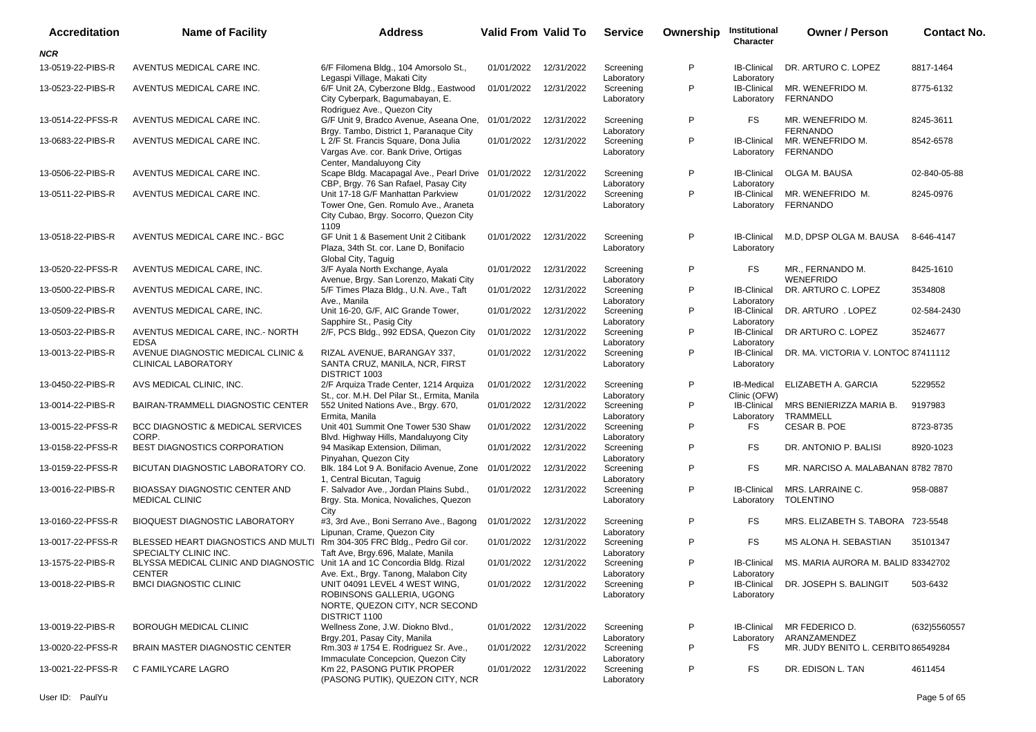| <b>Accreditation</b> | <b>Name of Facility</b>                                                                           | <b>Address</b>                                                                                                              | <b>Valid From Valid To</b> |            | <b>Service</b>                        | Ownership | Institutional<br>Character                     | <b>Owner / Person</b>                | <b>Contact No.</b> |
|----------------------|---------------------------------------------------------------------------------------------------|-----------------------------------------------------------------------------------------------------------------------------|----------------------------|------------|---------------------------------------|-----------|------------------------------------------------|--------------------------------------|--------------------|
| NCR                  |                                                                                                   |                                                                                                                             |                            |            |                                       |           |                                                |                                      |                    |
| 13-0519-22-PIBS-R    | AVENTUS MEDICAL CARE INC.                                                                         | 6/F Filomena Bldg., 104 Amorsolo St.,                                                                                       | 01/01/2022                 | 12/31/2022 | Screening                             | P         | <b>IB-Clinical</b>                             | DR. ARTURO C. LOPEZ                  | 8817-1464          |
| 13-0523-22-PIBS-R    | AVENTUS MEDICAL CARE INC.                                                                         | Legaspi Village, Makati City<br>6/F Unit 2A, Cyberzone Bldg., Eastwood<br>City Cyberpark, Bagumabayan, E.                   | 01/01/2022                 | 12/31/2022 | Laboratory<br>Screening<br>Laboratory | P         | Laboratory<br><b>IB-Clinical</b><br>Laboratory | MR. WENEFRIDO M.<br><b>FERNANDO</b>  | 8775-6132          |
| 13-0514-22-PFSS-R    | AVENTUS MEDICAL CARE INC.                                                                         | Rodriguez Ave., Quezon City<br>G/F Unit 9, Bradco Avenue, Aseana One,<br>Brgy. Tambo, District 1, Paranaque City            | 01/01/2022                 | 12/31/2022 | Screening<br>Laboratory               | P         | FS.                                            | MR. WENEFRIDO M.<br><b>FERNANDO</b>  | 8245-3611          |
| 13-0683-22-PIBS-R    | AVENTUS MEDICAL CARE INC.                                                                         | L 2/F St. Francis Square, Dona Julia<br>Vargas Ave. cor. Bank Drive, Ortigas                                                | 01/01/2022                 | 12/31/2022 | Screening<br>Laboratory               | P         | <b>IB-Clinical</b><br>Laboratory               | MR. WENEFRIDO M.<br><b>FERNANDO</b>  | 8542-6578          |
| 13-0506-22-PIBS-R    | AVENTUS MEDICAL CARE INC.                                                                         | Center, Mandaluyong City<br>Scape Bldg. Macapagal Ave., Pearl Drive<br>CBP, Brgy. 76 San Rafael, Pasay City                 | 01/01/2022                 | 12/31/2022 | Screening<br>Laboratory               | P         | <b>IB-Clinical</b><br>Laboratory               | OLGA M. BAUSA                        | 02-840-05-88       |
| 13-0511-22-PIBS-R    | AVENTUS MEDICAL CARE INC.                                                                         | Unit 17-18 G/F Manhattan Parkview<br>Tower One, Gen. Romulo Ave., Araneta<br>City Cubao, Brgy. Socorro, Quezon City<br>1109 | 01/01/2022                 | 12/31/2022 | Screening<br>Laboratory               | P         | <b>IB-Clinical</b><br>Laboratory               | MR. WENEFRIDO M.<br><b>FERNANDO</b>  | 8245-0976          |
| 13-0518-22-PIBS-R    | AVENTUS MEDICAL CARE INC.- BGC                                                                    | GF Unit 1 & Basement Unit 2 Citibank<br>Plaza, 34th St. cor. Lane D. Bonifacio<br>Global City, Taguig                       | 01/01/2022                 | 12/31/2022 | Screening<br>Laboratory               | P         | <b>IB-Clinical</b><br>Laboratory               | M.D. DPSP OLGA M. BAUSA              | 8-646-4147         |
| 13-0520-22-PFSS-R    | AVENTUS MEDICAL CARE, INC.                                                                        | 3/F Ayala North Exchange, Ayala<br>Avenue, Brgy. San Lorenzo, Makati City                                                   | 01/01/2022                 | 12/31/2022 | Screening<br>Laboratory               | P         | FS                                             | MR., FERNANDO M.<br><b>WENEFRIDO</b> | 8425-1610          |
| 13-0500-22-PIBS-R    | AVENTUS MEDICAL CARE, INC.                                                                        | 5/F Times Plaza Bldg., U.N. Ave., Taft<br>Ave., Manila                                                                      | 01/01/2022                 | 12/31/2022 | Screening<br>Laboratory               | P         | <b>IB-Clinical</b><br>Laboratory               | DR. ARTURO C. LOPEZ                  | 3534808            |
| 13-0509-22-PIBS-R    | AVENTUS MEDICAL CARE, INC.                                                                        | Unit 16-20, G/F, AIC Grande Tower,<br>Sapphire St., Pasig City                                                              | 01/01/2022                 | 12/31/2022 | Screening<br>Laboratory               | P         | <b>IB-Clinical</b><br>Laboratory               | DR. ARTURO . LOPEZ                   | 02-584-2430        |
| 13-0503-22-PIBS-R    | AVENTUS MEDICAL CARE, INC.- NORTH<br><b>EDSA</b>                                                  | 2/F, PCS Bldg., 992 EDSA, Quezon City                                                                                       | 01/01/2022                 | 12/31/2022 | Screening<br>Laboratory               | P         | <b>IB-Clinical</b><br>Laboratory               | DR ARTURO C. LOPEZ                   | 3524677            |
| 13-0013-22-PIBS-R    | AVENUE DIAGNOSTIC MEDICAL CLINIC &<br><b>CLINICAL LABORATORY</b>                                  | RIZAL AVENUE, BARANGAY 337,<br>SANTA CRUZ, MANILA, NCR, FIRST<br>DISTRICT 1003                                              | 01/01/2022                 | 12/31/2022 | Screening<br>Laboratory               | P         | <b>IB-Clinical</b><br>Laboratory               | DR. MA. VICTORIA V. LONTOC 87411112  |                    |
| 13-0450-22-PIBS-R    | AVS MEDICAL CLINIC, INC.                                                                          | 2/F Arquiza Trade Center, 1214 Arquiza<br>St., cor. M.H. Del Pilar St., Ermita, Manila                                      | 01/01/2022                 | 12/31/2022 | Screening<br>Laboratory               | P         | <b>IB-Medical</b><br>Clinic (OFW)              | ELIZABETH A. GARCIA                  | 5229552            |
| 13-0014-22-PIBS-R    | BAIRAN-TRAMMELL DIAGNOSTIC CENTER                                                                 | 552 United Nations Ave., Brgy. 670,<br>Ermita, Manila                                                                       | 01/01/2022                 | 12/31/2022 | Screening<br>Laboratory               | P         | <b>IB-Clinical</b><br>Laboratory               | MRS BENIERIZZA MARIA B.<br>TRAMMELL  | 9197983            |
| 13-0015-22-PFSS-R    | BCC DIAGNOSTIC & MEDICAL SERVICES<br>CORP.                                                        | Unit 401 Summit One Tower 530 Shaw<br>Blvd. Highway Hills, Mandaluyong City                                                 | 01/01/2022                 | 12/31/2022 | Screening<br>Laboratory               | P         | FS                                             | CESAR B. POE                         | 8723-8735          |
| 13-0158-22-PFSS-R    | BEST DIAGNOSTICS CORPORATION                                                                      | 94 Masikap Extension, Diliman,<br>Pinyahan, Quezon City                                                                     | 01/01/2022                 | 12/31/2022 | Screening<br>Laboratory               | P         | FS.                                            | DR. ANTONIO P. BALISI                | 8920-1023          |
| 13-0159-22-PFSS-R    | BICUTAN DIAGNOSTIC LABORATORY CO.                                                                 | Blk. 184 Lot 9 A. Bonifacio Avenue, Zone<br>1, Central Bicutan, Taguig                                                      | 01/01/2022                 | 12/31/2022 | Screening<br>Laboratory               | P         | FS.                                            | MR. NARCISO A. MALABANAN 8782 7870   |                    |
| 13-0016-22-PIBS-R    | <b>BIOASSAY DIAGNOSTIC CENTER AND</b><br><b>MEDICAL CLINIC</b>                                    | F. Salvador Ave., Jordan Plains Subd.,<br>Brgy. Sta. Monica, Novaliches, Quezon<br>City                                     | 01/01/2022                 | 12/31/2022 | Screening<br>Laboratory               | P         | <b>IB-Clinical</b><br>Laboratory               | MRS. LARRAINE C.<br><b>TOLENTINO</b> | 958-0887           |
| 13-0160-22-PFSS-R    | <b>BIOQUEST DIAGNOSTIC LABORATORY</b>                                                             | #3, 3rd Ave., Boni Serrano Ave., Bagong<br>Lipunan, Crame, Quezon City                                                      | 01/01/2022                 | 12/31/2022 | Screening<br>Laboratory               | P         | FS.                                            | MRS. ELIZABETH S. TABORA 723-5548    |                    |
| 13-0017-22-PFSS-R    | BLESSED HEART DIAGNOSTICS AND MULTI Rm 304-305 FRC Bldg., Pedro Gil cor.<br>SPECIALTY CLINIC INC. | Taft Ave, Brgy.696, Malate, Manila                                                                                          | 01/01/2022                 | 12/31/2022 | Screening<br>Laboratory               | P         | FS.                                            | MS ALONA H. SEBASTIAN                | 35101347           |
| 13-1575-22-PIBS-R    | BLYSSA MEDICAL CLINIC AND DIAGNOSTIC Unit 1A and 1C Concordia Bldg. Rizal<br><b>CENTER</b>        | Ave. Ext., Brgy. Tanong, Malabon City                                                                                       | 01/01/2022 12/31/2022      |            | Screening<br>Laboratory               | P         | <b>IB-Clinical</b><br>Laboratory               | MS. MARIA AURORA M. BALID 83342702   |                    |
| 13-0018-22-PIBS-R    | <b>BMCI DIAGNOSTIC CLINIC</b>                                                                     | UNIT 04091 LEVEL 4 WEST WING,<br>ROBINSONS GALLERIA, UGONG<br>NORTE, QUEZON CITY, NCR SECOND<br>DISTRICT 1100               | 01/01/2022 12/31/2022      |            | Screening<br>Laboratory               | P         | <b>IB-Clinical</b><br>Laboratory               | DR. JOSEPH S. BALINGIT               | 503-6432           |
| 13-0019-22-PIBS-R    | BOROUGH MEDICAL CLINIC                                                                            | Wellness Zone, J.W. Diokno Blvd.,<br>Brgy.201, Pasay City, Manila                                                           | 01/01/2022                 | 12/31/2022 | Screening<br>Laboratory               | P         | <b>IB-Clinical</b><br>Laboratory               | MR FEDERICO D.<br>ARANZAMENDEZ       | (632) 5560 557     |
| 13-0020-22-PFSS-R    | BRAIN MASTER DIAGNOSTIC CENTER                                                                    | Rm.303 # 1754 E. Rodriguez Sr. Ave.,<br>Immaculate Concepcion, Quezon City                                                  | 01/01/2022                 | 12/31/2022 | Screening<br>Laboratory               | P         | FS                                             | MR. JUDY BENITO L. CERBITO 86549284  |                    |
| 13-0021-22-PFSS-R    | C FAMILYCARE LAGRO                                                                                | Km 22, PASONG PUTIK PROPER<br>(PASONG PUTIK), QUEZON CITY, NCR                                                              | 01/01/2022                 | 12/31/2022 | Screening<br>Laboratory               | P         | FS                                             | DR. EDISON L. TAN                    | 4611454            |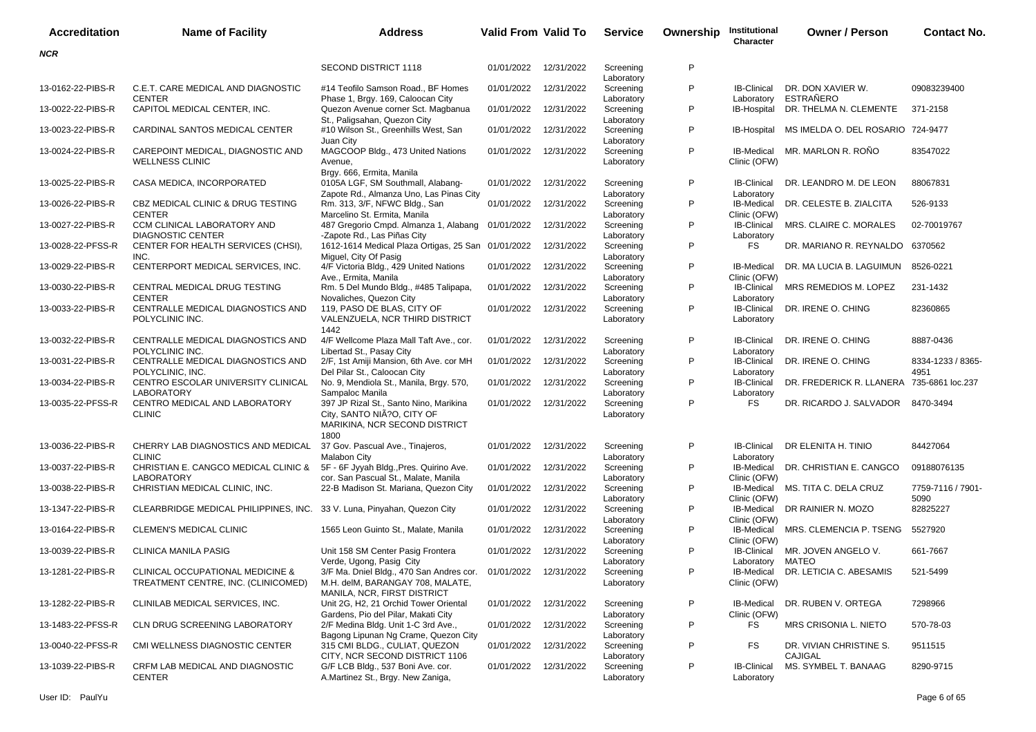| <b>Accreditation</b> | <b>Name of Facility</b>                                                            | <b>Address</b>                                                                                                | <b>Valid From Valid To</b> |            | <b>Service</b>          | Ownership    | Institutional<br><b>Character</b> | <b>Owner / Person</b>                     | <b>Contact No.</b>        |
|----------------------|------------------------------------------------------------------------------------|---------------------------------------------------------------------------------------------------------------|----------------------------|------------|-------------------------|--------------|-----------------------------------|-------------------------------------------|---------------------------|
| <b>NCR</b>           |                                                                                    |                                                                                                               |                            |            |                         |              |                                   |                                           |                           |
|                      |                                                                                    | <b>SECOND DISTRICT 1118</b>                                                                                   | 01/01/2022                 | 12/31/2022 | Screening<br>Laboratory | P            |                                   |                                           |                           |
| 13-0162-22-PIBS-R    | C.E.T. CARE MEDICAL AND DIAGNOSTIC<br><b>CENTER</b>                                | #14 Teofilo Samson Road., BF Homes<br>Phase 1, Brgy. 169, Caloocan City                                       | 01/01/2022                 | 12/31/2022 | Screening<br>Laboratory | P            | <b>IB-Clinical</b><br>Laboratory  | DR. DON XAVIER W.<br><b>ESTRAÑERO</b>     | 09083239400               |
| 13-0022-22-PIBS-R    | CAPITOL MEDICAL CENTER, INC.                                                       | Quezon Avenue corner Sct. Magbanua<br>St., Paligsahan, Quezon City                                            | 01/01/2022                 | 12/31/2022 | Screening<br>Laboratory | P            | IB-Hospital                       | DR. THELMA N. CLEMENTE                    | 371-2158                  |
| 13-0023-22-PIBS-R    | CARDINAL SANTOS MEDICAL CENTER                                                     | #10 Wilson St., Greenhills West, San<br>Juan City                                                             | 01/01/2022                 | 12/31/2022 | Screening<br>Laboratory | P            | IB-Hospital                       | MS IMELDA O. DEL ROSARIO 724-9477         |                           |
| 13-0024-22-PIBS-R    | CAREPOINT MEDICAL, DIAGNOSTIC AND<br><b>WELLNESS CLINIC</b>                        | MAGCOOP Bldg., 473 United Nations<br>Avenue,<br>Brgy. 666, Ermita, Manila                                     | 01/01/2022                 | 12/31/2022 | Screening<br>Laboratory | P            | IB-Medical<br>Clinic (OFW)        | MR. MARLON R. ROÑO                        | 83547022                  |
| 13-0025-22-PIBS-R    | CASA MEDICA, INCORPORATED                                                          | 0105A LGF, SM Southmall, Alabang-<br>Zapote Rd., Almanza Uno, Las Pinas City                                  | 01/01/2022                 | 12/31/2022 | Screening<br>Laboratory | P            | <b>IB-Clinical</b><br>Laboratory  | DR. LEANDRO M. DE LEON                    | 88067831                  |
| 13-0026-22-PIBS-R    | CBZ MEDICAL CLINIC & DRUG TESTING<br><b>CENTER</b>                                 | Rm. 313, 3/F, NFWC Bldg., San<br>Marcelino St. Ermita, Manila                                                 | 01/01/2022                 | 12/31/2022 | Screening<br>Laboratory | P            | IB-Medical<br>Clinic (OFW)        | DR. CELESTE B. ZIALCITA                   | 526-9133                  |
| 13-0027-22-PIBS-R    | CCM CLINICAL LABORATORY AND<br><b>DIAGNOSTIC CENTER</b>                            | 487 Gregorio Cmpd. Almanza 1, Alabang 01/01/2022<br>-Zapote Rd., Las Piñas City                               |                            | 12/31/2022 | Screening<br>Laboratory | P            | <b>IB-Clinical</b><br>Laboratory  | MRS. CLAIRE C. MORALES                    | 02-70019767               |
| 13-0028-22-PFSS-R    | CENTER FOR HEALTH SERVICES (CHSI),<br>INC.                                         | 1612-1614 Medical Plaza Ortigas, 25 San 01/01/2022<br>Miguel, City Of Pasig                                   |                            | 12/31/2022 | Screening<br>Laboratory | P            | <b>FS</b>                         | DR. MARIANO R. REYNALDO 6370562           |                           |
| 13-0029-22-PIBS-R    | CENTERPORT MEDICAL SERVICES, INC.                                                  | 4/F Victoria Bldg., 429 United Nations<br>Ave., Ermita, Manila                                                | 01/01/2022                 | 12/31/2022 | Screening<br>Laboratory | P            | <b>IB-Medical</b><br>Clinic (OFW) | DR. MA LUCIA B. LAGUIMUN                  | 8526-0221                 |
| 13-0030-22-PIBS-R    | CENTRAL MEDICAL DRUG TESTING<br><b>CENTER</b>                                      | Rm. 5 Del Mundo Bldg., #485 Talipapa,<br>Novaliches, Quezon City                                              | 01/01/2022                 | 12/31/2022 | Screening<br>Laboratory | P            | <b>IB-Clinical</b><br>Laboratory  | MRS REMEDIOS M. LOPEZ                     | 231-1432                  |
| 13-0033-22-PIBS-R    | CENTRALLE MEDICAL DIAGNOSTICS AND<br>POLYCLINIC INC.                               | 119, PASO DE BLAS, CITY OF<br>VALENZUELA, NCR THIRD DISTRICT<br>1442                                          | 01/01/2022                 | 12/31/2022 | Screening<br>Laboratory | P            | <b>IB-Clinical</b><br>Laboratory  | DR. IRENE O. CHING                        | 82360865                  |
| 13-0032-22-PIBS-R    | CENTRALLE MEDICAL DIAGNOSTICS AND<br>POLYCLINIC INC.                               | 4/F Wellcome Plaza Mall Taft Ave., cor.<br>Libertad St., Pasay City                                           | 01/01/2022                 | 12/31/2022 | Screening<br>Laboratory | P            | <b>IB-Clinical</b><br>Laboratory  | DR. IRENE O. CHING                        | 8887-0436                 |
| 13-0031-22-PIBS-R    | CENTRALLE MEDICAL DIAGNOSTICS AND<br>POLYCLINIC, INC.                              | 2/F, 1st Amiji Mansion, 6th Ave. cor MH<br>Del Pilar St., Caloocan City                                       | 01/01/2022                 | 12/31/2022 | Screening<br>Laboratory | P            | <b>IB-Clinical</b><br>Laboratory  | DR. IRENE O. CHING                        | 8334-1233 / 8365-<br>4951 |
| 13-0034-22-PIBS-R    | CENTRO ESCOLAR UNIVERSITY CLINICAL<br><b>LABORATORY</b>                            | No. 9, Mendiola St., Manila, Brgy. 570,<br>Sampaloc Manila                                                    | 01/01/2022                 | 12/31/2022 | Screening<br>Laboratory | P            | <b>IB-Clinical</b><br>Laboratory  | DR. FREDERICK R. LLANERA 735-6861 loc.237 |                           |
| 13-0035-22-PFSS-R    | CENTRO MEDICAL AND LABORATORY<br><b>CLINIC</b>                                     | 397 JP Rizal St., Santo Nino, Marikina<br>City, SANTO NIÃ?O, CITY OF<br>MARIKINA, NCR SECOND DISTRICT<br>1800 | 01/01/2022                 | 12/31/2022 | Screening<br>Laboratory | P            | FS                                | DR. RICARDO J. SALVADOR 8470-3494         |                           |
| 13-0036-22-PIBS-R    | CHERRY LAB DIAGNOSTICS AND MEDICAL<br><b>CLINIC</b>                                | 37 Gov. Pascual Ave., Tinajeros,<br><b>Malabon City</b>                                                       | 01/01/2022                 | 12/31/2022 | Screening<br>Laboratory | P            | <b>IB-Clinical</b><br>Laboratory  | DR ELENITA H. TINIO                       | 84427064                  |
| 13-0037-22-PIBS-R    | CHRISTIAN E. CANGCO MEDICAL CLINIC &<br><b>LABORATORY</b>                          | 5F - 6F Jyyah Bldg., Pres. Quirino Ave.<br>cor. San Pascual St., Malate, Manila                               | 01/01/2022                 | 12/31/2022 | Screening<br>Laboratory | P            | IB-Medical<br>Clinic (OFW)        | DR. CHRISTIAN E. CANGCO                   | 09188076135               |
| 13-0038-22-PIBS-R    | CHRISTIAN MEDICAL CLINIC, INC.                                                     | 22-B Madison St. Mariana, Quezon City                                                                         | 01/01/2022                 | 12/31/2022 | Screening<br>Laboratory | P            | Clinic (OFW)                      | IB-Medical MS. TITA C. DELA CRUZ          | 7759-7116 / 7901-<br>5090 |
| 13-1347-22-PIBS-R    | CLEARBRIDGE MEDICAL PHILIPPINES, INC.                                              | 33 V. Luna, Pinyahan, Quezon City                                                                             | 01/01/2022                 | 12/31/2022 | Screening<br>Laboratory | P            | IB-Medical<br>Clinic (OFW)        | DR RAINIER N. MOZO                        | 82825227                  |
| 13-0164-22-PIBS-R    | CLEMEN'S MEDICAL CLINIC                                                            | 1565 Leon Guinto St., Malate, Manila                                                                          | 01/01/2022                 | 12/31/2022 | Screening<br>Laboratory | P            | IB-Medical<br>Clinic (OFW)        | MRS. CLEMENCIA P. TSENG                   | 5527920                   |
| 13-0039-22-PIBS-R    | <b>CLINICA MANILA PASIG</b>                                                        | Unit 158 SM Center Pasig Frontera<br>Verde, Ugong, Pasig City                                                 | 01/01/2022                 | 12/31/2022 | Screening<br>Laboratory | P            | <b>IB-Clinical</b><br>Laboratory  | MR. JOVEN ANGELO V.<br>MATEO              | 661-7667                  |
| 13-1281-22-PIBS-R    | <b>CLINICAL OCCUPATIONAL MEDICINE &amp;</b><br>TREATMENT CENTRE, INC. (CLINICOMED) | 3/F Ma. Dniel Bldg., 470 San Andres cor.<br>M.H. delM, BARANGAY 708, MALATE,<br>MANILA, NCR, FIRST DISTRICT   | 01/01/2022                 | 12/31/2022 | Screening<br>Laboratory | P            | IB-Medical<br>Clinic (OFW)        | DR. LETICIA C. ABESAMIS                   | 521-5499                  |
| 13-1282-22-PIBS-R    | CLINILAB MEDICAL SERVICES, INC.                                                    | Unit 2G, H2, 21 Orchid Tower Oriental<br>Gardens, Pio del Pilar, Makati City                                  | 01/01/2022 12/31/2022      |            | Screening<br>Laboratory | $\mathsf{P}$ | IB-Medical<br>Clinic (OFW)        | DR. RUBEN V. ORTEGA                       | 7298966                   |
| 13-1483-22-PFSS-R    | CLN DRUG SCREENING LABORATORY                                                      | 2/F Medina Bldg. Unit 1-C 3rd Ave.,<br>Bagong Lipunan Ng Crame, Quezon City                                   | 01/01/2022                 | 12/31/2022 | Screening<br>Laboratory | P            | FS                                | MRS CRISONIA L. NIETO                     | 570-78-03                 |
| 13-0040-22-PFSS-R    | CMI WELLNESS DIAGNOSTIC CENTER                                                     | 315 CMI BLDG., CULIAT, QUEZON<br>CITY. NCR SECOND DISTRICT 1106                                               | 01/01/2022 12/31/2022      |            | Screening<br>Laboratory | P            | FS                                | DR. VIVIAN CHRISTINE S.<br><b>CAJIGAL</b> | 9511515                   |
| 13-1039-22-PIBS-R    | CRFM LAB MEDICAL AND DIAGNOSTIC<br><b>CENTER</b>                                   | G/F LCB Bldg., 537 Boni Ave. cor.<br>A.Martinez St., Brgy. New Zaniga,                                        | 01/01/2022 12/31/2022      |            | Screening<br>Laboratory | P            | <b>IB-Clinical</b><br>Laboratory  | MS. SYMBEL T. BANAAG                      | 8290-9715                 |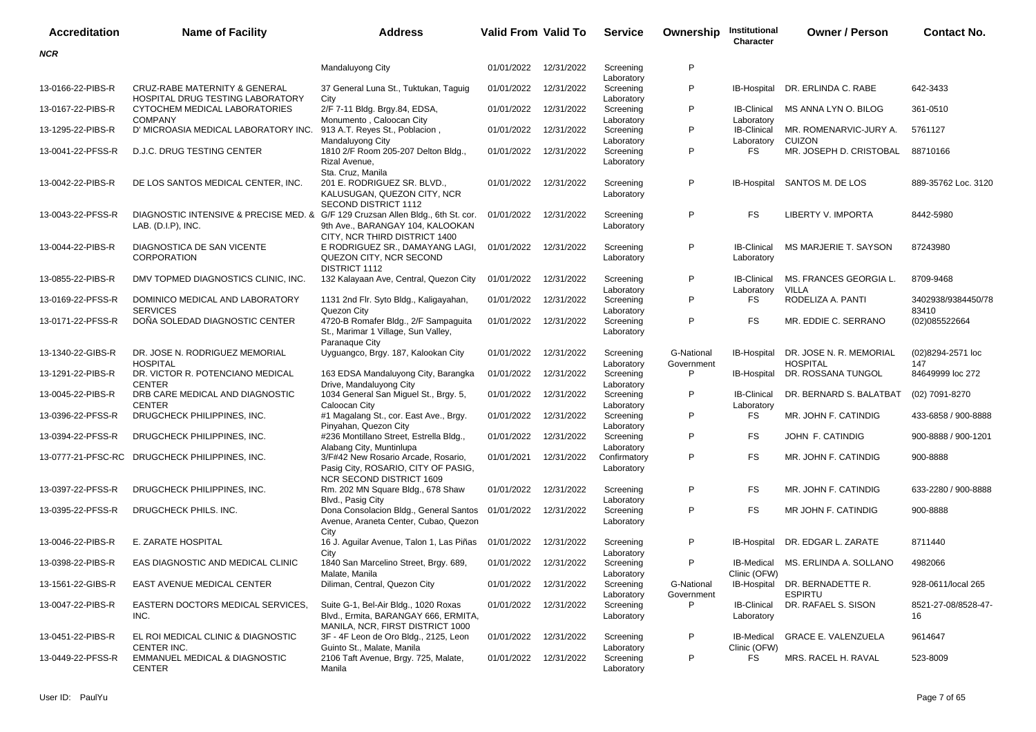| Accreditation     | <b>Name of Facility</b>                                                                                  | <b>Address</b>                                                                                                   | <b>Valid From Valid To</b> |            | <b>Service</b>                        | Ownership                | Institutional<br>Character       | <b>Owner / Person</b>                           | <b>Contact No.</b>          |
|-------------------|----------------------------------------------------------------------------------------------------------|------------------------------------------------------------------------------------------------------------------|----------------------------|------------|---------------------------------------|--------------------------|----------------------------------|-------------------------------------------------|-----------------------------|
| <b>NCR</b>        |                                                                                                          |                                                                                                                  |                            |            |                                       |                          |                                  |                                                 |                             |
|                   |                                                                                                          | Mandaluyong City                                                                                                 | 01/01/2022                 | 12/31/2022 | Screening<br>Laboratory               | P                        |                                  |                                                 |                             |
| 13-0166-22-PIBS-R | <b>CRUZ-RABE MATERNITY &amp; GENERAL</b><br>HOSPITAL DRUG TESTING LABORATORY                             | 37 General Luna St., Tuktukan, Taguig<br>City                                                                    | 01/01/2022                 | 12/31/2022 | Screening<br>Laboratory               | P                        | IB-Hospital                      | DR. ERLINDA C. RABE                             | 642-3433                    |
| 13-0167-22-PIBS-R | CYTOCHEM MEDICAL LABORATORIES<br><b>COMPANY</b>                                                          | 2/F 7-11 Bldg. Brgy.84, EDSA,<br>Monumento, Caloocan City                                                        | 01/01/2022                 | 12/31/2022 | Screening<br>Laboratory               | P                        | <b>IB-Clinical</b><br>Laboratory | MS ANNA LYN O. BILOG                            | 361-0510                    |
| 13-1295-22-PIBS-R | D' MICROASIA MEDICAL LABORATORY INC. 913 A.T. Reyes St., Poblacion,                                      | Mandaluyong City                                                                                                 | 01/01/2022                 | 12/31/2022 | Screening                             | P                        | <b>IB-Clinical</b><br>Laboratory | MR. ROMENARVIC-JURY A.<br><b>CUIZON</b>         | 5761127                     |
| 13-0041-22-PFSS-R | <b>D.J.C. DRUG TESTING CENTER</b>                                                                        | 1810 2/F Room 205-207 Delton Bldg.,<br>Rizal Avenue,<br>Sta. Cruz, Manila                                        | 01/01/2022                 | 12/31/2022 | Laboratory<br>Screening<br>Laboratory | P                        | FS                               | MR. JOSEPH D. CRISTOBAL                         | 88710166                    |
| 13-0042-22-PIBS-R | DE LOS SANTOS MEDICAL CENTER, INC.                                                                       | 201 E. RODRIGUEZ SR. BLVD.,<br>KALUSUGAN, QUEZON CITY, NCR<br>SECOND DISTRICT 1112                               | 01/01/2022                 | 12/31/2022 | Screening<br>Laboratory               | P                        | IB-Hospital                      | SANTOS M. DE LOS                                | 889-35762 Loc. 3120         |
| 13-0043-22-PFSS-R | DIAGNOSTIC INTENSIVE & PRECISE MED. & G/F 129 Cruzsan Allen Bldg., 6th St. cor.<br>LAB. $(D.I.P)$ , INC. | 9th Ave., BARANGAY 104, KALOOKAN<br>CITY, NCR THIRD DISTRICT 1400                                                | 01/01/2022                 | 12/31/2022 | Screening<br>Laboratory               | P                        | FS                               | LIBERTY V. IMPORTA                              | 8442-5980                   |
| 13-0044-22-PIBS-R | DIAGNOSTICA DE SAN VICENTE<br><b>CORPORATION</b>                                                         | E RODRIGUEZ SR., DAMAYANG LAGI,<br>QUEZON CITY, NCR SECOND<br>DISTRICT 1112                                      | 01/01/2022                 | 12/31/2022 | Screening<br>Laboratory               | P                        | <b>IB-Clinical</b><br>Laboratory | MS MARJERIE T. SAYSON                           | 87243980                    |
| 13-0855-22-PIBS-R | DMV TOPMED DIAGNOSTICS CLINIC, INC.                                                                      | 132 Kalayaan Ave, Central, Quezon City                                                                           | 01/01/2022                 | 12/31/2022 | Screening<br>Laboratory               | P                        | <b>IB-Clinical</b><br>Laboratory | MS. FRANCES GEORGIA L.<br>VILLA                 | 8709-9468                   |
| 13-0169-22-PFSS-R | DOMINICO MEDICAL AND LABORATORY<br><b>SERVICES</b>                                                       | 1131 2nd Flr. Syto Bldg., Kaligayahan,<br>Quezon City                                                            | 01/01/2022                 | 12/31/2022 | Screening<br>Laboratory               | P                        | FS                               | RODELIZA A. PANTI                               | 3402938/9384450/78<br>83410 |
| 13-0171-22-PFSS-R | DOÑA SOLEDAD DIAGNOSTIC CENTER                                                                           | 4720-B Romafer Bldg., 2/F Sampaguita<br>St., Marimar 1 Village, Sun Valley,<br>Paranaque City                    | 01/01/2022                 | 12/31/2022 | Screening<br>Laboratory               | P                        | FS                               | MR. EDDIE C. SERRANO                            | (02)085522664               |
| 13-1340-22-GIBS-R | DR. JOSE N. RODRIGUEZ MEMORIAL<br><b>HOSPITAL</b>                                                        | Uyguangco, Brgy. 187, Kalookan City                                                                              | 01/01/2022                 | 12/31/2022 | Screening<br>Laboratory               | G-National<br>Government | IB-Hospital                      | DR. JOSE N. R. MEMORIAL<br><b>HOSPITAL</b>      | (02)8294-2571 loc<br>147    |
| 13-1291-22-PIBS-R | DR. VICTOR R. POTENCIANO MEDICAL<br><b>CENTER</b>                                                        | 163 EDSA Mandaluyong City, Barangka<br>Drive, Mandaluyong City                                                   | 01/01/2022                 | 12/31/2022 | Screening<br>Laboratory               | P                        | IB-Hospital                      | DR. ROSSANA TUNGOL                              | 84649999 loc 272            |
| 13-0045-22-PIBS-R | DRB CARE MEDICAL AND DIAGNOSTIC<br><b>CENTER</b>                                                         | 1034 General San Miguel St., Brgy. 5,<br>Caloocan City                                                           | 01/01/2022                 | 12/31/2022 | Screening<br>Laboratory               | P                        | <b>IB-Clinical</b><br>Laboratory | DR. BERNARD S. BALATBAT                         | (02) 7091-8270              |
| 13-0396-22-PFSS-R | DRUGCHECK PHILIPPINES, INC.                                                                              | #1 Magalang St., cor. East Ave., Brgy.<br>Pinyahan, Quezon City                                                  | 01/01/2022                 | 12/31/2022 | Screening<br>Laboratory               | P                        | FS                               | MR. JOHN F. CATINDIG                            | 433-6858 / 900-8888         |
| 13-0394-22-PFSS-R | DRUGCHECK PHILIPPINES, INC.                                                                              | #236 Montillano Street, Estrella Bldg.,<br>Alabang City, Muntinlupa                                              | 01/01/2022                 | 12/31/2022 | Screening<br>Laboratory               | P                        | FS                               | JOHN F. CATINDIG                                | 900-8888 / 900-1201         |
|                   | 13-0777-21-PFSC-RC DRUGCHECK PHILIPPINES, INC.                                                           | 3/F#42 New Rosario Arcade, Rosario,<br>Pasig City, ROSARIO, CITY OF PASIG,<br>NCR SECOND DISTRICT 1609           | 01/01/2021                 | 12/31/2022 | Confirmatory<br>Laboratory            | P                        | FS                               | MR. JOHN F. CATINDIG                            | 900-8888                    |
| 13-0397-22-PFSS-R | DRUGCHECK PHILIPPINES, INC.                                                                              | Rm. 202 MN Square Bldg., 678 Shaw<br>Blvd., Pasig City                                                           | 01/01/2022                 | 12/31/2022 | Screening<br>Laboratory               | P                        | FS                               | MR. JOHN F. CATINDIG                            | 633-2280 / 900-8888         |
| 13-0395-22-PFSS-R | DRUGCHECK PHILS. INC.                                                                                    | Dona Consolacion Bldg., General Santos 01/01/2022<br>Avenue, Araneta Center, Cubao, Quezon<br>City               |                            | 12/31/2022 | Screening<br>Laboratory               | P                        | FS                               | MR JOHN F. CATINDIG                             | 900-8888                    |
| 13-0046-22-PIBS-R | E. ZARATE HOSPITAL                                                                                       | 16 J. Aguilar Avenue, Talon 1, Las Piñas<br>City                                                                 | 01/01/2022                 | 12/31/2022 | Screening<br>Laboratory               | P                        |                                  | IB-Hospital DR. EDGAR L. ZARATE                 | 8711440                     |
| 13-0398-22-PIBS-R | EAS DIAGNOSTIC AND MEDICAL CLINIC                                                                        | 1840 San Marcelino Street, Brgy. 689,<br>Malate, Manila                                                          | 01/01/2022 12/31/2022      |            | Screening<br>Laboratory               | P                        | Clinic (OFW)                     | IB-Medical MS. ERLINDA A. SOLLANO               | 4982066                     |
| 13-1561-22-GIBS-R | EAST AVENUE MEDICAL CENTER                                                                               | Diliman, Central, Quezon City                                                                                    | 01/01/2022                 | 12/31/2022 | Screening<br>Laboratory               | G-National<br>Government |                                  | IB-Hospital DR. BERNADETTE R.<br><b>ESPIRTU</b> | 928-0611/local 265          |
| 13-0047-22-PIBS-R | EASTERN DOCTORS MEDICAL SERVICES,<br>INC.                                                                | Suite G-1, Bel-Air Bldg., 1020 Roxas<br>Blvd., Ermita, BARANGAY 666, ERMITA,<br>MANILA, NCR, FIRST DISTRICT 1000 | 01/01/2022 12/31/2022      |            | Screening<br>Laboratory               | P                        | IB-Clinical<br>Laboratory        | DR. RAFAEL S. SISON                             | 8521-27-08/8528-47-<br>16   |
| 13-0451-22-PIBS-R | EL ROI MEDICAL CLINIC & DIAGNOSTIC<br>CENTER INC.                                                        | 3F - 4F Leon de Oro Bldg., 2125, Leon<br>Guinto St., Malate, Manila                                              | 01/01/2022                 | 12/31/2022 | Screening<br>Laboratory               | P                        | IB-Medical<br>Clinic (OFW)       | <b>GRACE E. VALENZUELA</b>                      | 9614647                     |
| 13-0449-22-PFSS-R | EMMANUEL MEDICAL & DIAGNOSTIC<br><b>CENTER</b>                                                           | 2106 Taft Avenue, Brgy. 725, Malate,<br>Manila                                                                   | 01/01/2022                 | 12/31/2022 | Screening<br>Laboratory               | P                        | FS                               | MRS. RACEL H. RAVAL                             | 523-8009                    |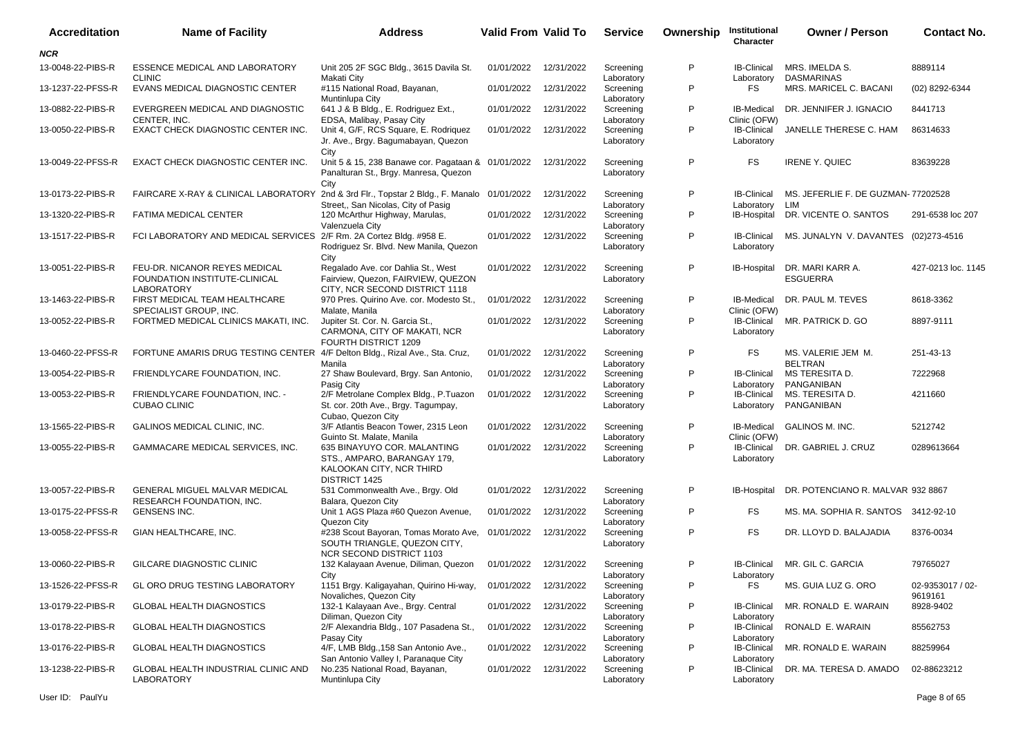| <b>Accreditation</b> | <b>Name of Facility</b>                                                                    | <b>Address</b>                                                                                                      | <b>Valid From Valid To</b> |            | <b>Service</b>          | Ownership | Institutional<br>Character        | <b>Owner / Person</b>                     | <b>Contact No.</b>          |
|----------------------|--------------------------------------------------------------------------------------------|---------------------------------------------------------------------------------------------------------------------|----------------------------|------------|-------------------------|-----------|-----------------------------------|-------------------------------------------|-----------------------------|
| <b>NCR</b>           |                                                                                            |                                                                                                                     |                            |            |                         |           |                                   |                                           |                             |
| 13-0048-22-PIBS-R    | ESSENCE MEDICAL AND LABORATORY<br><b>CLINIC</b>                                            | Unit 205 2F SGC Bldg., 3615 Davila St.<br>Makati City                                                               | 01/01/2022                 | 12/31/2022 | Screening<br>Laboratory | P         | <b>IB-Clinical</b><br>Laboratory  | MRS. IMELDA S.<br><b>DASMARINAS</b>       | 8889114                     |
| 13-1237-22-PFSS-R    | EVANS MEDICAL DIAGNOSTIC CENTER                                                            | #115 National Road, Bayanan,<br>Muntinlupa City                                                                     | 01/01/2022                 | 12/31/2022 | Screening<br>Laboratory | P         | <b>FS</b>                         | MRS. MARICEL C. BACANI                    | (02) 8292-6344              |
| 13-0882-22-PIBS-R    | EVERGREEN MEDICAL AND DIAGNOSTIC<br>CENTER, INC.                                           | 641 J & B Bldg., E. Rodriguez Ext.,<br>EDSA, Malibay, Pasay City                                                    | 01/01/2022                 | 12/31/2022 | Screening<br>Laboratory | P         | <b>IB-Medical</b><br>Clinic (OFW) | DR. JENNIFER J. IGNACIO                   | 8441713                     |
| 13-0050-22-PIBS-R    | EXACT CHECK DIAGNOSTIC CENTER INC.                                                         | Unit 4, G/F, RCS Square, E. Rodriquez<br>Jr. Ave., Brgy. Bagumabayan, Quezon<br>City                                | 01/01/2022                 | 12/31/2022 | Screening<br>Laboratory | P         | IB-Clinical<br>Laboratory         | JANELLE THERESE C. HAM                    | 86314633                    |
| 13-0049-22-PFSS-R    | EXACT CHECK DIAGNOSTIC CENTER INC.                                                         | Unit 5 & 15, 238 Banawe cor. Pagataan & 01/01/2022<br>Panalturan St., Brgy. Manresa, Quezon<br>City                 |                            | 12/31/2022 | Screening<br>Laboratory | P         | FS                                | <b>IRENE Y. QUIEC</b>                     | 83639228                    |
| 13-0173-22-PIBS-R    | FAIRCARE X-RAY & CLINICAL LABORATORY 2nd & 3rd Flr., Topstar 2 Bldg., F. Manalo 01/01/2022 | Street,, San Nicolas, City of Pasig                                                                                 |                            | 12/31/2022 | Screening<br>Laboratory | P         | <b>IB-Clinical</b><br>Laboratory  | MS. JEFERLIE F. DE GUZMAN-77202528<br>LIM |                             |
| 13-1320-22-PIBS-R    | FATIMA MEDICAL CENTER                                                                      | 120 McArthur Highway, Marulas,<br>Valenzuela City                                                                   | 01/01/2022                 | 12/31/2022 | Screening<br>Laboratory | P         | IB-Hospital                       | DR. VICENTE O. SANTOS                     | 291-6538 loc 207            |
| 13-1517-22-PIBS-R    | FCI LABORATORY AND MEDICAL SERVICES 2/F Rm. 2A Cortez Bldg. #958 E.                        | Rodriguez Sr. Blvd. New Manila, Quezon<br>City                                                                      | 01/01/2022                 | 12/31/2022 | Screening<br>Laboratory | P         | <b>IB-Clinical</b><br>Laboratory  | MS. JUNALYN V. DAVANTES (02)273-4516      |                             |
| 13-0051-22-PIBS-R    | FEU-DR. NICANOR REYES MEDICAL<br>FOUNDATION INSTITUTE-CLINICAL<br><b>LABORATORY</b>        | Regalado Ave. cor Dahlia St., West<br>Fairview, Quezon, FAIRVIEW, QUEZON<br>CITY. NCR SECOND DISTRICT 1118          | 01/01/2022                 | 12/31/2022 | Screening<br>Laboratory | P         | IB-Hospital                       | DR. MARI KARR A.<br><b>ESGUERRA</b>       | 427-0213 loc. 1145          |
| 13-1463-22-PIBS-R    | FIRST MEDICAL TEAM HEALTHCARE<br>SPECIALIST GROUP, INC.                                    | 970 Pres. Quirino Ave. cor. Modesto St.,<br>Malate, Manila                                                          | 01/01/2022                 | 12/31/2022 | Screening<br>Laboratory | P         | IB-Medical<br>Clinic (OFW)        | DR. PAUL M. TEVES                         | 8618-3362                   |
| 13-0052-22-PIBS-R    | FORTMED MEDICAL CLINICS MAKATI, INC.                                                       | Jupiter St. Cor. N. Garcia St.,<br>CARMONA, CITY OF MAKATI, NCR<br>FOURTH DISTRICT 1209                             | 01/01/2022                 | 12/31/2022 | Screening<br>Laboratory | P         | <b>IB-Clinical</b><br>Laboratory  | MR. PATRICK D. GO                         | 8897-9111                   |
| 13-0460-22-PFSS-R    | FORTUNE AMARIS DRUG TESTING CENTER                                                         | 4/F Delton Bldg., Rizal Ave., Sta. Cruz,<br>Manila                                                                  | 01/01/2022                 | 12/31/2022 | Screening<br>Laboratory | P         | FS                                | MS. VALERIE JEM M.<br><b>BELTRAN</b>      | 251-43-13                   |
| 13-0054-22-PIBS-R    | FRIENDLYCARE FOUNDATION, INC.                                                              | 27 Shaw Boulevard, Brgy. San Antonio,<br>Pasig City                                                                 | 01/01/2022                 | 12/31/2022 | Screening<br>Laboratory | P         | <b>IB-Clinical</b><br>Laboratory  | MS TERESITA D.<br>PANGANIBAN              | 7222968                     |
| 13-0053-22-PIBS-R    | FRIENDLYCARE FOUNDATION, INC. -<br><b>CUBAO CLINIC</b>                                     | 2/F Metrolane Complex Bldg., P.Tuazon<br>St. cor. 20th Ave., Brgy. Tagumpay,<br>Cubao, Quezon City                  | 01/01/2022                 | 12/31/2022 | Screening<br>Laboratory | P         | IB-Clinical<br>Laboratory         | MS. TERESITA D.<br>PANGANIBAN             | 4211660                     |
| 13-1565-22-PIBS-R    | GALINOS MEDICAL CLINIC, INC.                                                               | 3/F Atlantis Beacon Tower, 2315 Leon<br>Guinto St. Malate, Manila                                                   | 01/01/2022                 | 12/31/2022 | Screening<br>Laboratory | P         | IB-Medical<br>Clinic (OFW)        | <b>GALINOS M. INC.</b>                    | 5212742                     |
| 13-0055-22-PIBS-R    | GAMMACARE MEDICAL SERVICES, INC.                                                           | 635 BINAYUYO COR. MALANTING<br>STS., AMPARO, BARANGAY 179,<br>KALOOKAN CITY, NCR THIRD<br>DISTRICT 1425             | 01/01/2022                 | 12/31/2022 | Screening<br>Laboratory | P         | <b>IB-Clinical</b><br>Laboratory  | DR. GABRIEL J. CRUZ                       | 0289613664                  |
| 13-0057-22-PIBS-R    | GENERAL MIGUEL MALVAR MEDICAL<br>RESEARCH FOUNDATION, INC.                                 | 531 Commonwealth Ave., Brgy. Old<br>Balara, Quezon City                                                             | 01/01/2022                 | 12/31/2022 | Screening<br>Laboratory | P         | IB-Hospital                       | DR. POTENCIANO R. MALVAR 932 8867         |                             |
| 13-0175-22-PFSS-R    | GENSENS INC.                                                                               | Unit 1 AGS Plaza #60 Quezon Avenue,<br>Quezon City                                                                  | 01/01/2022                 | 12/31/2022 | Screening<br>Laboratory | P         | FS                                | MS. MA. SOPHIA R. SANTOS 3412-92-10       |                             |
| 13-0058-22-PFSS-R    | GIAN HEALTHCARE, INC.                                                                      | #238 Scout Bayoran, Tomas Morato Ave, 01/01/2022<br>SOUTH TRIANGLE, QUEZON CITY,<br><b>NCR SECOND DISTRICT 1103</b> |                            | 12/31/2022 | Screening<br>Laboratory | P         | FS                                | DR. LLOYD D. BALAJADIA                    | 8376-0034                   |
| 13-0060-22-PIBS-R    | GILCARE DIAGNOSTIC CLINIC                                                                  | 132 Kalayaan Avenue, Diliman, Quezon<br>City                                                                        | 01/01/2022 12/31/2022      |            | Screening<br>Laboratory | P         | Laboratory                        | IB-Clinical MR, GIL C, GARCIA             | 79765027                    |
| 13-1526-22-PFSS-R    | <b>GL ORO DRUG TESTING LABORATORY</b>                                                      | 1151 Brgy. Kaligayahan, Quirino Hi-way,<br>Novaliches, Quezon City                                                  | 01/01/2022                 | 12/31/2022 | Screening<br>Laboratory | P         | FS                                | MS. GUIA LUZ G. ORO                       | 02-9353017 / 02-<br>9619161 |
| 13-0179-22-PIBS-R    | <b>GLOBAL HEALTH DIAGNOSTICS</b>                                                           | 132-1 Kalayaan Ave., Brgy. Central<br>Diliman, Quezon City                                                          | 01/01/2022                 | 12/31/2022 | Screening<br>Laboratory | P         | <b>IB-Clinical</b><br>Laboratory  | MR. RONALD E. WARAIN                      | 8928-9402                   |
| 13-0178-22-PIBS-R    | <b>GLOBAL HEALTH DIAGNOSTICS</b>                                                           | 2/F Alexandria Bldg., 107 Pasadena St.,<br>Pasay City                                                               | 01/01/2022                 | 12/31/2022 | Screening<br>Laboratory | P         | <b>IB-Clinical</b><br>Laboratory  | RONALD E. WARAIN                          | 85562753                    |
| 13-0176-22-PIBS-R    | <b>GLOBAL HEALTH DIAGNOSTICS</b>                                                           | 4/F, LMB Bldg., 158 San Antonio Ave.,<br>San Antonio Valley I, Paranaque City                                       | 01/01/2022                 | 12/31/2022 | Screening<br>Laboratory | P         | <b>IB-Clinical</b><br>Laboratory  | MR. RONALD E. WARAIN                      | 88259964                    |
| 13-1238-22-PIBS-R    | GLOBAL HEALTH INDUSTRIAL CLINIC AND<br>LABORATORY                                          | No.235 National Road, Bayanan,<br>Muntinlupa City                                                                   | 01/01/2022                 | 12/31/2022 | Screening<br>Laboratory | P         | <b>IB-Clinical</b><br>Laboratory  | DR. MA. TERESA D. AMADO                   | 02-88623212                 |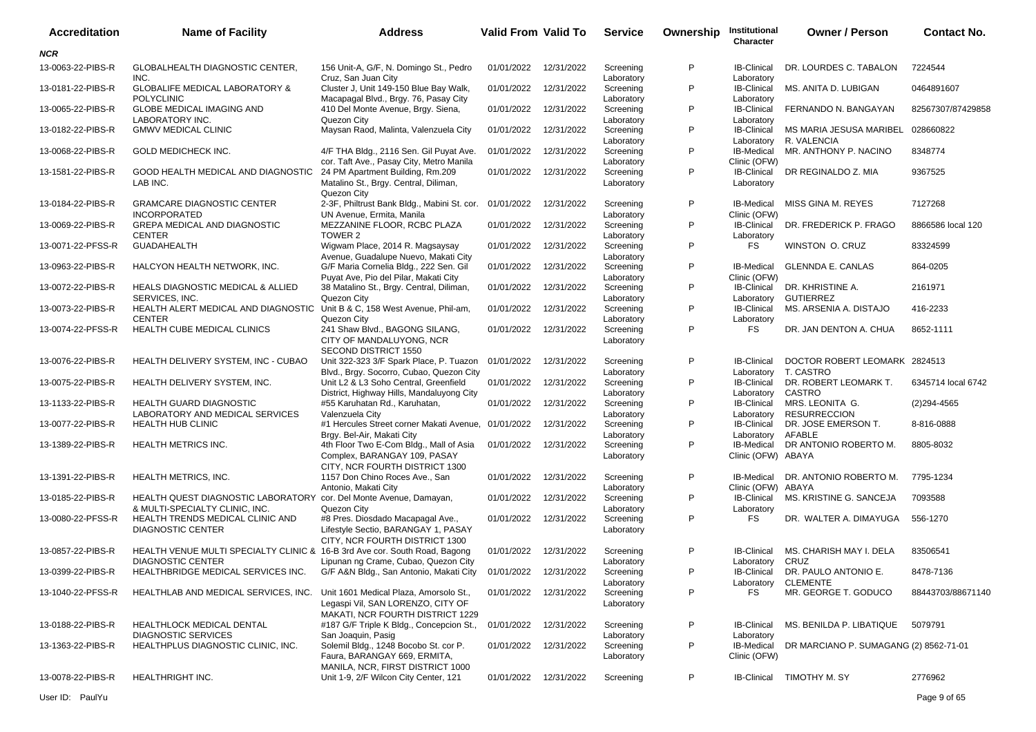| <b>Accreditation</b> | <b>Name of Facility</b>                                                                                | <b>Address</b>                                                                                                                       | <b>Valid From Valid To</b> |            | <b>Service</b>                        | Ownership | Institutional<br>Character                       | <b>Owner / Person</b>                             | <b>Contact No.</b> |
|----------------------|--------------------------------------------------------------------------------------------------------|--------------------------------------------------------------------------------------------------------------------------------------|----------------------------|------------|---------------------------------------|-----------|--------------------------------------------------|---------------------------------------------------|--------------------|
| <b>NCR</b>           |                                                                                                        |                                                                                                                                      |                            |            |                                       |           |                                                  |                                                   |                    |
| 13-0063-22-PIBS-R    | <b>GLOBALHEALTH DIAGNOSTIC CENTER.</b><br>INC.                                                         | 156 Unit-A, G/F, N. Domingo St., Pedro                                                                                               | 01/01/2022                 | 12/31/2022 | Screening                             | P         | <b>IB-Clinical</b>                               | DR. LOURDES C. TABALON                            | 7224544            |
| 13-0181-22-PIBS-R    | <b>GLOBALIFE MEDICAL LABORATORY &amp;</b>                                                              | Cruz, San Juan City<br>Cluster J, Unit 149-150 Blue Bay Walk,                                                                        | 01/01/2022                 | 12/31/2022 | Laboratory<br>Screening               | P         | Laboratory<br><b>IB-Clinical</b>                 | MS. ANITA D. LUBIGAN                              | 0464891607         |
| 13-0065-22-PIBS-R    | <b>POLYCLINIC</b><br><b>GLOBE MEDICAL IMAGING AND</b>                                                  | Macapagal Blvd., Brgy. 76, Pasay City<br>410 Del Monte Avenue, Brgy. Siena,                                                          | 01/01/2022                 | 12/31/2022 | Laboratory<br>Screening               | P         | Laboratory<br><b>IB-Clinical</b>                 | FERNANDO N. BANGAYAN                              | 82567307/87429858  |
| 13-0182-22-PIBS-R    | LABORATORY INC.<br><b>GMWV MEDICAL CLINIC</b>                                                          | Quezon City<br>Maysan Raod, Malinta, Valenzuela City                                                                                 | 01/01/2022                 | 12/31/2022 | Laboratory<br>Screening<br>Laboratory | P         | Laboratory<br><b>IB-Clinical</b><br>Laboratory   | MS MARIA JESUSA MARIBEL 028660822<br>R. VALENCIA  |                    |
| 13-0068-22-PIBS-R    | <b>GOLD MEDICHECK INC.</b>                                                                             | 4/F THA Bldg., 2116 Sen. Gil Puyat Ave.                                                                                              | 01/01/2022                 | 12/31/2022 | Screening                             | P         | IB-Medical                                       | MR. ANTHONY P. NACINO                             | 8348774            |
| 13-1581-22-PIBS-R    | GOOD HEALTH MEDICAL AND DIAGNOSTIC<br>LAB INC.                                                         | cor. Taft Ave., Pasay City, Metro Manila<br>24 PM Apartment Building, Rm.209<br>Matalino St., Brgy. Central, Diliman,<br>Quezon City | 01/01/2022                 | 12/31/2022 | Laboratory<br>Screening<br>Laboratory | P         | Clinic (OFW)<br><b>IB-Clinical</b><br>Laboratory | DR REGINALDO Z. MIA                               | 9367525            |
| 13-0184-22-PIBS-R    | <b>GRAMCARE DIAGNOSTIC CENTER</b><br><b>INCORPORATED</b>                                               | 2-3F, Philtrust Bank Bldg., Mabini St. cor. 01/01/2022<br>UN Avenue, Ermita, Manila                                                  |                            | 12/31/2022 | Screening<br>Laboratory               | P         | <b>IB-Medical</b><br>Clinic (OFW)                | MISS GINA M. REYES                                | 7127268            |
| 13-0069-22-PIBS-R    | <b>GREPA MEDICAL AND DIAGNOSTIC</b><br><b>CENTER</b>                                                   | MEZZANINE FLOOR, RCBC PLAZA<br>TOWER 2                                                                                               | 01/01/2022                 | 12/31/2022 | Screening                             | P         | <b>IB-Clinical</b>                               | DR. FREDERICK P. FRAGO                            | 8866586 local 120  |
| 13-0071-22-PFSS-R    | <b>GUADAHEALTH</b>                                                                                     | Wigwam Place, 2014 R. Magsaysay<br>Avenue, Guadalupe Nuevo, Makati City                                                              | 01/01/2022                 | 12/31/2022 | Laboratory<br>Screening<br>Laboratory | P         | Laboratory<br><b>FS</b>                          | WINSTON O. CRUZ                                   | 83324599           |
| 13-0963-22-PIBS-R    | HALCYON HEALTH NETWORK, INC.                                                                           | G/F Maria Cornelia Bldg., 222 Sen. Gil<br>Puyat Ave, Pio del Pilar, Makati City                                                      | 01/01/2022                 | 12/31/2022 | Screening<br>Laboratory               | P         | IB-Medical<br>Clinic (OFW)                       | <b>GLENNDA E. CANLAS</b>                          | 864-0205           |
| 13-0072-22-PIBS-R    | <b>HEALS DIAGNOSTIC MEDICAL &amp; ALLIED</b><br>SERVICES, INC.                                         | 38 Matalino St., Brgy. Central, Diliman,<br>Quezon City                                                                              | 01/01/2022                 | 12/31/2022 | Screening<br>Laboratory               | P         | <b>IB-Clinical</b><br>Laboratory                 | DR. KHRISTINE A.<br><b>GUTIERREZ</b>              | 2161971            |
| 13-0073-22-PIBS-R    | HEALTH ALERT MEDICAL AND DIAGNOSTIC<br><b>CENTER</b>                                                   | Unit B & C, 158 West Avenue, Phil-am,<br>Quezon City                                                                                 | 01/01/2022                 | 12/31/2022 | Screening<br>Laboratory               | P         | <b>IB-Clinical</b><br>Laboratory                 | MS. ARSENIA A. DISTAJO                            | 416-2233           |
| 13-0074-22-PFSS-R    | HEALTH CUBE MEDICAL CLINICS                                                                            | 241 Shaw Blvd., BAGONG SILANG,<br>CITY OF MANDALUYONG, NCR<br>SECOND DISTRICT 1550                                                   | 01/01/2022                 | 12/31/2022 | Screening<br>Laboratory               | P         | <b>FS</b>                                        | DR. JAN DENTON A. CHUA                            | 8652-1111          |
| 13-0076-22-PIBS-R    | HEALTH DELIVERY SYSTEM, INC - CUBAO                                                                    | Unit 322-323 3/F Spark Place, P. Tuazon<br>Blvd., Brgy. Socorro, Cubao, Quezon City                                                  | 01/01/2022                 | 12/31/2022 | Screening<br>Laboratory               | P         | <b>IB-Clinical</b><br>Laboratory                 | DOCTOR ROBERT LEOMARK 2824513<br>T. CASTRO        |                    |
| 13-0075-22-PIBS-R    | HEALTH DELIVERY SYSTEM, INC.                                                                           | Unit L2 & L3 Soho Central, Greenfield<br>District, Highway Hills, Mandaluyong City                                                   | 01/01/2022                 | 12/31/2022 | Screening<br>Laboratory               | P         | <b>IB-Clinical</b><br>Laboratory                 | DR. ROBERT LEOMARK T.<br>CASTRO                   | 6345714 local 6742 |
| 13-1133-22-PIBS-R    | <b>HEALTH GUARD DIAGNOSTIC</b>                                                                         | #55 Karuhatan Rd., Karuhatan,                                                                                                        | 01/01/2022                 | 12/31/2022 | Screening                             | P         | <b>IB-Clinical</b>                               | MRS. LEONITA G.                                   | $(2)$ 294-4565     |
| 13-0077-22-PIBS-R    | LABORATORY AND MEDICAL SERVICES<br><b>HEALTH HUB CLINIC</b>                                            | Valenzuela City<br>#1 Hercules Street corner Makati Avenue, 01/01/2022                                                               |                            | 12/31/2022 | Laboratory<br>Screening               | P         | Laboratory<br><b>IB-Clinical</b>                 | <b>RESURRECCION</b><br>DR. JOSE EMERSON T.        | 8-816-0888         |
| 13-1389-22-PIBS-R    | <b>HEALTH METRICS INC.</b>                                                                             | Brgy. Bel-Air, Makati City<br>4th Floor Two E-Com Bldg., Mall of Asia<br>Complex, BARANGAY 109, PASAY                                | 01/01/2022                 | 12/31/2022 | Laboratory<br>Screening<br>Laboratory | P         | Laboratory<br>IB-Medical<br>Clinic (OFW) ABAYA   | AFABLE<br>DR ANTONIO ROBERTO M.                   | 8805-8032          |
| 13-1391-22-PIBS-R    | <b>HEALTH METRICS, INC.</b>                                                                            | CITY, NCR FOURTH DISTRICT 1300<br>1157 Don Chino Roces Ave., San<br>Antonio, Makati City                                             | 01/01/2022                 | 12/31/2022 | Screening                             | P         | IB-Medical                                       | DR. ANTONIO ROBERTO M.                            | 7795-1234          |
| 13-0185-22-PIBS-R    | HEALTH QUEST DIAGNOSTIC LABORATORY cor. Del Monte Avenue, Damayan,                                     |                                                                                                                                      | 01/01/2022                 | 12/31/2022 | Laboratory<br>Screening               | P         | Clinic (OFW) ABAYA<br><b>IB-Clinical</b>         | MS. KRISTINE G. SANCEJA                           | 7093588            |
| 13-0080-22-PFSS-R    | & MULTI-SPECIALTY CLINIC, INC.<br>HEALTH TRENDS MEDICAL CLINIC AND<br><b>DIAGNOSTIC CENTER</b>         | Quezon City<br>#8 Pres. Diosdado Macapagal Ave.,<br>Lifestyle Sectio, BARANGAY 1, PASAY<br>CITY, NCR FOURTH DISTRICT 1300            | 01/01/2022                 | 12/31/2022 | Laboratory<br>Screening<br>Laboratory | P         | Laboratory<br><b>FS</b>                          | DR. WALTER A. DIMAYUGA                            | 556-1270           |
| 13-0857-22-PIBS-R    | HEALTH VENUE MULTI SPECIALTY CLINIC & 16-B 3rd Ave cor. South Road, Bagong<br><b>DIAGNOSTIC CENTER</b> | Lipunan ng Crame, Cubao, Quezon City                                                                                                 | 01/01/2022                 | 12/31/2022 | Screening<br>Laboratory               | P         | <b>IB-Clinical</b><br>Laboratory                 | MS. CHARISH MAY I. DELA<br>CRUZ                   | 83506541           |
| 13-0399-22-PIBS-R    | HEALTHBRIDGE MEDICAL SERVICES INC.                                                                     | G/F A&N Bldg., San Antonio, Makati City                                                                                              | 01/01/2022 12/31/2022      |            | Screening<br>Laboratory               | P         | <b>IB-Clinical</b>                               | DR. PAULO ANTONIO E.<br>Laboratory CLEMENTE       | 8478-7136          |
| 13-1040-22-PFSS-R    | HEALTHLAB AND MEDICAL SERVICES, INC. Unit 1601 Medical Plaza, Amorsolo St.,                            | Legaspi Vil, SAN LORENZO, CITY OF                                                                                                    | 01/01/2022 12/31/2022      |            | Screening<br>Laboratory               | P         | <b>FS</b>                                        | MR. GEORGE T. GODUCO                              | 88443703/88671140  |
| 13-0188-22-PIBS-R    | HEALTHLOCK MEDICAL DENTAL                                                                              | MAKATI, NCR FOURTH DISTRICT 1229<br>#187 G/F Triple K Bldg., Concepcion St.,                                                         | 01/01/2022                 | 12/31/2022 | Screening                             | P         | <b>IB-Clinical</b>                               | MS. BENILDA P. LIBATIQUE                          | 5079791            |
| 13-1363-22-PIBS-R    | <b>DIAGNOSTIC SERVICES</b><br>HEALTHPLUS DIAGNOSTIC CLINIC, INC.                                       | San Joaquin, Pasig<br>Solemil Bldg., 1248 Bocobo St. cor P.<br>Faura, BARANGAY 669, ERMITA,                                          | 01/01/2022                 | 12/31/2022 | Laboratory<br>Screening<br>Laboratory | P         | Laboratory<br>Clinic (OFW)                       | IB-Medical DR MARCIANO P. SUMAGANG (2) 8562-71-01 |                    |
| 13-0078-22-PIBS-R    | HEALTHRIGHT INC.                                                                                       | MANILA, NCR, FIRST DISTRICT 1000<br>Unit 1-9, 2/F Wilcon City Center, 121                                                            | 01/01/2022 12/31/2022      |            | Screening                             | P         |                                                  | IB-Clinical TIMOTHY M. SY                         | 2776962            |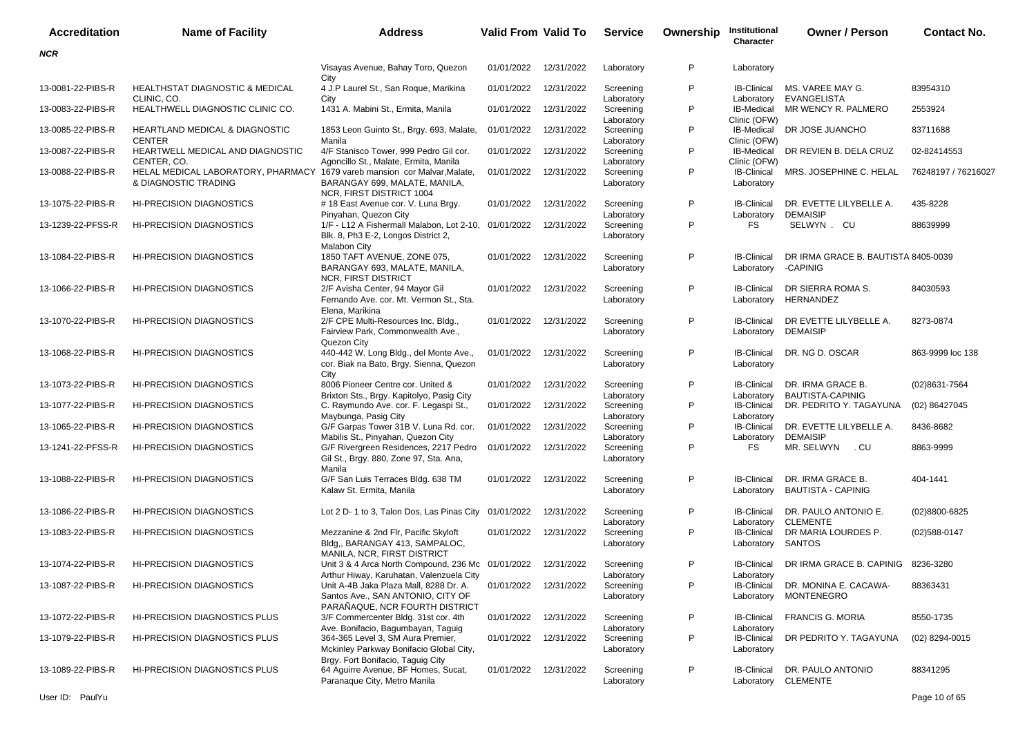| <b>Accreditation</b> | <b>Name of Facility</b>                                                                                          | <b>Address</b>                                                                                                          | <b>Valid From Valid To</b> |            | <b>Service</b>                        | Ownership | Institutional<br>Character                       | <b>Owner / Person</b>                                   | <b>Contact No.</b>  |
|----------------------|------------------------------------------------------------------------------------------------------------------|-------------------------------------------------------------------------------------------------------------------------|----------------------------|------------|---------------------------------------|-----------|--------------------------------------------------|---------------------------------------------------------|---------------------|
| <b>NCR</b>           |                                                                                                                  |                                                                                                                         |                            |            |                                       |           |                                                  |                                                         |                     |
|                      |                                                                                                                  | Visayas Avenue, Bahay Toro, Quezon<br>City                                                                              | 01/01/2022                 | 12/31/2022 | Laboratory                            | P         | Laboratory                                       |                                                         |                     |
| 13-0081-22-PIBS-R    | <b>HEALTHSTAT DIAGNOSTIC &amp; MEDICAL</b><br>CLINIC, CO.                                                        | 4 J.P Laurel St., San Roque, Marikina<br>City                                                                           | 01/01/2022                 | 12/31/2022 | Screening<br>Laboratory               | P         | <b>IB-Clinical</b><br>Laboratory                 | MS. VAREE MAY G.<br><b>EVANGELISTA</b>                  | 83954310            |
| 13-0083-22-PIBS-R    | HEALTHWELL DIAGNOSTIC CLINIC CO.                                                                                 | 1431 A. Mabini St., Ermita, Manila                                                                                      | 01/01/2022                 | 12/31/2022 | Screening<br>Laboratory               | P         | <b>IB-Medical</b><br>Clinic (OFW)                | MR WENCY R. PALMERO                                     | 2553924             |
| 13-0085-22-PIBS-R    | <b>HEARTLAND MEDICAL &amp; DIAGNOSTIC</b><br><b>CENTER</b>                                                       | 1853 Leon Guinto St., Brgy. 693, Malate,<br>Manila                                                                      | 01/01/2022                 | 12/31/2022 | Screening<br>Laboratory               | P         | IB-Medical<br>Clinic (OFW)                       | DR JOSE JUANCHO                                         | 83711688            |
| 13-0087-22-PIBS-R    | HEARTWELL MEDICAL AND DIAGNOSTIC                                                                                 | 4/F Stanisco Tower, 999 Pedro Gil cor.                                                                                  | 01/01/2022                 | 12/31/2022 | Screening                             | P         | IB-Medical                                       | DR REVIEN B. DELA CRUZ                                  | 02-82414553         |
| 13-0088-22-PIBS-R    | CENTER, CO.<br>HELAL MEDICAL LABORATORY, PHARMACY 1679 vareb mansion cor Malvar, Malate,<br>& DIAGNOSTIC TRADING | Agoncillo St., Malate, Ermita, Manila<br>BARANGAY 699, MALATE, MANILA,                                                  | 01/01/2022                 | 12/31/2022 | Laboratory<br>Screening<br>Laboratory | P         | Clinic (OFW)<br><b>IB-Clinical</b><br>Laboratory | MRS. JOSEPHINE C. HELAL                                 | 76248197 / 76216027 |
| 13-1075-22-PIBS-R    | <b>HI-PRECISION DIAGNOSTICS</b>                                                                                  | NCR, FIRST DISTRICT 1004<br># 18 East Avenue cor. V. Luna Brgy.                                                         | 01/01/2022                 | 12/31/2022 | Screening                             | P         | <b>IB-Clinical</b>                               | DR. EVETTE LILYBELLE A.                                 | 435-8228            |
|                      |                                                                                                                  | Pinyahan, Quezon City                                                                                                   |                            |            | Laboratory                            | P         | Laboratory                                       | <b>DEMAISIP</b>                                         |                     |
| 13-1239-22-PFSS-R    | <b>HI-PRECISION DIAGNOSTICS</b>                                                                                  | 1/F - L12 A Fishermall Malabon, Lot 2-10, 01/01/2022<br>Blk. 8, Ph3 E-2, Longos District 2,<br><b>Malabon City</b>      |                            | 12/31/2022 | Screening<br>Laboratory               |           | FS                                               | SELWYN . CU                                             | 88639999            |
| 13-1084-22-PIBS-R    | <b>HI-PRECISION DIAGNOSTICS</b>                                                                                  | 1850 TAFT AVENUE, ZONE 075,<br>BARANGAY 693, MALATE, MANILA,<br><b>NCR, FIRST DISTRICT</b>                              | 01/01/2022                 | 12/31/2022 | Screening<br>Laboratory               | P         | <b>IB-Clinical</b><br>Laboratory                 | DR IRMA GRACE B. BAUTISTA 8405-0039<br>-CAPINIG         |                     |
| 13-1066-22-PIBS-R    | <b>HI-PRECISION DIAGNOSTICS</b>                                                                                  | 2/F Avisha Center, 94 Mayor Gil<br>Fernando Ave. cor. Mt. Vermon St., Sta.<br>Elena. Marikina                           | 01/01/2022                 | 12/31/2022 | Screening<br>Laboratory               | P         | <b>IB-Clinical</b><br>Laboratory                 | DR SIERRA ROMA S.<br><b>HERNANDEZ</b>                   | 84030593            |
| 13-1070-22-PIBS-R    | <b>HI-PRECISION DIAGNOSTICS</b>                                                                                  | 2/F CPE Multi-Resources Inc. Bldg.,<br>Fairview Park, Commonwealth Ave.,                                                | 01/01/2022                 | 12/31/2022 | Screening<br>Laboratory               | P         | <b>IB-Clinical</b><br>Laboratory                 | DR EVETTE LILYBELLE A.<br><b>DEMAISIP</b>               | 8273-0874           |
| 13-1068-22-PIBS-R    | <b>HI-PRECISION DIAGNOSTICS</b>                                                                                  | Quezon City<br>440-442 W. Long Bldg., del Monte Ave.,<br>cor. Biak na Bato, Brgy. Sienna, Quezon                        | 01/01/2022                 | 12/31/2022 | Screening<br>Laboratory               | P         | <b>IB-Clinical</b><br>Laboratory                 | DR. NG D. OSCAR                                         | 863-9999 loc 138    |
| 13-1073-22-PIBS-R    | <b>HI-PRECISION DIAGNOSTICS</b>                                                                                  | City<br>8006 Pioneer Centre cor. United &                                                                               | 01/01/2022                 | 12/31/2022 | Screening                             | P         | <b>IB-Clinical</b>                               | DR. IRMA GRACE B.                                       | (02)8631-7564       |
| 13-1077-22-PIBS-R    | HI-PRECISION DIAGNOSTICS                                                                                         | Brixton Sts., Brgy. Kapitolyo, Pasig City<br>C. Raymundo Ave. cor. F. Legaspi St.,                                      | 01/01/2022                 | 12/31/2022 | Laboratory<br>Screening               | P         | Laboratory<br><b>IB-Clinical</b>                 | <b>BAUTISTA-CAPINIG</b><br>DR. PEDRITO Y. TAGAYUNA      | (02) 86427045       |
| 13-1065-22-PIBS-R    | <b>HI-PRECISION DIAGNOSTICS</b>                                                                                  | Maybunga, Pasig City<br>G/F Garpas Tower 31B V. Luna Rd. cor.                                                           | 01/01/2022                 | 12/31/2022 | Laboratory<br>Screening               | P         | Laboratory<br><b>IB-Clinical</b>                 | DR. EVETTE LILYBELLE A.                                 | 8436-8682           |
| 13-1241-22-PFSS-R    | <b>HI-PRECISION DIAGNOSTICS</b>                                                                                  | Mabilis St., Pinyahan, Quezon City<br>G/F Rivergreen Residences, 2217 Pedro<br>Gil St., Brgy. 880, Zone 97, Sta. Ana,   | 01/01/2022                 | 12/31/2022 | Laboratory<br>Screening<br>Laboratory | P         | Laboratory<br>FS                                 | DEMAISIP<br>. CU<br>MR. SELWYN                          | 8863-9999           |
| 13-1088-22-PIBS-R    | <b>HI-PRECISION DIAGNOSTICS</b>                                                                                  | Manila<br>G/F San Luis Terraces Bldg. 638 TM<br>Kalaw St. Ermita, Manila                                                | 01/01/2022                 | 12/31/2022 | Screening<br>Laboratory               | P         | <b>IB-Clinical</b><br>Laboratory                 | DR. IRMA GRACE B.<br><b>BAUTISTA - CAPINIG</b>          | 404-1441            |
| 13-1086-22-PIBS-R    | <b>HI-PRECISION DIAGNOSTICS</b>                                                                                  | Lot 2 D- 1 to 3, Talon Dos, Las Pinas City                                                                              | 01/01/2022                 | 12/31/2022 | Screening                             | P         | <b>IB-Clinical</b>                               | DR. PAULO ANTONIO E.                                    | (02)8800-6825       |
| 13-1083-22-PIBS-R    | <b>HI-PRECISION DIAGNOSTICS</b>                                                                                  | Mezzanine & 2nd Flr, Pacific Skyloft<br>Bldg,, BARANGAY 413, SAMPALOC,                                                  | 01/01/2022                 | 12/31/2022 | Laboratory<br>Screening<br>Laboratory | P         | Laboratory<br><b>IB-Clinical</b><br>Laboratory   | <b>CLEMENTE</b><br>DR MARIA LOURDES P.<br><b>SANTOS</b> | $(02)588 - 0147$    |
| 13-1074-22-PIBS-R    | <b>HI-PRECISION DIAGNOSTICS</b>                                                                                  | MANILA, NCR, FIRST DISTRICT<br>Unit 3 & 4 Arca North Compound, 236 Mc 01/01/2022                                        |                            | 12/31/2022 | Screening                             | P         | <b>IB-Clinical</b>                               | DR IRMA GRACE B. CAPINIG 8236-3280                      |                     |
| 13-1087-22-PIBS-R    | <b>HI-PRECISION DIAGNOSTICS</b>                                                                                  | Arthur Hiway, Karuhatan, Valenzuela City<br>Unit A-4B Jaka Plaza Mall, 8288 Dr. A.<br>Santos Ave., SAN ANTONIO, CITY OF | 01/01/2022                 | 12/31/2022 | Laboratory<br>Screening<br>Laboratory | P         | Laboratory<br>IB-Clinical<br>Laboratory          | DR. MONINA E. CACAWA-<br>MONTENEGRO                     | 88363431            |
| 13-1072-22-PIBS-R    | <b>HI-PRECISION DIAGNOSTICS PLUS</b>                                                                             | PARAÑAQUE, NCR FOURTH DISTRICT<br>3/F Commercenter Bldg. 31st cor. 4th                                                  | 01/01/2022                 | 12/31/2022 | Screening                             | P         | <b>IB-Clinical</b>                               | <b>FRANCIS G. MORIA</b>                                 | 8550-1735           |
| 13-1079-22-PIBS-R    | HI-PRECISION DIAGNOSTICS PLUS                                                                                    | Ave. Bonifacio, Bagumbayan, Taguig<br>364-365 Level 3, SM Aura Premier,<br>Mckinley Parkway Bonifacio Global City,      | 01/01/2022                 | 12/31/2022 | Laboratory<br>Screening               | P         | Laboratory<br><b>IB-Clinical</b>                 | DR PEDRITO Y. TAGAYUNA                                  | (02) 8294-0015      |
| 13-1089-22-PIBS-R    | HI-PRECISION DIAGNOSTICS PLUS                                                                                    | Brgy. Fort Bonifacio, Taguig City<br>64 Aguirre Avenue, BF Homes, Sucat,<br>Paranaque City, Metro Manila                | 01/01/2022                 | 12/31/2022 | Laboratory<br>Screening<br>Laboratory | P         | Laboratory<br><b>IB-Clinical</b>                 | DR. PAULO ANTONIO<br>Laboratory CLEMENTE                | 88341295            |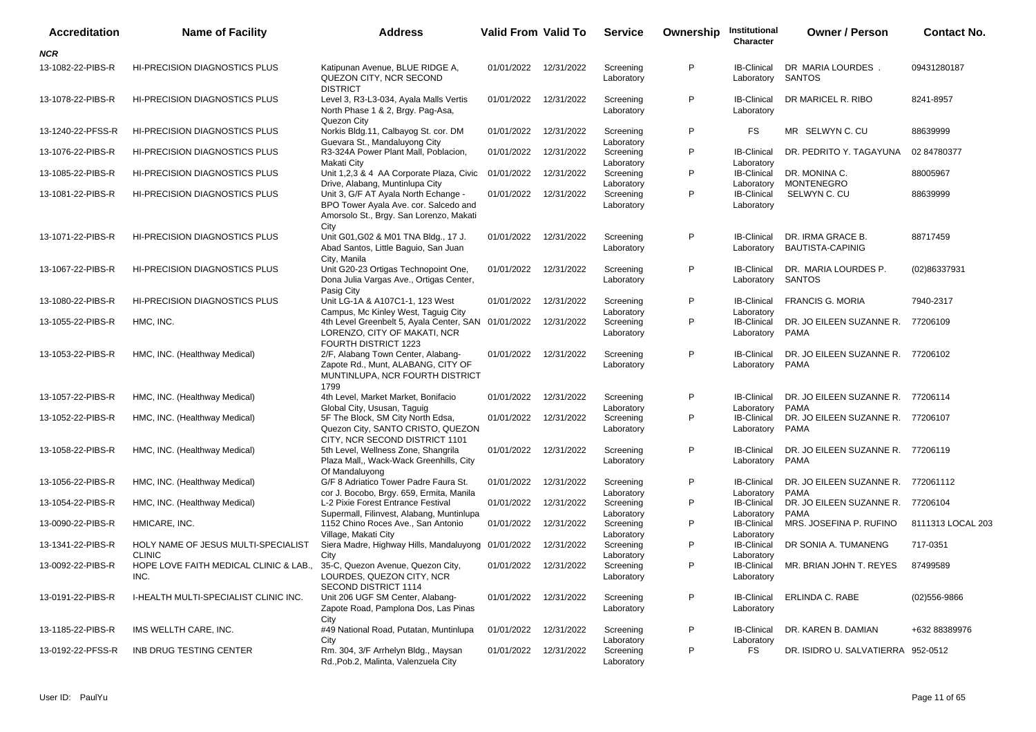| <b>Accreditation</b> | <b>Name of Facility</b>                              | <b>Address</b>                                                                                                                                              | <b>Valid From Valid To</b> |                       | <b>Service</b>                        | Ownership | Institutional<br>Character                     | <b>Owner / Person</b>                             | <b>Contact No.</b> |
|----------------------|------------------------------------------------------|-------------------------------------------------------------------------------------------------------------------------------------------------------------|----------------------------|-----------------------|---------------------------------------|-----------|------------------------------------------------|---------------------------------------------------|--------------------|
| <b>NCR</b>           |                                                      |                                                                                                                                                             |                            |                       |                                       |           |                                                |                                                   |                    |
| 13-1082-22-PIBS-R    | <b>HI-PRECISION DIAGNOSTICS PLUS</b>                 | Katipunan Avenue, BLUE RIDGE A,<br>QUEZON CITY, NCR SECOND                                                                                                  |                            | 01/01/2022 12/31/2022 | Screening<br>Laboratory               | P         | <b>IB-Clinical</b><br>Laboratory               | DR MARIA LOURDES.<br><b>SANTOS</b>                | 09431280187        |
| 13-1078-22-PIBS-R    | <b>HI-PRECISION DIAGNOSTICS PLUS</b>                 | <b>DISTRICT</b><br>Level 3, R3-L3-034, Ayala Malls Vertis<br>North Phase 1 & 2, Brgy. Pag-Asa,                                                              | 01/01/2022                 | 12/31/2022            | Screening<br>Laboratory               | P         | <b>IB-Clinical</b><br>Laboratory               | DR MARICEL R. RIBO                                | 8241-8957          |
| 13-1240-22-PFSS-R    | <b>HI-PRECISION DIAGNOSTICS PLUS</b>                 | Quezon City<br>Norkis Bldg.11, Calbayog St. cor. DM                                                                                                         | 01/01/2022                 | 12/31/2022            | Screening                             | P         | FS                                             | MR SELWYN C. CU                                   | 88639999           |
| 13-1076-22-PIBS-R    | <b>HI-PRECISION DIAGNOSTICS PLUS</b>                 | Guevara St., Mandaluyong City<br>R3-324A Power Plant Mall, Poblacion,<br>Makati City                                                                        | 01/01/2022                 | 12/31/2022            | Laboratory<br>Screening<br>Laboratory | P         | <b>IB-Clinical</b><br>Laboratory               | DR. PEDRITO Y. TAGAYUNA                           | 02 84780377        |
| 13-1085-22-PIBS-R    | <b>HI-PRECISION DIAGNOSTICS PLUS</b>                 | Unit 1,2,3 & 4 AA Corporate Plaza, Civic 01/01/2022                                                                                                         |                            | 12/31/2022            | Screening                             | P         | <b>IB-Clinical</b>                             | DR. MONINA C.                                     | 88005967           |
| 13-1081-22-PIBS-R    | <b>HI-PRECISION DIAGNOSTICS PLUS</b>                 | Drive, Alabang, Muntinlupa City<br>Unit 3, G/F AT Ayala North Echange -<br>BPO Tower Ayala Ave. cor. Salcedo and<br>Amorsolo St., Brgy. San Lorenzo, Makati | 01/01/2022                 | 12/31/2022            | Laboratory<br>Screening<br>Laboratory | P         | Laboratory<br><b>IB-Clinical</b><br>Laboratory | <b>MONTENEGRO</b><br>SELWYN C. CU                 | 88639999           |
| 13-1071-22-PIBS-R    | <b>HI-PRECISION DIAGNOSTICS PLUS</b>                 | City<br>Unit G01, G02 & M01 TNA Bldg., 17 J.<br>Abad Santos, Little Baguio, San Juan<br>City, Manila                                                        |                            | 01/01/2022 12/31/2022 | Screening<br>Laboratory               | P         | <b>IB-Clinical</b><br>Laboratory               | DR. IRMA GRACE B.<br><b>BAUTISTA-CAPINIG</b>      | 88717459           |
| 13-1067-22-PIBS-R    | <b>HI-PRECISION DIAGNOSTICS PLUS</b>                 | Unit G20-23 Ortigas Technopoint One,<br>Dona Julia Vargas Ave., Ortigas Center,                                                                             | 01/01/2022                 | 12/31/2022            | Screening<br>Laboratory               | P         | <b>IB-Clinical</b><br>Laboratory               | DR. MARIA LOURDES P.<br><b>SANTOS</b>             | (02)86337931       |
| 13-1080-22-PIBS-R    | <b>HI-PRECISION DIAGNOSTICS PLUS</b>                 | Pasig City<br>Unit LG-1A & A107C1-1, 123 West<br>Campus, Mc Kinley West, Taguig City                                                                        | 01/01/2022                 | 12/31/2022            | Screening<br>Laboratory               | P         | <b>IB-Clinical</b><br>Laboratory               | <b>FRANCIS G. MORIA</b>                           | 7940-2317          |
| 13-1055-22-PIBS-R    | HMC, INC.                                            | 4th Level Greenbelt 5, Ayala Center, SAN 01/01/2022<br>LORENZO, CITY OF MAKATI, NCR<br><b>FOURTH DISTRICT 1223</b>                                          |                            | 12/31/2022            | Screening<br>Laboratory               | P         | <b>IB-Clinical</b><br>Laboratory               | DR. JO EILEEN SUZANNE R.<br><b>PAMA</b>           | 77206109           |
| 13-1053-22-PIBS-R    | HMC, INC. (Healthway Medical)                        | 2/F, Alabang Town Center, Alabang-<br>Zapote Rd., Munt, ALABANG, CITY OF<br>MUNTINLUPA, NCR FOURTH DISTRICT<br>1799                                         |                            | 01/01/2022 12/31/2022 | Screening<br>Laboratory               | P         | <b>IB-Clinical</b><br>Laboratory               | DR. JO EILEEN SUZANNE R. 77206102<br><b>PAMA</b>  |                    |
| 13-1057-22-PIBS-R    | HMC, INC. (Healthway Medical)                        | 4th Level, Market Market, Bonifacio<br>Global City, Ususan, Taguig                                                                                          | 01/01/2022                 | 12/31/2022            | Screening<br>Laboratory               | P         | <b>IB-Clinical</b><br>Laboratory               | DR. JO EILEEN SUZANNE R. 77206114<br><b>PAMA</b>  |                    |
| 13-1052-22-PIBS-R    | HMC, INC. (Healthway Medical)                        | 5F The Block, SM City North Edsa,<br>Quezon City, SANTO CRISTO, QUEZON<br>CITY, NCR SECOND DISTRICT 1101                                                    | 01/01/2022                 | 12/31/2022            | Screening<br>Laboratory               | P         | <b>IB-Clinical</b><br>Laboratory               | DR. JO EILEEN SUZANNE R. 77206107<br><b>PAMA</b>  |                    |
| 13-1058-22-PIBS-R    | HMC, INC. (Healthway Medical)                        | 5th Level, Wellness Zone, Shangrila<br>Plaza Mall,, Wack-Wack Greenhills, City<br>Of Mandaluyong                                                            | 01/01/2022                 | 12/31/2022            | Screening<br>Laboratory               | P         | <b>IB-Clinical</b><br>Laboratory               | DR. JO EILEEN SUZANNE R. 77206119<br><b>PAMA</b>  |                    |
| 13-1056-22-PIBS-R    | HMC, INC. (Healthway Medical)                        | G/F 8 Adriatico Tower Padre Faura St.<br>cor J. Bocobo, Brgy. 659, Ermita, Manila                                                                           |                            | 01/01/2022 12/31/2022 | Screening<br>Laboratory               | P         | <b>IB-Clinical</b><br>Laboratory               | DR. JO EILEEN SUZANNE R. 772061112<br><b>PAMA</b> |                    |
| 13-1054-22-PIBS-R    | HMC, INC. (Healthway Medical)                        | L-2 Pixie Forest Entrance Festival<br>Supermall, Filinvest, Alabang, Muntinlupa                                                                             | 01/01/2022                 | 12/31/2022            | Screening<br>Laboratory               | P         | <b>IB-Clinical</b><br>Laboratory               | DR. JO EILEEN SUZANNE R.<br><b>PAMA</b>           | 77206104           |
| 13-0090-22-PIBS-R    | HMICARE, INC.                                        | 1152 Chino Roces Ave., San Antonio                                                                                                                          | 01/01/2022                 | 12/31/2022            | Screening                             | P         | <b>IB-Clinical</b>                             | MRS. JOSEFINA P. RUFINO                           | 8111313 LOCAL 203  |
| 13-1341-22-PIBS-R    | HOLY NAME OF JESUS MULTI-SPECIALIST<br><b>CLINIC</b> | Village, Makati City<br>Siera Madre, Highway Hills, Mandaluyong 01/01/2022<br>City                                                                          |                            | 12/31/2022            | Laboratory<br>Screening<br>Laboratory | P         | Laboratory<br><b>IB-Clinical</b><br>Laboratory | DR SONIA A. TUMANENG                              | 717-0351           |
| 13-0092-22-PIBS-R    | HOPE LOVE FAITH MEDICAL CLINIC & LAB.,<br>INC.       | 35-C, Quezon Avenue, Quezon City,<br>LOURDES, QUEZON CITY, NCR<br><b>SECOND DISTRICT 1114</b>                                                               | 01/01/2022                 | 12/31/2022            | Screening<br>Laboratory               | P         | <b>IB-Clinical</b><br>Laboratory               | MR. BRIAN JOHN T. REYES                           | 87499589           |
| 13-0191-22-PIBS-R    | I-HEALTH MULTI-SPECIALIST CLINIC INC.                | Unit 206 UGF SM Center, Alabang-<br>Zapote Road, Pamplona Dos, Las Pinas<br>City                                                                            | 01/01/2022                 | 12/31/2022            | Screening<br>Laboratory               | P         | <b>IB-Clinical</b><br>Laboratory               | ERLINDA C. RABE                                   | $(02)556 - 9866$   |
| 13-1185-22-PIBS-R    | IMS WELLTH CARE, INC.                                | #49 National Road, Putatan, Muntinlupa<br>City                                                                                                              | 01/01/2022                 | 12/31/2022            | Screening<br>Laboratory               | P         | <b>IB-Clinical</b><br>Laboratory               | DR. KAREN B. DAMIAN                               | +632 88389976      |
| 13-0192-22-PFSS-R    | INB DRUG TESTING CENTER                              | Rm. 304, 3/F Arrhelyn Bldg., Maysan<br>Rd., Pob.2, Malinta, Valenzuela City                                                                                 |                            | 01/01/2022 12/31/2022 | Screening<br>Laboratory               | P         | <b>FS</b>                                      | DR. ISIDRO U. SALVATIERRA 952-0512                |                    |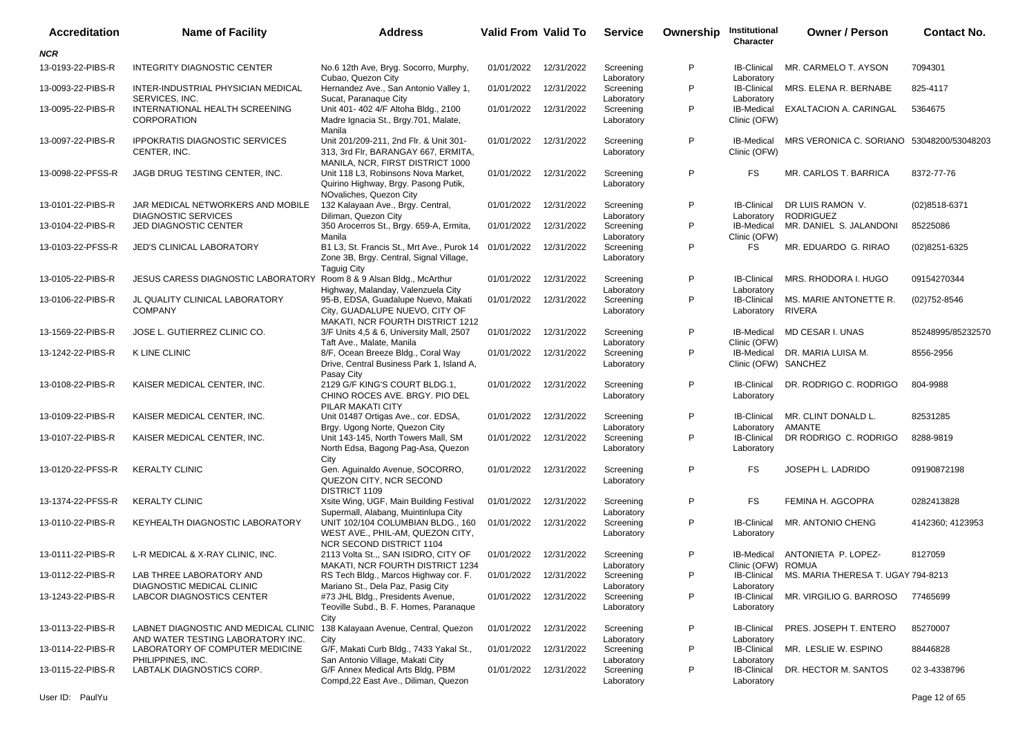| <b>Accreditation</b> | <b>Name of Facility</b>                                                   | <b>Address</b>                                                                                                         | Valid From Valid To   |            | <b>Service</b>          | Ownership | Institutional<br>Character                | <b>Owner / Person</b>                     | <b>Contact No.</b> |
|----------------------|---------------------------------------------------------------------------|------------------------------------------------------------------------------------------------------------------------|-----------------------|------------|-------------------------|-----------|-------------------------------------------|-------------------------------------------|--------------------|
| <b>NCR</b>           |                                                                           |                                                                                                                        |                       |            |                         |           |                                           |                                           |                    |
| 13-0193-22-PIBS-R    | <b>INTEGRITY DIAGNOSTIC CENTER</b>                                        | No.6 12th Ave, Bryg. Socorro, Murphy,<br>Cubao, Quezon City                                                            | 01/01/2022            | 12/31/2022 | Screening<br>Laboratory | P         | <b>IB-Clinical</b><br>Laboratory          | MR. CARMELO T. AYSON                      | 7094301            |
| 13-0093-22-PIBS-R    | INTER-INDUSTRIAL PHYSICIAN MEDICAL<br>SERVICES, INC.                      | Hernandez Ave., San Antonio Valley 1,<br>Sucat, Paranaque City                                                         | 01/01/2022            | 12/31/2022 | Screening<br>Laboratory | P         | <b>IB-Clinical</b><br>Laboratory          | MRS. ELENA R. BERNABE                     | 825-4117           |
| 13-0095-22-PIBS-R    | INTERNATIONAL HEALTH SCREENING<br><b>CORPORATION</b>                      | Unit 401- 402 4/F Altoha Bldg., 2100<br>Madre Ignacia St., Brgy.701, Malate,<br>Manila                                 | 01/01/2022            | 12/31/2022 | Screening<br>Laboratory | P         | IB-Medical<br>Clinic (OFW)                | EXALTACION A. CARINGAL                    | 5364675            |
| 13-0097-22-PIBS-R    | <b>IPPOKRATIS DIAGNOSTIC SERVICES</b><br>CENTER. INC.                     | Unit 201/209-211, 2nd Flr. & Unit 301-<br>313, 3rd Flr, BARANGAY 667, ERMITA,<br>MANILA, NCR, FIRST DISTRICT 1000      | 01/01/2022            | 12/31/2022 | Screening<br>Laboratory | P         | <b>IB-Medical</b><br>Clinic (OFW)         | MRS VERONICA C. SORIANO 53048200/53048203 |                    |
| 13-0098-22-PFSS-R    | JAGB DRUG TESTING CENTER, INC.                                            | Unit 118 L3, Robinsons Nova Market,<br>Quirino Highway, Brgy. Pasong Putik,<br>NOvaliches, Quezon City                 | 01/01/2022            | 12/31/2022 | Screening<br>Laboratory | P         | FS                                        | MR. CARLOS T. BARRICA                     | 8372-77-76         |
| 13-0101-22-PIBS-R    | JAR MEDICAL NETWORKERS AND MOBILE<br><b>DIAGNOSTIC SERVICES</b>           | 132 Kalayaan Ave., Brgy. Central,<br>Diliman, Quezon City                                                              | 01/01/2022            | 12/31/2022 | Screening<br>Laboratory | P         | <b>IB-Clinical</b><br>Laboratory          | DR LUIS RAMON V.<br><b>RODRIGUEZ</b>      | (02)8518-6371      |
| 13-0104-22-PIBS-R    | JED DIAGNOSTIC CENTER                                                     | 350 Arocerros St., Brgy. 659-A, Ermita,<br>Manila                                                                      | 01/01/2022            | 12/31/2022 | Screening<br>Laboratory | P         | IB-Medical<br>Clinic (OFW)                | MR. DANIEL S. JALANDONI                   | 85225086           |
| 13-0103-22-PFSS-R    | JED'S CLINICAL LABORATORY                                                 | B1 L3, St. Francis St., Mrt Ave., Purok 14 01/01/2022<br>Zone 3B, Brgy. Central, Signal Village,<br><b>Taquig City</b> |                       | 12/31/2022 | Screening<br>Laboratory | P         | <b>FS</b>                                 | MR. EDUARDO G. RIRAO                      | (02)8251-6325      |
| 13-0105-22-PIBS-R    | JESUS CARESS DIAGNOSTIC LABORATORY                                        | Room 8 & 9 Alsan Bldg., McArthur<br>Highway, Malanday, Valenzuela City                                                 | 01/01/2022            | 12/31/2022 | Screening<br>Laboratory | P         | <b>IB-Clinical</b><br>Laboratory          | MRS. RHODORA I. HUGO                      | 09154270344        |
| 13-0106-22-PIBS-R    | JL QUALITY CLINICAL LABORATORY<br><b>COMPANY</b>                          | 95-B, EDSA, Guadalupe Nuevo, Makati<br>City, GUADALUPE NUEVO, CITY OF<br><b>MAKATI. NCR FOURTH DISTRICT 1212</b>       | 01/01/2022            | 12/31/2022 | Screening<br>Laboratory | P         | <b>IB-Clinical</b><br>Laboratory          | MS. MARIE ANTONETTE R.<br><b>RIVERA</b>   | $(02)752 - 8546$   |
| 13-1569-22-PIBS-R    | JOSE L. GUTIERREZ CLINIC CO.                                              | 3/F Units 4,5 & 6, University Mall, 2507<br>Taft Ave., Malate, Manila                                                  | 01/01/2022            | 12/31/2022 | Screening<br>Laboratory | P         | <b>IB-Medical</b><br>Clinic (OFW)         | MD CESAR I. UNAS                          | 85248995/85232570  |
| 13-1242-22-PIBS-R    | K LINE CLINIC                                                             | 8/F, Ocean Breeze Bldg., Coral Way<br>Drive, Central Business Park 1, Island A,<br>Pasay City                          | 01/01/2022            | 12/31/2022 | Screening<br>Laboratory | P         | <b>IB-Medical</b><br>Clinic (OFW) SANCHEZ | DR. MARIA LUISA M.                        | 8556-2956          |
| 13-0108-22-PIBS-R    | KAISER MEDICAL CENTER, INC.                                               | 2129 G/F KING'S COURT BLDG.1,<br>CHINO ROCES AVE. BRGY. PIO DEL<br>PILAR MAKATI CITY                                   | 01/01/2022            | 12/31/2022 | Screening<br>Laboratory | P         | <b>IB-Clinical</b><br>Laboratory          | DR. RODRIGO C. RODRIGO                    | 804-9988           |
| 13-0109-22-PIBS-R    | KAISER MEDICAL CENTER, INC.                                               | Unit 01487 Ortigas Ave., cor. EDSA,<br>Brgy. Ugong Norte, Quezon City                                                  | 01/01/2022            | 12/31/2022 | Screening<br>Laboratory | P         | <b>IB-Clinical</b><br>Laboratory          | MR. CLINT DONALD L.<br><b>AMANTE</b>      | 82531285           |
| 13-0107-22-PIBS-R    | KAISER MEDICAL CENTER, INC.                                               | Unit 143-145, North Towers Mall, SM<br>North Edsa, Bagong Pag-Asa, Quezon<br>City                                      | 01/01/2022            | 12/31/2022 | Screening<br>Laboratory | P         | <b>IB-Clinical</b><br>Laboratory          | DR RODRIGO C. RODRIGO                     | 8288-9819          |
| 13-0120-22-PFSS-R    | <b>KERALTY CLINIC</b>                                                     | Gen. Aguinaldo Avenue, SOCORRO,<br>QUEZON CITY, NCR SECOND<br>DISTRICT 1109                                            | 01/01/2022            | 12/31/2022 | Screening<br>Laboratory | P         | FS                                        | JOSEPH L. LADRIDO                         | 09190872198        |
| 13-1374-22-PFSS-R    | <b>KERALTY CLINIC</b>                                                     | Xsite Wing, UGF, Main Building Festival<br>Supermall, Alabang, Muintinlupa City                                        | 01/01/2022            | 12/31/2022 | Screening<br>Laboratory | P         | FS                                        | FEMINA H. AGCOPRA                         | 0282413828         |
| 13-0110-22-PIBS-R    | KEYHEALTH DIAGNOSTIC LABORATORY                                           | UNIT 102/104 COLUMBIAN BLDG., 160<br>WEST AVE., PHIL-AM, QUEZON CITY,<br>NCR SECOND DISTRICT 1104                      | 01/01/2022            | 12/31/2022 | Screening<br>Laboratory | P         | <b>IB-Clinical</b><br>Laboratory          | MR. ANTONIO CHENG                         | 4142360; 4123953   |
| 13-0111-22-PIBS-R    | L-R MEDICAL & X-RAY CLINIC, INC.                                          | 2113 Volta St.,, SAN ISIDRO, CITY OF<br>MAKATI, NCR FOURTH DISTRICT 1234                                               | 01/01/2022 12/31/2022 |            | Screening<br>Laboratory | P         | <b>IB-Medical</b><br>Clinic (OFW) ROMUA   | ANTONIETA P. LOPEZ-                       | 8127059            |
|                      | 13-0112-22-PIBS-R LAB THREE LABORATORY AND<br>DIAGNOSTIC MEDICAL CLINIC   | RS Tech Bldg., Marcos Highway cor. F.<br>Mariano St., Dela Paz, Pasig City                                             | 01/01/2022 12/31/2022 |            | Screening<br>Laboratory |           | <b>IB-Clinical</b><br>Laboratory          | MS. MARIA THERESA T. UGAY 794-8213        |                    |
| 13-1243-22-PIBS-R    | LABCOR DIAGNOSTICS CENTER                                                 | #73 JHL Bldg., Presidents Avenue,<br>Teoville Subd., B. F. Homes, Paranaque<br>City                                    | 01/01/2022 12/31/2022 |            | Screening<br>Laboratory | P         | <b>IB-Clinical</b><br>Laboratory          | MR. VIRGILIO G. BARROSO                   | 77465699           |
| 13-0113-22-PIBS-R    | LABNET DIAGNOSTIC AND MEDICAL CLINIC<br>AND WATER TESTING LABORATORY INC. | 138 Kalayaan Avenue, Central, Quezon<br>City                                                                           | 01/01/2022            | 12/31/2022 | Screening<br>Laboratory | P         | <b>IB-Clinical</b><br>Laboratory          | PRES. JOSEPH T. ENTERO                    | 85270007           |
| 13-0114-22-PIBS-R    | LABORATORY OF COMPUTER MEDICINE<br>PHILIPPINES, INC.                      | G/F, Makati Curb Bldg., 7433 Yakal St.,<br>San Antonio Village, Makati City                                            | 01/01/2022            | 12/31/2022 | Screening<br>Laboratory | P         | <b>IB-Clinical</b><br>Laboratory          | MR. LESLIE W. ESPINO                      | 88446828           |
| 13-0115-22-PIBS-R    | LABTALK DIAGNOSTICS CORP.                                                 | G/F Annex Medical Arts Bldg, PBM<br>Compd, 22 East Ave., Diliman, Quezon                                               | 01/01/2022 12/31/2022 |            | Screening<br>Laboratory | P         | <b>IB-Clinical</b><br>Laboratory          | DR. HECTOR M. SANTOS                      | 02 3-4338796       |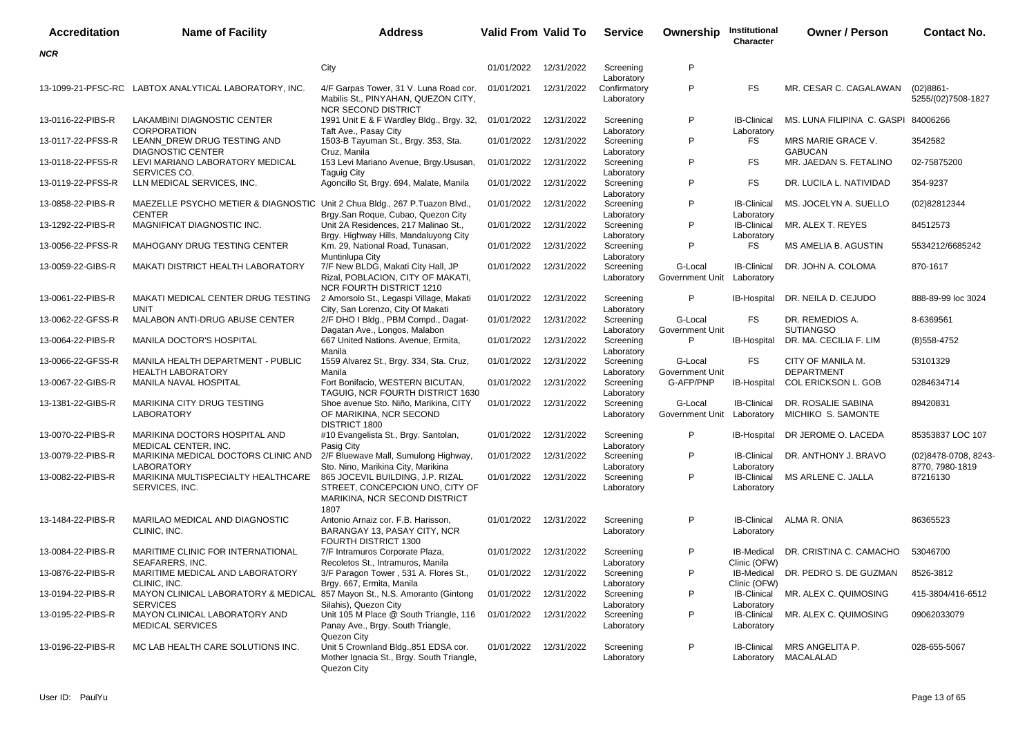| <b>Accreditation</b> | <b>Name of Facility</b>                                                                      | <b>Address</b>                                                                                               | <b>Valid From Valid To</b> |            | <b>Service</b>                           | Ownership                  | Institutional<br>Character        | <b>Owner / Person</b>                    | <b>Contact No.</b>                      |
|----------------------|----------------------------------------------------------------------------------------------|--------------------------------------------------------------------------------------------------------------|----------------------------|------------|------------------------------------------|----------------------------|-----------------------------------|------------------------------------------|-----------------------------------------|
| <b>NCR</b>           |                                                                                              |                                                                                                              |                            |            |                                          |                            |                                   |                                          |                                         |
|                      |                                                                                              | City                                                                                                         | 01/01/2022                 | 12/31/2022 | Screening                                | P                          |                                   |                                          |                                         |
|                      | 13-1099-21-PFSC-RC LABTOX ANALYTICAL LABORATORY, INC.                                        | 4/F Garpas Tower, 31 V. Luna Road cor.<br>Mabilis St., PINYAHAN, QUEZON CITY,<br><b>NCR SECOND DISTRICT</b>  | 01/01/2021                 | 12/31/2022 | Laboratory<br>Confirmatory<br>Laboratory | P                          | <b>FS</b>                         | MR. CESAR C. CAGALAWAN                   | $(02)8861 -$<br>5255/(02)7508-1827      |
| 13-0116-22-PIBS-R    | LAKAMBINI DIAGNOSTIC CENTER<br><b>CORPORATION</b>                                            | 1991 Unit E & F Wardley Bldg., Brgy. 32,<br>Taft Ave., Pasay City                                            | 01/01/2022                 | 12/31/2022 | Screening<br>Laboratory                  | P                          | <b>IB-Clinical</b><br>Laboratory  | MS. LUNA FILIPINA C. GASPI 84006266      |                                         |
| 13-0117-22-PFSS-R    | LEANN_DREW DRUG TESTING AND<br><b>DIAGNOSTIC CENTER</b>                                      | 1503-B Tayuman St., Brgy. 353, Sta.<br>Cruz, Manila                                                          | 01/01/2022                 | 12/31/2022 | Screening<br>Laboratory                  | P                          | FS                                | MRS MARIE GRACE V.<br><b>GABUCAN</b>     | 3542582                                 |
| 13-0118-22-PFSS-R    | LEVI MARIANO LABORATORY MEDICAL<br>SERVICES CO.                                              | 153 Levi Mariano Avenue, Brgy Ususan.<br><b>Taguig City</b>                                                  | 01/01/2022                 | 12/31/2022 | Screening<br>Laboratory                  | P                          | <b>FS</b>                         | MR. JAEDAN S. FETALINO                   | 02-75875200                             |
| 13-0119-22-PFSS-R    | LLN MEDICAL SERVICES, INC.                                                                   | Agoncillo St, Brgy. 694, Malate, Manila                                                                      | 01/01/2022                 | 12/31/2022 | Screening<br>Laboratory                  | P                          | <b>FS</b>                         | DR. LUCILA L. NATIVIDAD                  | 354-9237                                |
| 13-0858-22-PIBS-R    | MAEZELLE PSYCHO METIER & DIAGNOSTIC Unit 2 Chua Bldg., 267 P.Tuazon Blvd.,<br><b>CENTER</b>  | Brgy.San Roque, Cubao, Quezon City                                                                           | 01/01/2022                 | 12/31/2022 | Screening<br>Laboratory                  | P                          | <b>IB-Clinical</b><br>Laboratory  | MS. JOCELYN A. SUELLO                    | (02)82812344                            |
| 13-1292-22-PIBS-R    | MAGNIFICAT DIAGNOSTIC INC.                                                                   | Unit 2A Residences, 217 Malinao St.,<br>Brgy. Highway Hills, Mandaluyong City                                | 01/01/2022                 | 12/31/2022 | Screening<br>Laboratory                  | P                          | <b>IB-Clinical</b><br>Laboratory  | MR. ALEX T. REYES                        | 84512573                                |
| 13-0056-22-PFSS-R    | MAHOGANY DRUG TESTING CENTER                                                                 | Km. 29, National Road, Tunasan,<br>Muntinlupa City                                                           | 01/01/2022                 | 12/31/2022 | Screening<br>Laboratory                  | P                          | <b>FS</b>                         | MS AMELIA B. AGUSTIN                     | 5534212/6685242                         |
| 13-0059-22-GIBS-R    | <b>MAKATI DISTRICT HEALTH LABORATORY</b>                                                     | 7/F New BLDG, Makati City Hall, JP<br>Rizal, POBLACION, CITY OF MAKATI,<br><b>NCR FOURTH DISTRICT 1210</b>   | 01/01/2022                 | 12/31/2022 | Screening<br>Laboratory                  | G-Local<br>Government Unit | <b>IB-Clinical</b><br>Laboratory  | DR. JOHN A. COLOMA                       | 870-1617                                |
| 13-0061-22-PIBS-R    | MAKATI MEDICAL CENTER DRUG TESTING<br>UNIT                                                   | 2 Amorsolo St., Legaspi Village, Makati<br>City, San Lorenzo, City Of Makati                                 | 01/01/2022                 | 12/31/2022 | Screening<br>Laboratory                  | P                          | <b>IB-Hospital</b>                | DR. NEILA D. CEJUDO                      | 888-89-99 loc 3024                      |
| 13-0062-22-GFSS-R    | MALABON ANTI-DRUG ABUSE CENTER                                                               | 2/F DHO I Bldg., PBM Compd., Dagat-<br>Dagatan Ave., Longos, Malabon                                         | 01/01/2022                 | 12/31/2022 | Screening<br>Laboratory                  | G-Local<br>Government Unit | <b>FS</b>                         | DR. REMEDIOS A.<br><b>SUTIANGSO</b>      | 8-6369561                               |
| 13-0064-22-PIBS-R    | MANILA DOCTOR'S HOSPITAL                                                                     | 667 United Nations. Avenue, Ermita,<br>Manila                                                                | 01/01/2022                 | 12/31/2022 | Screening<br>Laboratory                  | P                          | IB-Hospital                       | DR. MA. CECILIA F. LIM                   | $(8)$ 558-4752                          |
| 13-0066-22-GFSS-R    | MANILA HEALTH DEPARTMENT - PUBLIC<br><b>HEALTH LABORATORY</b>                                | 1559 Alvarez St., Brgy. 334, Sta. Cruz,<br>Manila                                                            | 01/01/2022                 | 12/31/2022 | Screening<br>Laboratory                  | G-Local<br>Government Unit | FS.                               | CITY OF MANILA M.<br><b>DEPARTMENT</b>   | 53101329                                |
| 13-0067-22-GIBS-R    | MANILA NAVAL HOSPITAL                                                                        | Fort Bonifacio, WESTERN BICUTAN,<br>TAGUIG, NCR FOURTH DISTRICT 1630                                         | 01/01/2022                 | 12/31/2022 | Screening<br>Laboratory                  | G-AFP/PNP                  | IB-Hospital                       | <b>COL ERICKSON L. GOB</b>               | 0284634714                              |
| 13-1381-22-GIBS-R    | MARIKINA CITY DRUG TESTING<br><b>LABORATORY</b>                                              | Shoe avenue Sto. Niño, Marikina, CITY<br>OF MARIKINA, NCR SECOND<br>DISTRICT 1800                            | 01/01/2022                 | 12/31/2022 | Screening<br>Laboratory                  | G-Local<br>Government Unit | <b>IB-Clinical</b><br>Laboratory  | DR. ROSALIE SABINA<br>MICHIKO S. SAMONTE | 89420831                                |
| 13-0070-22-PIBS-R    | MARIKINA DOCTORS HOSPITAL AND<br>MEDICAL CENTER, INC.                                        | #10 Evangelista St., Brgy. Santolan,<br>Pasig City                                                           | 01/01/2022                 | 12/31/2022 | Screening<br>Laboratory                  | P                          | <b>IB-Hospital</b>                | DR JEROME O. LACEDA                      | 85353837 LOC 107                        |
| 13-0079-22-PIBS-R    | MARIKINA MEDICAL DOCTORS CLINIC AND<br><b>LABORATORY</b>                                     | 2/F Bluewave Mall, Sumulong Highway,<br>Sto. Nino, Marikina City, Marikina                                   | 01/01/2022                 | 12/31/2022 | Screening<br>Laboratory                  | P                          | <b>IB-Clinical</b><br>Laboratory  | DR. ANTHONY J. BRAVO                     | (02)8478-0708, 8243-<br>8770, 7980-1819 |
| 13-0082-22-PIBS-R    | MARIKINA MULTISPECIALTY HEALTHCARE<br>SERVICES, INC.                                         | 865 JOCEVIL BUILDING, J.P. RIZAL<br>STREET, CONCEPCION UNO, CITY OF<br>MARIKINA, NCR SECOND DISTRICT<br>1807 | 01/01/2022                 | 12/31/2022 | Screening<br>Laboratory                  | P                          | <b>IB-Clinical</b><br>Laboratory  | MS ARLENE C. JALLA                       | 87216130                                |
| 13-1484-22-PIBS-R    | MARILAO MEDICAL AND DIAGNOSTIC<br>CLINIC, INC.                                               | Antonio Arnaiz cor. F.B. Harisson,<br>BARANGAY 13. PASAY CITY, NCR<br>FOURTH DISTRICT 1300                   | 01/01/2022                 | 12/31/2022 | Screening<br>Laboratory                  | P                          | <b>IB-Clinical</b><br>Laboratory  | ALMA R. ONIA                             | 86365523                                |
| 13-0084-22-PIBS-R    | MARITIME CLINIC FOR INTERNATIONAL<br>SEAFARERS, INC.                                         | 7/F Intramuros Corporate Plaza,<br>Recoletos St., Intramuros, Manila                                         | 01/01/2022                 | 12/31/2022 | Screening<br>Laboratory                  | P                          | <b>IB-Medical</b><br>Clinic (OFW) | DR. CRISTINA C. CAMACHO                  | 53046700                                |
| 13-0876-22-PIBS-R    | MARITIME MEDICAL AND LABORATORY<br>CLINIC, INC.                                              | 3/F Paragon Tower, 531 A. Flores St.,<br>Brgy. 667, Ermita, Manila                                           | 01/01/2022                 | 12/31/2022 | Screening<br>Laboratory                  | P                          | IB-Medical<br>Clinic (OFW)        | DR. PEDRO S. DE GUZMAN                   | 8526-3812                               |
| 13-0194-22-PIBS-R    | MAYON CLINICAL LABORATORY & MEDICAL 857 Mayon St., N.S. Amoranto (Gintong<br><b>SERVICES</b> | Silahis), Quezon City                                                                                        | 01/01/2022                 | 12/31/2022 | Screening<br>Laboratory                  | P                          | IB-Clinical<br>Laboratory         | MR. ALEX C. QUIMOSING                    | 415-3804/416-6512                       |
| 13-0195-22-PIBS-R    | MAYON CLINICAL LABORATORY AND<br><b>MEDICAL SERVICES</b>                                     | Unit 105 M Place @ South Triangle, 116<br>Panay Ave., Brgy. South Triangle,<br>Quezon City                   | 01/01/2022                 | 12/31/2022 | Screening<br>Laboratory                  | P                          | <b>IB-Clinical</b><br>Laboratory  | MR. ALEX C. QUIMOSING                    | 09062033079                             |
| 13-0196-22-PIBS-R    | MC LAB HEALTH CARE SOLUTIONS INC.                                                            | Unit 5 Crownland Bldg., 851 EDSA cor.<br>Mother Ignacia St., Brgy. South Triangle,<br>Quezon City            | 01/01/2022 12/31/2022      |            | Screening<br>Laboratory                  | P                          | IB-Clinical<br>Laboratory         | MRS ANGELITA P.<br>MACALALAD             | 028-655-5067                            |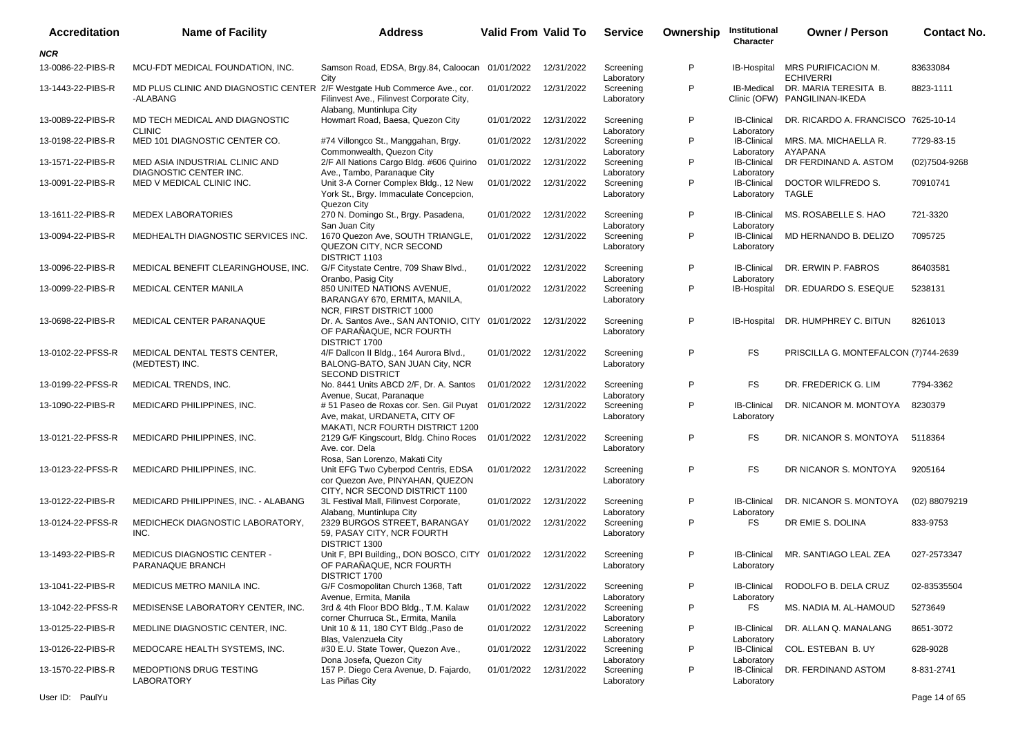| <b>Accreditation</b> | <b>Name of Facility</b>                                                               | Address                                                                                                                | <b>Valid From Valid To</b> |            | <b>Service</b>                        | Ownership    | Institutional<br>Character                     | <b>Owner / Person</b>                                  | <b>Contact No.</b> |
|----------------------|---------------------------------------------------------------------------------------|------------------------------------------------------------------------------------------------------------------------|----------------------------|------------|---------------------------------------|--------------|------------------------------------------------|--------------------------------------------------------|--------------------|
| NCR                  |                                                                                       |                                                                                                                        |                            |            |                                       |              |                                                |                                                        |                    |
| 13-0086-22-PIBS-R    | MCU-FDT MEDICAL FOUNDATION, INC.                                                      | Samson Road, EDSA, Brgy.84, Caloocan 01/01/2022<br>City                                                                |                            | 12/31/2022 | Screening<br>Laboratory               | P            |                                                | IB-Hospital MRS PURIFICACION M.<br><b>ECHIVERRI</b>    | 83633084           |
| 13-1443-22-PIBS-R    | MD PLUS CLINIC AND DIAGNOSTIC CENTER 2/F Westgate Hub Commerce Ave., cor.<br>-ALABANG | Filinvest Ave., Filinvest Corporate City,<br>Alabang, Muntinlupa City                                                  | 01/01/2022                 | 12/31/2022 | Screening<br>Laboratory               | P            | IB-Medical                                     | DR. MARIA TERESITA B.<br>Clinic (OFW) PANGILINAN-IKEDA | 8823-1111          |
| 13-0089-22-PIBS-R    | MD TECH MEDICAL AND DIAGNOSTIC<br><b>CLINIC</b>                                       | Howmart Road, Baesa, Quezon City                                                                                       | 01/01/2022                 | 12/31/2022 | Screening<br>Laboratory               | $\mathsf{P}$ | <b>IB-Clinical</b><br>Laboratory               | DR. RICARDO A. FRANCISCO 7625-10-14                    |                    |
| 13-0198-22-PIBS-R    | MED 101 DIAGNOSTIC CENTER CO.                                                         | #74 Villongco St., Manggahan, Brgy.<br>Commonwealth, Quezon City                                                       | 01/01/2022                 | 12/31/2022 | Screening<br>Laboratory               | P            | <b>IB-Clinical</b><br>Laboratory               | MRS. MA. MICHAELLA R.<br>AYAPANA                       | 7729-83-15         |
| 13-1571-22-PIBS-R    | MED ASIA INDUSTRIAL CLINIC AND<br><b>DIAGNOSTIC CENTER INC.</b>                       | 2/F All Nations Cargo Bldg. #606 Quirino<br>Ave., Tambo, Paranaque City                                                | 01/01/2022                 | 12/31/2022 | Screening<br>Laboratory               | P            | <b>IB-Clinical</b><br>Laboratory               | DR FERDINAND A. ASTOM                                  | (02)7504-9268      |
| 13-0091-22-PIBS-R    | MED V MEDICAL CLINIC INC.                                                             | Unit 3-A Corner Complex Bldg., 12 New<br>York St., Brgy. Immaculate Concepcion,<br>Quezon City                         | 01/01/2022                 | 12/31/2022 | Screening<br>Laboratory               | P            | <b>IB-Clinical</b><br>Laboratory               | DOCTOR WILFREDO S.<br>TAGLE                            | 70910741           |
| 13-1611-22-PIBS-R    | <b>MEDEX LABORATORIES</b>                                                             | 270 N. Domingo St., Brgy. Pasadena,<br>San Juan City                                                                   | 01/01/2022                 | 12/31/2022 | Screening<br>Laboratory               | P            | <b>IB-Clinical</b><br>Laboratory               | MS. ROSABELLE S. HAO                                   | 721-3320           |
| 13-0094-22-PIBS-R    | MEDHEALTH DIAGNOSTIC SERVICES INC.                                                    | 1670 Quezon Ave, SOUTH TRIANGLE,<br>QUEZON CITY, NCR SECOND<br>DISTRICT 1103                                           | 01/01/2022                 | 12/31/2022 | Screening<br>Laboratory               | P            | <b>IB-Clinical</b><br>Laboratory               | MD HERNANDO B. DELIZO                                  | 7095725            |
| 13-0096-22-PIBS-R    | MEDICAL BENEFIT CLEARINGHOUSE, INC.                                                   | G/F Citystate Centre, 709 Shaw Blvd.,<br>Oranbo, Pasig City                                                            | 01/01/2022                 | 12/31/2022 | Screening<br>Laboratory               | P            | <b>IB-Clinical</b><br>Laboratory               | DR. ERWIN P. FABROS                                    | 86403581           |
| 13-0099-22-PIBS-R    | <b>MEDICAL CENTER MANILA</b>                                                          | 850 UNITED NATIONS AVENUE,<br>BARANGAY 670, ERMITA, MANILA,<br>NCR, FIRST DISTRICT 1000                                | 01/01/2022                 | 12/31/2022 | Screening<br>Laboratory               | P            | IB-Hospital                                    | DR. EDUARDO S. ESEQUE                                  | 5238131            |
| 13-0698-22-PIBS-R    | MEDICAL CENTER PARANAQUE                                                              | Dr. A. Santos Ave., SAN ANTONIO, CITY 01/01/2022<br>OF PARAÑAQUE, NCR FOURTH<br>DISTRICT 1700                          |                            | 12/31/2022 | Screening<br>Laboratory               | P            | IB-Hospital                                    | DR. HUMPHREY C. BITUN                                  | 8261013            |
| 13-0102-22-PFSS-R    | MEDICAL DENTAL TESTS CENTER,<br>(MEDTEST) INC.                                        | 4/F Dallcon II Bldg., 164 Aurora Blvd.,<br>BALONG-BATO, SAN JUAN City, NCR<br><b>SECOND DISTRICT</b>                   | 01/01/2022                 | 12/31/2022 | Screening<br>Laboratory               | P            | FS.                                            | PRISCILLA G. MONTEFALCON (7)744-2639                   |                    |
| 13-0199-22-PFSS-R    | MEDICAL TRENDS, INC.                                                                  | No. 8441 Units ABCD 2/F, Dr. A. Santos<br>Avenue, Sucat, Paranaque                                                     | 01/01/2022                 | 12/31/2022 | Screening<br>Laboratory               | P            | FS.                                            | DR. FREDERICK G. LIM                                   | 7794-3362          |
| 13-1090-22-PIBS-R    | MEDICARD PHILIPPINES, INC.                                                            | #51 Paseo de Roxas cor. Sen. Gil Puyat 01/01/2022<br>Ave, makat, URDANETA, CITY OF<br>MAKATI, NCR FOURTH DISTRICT 1200 |                            | 12/31/2022 | Screening<br>Laboratory               | P            | <b>IB-Clinical</b><br>Laboratory               | DR. NICANOR M. MONTOYA                                 | 8230379            |
| 13-0121-22-PFSS-R    | MEDICARD PHILIPPINES, INC.                                                            | 2129 G/F Kingscourt, Bldg. Chino Roces<br>Ave. cor. Dela<br>Rosa, San Lorenzo, Makati City                             | 01/01/2022                 | 12/31/2022 | Screening<br>Laboratory               | P            | FS.                                            | DR. NICANOR S. MONTOYA                                 | 5118364            |
| 13-0123-22-PFSS-R    | MEDICARD PHILIPPINES, INC.                                                            | Unit EFG Two Cyberpod Centris, EDSA<br>cor Quezon Ave, PINYAHAN, QUEZON<br>CITY, NCR SECOND DISTRICT 1100              | 01/01/2022                 | 12/31/2022 | Screening<br>Laboratory               | P            | <b>FS</b>                                      | DR NICANOR S. MONTOYA                                  | 9205164            |
| 13-0122-22-PIBS-R    | MEDICARD PHILIPPINES, INC. - ALABANG                                                  | 3L Festival Mall, Filinvest Corporate,<br>Alabang, Muntinlupa City                                                     | 01/01/2022                 | 12/31/2022 | Screening<br>Laboratory               | P            | <b>IB-Clinical</b><br>Laboratory               | DR. NICANOR S. MONTOYA                                 | (02) 88079219      |
| 13-0124-22-PFSS-R    | MEDICHECK DIAGNOSTIC LABORATORY,<br>INC.                                              | 2329 BURGOS STREET, BARANGAY<br>59, PASAY CITY, NCR FOURTH<br>DISTRICT 1300                                            | 01/01/2022                 | 12/31/2022 | Screening<br>Laboratory               | P            | FS                                             | DR EMIE S. DOLINA                                      | 833-9753           |
| 13-1493-22-PIBS-R    | <b>MEDICUS DIAGNOSTIC CENTER -</b><br>PARANAQUE BRANCH                                | Unit F, BPI Building,, DON BOSCO, CITY 01/01/2022<br>OF PARAÑAQUE, NCR FOURTH<br>DISTRICT 1700                         |                            | 12/31/2022 | Screening<br>Laboratory               | P            | <b>IB-Clinical</b><br>Laboratory               | MR. SANTIAGO LEAL ZEA                                  | 027-2573347        |
| 13-1041-22-PIBS-R    | MEDICUS METRO MANILA INC.                                                             | G/F Cosmopolitan Church 1368, Taft<br>Avenue, Ermita, Manila                                                           | 01/01/2022                 | 12/31/2022 | Screening<br>Laboratory               | P            | <b>IB-Clinical</b><br>Laboratory               | RODOLFO B. DELA CRUZ                                   | 02-83535504        |
| 13-1042-22-PFSS-R    | MEDISENSE LABORATORY CENTER, INC.                                                     | 3rd & 4th Floor BDO Bldg., T.M. Kalaw<br>corner Churruca St., Ermita, Manila                                           | 01/01/2022                 | 12/31/2022 | Screening<br>Laboratory               | P            | FS                                             | MS. NADIA M. AL-HAMOUD                                 | 5273649            |
| 13-0125-22-PIBS-R    | MEDLINE DIAGNOSTIC CENTER, INC.                                                       | Unit 10 & 11, 180 CYT Bldg., Paso de<br>Blas, Valenzuela City                                                          | 01/01/2022                 | 12/31/2022 | Screening<br>Laboratory               | P            | <b>IB-Clinical</b><br>Laboratory               | DR. ALLAN Q. MANALANG                                  | 8651-3072          |
| 13-0126-22-PIBS-R    | MEDOCARE HEALTH SYSTEMS, INC.                                                         | #30 E.U. State Tower, Quezon Ave.,<br>Dona Josefa, Quezon City                                                         | 01/01/2022                 | 12/31/2022 | Screening                             | P            | <b>IB-Clinical</b>                             | COL. ESTEBAN B. UY                                     | 628-9028           |
| 13-1570-22-PIBS-R    | MEDOPTIONS DRUG TESTING<br><b>LABORATORY</b>                                          | 157 P. Diego Cera Avenue, D. Fajardo,<br>Las Piñas City                                                                | 01/01/2022                 | 12/31/2022 | Laboratory<br>Screening<br>Laboratory | P            | Laboratory<br><b>IB-Clinical</b><br>Laboratory | DR. FERDINAND ASTOM                                    | 8-831-2741         |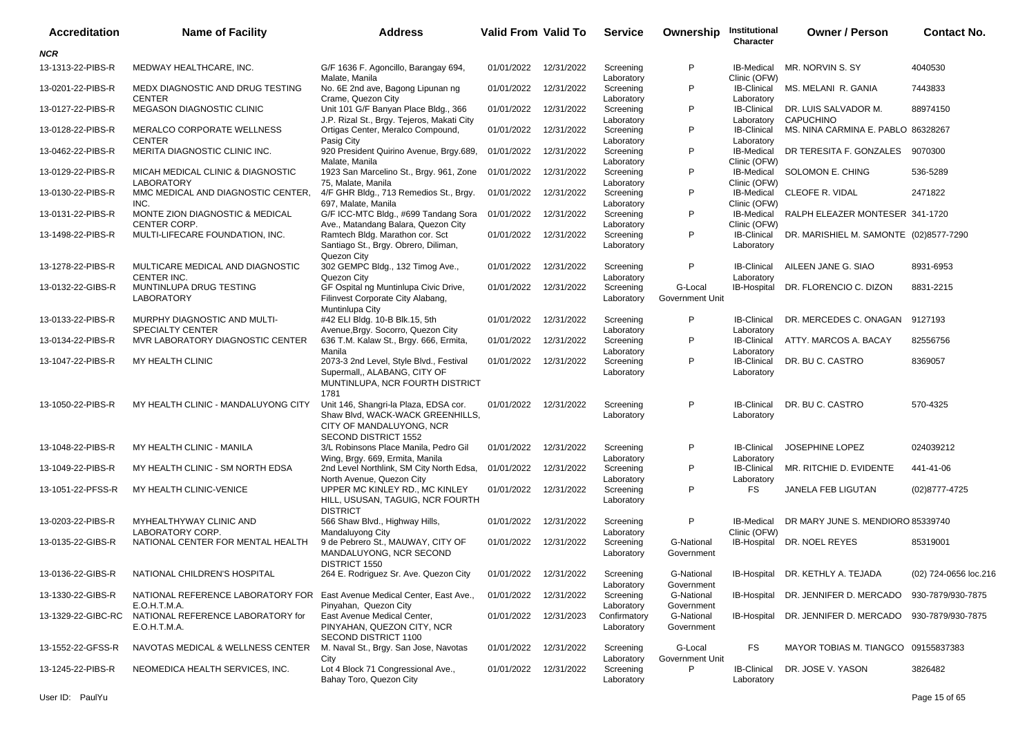| <b>Accreditation</b> | <b>Name of Facility</b>                                 | <b>Address</b>                                                                                                                | Valid From Valid To |            | <b>Service</b>             | Ownership                  | Institutional<br>Character        | <b>Owner / Person</b>                     | <b>Contact No.</b>    |
|----------------------|---------------------------------------------------------|-------------------------------------------------------------------------------------------------------------------------------|---------------------|------------|----------------------------|----------------------------|-----------------------------------|-------------------------------------------|-----------------------|
| <b>NCR</b>           |                                                         |                                                                                                                               |                     |            |                            |                            |                                   |                                           |                       |
| 13-1313-22-PIBS-R    | MEDWAY HEALTHCARE, INC.                                 | G/F 1636 F. Agoncillo, Barangay 694,<br>Malate, Manila                                                                        | 01/01/2022          | 12/31/2022 | Screening<br>Laboratory    | P                          | IB-Medical<br>Clinic (OFW)        | MR. NORVIN S. SY                          | 4040530               |
| 13-0201-22-PIBS-R    | MEDX DIAGNOSTIC AND DRUG TESTING<br><b>CENTER</b>       | No. 6E 2nd ave, Bagong Lipunan ng<br>Crame, Quezon City                                                                       | 01/01/2022          | 12/31/2022 | Screening<br>Laboratory    | P                          | <b>IB-Clinical</b><br>Laboratory  | MS MELANI R GANIA                         | 7443833               |
| 13-0127-22-PIBS-R    | MEGASON DIAGNOSTIC CLINIC                               | Unit 101 G/F Banyan Place Bldg., 366<br>J.P. Rizal St., Brgy. Tejeros, Makati City                                            | 01/01/2022          | 12/31/2022 | Screening<br>Laboratory    | P                          | <b>IB-Clinical</b><br>Laboratory  | DR. LUIS SALVADOR M.<br>CAPUCHINO         | 88974150              |
| 13-0128-22-PIBS-R    | MERALCO CORPORATE WELLNESS<br><b>CENTER</b>             | Ortigas Center, Meralco Compound,<br>Pasig City                                                                               | 01/01/2022          | 12/31/2022 | Screening<br>Laboratory    | P                          | <b>IB-Clinical</b><br>Laboratory  | MS. NINA CARMINA E. PABLO 86328267        |                       |
| 13-0462-22-PIBS-R    | MERITA DIAGNOSTIC CLINIC INC.                           | 920 President Quirino Avenue, Brgy.689,<br>Malate, Manila                                                                     | 01/01/2022          | 12/31/2022 | Screening<br>Laboratory    | P                          | IB-Medical<br>Clinic (OFW)        | DR TERESITA F. GONZALES                   | 9070300               |
| 13-0129-22-PIBS-R    | MICAH MEDICAL CLINIC & DIAGNOSTIC<br><b>LABORATORY</b>  | 1923 San Marcelino St., Brgy. 961, Zone<br>75, Malate, Manila                                                                 | 01/01/2022          | 12/31/2022 | Screening<br>Laboratory    | P                          | IB-Medical<br>Clinic (OFW)        | SOLOMON E. CHING                          | 536-5289              |
| 13-0130-22-PIBS-R    | MMC MEDICAL AND DIAGNOSTIC CENTER,<br>INC.              | 4/F GHR Bldg., 713 Remedios St., Brgy.<br>697, Malate, Manila                                                                 | 01/01/2022          | 12/31/2022 | Screening<br>Laboratory    | P                          | IB-Medical<br>Clinic (OFW)        | CLEOFE R. VIDAL                           | 2471822               |
| 13-0131-22-PIBS-R    | MONTE ZION DIAGNOSTIC & MEDICAL<br><b>CENTER CORP.</b>  | G/F ICC-MTC Bldg., #699 Tandang Sora<br>Ave., Matandang Balara, Quezon City                                                   | 01/01/2022          | 12/31/2022 | Screening<br>Laboratory    | P                          | <b>IB-Medical</b><br>Clinic (OFW) | RALPH ELEAZER MONTESER 341-1720           |                       |
| 13-1498-22-PIBS-R    | MULTI-LIFECARE FOUNDATION, INC.                         | Ramtech Bldg. Marathon cor. Sct<br>Santiago St., Brgy. Obrero, Diliman,<br>Quezon City                                        | 01/01/2022          | 12/31/2022 | Screening<br>Laboratory    | P                          | IB-Clinical<br>Laboratory         | DR. MARISHIEL M. SAMONTE (02)8577-7290    |                       |
| 13-1278-22-PIBS-R    | MULTICARE MEDICAL AND DIAGNOSTIC<br>CENTER INC.         | 302 GEMPC Bldg., 132 Timog Ave.,<br>Quezon City                                                                               | 01/01/2022          | 12/31/2022 | Screening<br>Laboratory    | P                          | <b>IB-Clinical</b><br>Laboratory  | AILEEN JANE G. SIAO                       | 8931-6953             |
| 13-0132-22-GIBS-R    | MUNTINLUPA DRUG TESTING<br><b>LABORATORY</b>            | GF Ospital ng Muntinlupa Civic Drive,<br>Filinvest Corporate City Alabang,<br>Muntinlupa City                                 | 01/01/2022          | 12/31/2022 | Screening<br>Laboratory    | G-Local<br>Government Unit | IB-Hospital                       | DR. FLORENCIO C. DIZON                    | 8831-2215             |
| 13-0133-22-PIBS-R    | MURPHY DIAGNOSTIC AND MULTI-<br><b>SPECIALTY CENTER</b> | #42 ELI Bldg. 10-B Blk.15, 5th<br>Avenue, Brgy. Socorro, Quezon City                                                          | 01/01/2022          | 12/31/2022 | Screening<br>Laboratory    | P                          | <b>IB-Clinical</b><br>Laboratory  | DR. MERCEDES C. ONAGAN                    | 9127193               |
| 13-0134-22-PIBS-R    | MVR LABORATORY DIAGNOSTIC CENTER                        | 636 T.M. Kalaw St., Brgy. 666, Ermita,<br>Manila                                                                              | 01/01/2022          | 12/31/2022 | Screening<br>Laboratory    | P                          | <b>IB-Clinical</b><br>Laboratory  | ATTY. MARCOS A. BACAY                     | 82556756              |
| 13-1047-22-PIBS-R    | MY HEALTH CLINIC                                        | 2073-3 2nd Level, Style Blvd., Festival<br>Supermall,, ALABANG, CITY OF<br>MUNTINLUPA, NCR FOURTH DISTRICT<br>1781            | 01/01/2022          | 12/31/2022 | Screening<br>Laboratory    | P                          | <b>IB-Clinical</b><br>Laboratory  | DR. BU C. CASTRO                          | 8369057               |
| 13-1050-22-PIBS-R    | MY HEALTH CLINIC - MANDALUYONG CITY                     | Unit 146, Shangri-la Plaza, EDSA cor.<br>Shaw Blvd, WACK-WACK GREENHILLS,<br>CITY OF MANDALUYONG, NCR<br>SECOND DISTRICT 1552 | 01/01/2022          | 12/31/2022 | Screening<br>Laboratory    | P                          | <b>IB-Clinical</b><br>Laboratory  | DR. BU C. CASTRO                          | 570-4325              |
| 13-1048-22-PIBS-R    | MY HEALTH CLINIC - MANILA                               | 3/L Robinsons Place Manila, Pedro Gil<br>Wing, Brgy. 669, Ermita, Manila                                                      | 01/01/2022          | 12/31/2022 | Screening<br>Laboratory    | P                          | <b>IB-Clinical</b><br>Laboratory  | JOSEPHINE LOPEZ                           | 024039212             |
| 13-1049-22-PIBS-R    | MY HEALTH CLINIC - SM NORTH EDSA                        | 2nd Level Northlink, SM City North Edsa,<br>North Avenue, Quezon City                                                         | 01/01/2022          | 12/31/2022 | Screening<br>Laboratory    | P                          | <b>IB-Clinical</b><br>Laboratory  | MR. RITCHIE D. EVIDENTE                   | 441-41-06             |
| 13-1051-22-PFSS-R    | MY HEALTH CLINIC-VENICE                                 | UPPER MC KINLEY RD., MC KINLEY<br>HILL, USUSAN, TAGUIG, NCR FOURTH<br><b>DISTRICT</b>                                         | 01/01/2022          | 12/31/2022 | Screening<br>Laboratory    | P                          | <b>FS</b>                         | JANELA FEB LIGUTAN                        | (02)8777-4725         |
| 13-0203-22-PIBS-R    | MYHEALTHYWAY CLINIC AND<br>LABORATORY CORP.             | 566 Shaw Blvd., Highway Hills,<br>Mandaluyong City                                                                            | 01/01/2022          | 12/31/2022 | Screening<br>Laboratory    | P                          | <b>IB-Medical</b><br>Clinic (OFW) | DR MARY JUNE S. MENDIORO 85339740         |                       |
| 13-0135-22-GIBS-R    | NATIONAL CENTER FOR MENTAL HEALTH                       | 9 de Pebrero St., MAUWAY, CITY OF<br>MANDALUYONG, NCR SECOND<br>DISTRICT 1550                                                 | 01/01/2022          | 12/31/2022 | Screening<br>Laboratory    | G-National<br>Government   |                                   | IB-Hospital DR. NOEL REYES                | 85319001              |
| 13-0136-22-GIBS-R    | NATIONAL CHILDREN'S HOSPITAL                            | 264 E. Rodriguez Sr. Ave. Quezon City 01/01/2022 12/31/2022                                                                   |                     |            | Screening<br>Laboratory    | G-National<br>Government   |                                   | IB-Hospital DR. KETHLY A. TEJADA          | (02) 724-0656 loc.216 |
| 13-1330-22-GIBS-R    | NATIONAL REFERENCE LABORATORY FOR<br>E.O.H.T.M.A.       | East Avenue Medical Center, East Ave.,<br>Pinyahan, Quezon City                                                               | 01/01/2022          | 12/31/2022 | Screening<br>Laboratory    | G-National<br>Government   | IB-Hospital                       | DR. JENNIFER D. MERCADO                   | 930-7879/930-7875     |
| 13-1329-22-GIBC-RC   | NATIONAL REFERENCE LABORATORY for<br>E.O.H.T.M.A.       | East Avenue Medical Center,<br>PINYAHAN, QUEZON CITY, NCR<br>SECOND DISTRICT 1100                                             | 01/01/2022          | 12/31/2023 | Confirmatory<br>Laboratory | G-National<br>Government   | IB-Hospital                       | DR. JENNIFER D. MERCADO 930-7879/930-7875 |                       |
| 13-1552-22-GFSS-R    | NAVOTAS MEDICAL & WELLNESS CENTER                       | M. Naval St., Brgy. San Jose, Navotas<br>City                                                                                 | 01/01/2022          | 12/31/2022 | Screening<br>Laboratory    | G-Local<br>Government Unit | FS                                | MAYOR TOBIAS M. TIANGCO 09155837383       |                       |
| 13-1245-22-PIBS-R    | NEOMEDICA HEALTH SERVICES, INC.                         | Lot 4 Block 71 Congressional Ave.,<br>Bahay Toro, Quezon City                                                                 | 01/01/2022          | 12/31/2022 | Screening<br>Laboratory    | P                          | <b>IB-Clinical</b><br>Laboratory  | DR. JOSE V. YASON                         | 3826482               |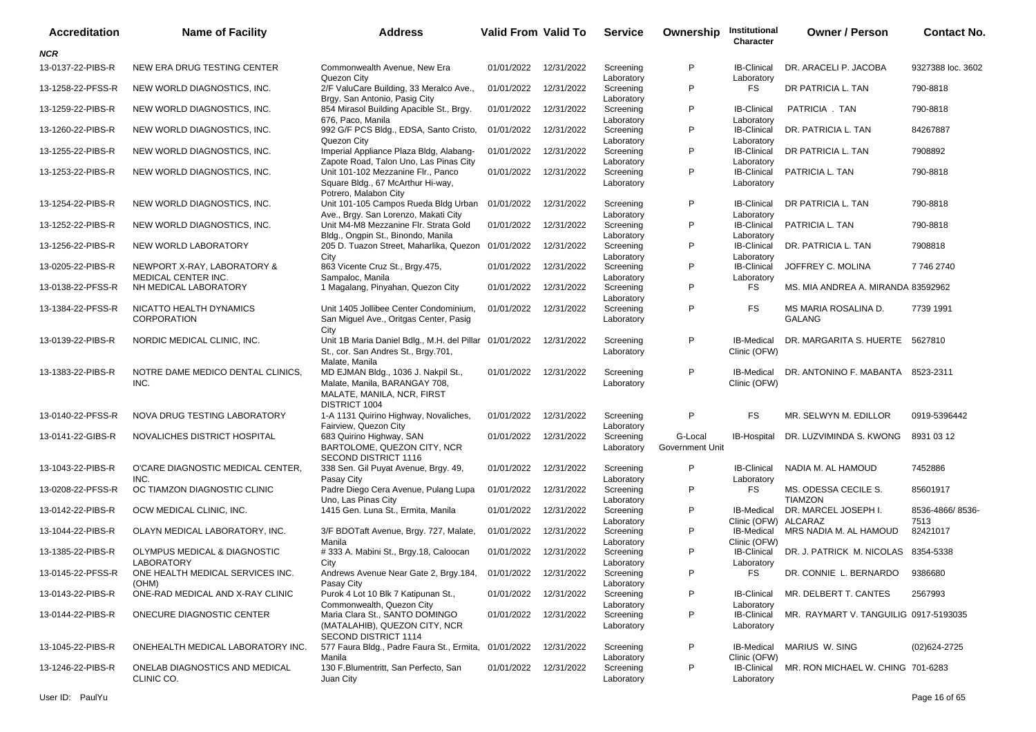| <b>Accreditation</b> | <b>Name of Facility</b>                            | <b>Address</b>                                                                                                      | Valid From Valid To   |            | <b>Service</b>          | Ownership                  | Institutional<br>Character         | <b>Owner / Person</b>                  | <b>Contact No.</b>      |
|----------------------|----------------------------------------------------|---------------------------------------------------------------------------------------------------------------------|-----------------------|------------|-------------------------|----------------------------|------------------------------------|----------------------------------------|-------------------------|
| <b>NCR</b>           |                                                    |                                                                                                                     |                       |            |                         |                            |                                    |                                        |                         |
| 13-0137-22-PIBS-R    | NEW ERA DRUG TESTING CENTER                        | Commonwealth Avenue, New Era<br>Quezon City                                                                         | 01/01/2022            | 12/31/2022 | Screening<br>Laboratory | P                          | <b>IB-Clinical</b><br>Laboratory   | DR. ARACELI P. JACOBA                  | 9327388 loc. 3602       |
| 13-1258-22-PFSS-R    | NEW WORLD DIAGNOSTICS. INC.                        | 2/F ValuCare Building, 33 Meralco Ave.,<br>Brgy. San Antonio, Pasig City                                            | 01/01/2022            | 12/31/2022 | Screening<br>Laboratory | P                          | <b>FS</b>                          | DR PATRICIA L. TAN                     | 790-8818                |
| 13-1259-22-PIBS-R    | NEW WORLD DIAGNOSTICS, INC.                        | 854 Mirasol Building Apacible St., Brgy.<br>676, Paco, Manila                                                       | 01/01/2022            | 12/31/2022 | Screening<br>Laboratory | P                          | <b>IB-Clinical</b><br>Laboratory   | PATRICIA . TAN                         | 790-8818                |
| 13-1260-22-PIBS-R    | NEW WORLD DIAGNOSTICS, INC.                        | 992 G/F PCS Bldg., EDSA, Santo Cristo,<br>Quezon City                                                               | 01/01/2022            | 12/31/2022 | Screening<br>Laboratory | P                          | <b>IB-Clinical</b><br>Laboratory   | DR. PATRICIA L. TAN                    | 84267887                |
| 13-1255-22-PIBS-R    | NEW WORLD DIAGNOSTICS. INC.                        | Imperial Appliance Plaza Bldg, Alabang-<br>Zapote Road, Talon Uno, Las Pinas City                                   | 01/01/2022            | 12/31/2022 | Screening<br>Laboratory | P                          | <b>IB-Clinical</b><br>Laboratory   | DR PATRICIA L. TAN                     | 7908892                 |
| 13-1253-22-PIBS-R    | NEW WORLD DIAGNOSTICS, INC.                        | Unit 101-102 Mezzanine Flr., Panco<br>Square Bldg., 67 McArthur Hi-way,<br>Potrero, Malabon City                    | 01/01/2022            | 12/31/2022 | Screening<br>Laboratory | P                          | <b>IB-Clinical</b><br>Laboratory   | PATRICIA L. TAN                        | 790-8818                |
| 13-1254-22-PIBS-R    | NEW WORLD DIAGNOSTICS, INC.                        | Unit 101-105 Campos Rueda Bldg Urban<br>Ave., Brgy. San Lorenzo, Makati City                                        | 01/01/2022            | 12/31/2022 | Screening<br>Laboratory | P                          | <b>IB-Clinical</b><br>Laboratory   | DR PATRICIA L. TAN                     | 790-8818                |
| 13-1252-22-PIBS-R    | NEW WORLD DIAGNOSTICS, INC.                        | Unit M4-M8 Mezzanine Flr. Strata Gold<br>Bldg., Ongpin St., Binondo, Manila                                         | 01/01/2022            | 12/31/2022 | Screening<br>Laboratory | P                          | <b>IB-Clinical</b><br>Laboratory   | PATRICIA L. TAN                        | 790-8818                |
| 13-1256-22-PIBS-R    | NEW WORLD LABORATORY                               | 205 D. Tuazon Street, Maharlika, Quezon 01/01/2022<br>City                                                          |                       | 12/31/2022 | Screening<br>Laboratory | P                          | <b>IB-Clinical</b><br>Laboratory   | DR. PATRICIA L. TAN                    | 7908818                 |
| 13-0205-22-PIBS-R    | NEWPORT X-RAY, LABORATORY &<br>MEDICAL CENTER INC. | 863 Vicente Cruz St., Brgy.475,<br>Sampaloc, Manila                                                                 | 01/01/2022            | 12/31/2022 | Screening<br>Laboratory | P                          | <b>IB-Clinical</b><br>Laboratory   | JOFFREY C. MOLINA                      | 77462740                |
| 13-0138-22-PFSS-R    | NH MEDICAL LABORATORY                              | 1 Magalang, Pinyahan, Quezon City                                                                                   | 01/01/2022            | 12/31/2022 | Screening<br>Laboratory | P                          | <b>FS</b>                          | MS. MIA ANDREA A. MIRANDA 83592962     |                         |
| 13-1384-22-PFSS-R    | NICATTO HEALTH DYNAMICS<br><b>CORPORATION</b>      | Unit 1405 Jollibee Center Condominium,<br>San Miguel Ave., Oritgas Center, Pasig<br>City                            | 01/01/2022            | 12/31/2022 | Screening<br>Laboratory | P                          | <b>FS</b>                          | MS MARIA ROSALINA D.<br><b>GALANG</b>  | 7739 1991               |
| 13-0139-22-PIBS-R    | NORDIC MEDICAL CLINIC, INC.                        | Unit 1B Maria Daniel Bdlg., M.H. del Pillar 01/01/2022<br>St., cor. San Andres St., Brgy.701,<br>Malate, Manila     |                       | 12/31/2022 | Screening<br>Laboratory | P                          | IB-Medical<br>Clinic (OFW)         | DR. MARGARITA S. HUERTE 5627810        |                         |
| 13-1383-22-PIBS-R    | NOTRE DAME MEDICO DENTAL CLINICS.<br>INC.          | MD EJMAN Bldg., 1036 J. Nakpil St.,<br>Malate, Manila, BARANGAY 708,<br>MALATE, MANILA, NCR, FIRST<br>DISTRICT 1004 | 01/01/2022 12/31/2022 |            | Screening<br>Laboratory | P                          | <b>IB-Medical</b><br>Clinic (OFW)  | DR. ANTONINO F. MABANTA 8523-2311      |                         |
| 13-0140-22-PFSS-R    | NOVA DRUG TESTING LABORATORY                       | 1-A 1131 Quirino Highway, Novaliches,<br>Fairview, Quezon City                                                      | 01/01/2022            | 12/31/2022 | Screening<br>Laboratory | P                          | <b>FS</b>                          | MR. SELWYN M. EDILLOR                  | 0919-5396442            |
| 13-0141-22-GIBS-R    | NOVALICHES DISTRICT HOSPITAL                       | 683 Quirino Highway, SAN<br>BARTOLOME, QUEZON CITY, NCR<br>SECOND DISTRICT 1116                                     | 01/01/2022            | 12/31/2022 | Screening<br>Laboratory | G-Local<br>Government Unit | <b>IB-Hospital</b>                 | DR. LUZVIMINDA S. KWONG                | 8931 03 12              |
| 13-1043-22-PIBS-R    | O'CARE DIAGNOSTIC MEDICAL CENTER.<br>INC.          | 338 Sen. Gil Puyat Avenue, Brgy. 49,<br>Pasay City                                                                  | 01/01/2022            | 12/31/2022 | Screening<br>Laboratory | P                          | <b>IB-Clinical</b><br>Laboratory   | NADIA M. AL HAMOUD                     | 7452886                 |
| 13-0208-22-PFSS-R    | OC TIAMZON DIAGNOSTIC CLINIC                       | Padre Diego Cera Avenue, Pulang Lupa<br>Uno, Las Pinas City                                                         | 01/01/2022            | 12/31/2022 | Screening<br>Laboratory | P                          | FS                                 | MS. ODESSA CECILE S.<br><b>TIAMZON</b> | 85601917                |
| 13-0142-22-PIBS-R    | OCW MEDICAL CLINIC, INC.                           | 1415 Gen. Luna St., Ermita, Manila                                                                                  | 01/01/2022            | 12/31/2022 | Screening<br>Laboratory | P                          | IB-Medical<br>Clinic (OFW) ALCARAZ | DR. MARCEL JOSEPH I.                   | 8536-4866/8536-<br>7513 |
| 13-1044-22-PIBS-R    | OLAYN MEDICAL LABORATORY, INC.                     | 3/F BDOTaft Avenue, Brgy. 727, Malate,<br>Manila                                                                    | 01/01/2022            | 12/31/2022 | Screening<br>Laboratory | P                          | IB-Medical<br>Clinic (OFW)         | MRS NADIA M. AL HAMOUD                 | 82421017                |
| 13-1385-22-PIBS-R    | OLYMPUS MEDICAL & DIAGNOSTIC<br><b>LABORATORY</b>  | # 333 A. Mabini St., Brgy.18, Caloocan<br>City                                                                      | 01/01/2022            | 12/31/2022 | Screening<br>Laboratory | P                          | <b>IB-Clinical</b><br>Laboratory   | DR. J. PATRICK M. NICOLAS              | 8354-5338               |
| 13-0145-22-PFSS-R    | ONE HEALTH MEDICAL SERVICES INC.<br>(OHM)          | Andrews Avenue Near Gate 2, Brgy.184, 01/01/2022 12/31/2022<br>Pasay City                                           |                       |            | Screening<br>Laboratory | Þ                          | FS                                 | DR. CONNIE L. BERNARDO                 | 9386680                 |
| 13-0143-22-PIBS-R    | ONE-RAD MEDICAL AND X-RAY CLINIC                   | Purok 4 Lot 10 Blk 7 Katipunan St.,<br>Commonwealth, Quezon City                                                    | 01/01/2022 12/31/2022 |            | Screening<br>Laboratory | P                          | <b>IB-Clinical</b><br>Laboratory   | MR. DELBERT T. CANTES                  | 2567993                 |
| 13-0144-22-PIBS-R    | ONECURE DIAGNOSTIC CENTER                          | Maria Clara St., SANTO DOMINGO<br>(MATALAHIB), QUEZON CITY, NCR<br>SECOND DISTRICT 1114                             | 01/01/2022 12/31/2022 |            | Screening<br>Laboratory | P                          | <b>IB-Clinical</b><br>Laboratory   | MR. RAYMART V. TANGUILIG 0917-5193035  |                         |
| 13-1045-22-PIBS-R    | ONEHEALTH MEDICAL LABORATORY INC.                  | 577 Faura Bldg., Padre Faura St., Ermita,<br>Manila                                                                 | 01/01/2022            | 12/31/2022 | Screening<br>Laboratory | P                          | IB-Medical<br>Clinic (OFW)         | MARIUS W. SING                         | $(02)624 - 2725$        |
| 13-1246-22-PIBS-R    | ONELAB DIAGNOSTICS AND MEDICAL<br>CLINIC CO.       | 130 F.Blumentritt, San Perfecto, San<br>Juan City                                                                   | 01/01/2022 12/31/2022 |            | Screening<br>Laboratory | P                          | <b>IB-Clinical</b><br>Laboratory   | MR. RON MICHAEL W. CHING 701-6283      |                         |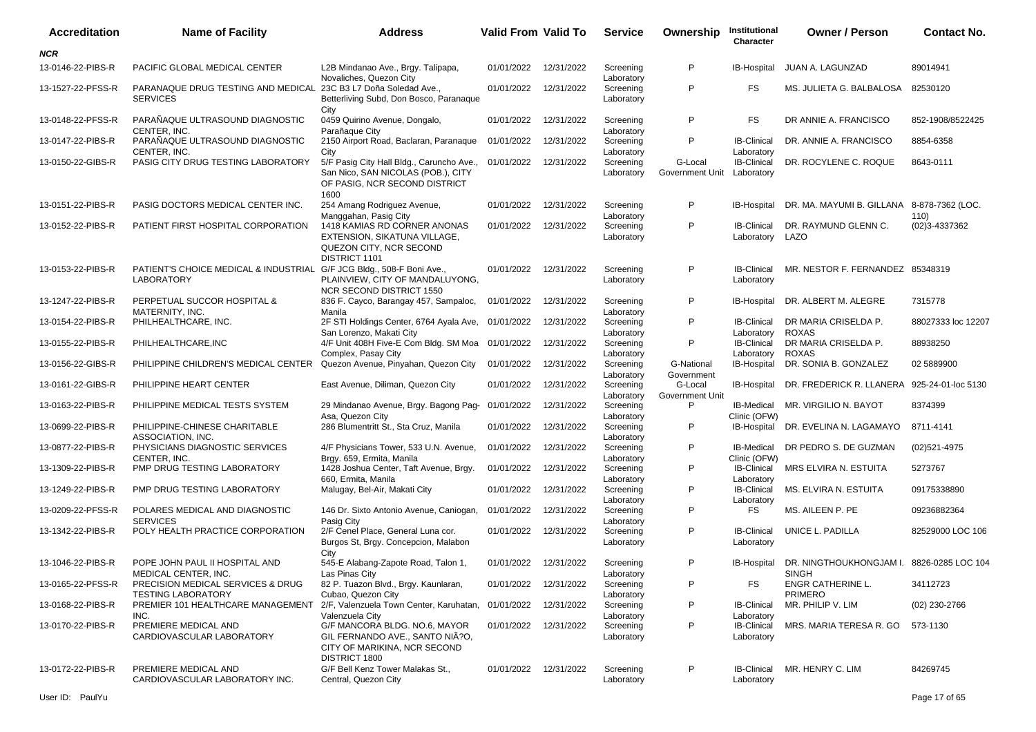| <b>Accreditation</b> | <b>Name of Facility</b>                                                                    | <b>Address</b>                                                                                                           | <b>Valid From Valid To</b> |                       | <b>Service</b>                        | Ownership                  | Institutional<br><b>Character</b>              | <b>Owner / Person</b>                              | <b>Contact No.</b> |
|----------------------|--------------------------------------------------------------------------------------------|--------------------------------------------------------------------------------------------------------------------------|----------------------------|-----------------------|---------------------------------------|----------------------------|------------------------------------------------|----------------------------------------------------|--------------------|
| <b>NCR</b>           |                                                                                            |                                                                                                                          |                            |                       |                                       |                            |                                                |                                                    |                    |
| 13-0146-22-PIBS-R    | PACIFIC GLOBAL MEDICAL CENTER                                                              | L2B Mindanao Ave., Brgy. Talipapa,<br>Novaliches, Quezon City                                                            | 01/01/2022                 | 12/31/2022            | Screening<br>Laboratory               | P                          | IB-Hospital                                    | JUAN A. LAGUNZAD                                   | 89014941           |
| 13-1527-22-PFSS-R    | PARANAQUE DRUG TESTING AND MEDICAL 23C B3 L7 Doña Soledad Ave.,<br><b>SERVICES</b>         | Betterliving Subd, Don Bosco, Paranaque<br>City                                                                          | 01/01/2022                 | 12/31/2022            | Screening<br>Laboratory               | P                          | <b>FS</b>                                      | MS. JULIETA G. BALBALOSA                           | 82530120           |
| 13-0148-22-PFSS-R    | PARAÑAQUE ULTRASOUND DIAGNOSTIC<br>CENTER. INC.                                            | 0459 Quirino Avenue, Dongalo,                                                                                            | 01/01/2022                 | 12/31/2022            | Screening                             | P                          | <b>FS</b>                                      | DR ANNIE A. FRANCISCO                              | 852-1908/8522425   |
| 13-0147-22-PIBS-R    | PARAÑAQUE ULTRASOUND DIAGNOSTIC<br>CENTER, INC.                                            | Parañaque City<br>2150 Airport Road, Baclaran, Paranaque<br>City                                                         | 01/01/2022                 | 12/31/2022            | Laboratory<br>Screening               | P                          | <b>IB-Clinical</b>                             | DR. ANNIE A. FRANCISCO                             | 8854-6358          |
| 13-0150-22-GIBS-R    | PASIG CITY DRUG TESTING LABORATORY                                                         | 5/F Pasig City Hall Bldg., Caruncho Ave.,<br>San Nico, SAN NICOLAS (POB.), CITY<br>OF PASIG, NCR SECOND DISTRICT<br>1600 | 01/01/2022                 | 12/31/2022            | Laboratory<br>Screening<br>Laboratory | G-Local<br>Government Unit | Laboratory<br><b>IB-Clinical</b><br>Laboratory | DR. ROCYLENE C. ROQUE                              | 8643-0111          |
| 13-0151-22-PIBS-R    | PASIG DOCTORS MEDICAL CENTER INC.                                                          | 254 Amang Rodriguez Avenue,<br>Manggahan, Pasig City                                                                     | 01/01/2022                 | 12/31/2022            | Screening<br>Laboratory               | P                          | IB-Hospital                                    | DR. MA. MAYUMI B. GILLANA 8-878-7362 (LOC.         | 110)               |
| 13-0152-22-PIBS-R    | PATIENT FIRST HOSPITAL CORPORATION                                                         | 1418 KAMIAS RD CORNER ANONAS<br>EXTENSION, SIKATUNA VILLAGE,<br>QUEZON CITY, NCR SECOND<br>DISTRICT 1101                 | 01/01/2022                 | 12/31/2022            | Screening<br>Laboratory               | P                          | <b>IB-Clinical</b><br>Laboratory               | DR. RAYMUND GLENN C.<br>LAZO                       | (02) 3-4337362     |
| 13-0153-22-PIBS-R    | PATIENT'S CHOICE MEDICAL & INDUSTRIAL G/F JCG Bldg., 508-F Boni Ave.,<br><b>LABORATORY</b> | PLAINVIEW, CITY OF MANDALUYONG,<br>NCR SECOND DISTRICT 1550                                                              | 01/01/2022                 | 12/31/2022            | Screening<br>Laboratory               | P                          | <b>IB-Clinical</b><br>Laboratory               | MR. NESTOR F. FERNANDEZ 85348319                   |                    |
| 13-1247-22-PIBS-R    | PERPETUAL SUCCOR HOSPITAL &<br>MATERNITY, INC.                                             | 836 F. Cayco, Barangay 457, Sampaloc,<br>Manila                                                                          | 01/01/2022                 | 12/31/2022            | Screening<br>Laboratory               | P                          | IB-Hospital                                    | DR. ALBERT M. ALEGRE                               | 7315778            |
| 13-0154-22-PIBS-R    | PHILHEALTHCARE, INC.                                                                       | 2F STI Holdings Center, 6764 Ayala Ave, 01/01/2022<br>San Lorenzo, Makati City                                           |                            | 12/31/2022            | Screening<br>Laboratory               | P                          | <b>IB-Clinical</b><br>Laboratory               | DR MARIA CRISELDA P.<br><b>ROXAS</b>               | 88027333 loc 12207 |
| 13-0155-22-PIBS-R    | PHILHEALTHCARE, INC                                                                        | 4/F Unit 408H Five-E Com Bldg. SM Moa 01/01/2022<br>Complex, Pasay City                                                  |                            | 12/31/2022            | Screening<br>Laboratory               | P                          | <b>IB-Clinical</b><br>Laboratory               | DR MARIA CRISELDA P.<br><b>ROXAS</b>               | 88938250           |
| 13-0156-22-GIBS-R    | PHILIPPINE CHILDREN'S MEDICAL CENTER                                                       | Quezon Avenue, Pinyahan, Quezon City                                                                                     | 01/01/2022                 | 12/31/2022            | Screening<br>Laboratory               | G-National<br>Government   | IB-Hospital                                    | DR. SONIA B. GONZALEZ                              | 02 5889900         |
| 13-0161-22-GIBS-R    | PHILIPPINE HEART CENTER                                                                    | East Avenue, Diliman, Quezon City                                                                                        | 01/01/2022                 | 12/31/2022            | Screening<br>Laboratory               | G-Local<br>Government Unit | IB-Hospital                                    | DR. FREDERICK R. LLANERA 925-24-01-loc 5130        |                    |
| 13-0163-22-PIBS-R    | PHILIPPINE MEDICAL TESTS SYSTEM                                                            | 29 Mindanao Avenue, Brgy. Bagong Pag-<br>Asa, Quezon City                                                                | 01/01/2022                 | 12/31/2022            | Screening<br>Laboratory               | P                          | IB-Medical<br>Clinic (OFW)                     | MR. VIRGILIO N. BAYOT                              | 8374399            |
| 13-0699-22-PIBS-R    | PHILIPPINE-CHINESE CHARITABLE<br>ASSOCIATION, INC.                                         | 286 Blumentritt St., Sta Cruz, Manila                                                                                    | 01/01/2022                 | 12/31/2022            | Screening<br>Laboratory               | P                          | IB-Hospital                                    | DR. EVELINA N. LAGAMAYO                            | 8711-4141          |
| 13-0877-22-PIBS-R    | PHYSICIANS DIAGNOSTIC SERVICES<br>CENTER, INC.                                             | 4/F Physicians Tower, 533 U.N. Avenue,<br>Brgy. 659, Ermita, Manila                                                      | 01/01/2022                 | 12/31/2022            | Screening<br>Laboratory               | P                          | <b>IB-Medical</b><br>Clinic (OFW)              | DR PEDRO S. DE GUZMAN                              | (02)521-4975       |
| 13-1309-22-PIBS-R    | PMP DRUG TESTING LABORATORY                                                                | 1428 Joshua Center, Taft Avenue, Brgy.<br>660, Ermita, Manila                                                            | 01/01/2022                 | 12/31/2022            | Screening<br>Laboratory               | P                          | <b>IB-Clinical</b><br>Laboratory               | MRS ELVIRA N. ESTUITA                              | 5273767            |
| 13-1249-22-PIBS-R    | PMP DRUG TESTING LABORATORY                                                                | Malugay, Bel-Air, Makati City                                                                                            | 01/01/2022                 | 12/31/2022            | Screening<br>Laboratory               | P                          | <b>IB-Clinical</b><br>Laboratory               | MS. ELVIRA N. ESTUITA                              | 09175338890        |
| 13-0209-22-PFSS-R    | POLARES MEDICAL AND DIAGNOSTIC<br><b>SERVICES</b>                                          | 146 Dr. Sixto Antonio Avenue, Caniogan,<br>Pasig City                                                                    | 01/01/2022                 | 12/31/2022            | Screening<br>Laboratory               | P                          | <b>FS</b>                                      | MS. AILEEN P. PE                                   | 09236882364        |
| 13-1342-22-PIBS-R    | POLY HEALTH PRACTICE CORPORATION                                                           | 2/F Cenel Place, General Luna cor.<br>Burgos St, Brgy. Concepcion, Malabon<br>City                                       | 01/01/2022                 | 12/31/2022            | Screening<br>Laboratory               | P                          | <b>IB-Clinical</b><br>Laboratory               | UNICE L. PADILLA                                   | 82529000 LOC 106   |
| 13-1046-22-PIBS-R    | POPE JOHN PAUL II HOSPITAL AND<br>MEDICAL CENTER, INC.                                     | 545-E Alabang-Zapote Road, Talon 1,<br>Las Pinas City                                                                    |                            | 01/01/2022 12/31/2022 | Screening<br>Laboratory               | P                          | IB-Hospital                                    | DR. NINGTHOUKHONGJAM I. 8826-0285 LOC 104<br>SINGH |                    |
| 13-0165-22-PFSS-R    | PRECISION MEDICAL SERVICES & DRUG<br><b>TESTING LABORATORY</b>                             | 82 P. Tuazon Blvd., Brgy. Kaunlaran,<br>Cubao, Quezon City                                                               | 01/01/2022                 | 12/31/2022            | Screening<br>Laboratory               | P                          | FS                                             | ENGR CATHERINE L.<br><b>PRIMERO</b>                | 34112723           |
| 13-0168-22-PIBS-R    | PREMIER 101 HEALTHCARE MANAGEMENT 2/F, Valenzuela Town Center, Karuhatan,<br>INC.          | Valenzuela City                                                                                                          | 01/01/2022                 | 12/31/2022            | Screening<br>Laboratory               | P                          | <b>IB-Clinical</b><br>Laboratory               | MR. PHILIP V. LIM                                  | $(02)$ 230-2766    |
| 13-0170-22-PIBS-R    | PREMIERE MEDICAL AND<br>CARDIOVASCULAR LABORATORY                                          | G/F MANCORA BLDG. NO.6, MAYOR<br>GIL FERNANDO AVE., SANTO NIÃ?O,<br>CITY OF MARIKINA, NCR SECOND<br>DISTRICT 1800        | 01/01/2022 12/31/2022      |                       | Screening<br>Laboratory               | P                          | <b>IB-Clinical</b><br>Laboratory               | MRS. MARIA TERESA R. GO                            | 573-1130           |
| 13-0172-22-PIBS-R    | PREMIERE MEDICAL AND<br>CARDIOVASCULAR LABORATORY INC.                                     | G/F Bell Kenz Tower Malakas St.,<br>Central, Quezon City                                                                 |                            | 01/01/2022 12/31/2022 | Screening<br>Laboratory               | P                          | <b>IB-Clinical</b><br>Laboratory               | MR. HENRY C. LIM                                   | 84269745           |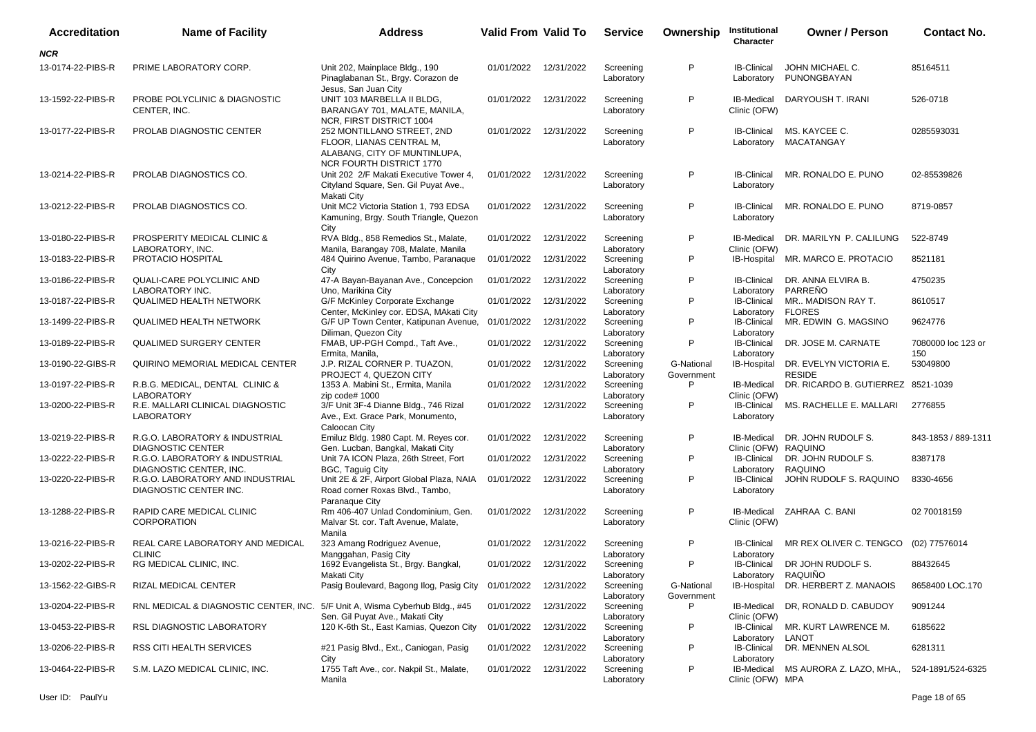| Accreditation     | <b>Name of Facility</b>                                                     | <b>Address</b>                                                                                                            | <b>Valid From Valid To</b> |            | <b>Service</b>          | Ownership                | Institutional<br>Character         | <b>Owner / Person</b>                   | <b>Contact No.</b>        |
|-------------------|-----------------------------------------------------------------------------|---------------------------------------------------------------------------------------------------------------------------|----------------------------|------------|-------------------------|--------------------------|------------------------------------|-----------------------------------------|---------------------------|
| <b>NCR</b>        |                                                                             |                                                                                                                           |                            |            |                         |                          |                                    |                                         |                           |
| 13-0174-22-PIBS-R | PRIME LABORATORY CORP.                                                      | Unit 202, Mainplace Bldg., 190<br>Pinaglabanan St., Brgy. Corazon de<br>Jesus, San Juan City                              | 01/01/2022                 | 12/31/2022 | Screening<br>Laboratory | P                        | <b>IB-Clinical</b><br>Laboratory   | JOHN MICHAEL C.<br>PUNONGBAYAN          | 85164511                  |
| 13-1592-22-PIBS-R | PROBE POLYCLINIC & DIAGNOSTIC<br>CENTER, INC.                               | UNIT 103 MARBELLA II BLDG,<br>BARANGAY 701, MALATE, MANILA,<br>NCR, FIRST DISTRICT 1004                                   | 01/01/2022                 | 12/31/2022 | Screening<br>Laboratory | P                        | <b>IB-Medical</b><br>Clinic (OFW)  | DARYOUSH T. IRANI                       | 526-0718                  |
| 13-0177-22-PIBS-R | PROLAB DIAGNOSTIC CENTER                                                    | 252 MONTILLANO STREET, 2ND<br>FLOOR, LIANAS CENTRAL M,<br>ALABANG, CITY OF MUNTINLUPA,<br><b>NCR FOURTH DISTRICT 1770</b> | 01/01/2022                 | 12/31/2022 | Screening<br>Laboratory | P                        | <b>IB-Clinical</b><br>Laboratory   | MS. KAYCEE C.<br>MACATANGAY             | 0285593031                |
| 13-0214-22-PIBS-R | PROLAB DIAGNOSTICS CO.                                                      | Unit 202 2/F Makati Executive Tower 4,<br>Cityland Square, Sen. Gil Puyat Ave.,<br>Makati City                            | 01/01/2022                 | 12/31/2022 | Screening<br>Laboratory | P                        | <b>IB-Clinical</b><br>Laboratory   | MR. RONALDO E. PUNO                     | 02-85539826               |
| 13-0212-22-PIBS-R | PROLAB DIAGNOSTICS CO.                                                      | Unit MC2 Victoria Station 1, 793 EDSA<br>Kamuning, Brgy. South Triangle, Quezon<br>City                                   | 01/01/2022                 | 12/31/2022 | Screening<br>Laboratory | P                        | <b>IB-Clinical</b><br>Laboratory   | MR. RONALDO E. PUNO                     | 8719-0857                 |
| 13-0180-22-PIBS-R | PROSPERITY MEDICAL CLINIC &<br>LABORATORY, INC.                             | RVA Bldg., 858 Remedios St., Malate,<br>Manila, Barangay 708, Malate, Manila                                              | 01/01/2022                 | 12/31/2022 | Screening<br>Laboratory | P                        | IB-Medical<br>Clinic (OFW)         | DR. MARILYN P. CALILUNG                 | 522-8749                  |
| 13-0183-22-PIBS-R | PROTACIO HOSPITAL                                                           | 484 Quirino Avenue, Tambo, Paranaque<br>City                                                                              | 01/01/2022                 | 12/31/2022 | Screening<br>Laboratory | P                        | IB-Hospital                        | MR. MARCO E. PROTACIO                   | 8521181                   |
| 13-0186-22-PIBS-R | QUALI-CARE POLYCLINIC AND<br><b>LABORATORY INC.</b>                         | 47-A Bayan-Bayanan Ave., Concepcion<br>Uno, Marikina City                                                                 | 01/01/2022                 | 12/31/2022 | Screening<br>Laboratory | P                        | <b>IB-Clinical</b><br>Laboratory   | DR. ANNA ELVIRA B.<br>PARREÑO           | 4750235                   |
| 13-0187-22-PIBS-R | <b>QUALIMED HEALTH NETWORK</b>                                              | G/F McKinley Corporate Exchange<br>Center, McKinley cor. EDSA, MAkati City                                                | 01/01/2022                 | 12/31/2022 | Screening<br>Laboratory | P                        | <b>IB-Clinical</b><br>Laboratory   | MR MADISON RAY T.<br><b>FLORES</b>      | 8610517                   |
| 13-1499-22-PIBS-R | <b>QUALIMED HEALTH NETWORK</b>                                              | G/F UP Town Center, Katipunan Avenue,<br>Diliman, Quezon City                                                             | 01/01/2022                 | 12/31/2022 | Screening<br>Laboratory | P                        | <b>IB-Clinical</b><br>Laboratory   | MR. EDWIN G. MAGSINO                    | 9624776                   |
| 13-0189-22-PIBS-R | <b>QUALIMED SURGERY CENTER</b>                                              | FMAB, UP-PGH Compd., Taft Ave.,<br>Ermita, Manila,                                                                        | 01/01/2022                 | 12/31/2022 | Screening<br>Laboratory | P                        | <b>IB-Clinical</b><br>Laboratory   | DR. JOSE M. CARNATE                     | 7080000 loc 123 or<br>150 |
| 13-0190-22-GIBS-R | QUIRINO MEMORIAL MEDICAL CENTER                                             | J.P. RIZAL CORNER P. TUAZON,<br>PROJECT 4, QUEZON CITY                                                                    | 01/01/2022                 | 12/31/2022 | Screening<br>Laboratory | G-National<br>Government | IB-Hospital                        | DR. EVELYN VICTORIA E.<br><b>RESIDE</b> | 53049800                  |
| 13-0197-22-PIBS-R | R.B.G. MEDICAL, DENTAL CLINIC &<br><b>LABORATORY</b>                        | 1353 A. Mabini St., Ermita, Manila<br>zip code# 1000                                                                      | 01/01/2022                 | 12/31/2022 | Screening<br>Laboratory | P                        | IB-Medical<br>Clinic (OFW)         | DR. RICARDO B. GUTIERREZ 8521-1039      |                           |
| 13-0200-22-PIBS-R | R.E. MALLARI CLINICAL DIAGNOSTIC<br><b>LABORATORY</b>                       | 3/F Unit 3F-4 Dianne Bldg., 746 Rizal<br>Ave., Ext. Grace Park, Monumento,<br>Caloocan City                               | 01/01/2022                 | 12/31/2022 | Screening<br>Laboratory | P                        | <b>IB-Clinical</b><br>Laboratory   | MS. RACHELLE E. MALLARI                 | 2776855                   |
| 13-0219-22-PIBS-R | R.G.O. LABORATORY & INDUSTRIAL<br><b>DIAGNOSTIC CENTER</b>                  | Emiluz Bldg. 1980 Capt. M. Reyes cor.<br>Gen. Lucban, Bangkal, Makati City                                                | 01/01/2022                 | 12/31/2022 | Screening<br>Laboratory | P                        | IB-Medical<br>Clinic (OFW) RAQUINO | DR. JOHN RUDOLF S.                      | 843-1853 / 889-1311       |
| 13-0222-22-PIBS-R | R.G.O. LABORATORY & INDUSTRIAL<br>DIAGNOSTIC CENTER, INC.                   | Unit 7A ICON Plaza, 26th Street, Fort<br>BGC, Taguig City                                                                 | 01/01/2022                 | 12/31/2022 | Screening<br>Laboratory | P                        | <b>IB-Clinical</b><br>Laboratory   | DR. JOHN RUDOLF S.<br>RAQUINO           | 8387178                   |
| 13-0220-22-PIBS-R | R.G.O. LABORATORY AND INDUSTRIAL<br>DIAGNOSTIC CENTER INC.                  | Unit 2E & 2F, Airport Global Plaza, NAIA<br>Road corner Roxas Blvd., Tambo,<br>Paranaque City                             | 01/01/2022                 | 12/31/2022 | Screening<br>Laboratory | P                        | <b>IB-Clinical</b><br>Laboratory   | JOHN RUDOLF S. RAQUINO                  | 8330-4656                 |
| 13-1288-22-PIBS-R | RAPID CARE MEDICAL CLINIC<br><b>CORPORATION</b>                             | Rm 406-407 Unlad Condominium, Gen.<br>Malvar St. cor. Taft Avenue, Malate,<br>Manila                                      | 01/01/2022                 | 12/31/2022 | Screening<br>Laboratory | P                        | IB-Medical<br>Clinic (OFW)         | ZAHRAA C. BANI                          | 02 70018159               |
| 13-0216-22-PIBS-R | REAL CARE LABORATORY AND MEDICAL<br><b>CLINIC</b>                           | 323 Amang Rodriguez Avenue,<br>Manggahan, Pasig City                                                                      | 01/01/2022                 | 12/31/2022 | Screening<br>Laboratory | P                        | <b>IB-Clinical</b><br>Laboratory   | MR REX OLIVER C. TENGCO                 | (02) 77576014             |
| 13-0202-22-PIBS-R | RG MEDICAL CLINIC, INC.                                                     | 1692 Evangelista St., Brgy. Bangkal,<br>Makati City                                                                       | 01/01/2022 12/31/2022      |            | Screening<br>Laboratory | P                        | <b>IB-Clinical</b><br>Laboratory   | DR JOHN RUDOLF S.<br>RAQUIÑO            | 88432645                  |
| 13-1562-22-GIBS-R | RIZAL MEDICAL CENTER                                                        | Pasig Boulevard, Bagong Ilog, Pasig City                                                                                  | 01/01/2022                 | 12/31/2022 | Screening<br>Laboratory | G-National<br>Government | IB-Hospital                        | DR. HERBERT Z. MANAOIS                  | 8658400 LOC.170           |
| 13-0204-22-PIBS-R | RNL MEDICAL & DIAGNOSTIC CENTER, INC. 5/F Unit A, Wisma Cyberhub Bldg., #45 | Sen. Gil Puyat Ave., Makati City                                                                                          | 01/01/2022                 | 12/31/2022 | Screening<br>Laboratory | P                        | IB-Medical<br>Clinic (OFW)         | DR, RONALD D. CABUDOY                   | 9091244                   |
| 13-0453-22-PIBS-R | RSL DIAGNOSTIC LABORATORY                                                   | 120 K-6th St., East Kamias, Quezon City                                                                                   | 01/01/2022                 | 12/31/2022 | Screening<br>Laboratory | P                        | <b>IB-Clinical</b><br>Laboratory   | MR. KURT LAWRENCE M.<br>LANOT           | 6185622                   |
| 13-0206-22-PIBS-R | RSS CITI HEALTH SERVICES                                                    | #21 Pasig Blvd., Ext., Caniogan, Pasig<br>City                                                                            | 01/01/2022                 | 12/31/2022 | Screening<br>Laboratory | P                        | <b>IB-Clinical</b><br>Laboratory   | DR. MENNEN ALSOL                        | 6281311                   |
| 13-0464-22-PIBS-R | S.M. LAZO MEDICAL CLINIC, INC.                                              | 1755 Taft Ave., cor. Nakpil St., Malate,<br>Manila                                                                        | 01/01/2022                 | 12/31/2022 | Screening<br>Laboratory | P                        | IB-Medical<br>Clinic (OFW) MPA     | MS AURORA Z. LAZO, MHA.,                | 524-1891/524-6325         |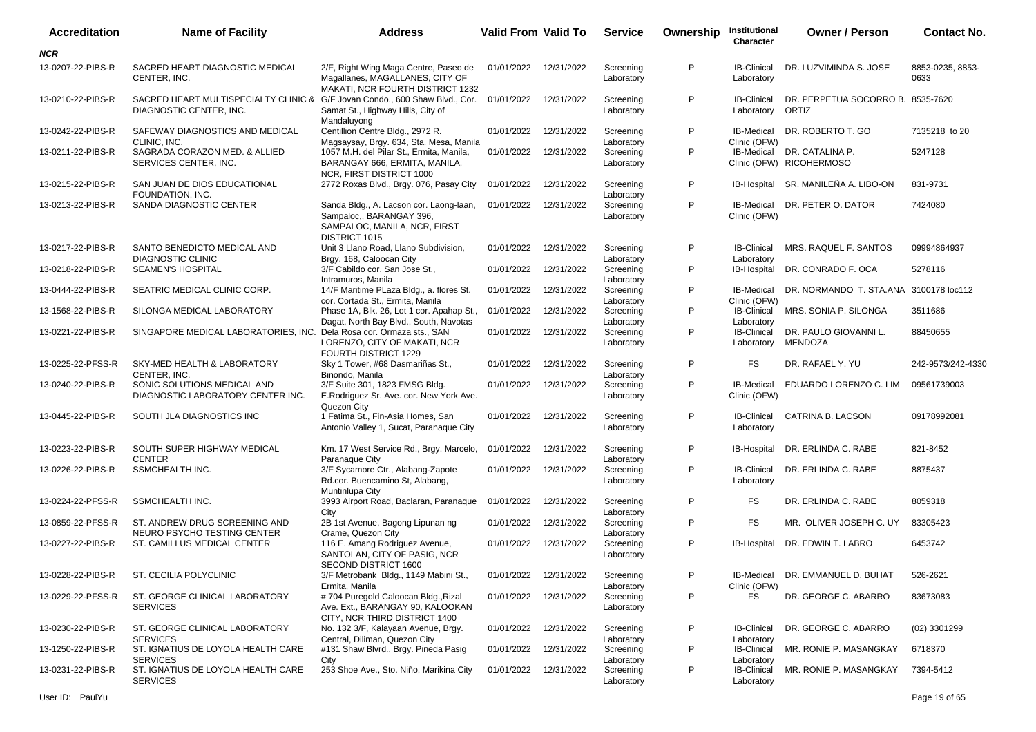| <b>Accreditation</b> | <b>Name of Facility</b>                                                                                | <b>Address</b>                                                                                                       | <b>Valid From Valid To</b> |            | <b>Service</b>          | Ownership | Institutional<br>Character        | <b>Owner / Person</b>                                  | <b>Contact No.</b>       |
|----------------------|--------------------------------------------------------------------------------------------------------|----------------------------------------------------------------------------------------------------------------------|----------------------------|------------|-------------------------|-----------|-----------------------------------|--------------------------------------------------------|--------------------------|
| <b>NCR</b>           |                                                                                                        |                                                                                                                      |                            |            |                         |           |                                   |                                                        |                          |
| 13-0207-22-PIBS-R    | SACRED HEART DIAGNOSTIC MEDICAL<br>CENTER, INC.                                                        | 2/F, Right Wing Maga Centre, Paseo de<br>Magallanes, MAGALLANES, CITY OF<br>MAKATI, NCR FOURTH DISTRICT 1232         | 01/01/2022 12/31/2022      |            | Screening<br>Laboratory | P         | <b>IB-Clinical</b><br>Laboratory  | DR. LUZVIMINDA S. JOSE                                 | 8853-0235, 8853-<br>0633 |
| 13-0210-22-PIBS-R    | SACRED HEART MULTISPECIALTY CLINIC & G/F Jovan Condo., 600 Shaw Blvd., Cor.<br>DIAGNOSTIC CENTER, INC. | Samat St., Highway Hills, City of<br>Mandaluyong                                                                     | 01/01/2022                 | 12/31/2022 | Screening<br>Laboratory | P         | <b>IB-Clinical</b><br>Laboratory  | DR. PERPETUA SOCORRO B. 8535-7620<br>ORTIZ             |                          |
| 13-0242-22-PIBS-R    | SAFEWAY DIAGNOSTICS AND MEDICAL<br>CLINIC, INC.                                                        | Centillion Centre Bldg., 2972 R.<br>Magsaysay, Brgy. 634, Sta. Mesa, Manila                                          | 01/01/2022                 | 12/31/2022 | Screening<br>Laboratory | P         | <b>IB-Medical</b><br>Clinic (OFW) | DR. ROBERTO T. GO                                      | 7135218 to 20            |
| 13-0211-22-PIBS-R    | SAGRADA CORAZON MED. & ALLIED<br>SERVICES CENTER. INC.                                                 | 1057 M.H. del Pilar St., Ermita, Manila,<br>BARANGAY 666, ERMITA, MANILA,<br>NCR, FIRST DISTRICT 1000                | 01/01/2022                 | 12/31/2022 | Screening<br>Laboratory | P         |                                   | IB-Medical DR. CATALINA P.<br>Clinic (OFW) RICOHERMOSO | 5247128                  |
| 13-0215-22-PIBS-R    | SAN JUAN DE DIOS EDUCATIONAL<br>FOUNDATION, INC.                                                       | 2772 Roxas Blvd., Brgy. 076, Pasay City                                                                              | 01/01/2022                 | 12/31/2022 | Screening<br>Laboratory | P         | IB-Hospital                       | SR. MANILEÑA A. LIBO-ON                                | 831-9731                 |
| 13-0213-22-PIBS-R    | SANDA DIAGNOSTIC CENTER                                                                                | Sanda Bldg., A. Lacson cor. Laong-laan,<br>Sampaloc,, BARANGAY 396,<br>SAMPALOC, MANILA, NCR, FIRST<br>DISTRICT 1015 | 01/01/2022                 | 12/31/2022 | Screening<br>Laboratory | P         | <b>IB-Medical</b><br>Clinic (OFW) | DR. PETER O. DATOR                                     | 7424080                  |
| 13-0217-22-PIBS-R    | SANTO BENEDICTO MEDICAL AND<br><b>DIAGNOSTIC CLINIC</b>                                                | Unit 3 Llano Road, Llano Subdivision,<br>Brgy. 168, Caloocan City                                                    | 01/01/2022                 | 12/31/2022 | Screening<br>Laboratory | P         | <b>IB-Clinical</b><br>Laboratory  | MRS. RAQUEL F. SANTOS                                  | 09994864937              |
| 13-0218-22-PIBS-R    | SEAMEN'S HOSPITAL                                                                                      | 3/F Cabildo cor. San Jose St.,<br>Intramuros, Manila                                                                 | 01/01/2022                 | 12/31/2022 | Screening<br>Laboratory | P         | IB-Hospital                       | DR. CONRADO F. OCA                                     | 5278116                  |
| 13-0444-22-PIBS-R    | SEATRIC MEDICAL CLINIC CORP.                                                                           | 14/F Maritime PLaza Bldg., a. flores St.<br>cor. Cortada St., Ermita, Manila                                         | 01/01/2022                 | 12/31/2022 | Screening<br>Laboratory | P         | <b>IB-Medical</b><br>Clinic (OFW) | DR. NORMANDO T. STA.ANA 3100178 loc112                 |                          |
| 13-1568-22-PIBS-R    | SILONGA MEDICAL LABORATORY                                                                             | Phase 1A, Blk. 26, Lot 1 cor. Apahap St.,<br>Dagat, North Bay Blvd., South, Navotas                                  | 01/01/2022                 | 12/31/2022 | Screening<br>Laboratory | P         | IB-Clinical<br>Laboratory         | MRS. SONIA P. SILONGA                                  | 3511686                  |
| 13-0221-22-PIBS-R    | SINGAPORE MEDICAL LABORATORIES, INC.                                                                   | Dela Rosa cor. Ormaza sts., SAN<br>LORENZO, CITY OF MAKATI, NCR<br>FOURTH DISTRICT 1229                              | 01/01/2022                 | 12/31/2022 | Screening<br>Laboratory | P         | <b>IB-Clinical</b><br>Laboratory  | DR. PAULO GIOVANNI L.<br>MENDOZA                       | 88450655                 |
| 13-0225-22-PFSS-R    | SKY-MED HEALTH & LABORATORY<br>CENTER, INC.                                                            | Sky 1 Tower, #68 Dasmariñas St.,<br>Binondo, Manila                                                                  | 01/01/2022                 | 12/31/2022 | Screening<br>Laboratory | P         | <b>FS</b>                         | DR. RAFAEL Y. YU                                       | 242-9573/242-4330        |
| 13-0240-22-PIBS-R    | SONIC SOLUTIONS MEDICAL AND<br>DIAGNOSTIC LABORATORY CENTER INC.                                       | 3/F Suite 301, 1823 FMSG Bldg.<br>E.Rodriguez Sr. Ave. cor. New York Ave.<br>Quezon City                             | 01/01/2022                 | 12/31/2022 | Screening<br>Laboratory | P         | <b>IB-Medical</b><br>Clinic (OFW) | EDUARDO LORENZO C. LIM                                 | 09561739003              |
| 13-0445-22-PIBS-R    | SOUTH JLA DIAGNOSTICS INC                                                                              | 1 Fatima St., Fin-Asia Homes, San<br>Antonio Valley 1, Sucat, Paranaque City                                         | 01/01/2022                 | 12/31/2022 | Screening<br>Laboratory | P         | <b>IB-Clinical</b><br>Laboratory  | CATRINA B. LACSON                                      | 09178992081              |
| 13-0223-22-PIBS-R    | SOUTH SUPER HIGHWAY MEDICAL<br><b>CENTER</b>                                                           | Km. 17 West Service Rd., Brgy. Marcelo,<br>Paranaque City                                                            | 01/01/2022                 | 12/31/2022 | Screening<br>Laboratory | P         | <b>IB-Hospital</b>                | DR. ERLINDA C. RABE                                    | 821-8452                 |
| 13-0226-22-PIBS-R    | SSMCHEALTH INC.                                                                                        | 3/F Sycamore Ctr., Alabang-Zapote<br>Rd.cor. Buencamino St, Alabang,<br>Muntinlupa City                              | 01/01/2022                 | 12/31/2022 | Screening<br>Laboratory | P         | <b>IB-Clinical</b><br>Laboratory  | DR. ERLINDA C. RABE                                    | 8875437                  |
| 13-0224-22-PFSS-R    | SSMCHEALTH INC.                                                                                        | 3993 Airport Road, Baclaran, Paranaque<br>City                                                                       | 01/01/2022                 | 12/31/2022 | Screening<br>Laboratory | P         | FS                                | DR. ERLINDA C. RABE                                    | 8059318                  |
| 13-0859-22-PFSS-R    | ST. ANDREW DRUG SCREENING AND<br>NEURO PSYCHO TESTING CENTER                                           | 2B 1st Avenue, Bagong Lipunan ng<br>Crame, Quezon City                                                               | 01/01/2022                 | 12/31/2022 | Screening<br>Laboratory | P         | <b>FS</b>                         | MR. OLIVER JOSEPH C. UY                                | 83305423                 |
| 13-0227-22-PIBS-R    | ST. CAMILLUS MEDICAL CENTER                                                                            | 116 E. Amang Rodriguez Avenue,<br>SANTOLAN, CITY OF PASIG, NCR<br>SECOND DISTRICT 1600                               | 01/01/2022                 | 12/31/2022 | Screening<br>Laboratory | P         | IB-Hospital                       | DR. EDWIN T. LABRO                                     | 6453742                  |
| 13-0228-22-PIBS-R    | ST. CECILIA POLYCLINIC                                                                                 | 3/F Metrobank Bldg., 1149 Mabini St.,<br>Ermita, Manila                                                              | 01/01/2022 12/31/2022      |            | Screening<br>Laboratory | P         | Clinic (OFW)                      | IB-Medical DR. EMMANUEL D. BUHAT                       | 526-2621                 |
| 13-0229-22-PFSS-R    | ST. GEORGE CLINICAL LABORATORY<br><b>SERVICES</b>                                                      | #704 Puregold Caloocan Bldg., Rizal<br>Ave. Ext., BARANGAY 90, KALOOKAN<br>CITY, NCR THIRD DISTRICT 1400             | 01/01/2022 12/31/2022      |            | Screening<br>Laboratory | P         | FS                                | DR. GEORGE C. ABARRO                                   | 83673083                 |
| 13-0230-22-PIBS-R    | ST. GEORGE CLINICAL LABORATORY<br><b>SERVICES</b>                                                      | No. 132 3/F, Kalayaan Avenue, Brgy.<br>Central, Diliman, Quezon City                                                 | 01/01/2022                 | 12/31/2022 | Screening<br>Laboratory | P         | <b>IB-Clinical</b><br>Laboratory  | DR. GEORGE C. ABARRO                                   | $(02)$ 3301299           |
| 13-1250-22-PIBS-R    | ST. IGNATIUS DE LOYOLA HEALTH CARE<br><b>SERVICES</b>                                                  | #131 Shaw Blvrd., Brgy. Pineda Pasig<br>City                                                                         | 01/01/2022                 | 12/31/2022 | Screening<br>Laboratory | P         | IB-Clinical<br>Laboratory         | MR. RONIE P. MASANGKAY                                 | 6718370                  |
| 13-0231-22-PIBS-R    | ST. IGNATIUS DE LOYOLA HEALTH CARE<br><b>SERVICES</b>                                                  | 253 Shoe Ave., Sto. Niño, Marikina City                                                                              | 01/01/2022                 | 12/31/2022 | Screening<br>Laboratory | P         | IB-Clinical<br>Laboratory         | MR. RONIE P. MASANGKAY                                 | 7394-5412                |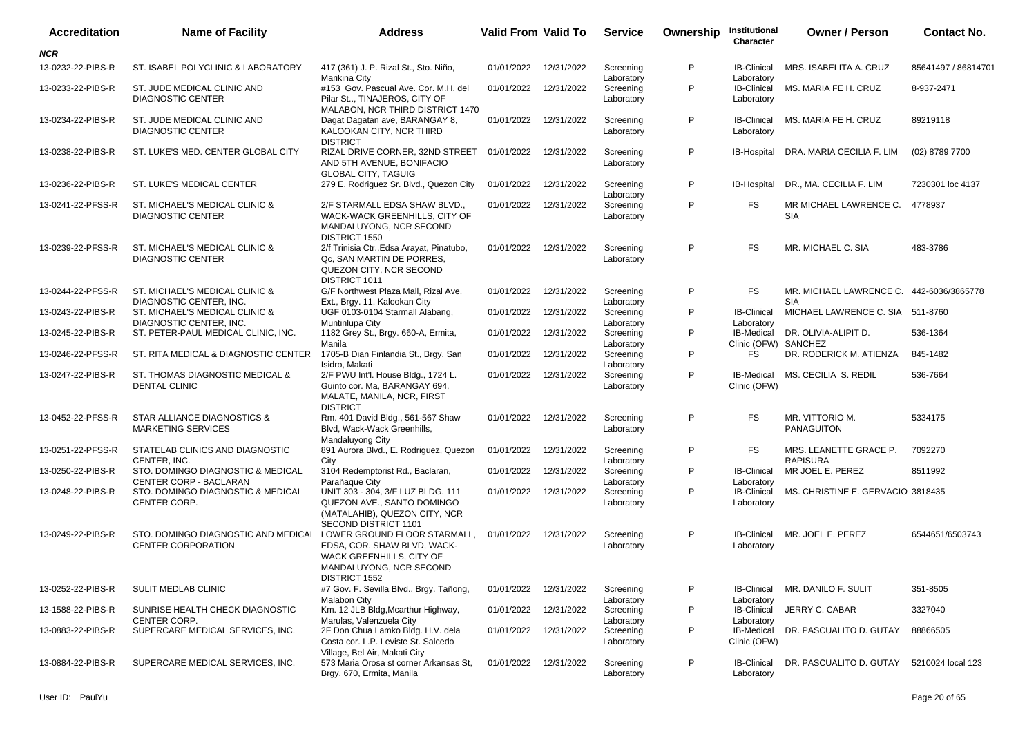| <b>Accreditation</b> | <b>Name of Facility</b>                                                                       | <b>Address</b>                                                                                                            | Valid From Valid To |            | <b>Service</b>          | Ownership | Institutional<br>Character         | <b>Owner / Person</b>                                  | <b>Contact No.</b>  |
|----------------------|-----------------------------------------------------------------------------------------------|---------------------------------------------------------------------------------------------------------------------------|---------------------|------------|-------------------------|-----------|------------------------------------|--------------------------------------------------------|---------------------|
| NCR                  |                                                                                               |                                                                                                                           |                     |            |                         |           |                                    |                                                        |                     |
| 13-0232-22-PIBS-R    | ST. ISABEL POLYCLINIC & LABORATORY                                                            | 417 (361) J. P. Rizal St., Sto. Niño,<br>Marikina City                                                                    | 01/01/2022          | 12/31/2022 | Screening<br>Laboratory | P         | <b>IB-Clinical</b><br>Laboratory   | MRS. ISABELITA A. CRUZ                                 | 85641497 / 86814701 |
| 13-0233-22-PIBS-R    | ST. JUDE MEDICAL CLINIC AND<br><b>DIAGNOSTIC CENTER</b>                                       | #153 Gov. Pascual Ave. Cor. M.H. del<br>Pilar St, TINAJEROS, CITY OF<br>MALABON, NCR THIRD DISTRICT 1470                  | 01/01/2022          | 12/31/2022 | Screening<br>Laboratory | P         | <b>IB-Clinical</b><br>Laboratory   | MS. MARIA FE H. CRUZ                                   | 8-937-2471          |
| 13-0234-22-PIBS-R    | ST. JUDE MEDICAL CLINIC AND<br><b>DIAGNOSTIC CENTER</b>                                       | Dagat Dagatan ave, BARANGAY 8,<br>KALOOKAN CITY, NCR THIRD<br><b>DISTRICT</b>                                             | 01/01/2022          | 12/31/2022 | Screening<br>Laboratory | P         | Laboratory                         | IB-Clinical MS. MARIA FE H. CRUZ                       | 89219118            |
| 13-0238-22-PIBS-R    | ST. LUKE'S MED. CENTER GLOBAL CITY                                                            | RIZAL DRIVE CORNER, 32ND STREET 01/01/2022<br>AND 5TH AVENUE, BONIFACIO<br><b>GLOBAL CITY, TAGUIG</b>                     |                     | 12/31/2022 | Screening<br>Laboratory | P         |                                    | IB-Hospital DRA. MARIA CECILIA F. LIM                  | (02) 8789 7700      |
| 13-0236-22-PIBS-R    | ST. LUKE'S MEDICAL CENTER                                                                     | 279 E. Rodriguez Sr. Blvd., Quezon City                                                                                   | 01/01/2022          | 12/31/2022 | Screening<br>Laboratory | P         | IB-Hospital                        | DR., MA. CECILIA F. LIM                                | 7230301 loc 4137    |
| 13-0241-22-PFSS-R    | ST. MICHAEL'S MEDICAL CLINIC &<br><b>DIAGNOSTIC CENTER</b>                                    | 2/F STARMALL EDSA SHAW BLVD.,<br>WACK-WACK GREENHILLS, CITY OF<br>MANDALUYONG, NCR SECOND<br>DISTRICT 1550                | 01/01/2022          | 12/31/2022 | Screening<br>Laboratory | P         | <b>FS</b>                          | MR MICHAEL LAWRENCE C. 4778937<br><b>SIA</b>           |                     |
| 13-0239-22-PFSS-R    | ST. MICHAEL'S MEDICAL CLINIC &<br><b>DIAGNOSTIC CENTER</b>                                    | 2/f Trinisia Ctr., Edsa Arayat, Pinatubo,<br>Qc, SAN MARTIN DE PORRES,<br>QUEZON CITY, NCR SECOND<br><b>DISTRICT 1011</b> | 01/01/2022          | 12/31/2022 | Screening<br>Laboratory | P         | <b>FS</b>                          | MR. MICHAEL C. SIA                                     | 483-3786            |
| 13-0244-22-PFSS-R    | ST. MICHAEL'S MEDICAL CLINIC &<br>DIAGNOSTIC CENTER, INC.                                     | G/F Northwest Plaza Mall, Rizal Ave.<br>Ext., Brgy. 11, Kalookan City                                                     | 01/01/2022          | 12/31/2022 | Screening<br>Laboratory | P         | <b>FS</b>                          | MR. MICHAEL LAWRENCE C. 442-6036/3865778<br><b>SIA</b> |                     |
| 13-0243-22-PIBS-R    | ST. MICHAEL'S MEDICAL CLINIC &<br>DIAGNOSTIC CENTER, INC.                                     | UGF 0103-0104 Starmall Alabang,<br>Muntinlupa City                                                                        | 01/01/2022          | 12/31/2022 | Screening<br>Laboratory | P         | <b>IB-Clinical</b><br>Laboratory   | MICHAEL LAWRENCE C. SIA 511-8760                       |                     |
| 13-0245-22-PIBS-R    | ST. PETER-PAUL MEDICAL CLINIC, INC.                                                           | 1182 Grey St., Brgy. 660-A, Ermita,<br>Manila                                                                             | 01/01/2022          | 12/31/2022 | Screening<br>Laboratory | P         | IB-Medical<br>Clinic (OFW) SANCHEZ | DR. OLIVIA-ALIPIT D.                                   | 536-1364            |
| 13-0246-22-PFSS-R    | ST. RITA MEDICAL & DIAGNOSTIC CENTER 1705-B Dian Finlandia St., Brgy. San                     | Isidro. Makati                                                                                                            | 01/01/2022          | 12/31/2022 | Screening<br>Laboratory | P         | FS                                 | DR. RODERICK M. ATIENZA                                | 845-1482            |
| 13-0247-22-PIBS-R    | ST. THOMAS DIAGNOSTIC MEDICAL &<br><b>DENTAL CLINIC</b>                                       | 2/F PWU Int'l. House Bldg., 1724 L.<br>Guinto cor. Ma, BARANGAY 694,<br>MALATE, MANILA, NCR, FIRST<br><b>DISTRICT</b>     | 01/01/2022          | 12/31/2022 | Screening<br>Laboratory | P         | <b>IB-Medical</b><br>Clinic (OFW)  | MS. CECILIA S. REDIL                                   | 536-7664            |
| 13-0452-22-PFSS-R    | STAR ALLIANCE DIAGNOSTICS &<br><b>MARKETING SERVICES</b>                                      | Rm. 401 David Bldg., 561-567 Shaw<br>Blvd, Wack-Wack Greenhills,<br>Mandaluyong City                                      | 01/01/2022          | 12/31/2022 | Screening<br>Laboratory | P         | <b>FS</b>                          | MR. VITTORIO M.<br><b>PANAGUITON</b>                   | 5334175             |
| 13-0251-22-PFSS-R    | STATELAB CLINICS AND DIAGNOSTIC<br>CENTER, INC.                                               | 891 Aurora Blvd., E. Rodriguez, Quezon<br>City                                                                            | 01/01/2022          | 12/31/2022 | Screening<br>Laboratory | P         | <b>FS</b>                          | MRS. LEANETTE GRACE P.<br><b>RAPISURA</b>              | 7092270             |
| 13-0250-22-PIBS-R    | STO. DOMINGO DIAGNOSTIC & MEDICAL<br>CENTER CORP - BACLARAN                                   | 3104 Redemptorist Rd., Baclaran,<br>Parañaque City                                                                        | 01/01/2022          | 12/31/2022 | Screening<br>Laboratory | P         | <b>IB-Clinical</b><br>Laboratory   | MR JOEL E. PEREZ                                       | 8511992             |
| 13-0248-22-PIBS-R    | STO. DOMINGO DIAGNOSTIC & MEDICAL<br>CENTER CORP.                                             | UNIT 303 - 304, 3/F LUZ BLDG. 111<br>QUEZON AVE., SANTO DOMINGO<br>(MATALAHIB), QUEZON CITY, NCR<br>SECOND DISTRICT 1101  | 01/01/2022          | 12/31/2022 | Screening<br>Laboratory | P         | <b>IB-Clinical</b><br>Laboratory   | MS. CHRISTINE E. GERVACIO 3818435                      |                     |
| 13-0249-22-PIBS-R    | STO. DOMINGO DIAGNOSTIC AND MEDICAL LOWER GROUND FLOOR STARMALL,<br><b>CENTER CORPORATION</b> | EDSA, COR. SHAW BLVD, WACK-<br>WACK GREENHILLS, CITY OF<br>MANDALUYONG, NCR SECOND<br>DISTRICT 1552                       | 01/01/2022          | 12/31/2022 | Screening<br>Laboratory | P         | Laboratory                         | IB-Clinical MR, JOEL E. PEREZ                          | 6544651/6503743     |
| 13-0252-22-PIBS-R    | <b>SULIT MEDLAB CLINIC</b>                                                                    | #7 Gov. F. Sevilla Blvd., Brgy. Tañong,<br><b>Malabon City</b>                                                            | 01/01/2022          | 12/31/2022 | Screening<br>Laboratory | P         | <b>IB-Clinical</b><br>Laboratory   | MR. DANILO F. SULIT                                    | 351-8505            |
| 13-1588-22-PIBS-R    | SUNRISE HEALTH CHECK DIAGNOSTIC<br>CENTER CORP.                                               | Km. 12 JLB Bldg, Mcarthur Highway,<br>Marulas, Valenzuela City                                                            | 01/01/2022          | 12/31/2022 | Screening<br>Laboratory | P         | IB-Clinical<br>Laboratory          | JERRY C. CABAR                                         | 3327040             |
| 13-0883-22-PIBS-R    | SUPERCARE MEDICAL SERVICES, INC.                                                              | 2F Don Chua Lamko Bldg. H.V. dela<br>Costa cor. L.P. Leviste St. Salcedo<br>Village, Bel Air, Makati City                 | 01/01/2022          | 12/31/2022 | Screening<br>Laboratory | P         | IB-Medical<br>Clinic (OFW)         | DR. PASCUALITO D. GUTAY                                | 88866505            |
| 13-0884-22-PIBS-R    | SUPERCARE MEDICAL SERVICES, INC.                                                              | 573 Maria Orosa st corner Arkansas St,<br>Brgy. 670, Ermita, Manila                                                       | 01/01/2022          | 12/31/2022 | Screening<br>Laboratory | P         | <b>IB-Clinical</b><br>Laboratory   | DR. PASCUALITO D. GUTAY                                | 5210024 local 123   |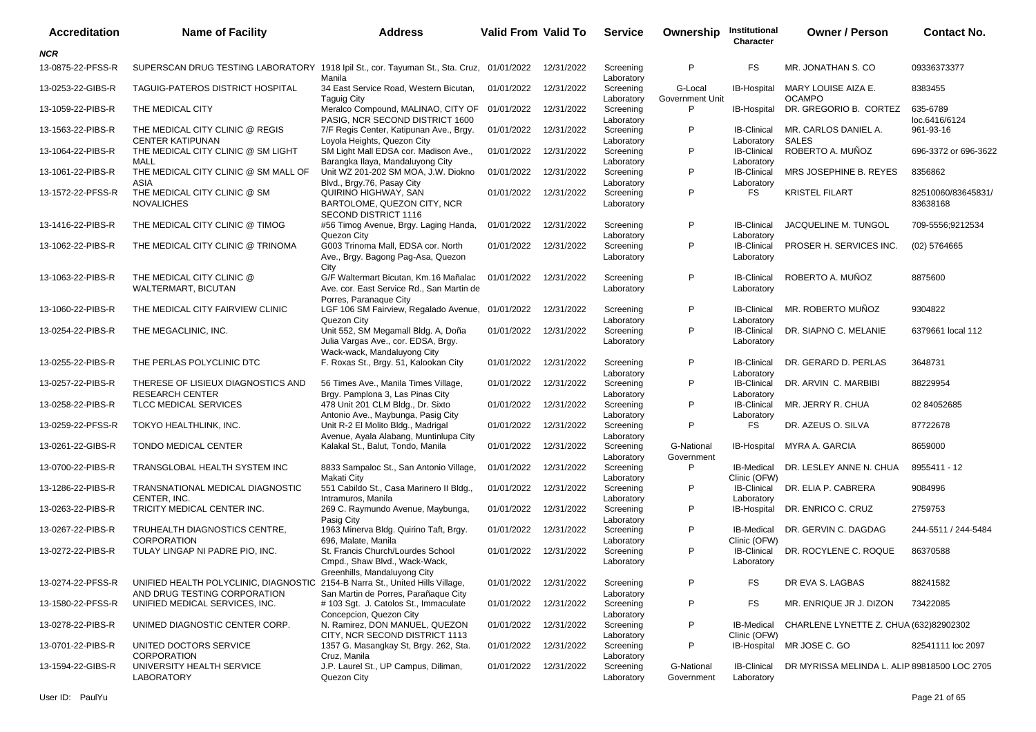| <b>Accreditation</b> | <b>Name of Facility</b>                                                                                       | <b>Address</b>                                                                                               | Valid From Valid To |            | <b>Service</b>          | Ownership                  | Institutional<br>Character        | <b>Owner / Person</b>                        | <b>Contact No.</b>             |
|----------------------|---------------------------------------------------------------------------------------------------------------|--------------------------------------------------------------------------------------------------------------|---------------------|------------|-------------------------|----------------------------|-----------------------------------|----------------------------------------------|--------------------------------|
| <b>NCR</b>           |                                                                                                               |                                                                                                              |                     |            |                         |                            |                                   |                                              |                                |
| 13-0875-22-PFSS-R    | SUPERSCAN DRUG TESTING LABORATORY 1918 Ipil St., cor. Tayuman St., Sta. Cruz, 01/01/2022                      | Manila                                                                                                       |                     | 12/31/2022 | Screening<br>Laboratory | P                          | <b>FS</b>                         | MR. JONATHAN S. CO                           | 09336373377                    |
| 13-0253-22-GIBS-R    | TAGUIG-PATEROS DISTRICT HOSPITAL                                                                              | 34 East Service Road, Western Bicutan,<br><b>Taguig City</b>                                                 | 01/01/2022          | 12/31/2022 | Screening<br>Laboratory | G-Local<br>Government Unit | IB-Hospital                       | MARY LOUISE AIZA E.<br><b>OCAMPO</b>         | 8383455                        |
| 13-1059-22-PIBS-R    | THE MEDICAL CITY                                                                                              | Meralco Compound, MALINAO, CITY OF<br>PASIG, NCR SECOND DISTRICT 1600                                        | 01/01/2022          | 12/31/2022 | Screening<br>Laboratory | P                          | IB-Hospital                       | DR. GREGORIO B. CORTEZ                       | 635-6789<br>loc.6416/6124      |
| 13-1563-22-PIBS-R    | THE MEDICAL CITY CLINIC @ REGIS<br><b>CENTER KATIPUNAN</b>                                                    | 7/F Regis Center, Katipunan Ave., Brgy.<br>Loyola Heights, Quezon City                                       | 01/01/2022          | 12/31/2022 | Screening<br>Laboratory | P                          | <b>IB-Clinical</b><br>Laboratory  | MR. CARLOS DANIEL A.<br><b>SALES</b>         | 961-93-16                      |
| 13-1064-22-PIBS-R    | THE MEDICAL CITY CLINIC @ SM LIGHT<br><b>MALL</b>                                                             | SM Light Mall EDSA cor. Madison Ave.,<br>Barangka Ilaya, Mandaluyong City                                    | 01/01/2022          | 12/31/2022 | Screening<br>Laboratory | P                          | <b>IB-Clinical</b><br>Laboratory  | ROBERTO A. MUÑOZ                             | 696-3372 or 696-3622           |
| 13-1061-22-PIBS-R    | THE MEDICAL CITY CLINIC @ SM MALL OF<br>ASIA                                                                  | Unit WZ 201-202 SM MOA, J.W. Diokno<br>Blvd., Brgy.76, Pasay City                                            | 01/01/2022          | 12/31/2022 | Screening<br>Laboratory | P                          | <b>IB-Clinical</b><br>Laboratory  | MRS JOSEPHINE B. REYES                       | 8356862                        |
| 13-1572-22-PFSS-R    | THE MEDICAL CITY CLINIC @ SM<br><b>NOVALICHES</b>                                                             | QUIRINO HIGHWAY, SAN<br>BARTOLOME, QUEZON CITY, NCR<br>SECOND DISTRICT 1116                                  | 01/01/2022          | 12/31/2022 | Screening<br>Laboratory | P                          | <b>FS</b>                         | <b>KRISTEL FILART</b>                        | 82510060/83645831/<br>83638168 |
| 13-1416-22-PIBS-R    | THE MEDICAL CITY CLINIC @ TIMOG                                                                               | #56 Timog Avenue, Brgy. Laging Handa,<br>Quezon City                                                         | 01/01/2022          | 12/31/2022 | Screening<br>Laboratory | P                          | <b>IB-Clinical</b><br>Laboratory  | JACQUELINE M. TUNGOL                         | 709-5556;9212534               |
| 13-1062-22-PIBS-R    | THE MEDICAL CITY CLINIC @ TRINOMA                                                                             | G003 Trinoma Mall, EDSA cor. North<br>Ave., Brgy. Bagong Pag-Asa, Quezon<br>City                             | 01/01/2022          | 12/31/2022 | Screening<br>Laboratory | P                          | <b>IB-Clinical</b><br>Laboratory  | PROSER H. SERVICES INC.                      | $(02)$ 5764665                 |
| 13-1063-22-PIBS-R    | THE MEDICAL CITY CLINIC @<br>WALTERMART, BICUTAN                                                              | G/F Waltermart Bicutan, Km.16 Mañalac<br>Ave. cor. East Service Rd., San Martin de<br>Porres, Paranaque City | 01/01/2022          | 12/31/2022 | Screening<br>Laboratory | P                          | <b>IB-Clinical</b><br>Laboratory  | ROBERTO A. MUÑOZ                             | 8875600                        |
| 13-1060-22-PIBS-R    | THE MEDICAL CITY FAIRVIEW CLINIC                                                                              | LGF 106 SM Fairview, Regalado Avenue, 01/01/2022<br>Quezon City                                              |                     | 12/31/2022 | Screening<br>Laboratory | P                          | <b>IB-Clinical</b><br>Laboratory  | MR. ROBERTO MUÑOZ                            | 9304822                        |
| 13-0254-22-PIBS-R    | THE MEGACLINIC, INC.                                                                                          | Unit 552, SM Megamall Bldg. A, Doña<br>Julia Vargas Ave., cor. EDSA, Brgy.<br>Wack-wack, Mandaluyong City    | 01/01/2022          | 12/31/2022 | Screening<br>Laboratory | P                          | <b>IB-Clinical</b><br>Laboratory  | DR. SIAPNO C. MELANIE                        | 6379661 local 112              |
| 13-0255-22-PIBS-R    | THE PERLAS POLYCLINIC DTC                                                                                     | F. Roxas St., Brgy. 51, Kalookan City                                                                        | 01/01/2022          | 12/31/2022 | Screening<br>Laboratory | P                          | <b>IB-Clinical</b><br>Laboratory  | DR. GERARD D. PERLAS                         | 3648731                        |
| 13-0257-22-PIBS-R    | THERESE OF LISIEUX DIAGNOSTICS AND<br><b>RESEARCH CENTER</b>                                                  | 56 Times Ave., Manila Times Village,<br>Brgy. Pamplona 3, Las Pinas City                                     | 01/01/2022          | 12/31/2022 | Screening<br>Laboratory | P                          | <b>IB-Clinical</b><br>Laboratory  | DR. ARVIN C. MARBIBI                         | 88229954                       |
| 13-0258-22-PIBS-R    | TLCC MEDICAL SERVICES                                                                                         | 478 Unit 201 CLM Bldg., Dr. Sixto<br>Antonio Ave., Maybunga, Pasig City                                      | 01/01/2022          | 12/31/2022 | Screening<br>Laboratory | P                          | <b>IB-Clinical</b><br>Laboratory  | MR. JERRY R. CHUA                            | 02 84052685                    |
| 13-0259-22-PFSS-R    | TOKYO HEALTHLINK, INC.                                                                                        | Unit R-2 El Molito Bldg., Madrigal<br>Avenue, Ayala Alabang, Muntinlupa City                                 | 01/01/2022          | 12/31/2022 | Screening<br>Laboratory | P                          | <b>FS</b>                         | DR. AZEUS O. SILVA                           | 87722678                       |
| 13-0261-22-GIBS-R    | TONDO MEDICAL CENTER                                                                                          | Kalakal St., Balut, Tondo, Manila                                                                            | 01/01/2022          | 12/31/2022 | Screening<br>Laboratory | G-National<br>Government   | IB-Hospital                       | MYRA A. GARCIA                               | 8659000                        |
| 13-0700-22-PIBS-R    | TRANSGLOBAL HEALTH SYSTEM INC                                                                                 | 8833 Sampaloc St., San Antonio Village,<br>Makati City                                                       | 01/01/2022          | 12/31/2022 | Screening<br>Laboratory | P                          | IB-Medical<br>Clinic (OFW)        | DR. LESLEY ANNE N. CHUA                      | 8955411 - 12                   |
| 13-1286-22-PIBS-R    | TRANSNATIONAL MEDICAL DIAGNOSTIC<br>CENTER, INC.                                                              | 551 Cabildo St., Casa Marinero II Bldg.,<br>Intramuros, Manila                                               | 01/01/2022          | 12/31/2022 | Screening<br>Laboratory | P                          | <b>IB-Clinical</b><br>Laboratory  | DR. ELIA P. CABRERA                          | 9084996                        |
| 13-0263-22-PIBS-R    | TRICITY MEDICAL CENTER INC.                                                                                   | 269 C. Raymundo Avenue, Maybunga,<br>Pasig City                                                              | 01/01/2022          | 12/31/2022 | Screening<br>Laboratory | P                          | IB-Hospital                       | DR. ENRICO C. CRUZ                           | 2759753                        |
| 13-0267-22-PIBS-R    | TRUHEALTH DIAGNOSTICS CENTRE,<br><b>CORPORATION</b>                                                           | 1963 Minerva Bldg. Quirino Taft, Brgy.<br>696, Malate, Manila                                                | 01/01/2022          | 12/31/2022 | Screening<br>Laboratory | P                          | <b>IB-Medical</b><br>Clinic (OFW) | DR. GERVIN C. DAGDAG                         | 244-5511 / 244-5484            |
| 13-0272-22-PIBS-R    | TULAY LINGAP NI PADRE PIO, INC.                                                                               | St. Francis Church/Lourdes School<br>Cmpd., Shaw Blvd., Wack-Wack,<br>Greenhills, Mandaluyong City           | 01/01/2022          | 12/31/2022 | Screening<br>Laboratory | P                          | <b>IB-Clinical</b><br>Laboratory  | DR. ROCYLENE C. ROQUE                        | 86370588                       |
| 13-0274-22-PFSS-R    | UNIFIED HEALTH POLYCLINIC, DIAGNOSTIC 2154-B Narra St., United Hills Village,<br>AND DRUG TESTING CORPORATION | San Martin de Porres, Parañaque City                                                                         | 01/01/2022          | 12/31/2022 | Screening<br>Laboratory | P                          | FS                                | DR EVA S. LAGBAS                             | 88241582                       |
| 13-1580-22-PFSS-R    | UNIFIED MEDICAL SERVICES, INC.                                                                                | # 103 Sgt. J. Catolos St., Immaculate<br>Concepcion, Quezon City                                             | 01/01/2022          | 12/31/2022 | Screening<br>Laboratory | P                          | FS                                | MR. ENRIQUE JR J. DIZON                      | 73422085                       |
| 13-0278-22-PIBS-R    | UNIMED DIAGNOSTIC CENTER CORP.                                                                                | N. Ramirez, DON MANUEL, QUEZON<br>CITY, NCR SECOND DISTRICT 1113                                             | 01/01/2022          | 12/31/2022 | Screening<br>Laboratory | P                          | <b>IB-Medical</b><br>Clinic (OFW) | CHARLENE LYNETTE Z. CHUA (632)82902302       |                                |
| 13-0701-22-PIBS-R    | UNITED DOCTORS SERVICE<br><b>CORPORATION</b>                                                                  | 1357 G. Masangkay St, Brgy. 262, Sta.<br>Cruz, Manila                                                        | 01/01/2022          | 12/31/2022 | Screening<br>Laboratory | P                          |                                   | IB-Hospital MR JOSE C. GO                    | 82541111 loc 2097              |
| 13-1594-22-GIBS-R    | UNIVERSITY HEALTH SERVICE<br>LABORATORY                                                                       | J.P. Laurel St., UP Campus, Diliman,<br>Quezon City                                                          | 01/01/2022          | 12/31/2022 | Screening<br>Laboratory | G-National<br>Government   | <b>IB-Clinical</b><br>Laboratory  | DR MYRISSA MELINDA L. ALIP 89818500 LOC 2705 |                                |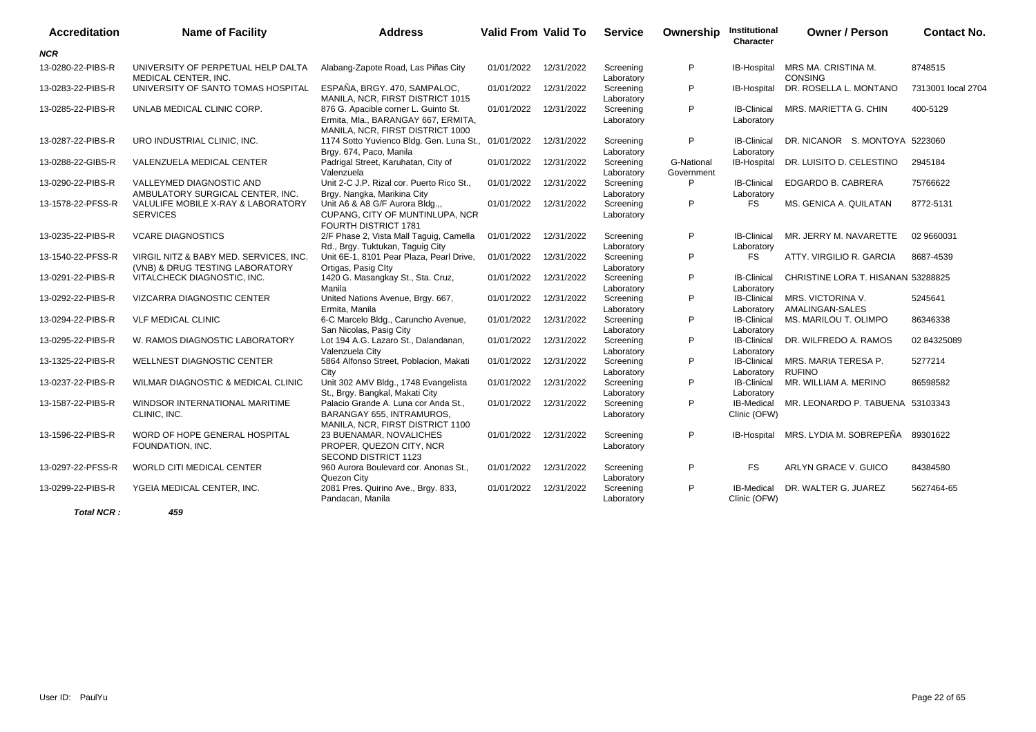| <b>Accreditation</b> | <b>Name of Facility</b>                                                   | <b>Address</b>                                                                                                  | <b>Valid From Valid To</b> |            | <b>Service</b>          | Ownership                | Institutional<br>Character        | <b>Owner / Person</b>                 | <b>Contact No.</b> |
|----------------------|---------------------------------------------------------------------------|-----------------------------------------------------------------------------------------------------------------|----------------------------|------------|-------------------------|--------------------------|-----------------------------------|---------------------------------------|--------------------|
| <b>NCR</b>           |                                                                           |                                                                                                                 |                            |            |                         |                          |                                   |                                       |                    |
| 13-0280-22-PIBS-R    | UNIVERSITY OF PERPETUAL HELP DALTA<br>MEDICAL CENTER, INC.                | Alabang-Zapote Road, Las Piñas City                                                                             | 01/01/2022                 | 12/31/2022 | Screening<br>Laboratory | P                        | IB-Hospital                       | MRS MA. CRISTINA M.<br><b>CONSING</b> | 8748515            |
| 13-0283-22-PIBS-R    | UNIVERSITY OF SANTO TOMAS HOSPITAL                                        | ESPAÑA, BRGY, 470, SAMPALOC.<br>MANILA, NCR. FIRST DISTRICT 1015                                                | 01/01/2022                 | 12/31/2022 | Screening<br>Laboratory | P                        | <b>IB-Hospital</b>                | DR. ROSELLA L. MONTANO                | 7313001 local 2704 |
| 13-0285-22-PIBS-R    | UNLAB MEDICAL CLINIC CORP.                                                | 876 G. Apacible corner L. Guinto St.<br>Ermita, Mla., BARANGAY 667, ERMITA,<br>MANILA, NCR, FIRST DISTRICT 1000 | 01/01/2022                 | 12/31/2022 | Screening<br>Laboratory | P                        | <b>IB-Clinical</b><br>Laboratory  | MRS. MARIETTA G. CHIN                 | 400-5129           |
| 13-0287-22-PIBS-R    | URO INDUSTRIAL CLINIC, INC.                                               | 1174 Sotto Yuvienco Bldg. Gen. Luna St., 01/01/2022<br>Brgy. 674, Paco, Manila                                  |                            | 12/31/2022 | Screening<br>Laboratory | P                        | <b>IB-Clinical</b><br>Laboratory  | DR. NICANOR S. MONTOYA 5223060        |                    |
| 13-0288-22-GIBS-R    | VALENZUELA MEDICAL CENTER                                                 | Padrigal Street, Karuhatan, City of<br>Valenzuela                                                               | 01/01/2022                 | 12/31/2022 | Screening<br>Laboratory | G-National<br>Government | <b>IB-Hospital</b>                | DR. LUISITO D. CELESTINO              | 2945184            |
| 13-0290-22-PIBS-R    | VALLEYMED DIAGNOSTIC AND<br>AMBULATORY SURGICAL CENTER, INC.              | Unit 2-C J.P. Rizal cor. Puerto Rico St.,<br>Brgy. Nangka, Marikina City                                        | 01/01/2022                 | 12/31/2022 | Screening<br>Laboratory | P                        | <b>IB-Clinical</b><br>Laboratory  | EDGARDO B. CABRERA                    | 75766622           |
| 13-1578-22-PFSS-R    | VALULIFE MOBILE X-RAY & LABORATORY<br><b>SERVICES</b>                     | Unit A6 & A8 G/F Aurora Bldg.,,<br>CUPANG, CITY OF MUNTINLUPA, NCR<br>FOURTH DISTRICT 1781                      | 01/01/2022                 | 12/31/2022 | Screening<br>Laboratory | P                        | <b>FS</b>                         | MS. GENICA A. QUILATAN                | 8772-5131          |
| 13-0235-22-PIBS-R    | <b>VCARE DIAGNOSTICS</b>                                                  | 2/F Phase 2, Vista Mall Taguig, Camella<br>Rd., Brgy. Tuktukan, Taguig City                                     | 01/01/2022                 | 12/31/2022 | Screening<br>Laboratory | P                        | <b>IB-Clinical</b><br>Laboratory  | MR. JERRY M. NAVARETTE                | 02 9660031         |
| 13-1540-22-PFSS-R    | VIRGIL NITZ & BABY MED. SERVICES, INC.<br>(VNB) & DRUG TESTING LABORATORY | Unit 6E-1, 8101 Pear Plaza, Pearl Drive,<br>Ortigas, Pasig Clty                                                 | 01/01/2022                 | 12/31/2022 | Screening<br>Laboratory | P                        | <b>FS</b>                         | ATTY. VIRGILIO R. GARCIA              | 8687-4539          |
| 13-0291-22-PIBS-R    | VITALCHECK DIAGNOSTIC, INC.                                               | 1420 G. Masangkay St., Sta. Cruz,<br>Manila                                                                     | 01/01/2022                 | 12/31/2022 | Screening<br>Laboratory | P                        | <b>IB-Clinical</b><br>Laboratory  | CHRISTINE LORA T. HISANAN 53288825    |                    |
| 13-0292-22-PIBS-R    | VIZCARRA DIAGNOSTIC CENTER                                                | United Nations Avenue, Brgy. 667,<br>Ermita, Manila                                                             | 01/01/2022                 | 12/31/2022 | Screening<br>Laboratory | P                        | <b>IB-Clinical</b><br>Laboratory  | MRS. VICTORINA V.<br>AMALINGAN-SALES  | 5245641            |
| 13-0294-22-PIBS-R    | <b>VLF MEDICAL CLINIC</b>                                                 | 6-C Marcelo Bldg., Caruncho Avenue,<br>San Nicolas, Pasig City                                                  | 01/01/2022                 | 12/31/2022 | Screening<br>Laboratory | P                        | <b>IB-Clinical</b><br>Laboratory  | MS. MARILOU T. OLIMPO                 | 86346338           |
| 13-0295-22-PIBS-R    | W. RAMOS DIAGNOSTIC LABORATORY                                            | Lot 194 A.G. Lazaro St., Dalandanan,<br>Valenzuela City                                                         | 01/01/2022                 | 12/31/2022 | Screening<br>Laboratory | P                        | <b>IB-Clinical</b><br>Laboratory  | DR. WILFREDO A. RAMOS                 | 02 84325089        |
| 13-1325-22-PIBS-R    | <b>WELLNEST DIAGNOSTIC CENTER</b>                                         | 5864 Alfonso Street, Poblacion, Makati<br>City                                                                  | 01/01/2022                 | 12/31/2022 | Screening<br>Laboratory | P                        | <b>IB-Clinical</b><br>Laboratory  | MRS. MARIA TERESA P.<br><b>RUFINO</b> | 5277214            |
| 13-0237-22-PIBS-R    | WILMAR DIAGNOSTIC & MEDICAL CLINIC                                        | Unit 302 AMV Bldg., 1748 Evangelista<br>St., Brgy. Bangkal, Makati City                                         | 01/01/2022                 | 12/31/2022 | Screening<br>Laboratory | P                        | <b>IB-Clinical</b><br>Laboratory  | MR. WILLIAM A. MERINO                 | 86598582           |
| 13-1587-22-PIBS-R    | WINDSOR INTERNATIONAL MARITIME<br>CLINIC, INC.                            | Palacio Grande A. Luna cor Anda St.,<br>BARANGAY 655, INTRAMUROS,                                               | 01/01/2022                 | 12/31/2022 | Screening<br>Laboratory | P                        | IB-Medical<br>Clinic (OFW)        | MR. LEONARDO P. TABUENA 53103343      |                    |
| 13-1596-22-PIBS-R    | WORD OF HOPE GENERAL HOSPITAL<br>FOUNDATION, INC.                         | MANILA, NCR, FIRST DISTRICT 1100<br>23 BUENAMAR, NOVALICHES<br>PROPER, QUEZON CITY, NCR<br>SECOND DISTRICT 1123 | 01/01/2022                 | 12/31/2022 | Screening<br>Laboratory | P                        | <b>IB-Hospital</b>                | MRS. LYDIA M. SOBREPEÑA               | 89301622           |
| 13-0297-22-PFSS-R    | <b>WORLD CITI MEDICAL CENTER</b>                                          | 960 Aurora Boulevard cor. Anonas St.,<br>Quezon City                                                            | 01/01/2022                 | 12/31/2022 | Screening<br>Laboratory | P                        | <b>FS</b>                         | ARLYN GRACE V. GUICO                  | 84384580           |
| 13-0299-22-PIBS-R    | YGEIA MEDICAL CENTER, INC.                                                | 2081 Pres. Quirino Ave., Brgy. 833,<br>Pandacan, Manila                                                         | 01/01/2022                 | 12/31/2022 | Screening<br>Laboratory | P                        | <b>IB-Medical</b><br>Clinic (OFW) | DR. WALTER G. JUAREZ                  | 5627464-65         |
| Total NCR:           | 459                                                                       |                                                                                                                 |                            |            |                         |                          |                                   |                                       |                    |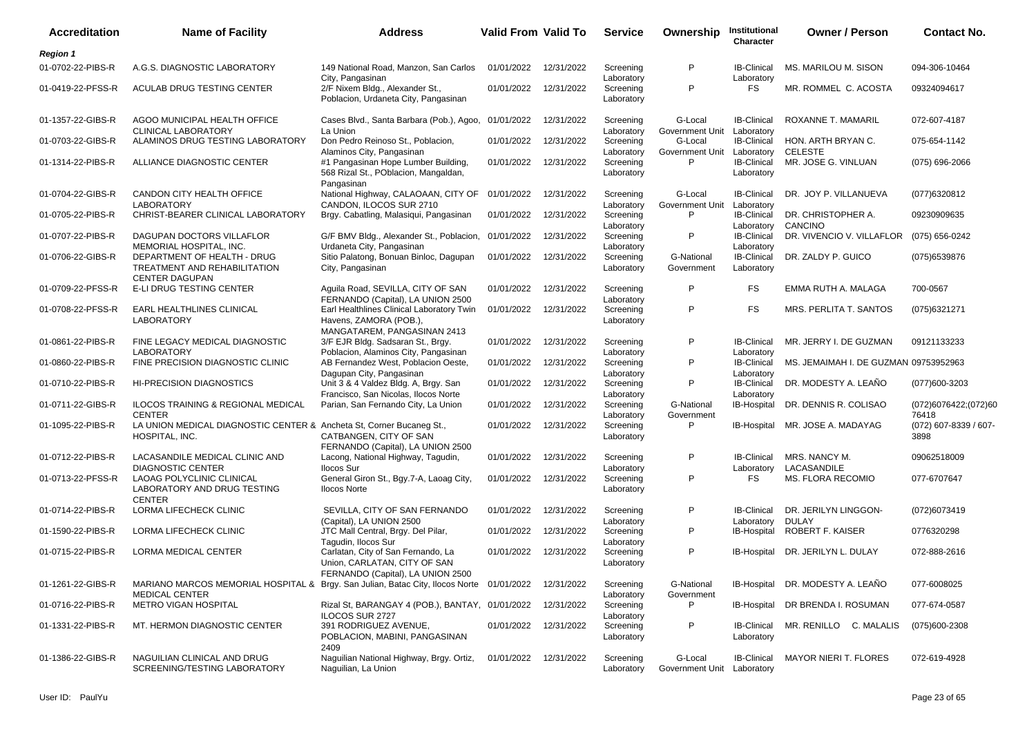| <b>Accreditation</b> | <b>Name of Facility</b>                                                                                           | <b>Address</b>                                                                                          | Valid From Valid To |            | <b>Service</b>                        | Ownership                             | Institutional<br>Character                     | <b>Owner / Person</b>                 | <b>Contact No.</b>            |
|----------------------|-------------------------------------------------------------------------------------------------------------------|---------------------------------------------------------------------------------------------------------|---------------------|------------|---------------------------------------|---------------------------------------|------------------------------------------------|---------------------------------------|-------------------------------|
| <b>Region 1</b>      |                                                                                                                   |                                                                                                         |                     |            |                                       |                                       |                                                |                                       |                               |
| 01-0702-22-PIBS-R    | A.G.S. DIAGNOSTIC LABORATORY                                                                                      | 149 National Road, Manzon, San Carlos                                                                   | 01/01/2022          | 12/31/2022 | Screening                             | P                                     | <b>IB-Clinical</b>                             | MS. MARILOU M. SISON                  | 094-306-10464                 |
| 01-0419-22-PFSS-R    | ACULAB DRUG TESTING CENTER                                                                                        | City, Pangasinan<br>2/F Nixem Bldg., Alexander St.,<br>Poblacion, Urdaneta City, Pangasinan             | 01/01/2022          | 12/31/2022 | Laboratory<br>Screening<br>Laboratory | P                                     | Laboratory<br><b>FS</b>                        | MR. ROMMEL C. ACOSTA                  | 09324094617                   |
| 01-1357-22-GIBS-R    | AGOO MUNICIPAL HEALTH OFFICE<br><b>CLINICAL LABORATORY</b>                                                        | Cases Blvd., Santa Barbara (Pob.), Agoo, 01/01/2022<br>La Union                                         |                     | 12/31/2022 | Screening                             | G-Local<br>Government Unit            | <b>IB-Clinical</b>                             | ROXANNE T. MAMARIL                    | 072-607-4187                  |
| 01-0703-22-GIBS-R    | ALAMINOS DRUG TESTING LABORATORY                                                                                  | Don Pedro Reinoso St., Poblacion,<br>Alaminos City, Pangasinan                                          | 01/01/2022          | 12/31/2022 | Laboratory<br>Screening<br>Laboratory | G-Local<br>Government Unit            | Laboratory<br><b>IB-Clinical</b><br>Laboratory | HON. ARTH BRYAN C.<br><b>CELESTE</b>  | 075-654-1142                  |
| 01-1314-22-PIBS-R    | ALLIANCE DIAGNOSTIC CENTER                                                                                        | #1 Pangasinan Hope Lumber Building,<br>568 Rizal St., POblacion, Mangaldan,<br>Pangasinan               | 01/01/2022          | 12/31/2022 | Screening<br>Laboratory               | P                                     | <b>IB-Clinical</b><br>Laboratory               | MR. JOSE G. VINLUAN                   | $(075)$ 696-2066              |
| 01-0704-22-GIBS-R    | CANDON CITY HEALTH OFFICE<br><b>LABORATORY</b>                                                                    | National Highway, CALAOAAN, CITY OF<br>CANDON, ILOCOS SUR 2710                                          | 01/01/2022          | 12/31/2022 | Screening<br>Laboratory               | G-Local<br>Government Unit            | <b>IB-Clinical</b><br>Laboratory               | DR. JOY P. VILLANUEVA                 | (077)6320812                  |
| 01-0705-22-PIBS-R    | CHRIST-BEARER CLINICAL LABORATORY                                                                                 | Brgy. Cabatling, Malasiqui, Pangasinan                                                                  | 01/01/2022          | 12/31/2022 | Screening<br>Laboratory               | P                                     | <b>IB-Clinical</b><br>Laboratory               | DR. CHRISTOPHER A.<br>CANCINO         | 09230909635                   |
| 01-0707-22-PIBS-R    | DAGUPAN DOCTORS VILLAFLOR<br>MEMORIAL HOSPITAL, INC.                                                              | G/F BMV Bldg., Alexander St., Poblacion, 01/01/2022<br>Urdaneta City, Pangasinan                        |                     | 12/31/2022 | Screening<br>Laboratory               | P                                     | <b>IB-Clinical</b><br>Laboratory               | DR. VIVENCIO V. VILLAFLOR             | (075) 656-0242                |
| 01-0706-22-GIBS-R    | DEPARTMENT OF HEALTH - DRUG<br>TREATMENT AND REHABILITATION<br><b>CENTER DAGUPAN</b>                              | Sitio Palatong, Bonuan Binloc, Dagupan<br>City, Pangasinan                                              | 01/01/2022          | 12/31/2022 | Screening<br>Laboratory               | G-National<br>Government              | <b>IB-Clinical</b><br>Laboratory               | DR. ZALDY P. GUICO                    | (075) 6539876                 |
| 01-0709-22-PFSS-R    | E-LI DRUG TESTING CENTER                                                                                          | Aquila Road, SEVILLA, CITY OF SAN<br>FERNANDO (Capital), LA UNION 2500                                  | 01/01/2022          | 12/31/2022 | Screening<br>Laboratory               | P                                     | FS                                             | EMMA RUTH A. MALAGA                   | 700-0567                      |
| 01-0708-22-PFSS-R    | EARL HEALTHLINES CLINICAL<br><b>LABORATORY</b>                                                                    | Earl Healthlines Clinical Laboratory Twin<br>Havens, ZAMORA (POB.),<br>MANGATAREM, PANGASINAN 2413      | 01/01/2022          | 12/31/2022 | Screening<br>Laboratory               | P                                     | FS                                             | MRS. PERLITA T. SANTOS                | (075)6321271                  |
| 01-0861-22-PIBS-R    | FINE LEGACY MEDICAL DIAGNOSTIC<br><b>LABORATORY</b>                                                               | 3/F EJR Bldg. Sadsaran St., Brgy.<br>Poblacion, Alaminos City, Pangasinan                               | 01/01/2022          | 12/31/2022 | Screening<br>Laboratory               | P                                     | <b>IB-Clinical</b><br>Laboratory               | MR. JERRY I. DE GUZMAN                | 09121133233                   |
| 01-0860-22-PIBS-R    | FINE PRECISION DIAGNOSTIC CLINIC                                                                                  | AB Fernandez West, Poblacion Oeste,<br>Dagupan City, Pangasinan                                         | 01/01/2022          | 12/31/2022 | Screening<br>Laboratory               | P                                     | <b>IB-Clinical</b><br>Laboratory               | MS. JEMAIMAH I. DE GUZMAN 09753952963 |                               |
| 01-0710-22-PIBS-R    | <b>HI-PRECISION DIAGNOSTICS</b>                                                                                   | Unit 3 & 4 Valdez Bldg. A, Brgy. San<br>Francisco, San Nicolas, Ilocos Norte                            | 01/01/2022          | 12/31/2022 | Screening<br>Laboratory               | P                                     | <b>IB-Clinical</b><br>Laboratory               | DR. MODESTY A. LEANO                  | (077)600-3203                 |
| 01-0711-22-GIBS-R    | ILOCOS TRAINING & REGIONAL MEDICAL<br><b>CENTER</b>                                                               | Parian, San Fernando City, La Union                                                                     | 01/01/2022          | 12/31/2022 | Screening<br>Laboratory               | G-National<br>Government              | IB-Hospital                                    | DR. DENNIS R. COLISAO                 | (072)6076422;(072)60<br>76418 |
| 01-1095-22-PIBS-R    | LA UNION MEDICAL DIAGNOSTIC CENTER & Ancheta St, Corner Bucaneg St.,<br>HOSPITAL, INC.                            | CATBANGEN, CITY OF SAN<br>FERNANDO (Capital), LA UNION 2500                                             | 01/01/2022          | 12/31/2022 | Screening<br>Laboratory               | P                                     | IB-Hospital                                    | MR. JOSE A. MADAYAG                   | (072) 607-8339 / 607-<br>3898 |
| 01-0712-22-PIBS-R    | LACASANDILE MEDICAL CLINIC AND<br><b>DIAGNOSTIC CENTER</b>                                                        | Lacong, National Highway, Tagudin,<br><b>Ilocos Sur</b>                                                 | 01/01/2022          | 12/31/2022 | Screening<br>Laboratory               | P                                     | <b>IB-Clinical</b><br>Laboratory               | MRS. NANCY M.<br>LACASANDILE          | 09062518009                   |
| 01-0713-22-PFSS-R    | LAOAG POLYCLINIC CLINICAL<br>LABORATORY AND DRUG TESTING<br><b>CENTER</b>                                         | General Giron St., Bgy.7-A, Laoag City,<br><b>Ilocos Norte</b>                                          | 01/01/2022          | 12/31/2022 | Screening<br>Laboratory               | P                                     | <b>FS</b>                                      | MS. FLORA RECOMIO                     | 077-6707647                   |
| 01-0714-22-PIBS-R    | LORMA LIFECHECK CLINIC                                                                                            | SEVILLA, CITY OF SAN FERNANDO<br>(Capital), LA UNION 2500                                               | 01/01/2022          | 12/31/2022 | Screening<br>Laboratory               | P                                     | <b>IB-Clinical</b><br>Laboratory               | DR. JERILYN LINGGON-<br>DULAY         | (072)6073419                  |
| 01-1590-22-PIBS-R    | <b>LORMA LIFECHECK CLINIC</b>                                                                                     | JTC Mall Central, Brgy. Del Pilar,<br>Taqudin, Ilocos Sur                                               | 01/01/2022          | 12/31/2022 | Screening<br>Laboratory               | P                                     | IB-Hospital                                    | ROBERT F. KAISER                      | 0776320298                    |
| 01-0715-22-PIBS-R    | LORMA MEDICAL CENTER                                                                                              | Carlatan, City of San Fernando, La<br>Union, CARLATAN, CITY OF SAN<br>FERNANDO (Capital), LA UNION 2500 | 01/01/2022          | 12/31/2022 | Screening<br>Laboratory               | P                                     | IB-Hospital                                    | DR. JERILYN L. DULAY                  | 072-888-2616                  |
| 01-1261-22-GIBS-R    | MARIANO MARCOS MEMORIAL HOSPITAL & Brgy. San Julian, Batac City, Ilocos Norte 01/01/2022<br><b>MEDICAL CENTER</b> |                                                                                                         |                     | 12/31/2022 | Screening<br>Laboratory               | G-National<br>Government              |                                                | IB-Hospital DR. MODESTY A. LEAÑO      | 077-6008025                   |
| 01-0716-22-PIBS-R    | METRO VIGAN HOSPITAL                                                                                              | Rizal St, BARANGAY 4 (POB.), BANTAY, 01/01/2022<br>ILOCOS SUR 2727                                      |                     | 12/31/2022 | Screening<br>Laboratory               | P                                     | IB-Hospital                                    | DR BRENDA I. ROSUMAN                  | 077-674-0587                  |
| 01-1331-22-PIBS-R    | MT. HERMON DIAGNOSTIC CENTER                                                                                      | 391 RODRIGUEZ AVENUE,<br>POBLACION, MABINI, PANGASINAN<br>2409                                          | 01/01/2022          | 12/31/2022 | Screening<br>Laboratory               | P                                     | <b>IB-Clinical</b><br>Laboratory               | MR. RENILLO C. MALALIS                | $(075)600 - 2308$             |
| 01-1386-22-GIBS-R    | NAGUILIAN CLINICAL AND DRUG<br>SCREENING/TESTING LABORATORY                                                       | Naguilian National Highway, Brgy. Ortiz,<br>Naguilian, La Union                                         | 01/01/2022          | 12/31/2022 | Screening<br>Laboratory               | G-Local<br>Government Unit Laboratory | <b>IB-Clinical</b>                             | <b>MAYOR NIERI T. FLORES</b>          | 072-619-4928                  |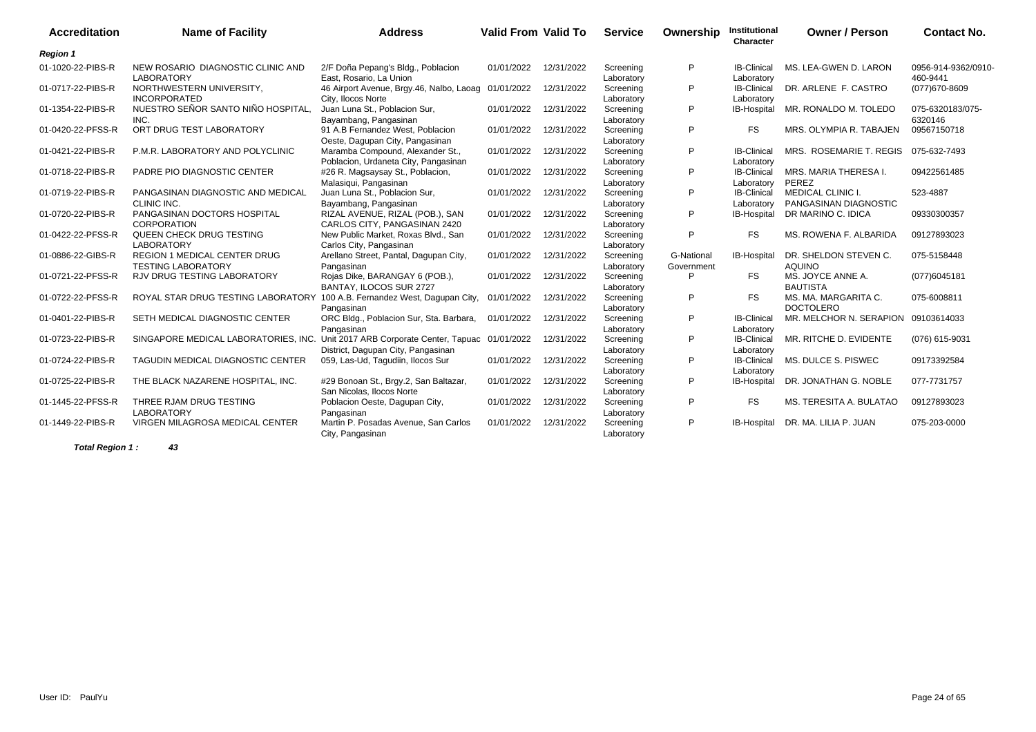| <b>Accreditation</b> | <b>Name of Facility</b>                                                   | <b>Address</b>                                                               | <b>Valid From Valid To</b> |            | <b>Service</b>          | Ownership                | Institutional<br><b>Character</b> | <b>Owner / Person</b>                             | <b>Contact No.</b>              |
|----------------------|---------------------------------------------------------------------------|------------------------------------------------------------------------------|----------------------------|------------|-------------------------|--------------------------|-----------------------------------|---------------------------------------------------|---------------------------------|
| <b>Region 1</b>      |                                                                           |                                                                              |                            |            |                         |                          |                                   |                                                   |                                 |
| 01-1020-22-PIBS-R    | NEW ROSARIO DIAGNOSTIC CLINIC AND<br><b>LABORATORY</b>                    | 2/F Doña Pepang's Bldg., Poblacion<br>East, Rosario, La Union                | 01/01/2022                 | 12/31/2022 | Screening<br>Laboratory | P                        | <b>IB-Clinical</b><br>Laboratory  | MS. LEA-GWEN D. LARON                             | 0956-914-9362/0910-<br>460-9441 |
| 01-0717-22-PIBS-R    | NORTHWESTERN UNIVERSITY,<br><b>INCORPORATED</b>                           | 46 Airport Avenue, Brgy.46, Nalbo, Laoag 01/01/2022<br>City. Ilocos Norte    |                            | 12/31/2022 | Screening<br>Laboratory | P                        | <b>IB-Clinical</b><br>Laboratory  | DR. ARLENE F. CASTRO                              | (077) 670-8609                  |
| 01-1354-22-PIBS-R    | NUESTRO SEÑOR SANTO NIÑO HOSPITAL<br>INC.                                 | Juan Luna St., Poblacion Sur,<br>Bayambang, Pangasinan                       | 01/01/2022                 | 12/31/2022 | Screening<br>Laboratory | P                        | IB-Hospital                       | MR. RONALDO M. TOLEDO                             | 075-6320183/075-<br>6320146     |
| 01-0420-22-PFSS-R    | ORT DRUG TEST LABORATORY                                                  | 91 A.B Fernandez West, Poblacion<br>Oeste, Dagupan City, Pangasinan          | 01/01/2022                 | 12/31/2022 | Screening<br>Laboratory | P                        | <b>FS</b>                         | MRS. OLYMPIA R. TABAJEN                           | 09567150718                     |
| 01-0421-22-PIBS-R    | P.M.R. LABORATORY AND POLYCLINIC                                          | Maramba Compound, Alexander St.,<br>Poblacion, Urdaneta City, Pangasinan     | 01/01/2022                 | 12/31/2022 | Screening<br>Laboratory | P                        | <b>IB-Clinical</b><br>Laboratory  | MRS. ROSEMARIE T. REGIS                           | 075-632-7493                    |
| 01-0718-22-PIBS-R    | PADRE PIO DIAGNOSTIC CENTER                                               | #26 R. Magsaysay St., Poblacion,<br>Malasiqui, Pangasinan                    | 01/01/2022                 | 12/31/2022 | Screening<br>Laboratory | P                        | <b>IB-Clinical</b><br>Laboratory  | MRS. MARIA THERESA I.<br>PEREZ                    | 09422561485                     |
| 01-0719-22-PIBS-R    | PANGASINAN DIAGNOSTIC AND MEDICAL<br>CLINIC INC.                          | Juan Luna St., Poblacion Sur,<br>Bayambang, Pangasinan                       | 01/01/2022                 | 12/31/2022 | Screening<br>Laboratory | P                        | <b>IB-Clinical</b><br>Laboratory  | <b>MEDICAL CLINIC I.</b><br>PANGASINAN DIAGNOSTIC | 523-4887                        |
| 01-0720-22-PIBS-R    | PANGASINAN DOCTORS HOSPITAL<br><b>CORPORATION</b>                         | RIZAL AVENUE, RIZAL (POB.), SAN<br>CARLOS CITY, PANGASINAN 2420              | 01/01/2022                 | 12/31/2022 | Screening<br>Laboratory | P                        | <b>IB-Hospital</b>                | DR MARINO C. IDICA                                | 09330300357                     |
| 01-0422-22-PFSS-R    | QUEEN CHECK DRUG TESTING<br><b>LABORATORY</b>                             | New Public Market, Roxas Blvd., San<br>Carlos City, Pangasinan               | 01/01/2022                 | 12/31/2022 | Screening<br>Laboratory | P                        | <b>FS</b>                         | MS. ROWENA F. ALBARIDA                            | 09127893023                     |
| 01-0886-22-GIBS-R    | <b>REGION 1 MEDICAL CENTER DRUG</b><br><b>TESTING LABORATORY</b>          | Arellano Street, Pantal, Dagupan City,<br>Pangasinan                         | 01/01/2022                 | 12/31/2022 | Screening<br>Laboratory | G-National<br>Government | IB-Hospital                       | DR. SHELDON STEVEN C.<br><b>AQUINO</b>            | 075-5158448                     |
| 01-0721-22-PFSS-R    | <b>RJV DRUG TESTING LABORATORY</b>                                        | Rojas Dike, BARANGAY 6 (POB.),<br>BANTAY, ILOCOS SUR 2727                    | 01/01/2022                 | 12/31/2022 | Screening<br>Laboratory | P                        | <b>FS</b>                         | MS. JOYCE ANNE A.<br><b>BAUTISTA</b>              | (077)6045181                    |
| 01-0722-22-PFSS-R    | ROYAL STAR DRUG TESTING LABORATORY 100 A.B. Fernandez West, Dagupan City, | Pangasinan                                                                   | 01/01/2022                 | 12/31/2022 | Screening<br>Laboratory | P                        | <b>FS</b>                         | MS. MA. MARGARITA C.<br><b>DOCTOLERO</b>          | 075-6008811                     |
| 01-0401-22-PIBS-R    | SETH MEDICAL DIAGNOSTIC CENTER                                            | ORC Bldg., Poblacion Sur, Sta. Barbara,<br>Pangasinan                        | 01/01/2022                 | 12/31/2022 | Screening<br>Laboratory | P                        | <b>IB-Clinical</b><br>Laboratory  | MR. MELCHOR N. SERAPION 09103614033               |                                 |
| 01-0723-22-PIBS-R    | SINGAPORE MEDICAL LABORATORIES, INC.                                      | Unit 2017 ARB Corporate Center, Tapuac<br>District, Dagupan City, Pangasinan | 01/01/2022                 | 12/31/2022 | Screening<br>Laboratory | P                        | <b>IB-Clinical</b><br>Laboratory  | MR. RITCHE D. EVIDENTE                            | (076) 615-9031                  |
| 01-0724-22-PIBS-R    | <b>TAGUDIN MEDICAL DIAGNOSTIC CENTER</b>                                  | 059, Las-Ud, Tagudiin, Ilocos Sur                                            | 01/01/2022                 | 12/31/2022 | Screening<br>Laboratory | P                        | <b>IB-Clinical</b><br>Laboratory  | MS. DULCE S. PISWEC                               | 09173392584                     |
| 01-0725-22-PIBS-R    | THE BLACK NAZARENE HOSPITAL, INC.                                         | #29 Bonoan St., Brgy.2, San Baltazar,<br>San Nicolas, Ilocos Norte           | 01/01/2022                 | 12/31/2022 | Screening<br>Laboratory | P                        | IB-Hospital                       | DR. JONATHAN G. NOBLE                             | 077-7731757                     |
| 01-1445-22-PFSS-R    | THREE RJAM DRUG TESTING<br><b>LABORATORY</b>                              | Poblacion Oeste, Dagupan City,<br>Pangasinan                                 | 01/01/2022                 | 12/31/2022 | Screening<br>Laboratory | P                        | <b>FS</b>                         | MS. TERESITA A. BULATAO                           | 09127893023                     |
| 01-1449-22-PIBS-R    | VIRGEN MILAGROSA MEDICAL CENTER                                           | Martin P. Posadas Avenue, San Carlos<br>City, Pangasinan                     | 01/01/2022                 | 12/31/2022 | Screening<br>Laboratory | P                        | <b>IB-Hospital</b>                | DR. MA. LILIA P. JUAN                             | 075-203-0000                    |

**Total Region 1 : 43**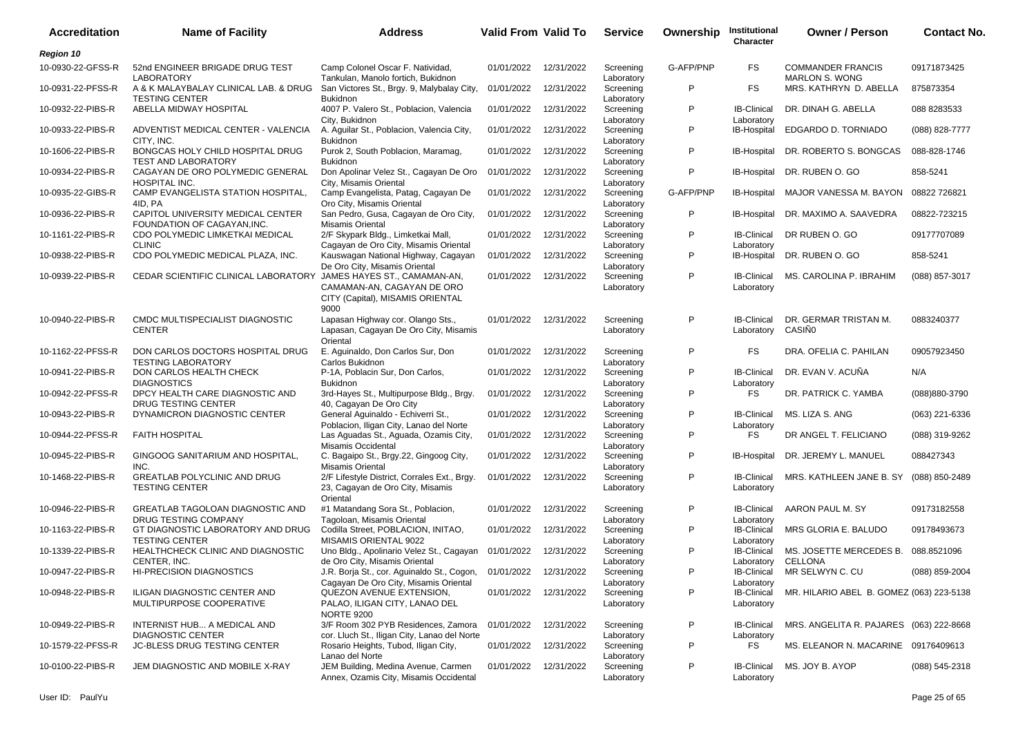| <b>Accreditation</b> | <b>Name of Facility</b>                                          | <b>Address</b>                                                                                                          | <b>Valid From Valid To</b> |            | <b>Service</b>                        | Ownership | Institutional<br>Character                     | <b>Owner / Person</b>                             | <b>Contact No.</b> |
|----------------------|------------------------------------------------------------------|-------------------------------------------------------------------------------------------------------------------------|----------------------------|------------|---------------------------------------|-----------|------------------------------------------------|---------------------------------------------------|--------------------|
| <b>Region 10</b>     |                                                                  |                                                                                                                         |                            |            |                                       |           |                                                |                                                   |                    |
| 10-0930-22-GFSS-R    | 52nd ENGINEER BRIGADE DRUG TEST<br><b>LABORATORY</b>             | Camp Colonel Oscar F. Natividad,<br>Tankulan, Manolo fortich, Bukidnon                                                  | 01/01/2022                 | 12/31/2022 | Screening<br>Laboratory               | G-AFP/PNP | FS.                                            | <b>COMMANDER FRANCIS</b><br><b>MARLON S. WONG</b> | 09171873425        |
| 10-0931-22-PFSS-R    | A & K MALAYBALAY CLINICAL LAB. & DRUG<br><b>TESTING CENTER</b>   | San Victores St., Brgy. 9, Malybalay City,<br><b>Bukidnon</b>                                                           | 01/01/2022                 | 12/31/2022 | Screening<br>Laboratory               | P         | FS                                             | MRS. KATHRYN D. ABELLA                            | 875873354          |
| 10-0932-22-PIBS-R    | ABELLA MIDWAY HOSPITAL                                           | 4007 P. Valero St., Poblacion, Valencia<br>City, Bukidnon                                                               | 01/01/2022                 | 12/31/2022 | Screening<br>Laboratory               | P         | <b>IB-Clinical</b><br>Laboratory               | DR. DINAH G. ABELLA                               | 088 8283533        |
| 10-0933-22-PIBS-R    | ADVENTIST MEDICAL CENTER - VALENCIA<br>CITY, INC.                | A. Aguilar St., Poblacion, Valencia City,<br><b>Bukidnon</b>                                                            | 01/01/2022                 | 12/31/2022 | Screening<br>Laboratory               | P         | IB-Hospital                                    | EDGARDO D. TORNIADO                               | $(088)$ 828-7777   |
| 10-1606-22-PIBS-R    | BONGCAS HOLY CHILD HOSPITAL DRUG<br><b>TEST AND LABORATORY</b>   | Purok 2, South Poblacion, Maramag,<br><b>Bukidnon</b>                                                                   | 01/01/2022                 | 12/31/2022 | Screening<br>Laboratory               | P         | IB-Hospital                                    | DR. ROBERTO S. BONGCAS                            | 088-828-1746       |
| 10-0934-22-PIBS-R    | CAGAYAN DE ORO POLYMEDIC GENERAL<br>HOSPITAL INC.                | Don Apolinar Velez St., Cagayan De Oro<br>City, Misamis Oriental                                                        | 01/01/2022                 | 12/31/2022 | Screening<br>Laboratory               | P         | IB-Hospital                                    | DR. RUBEN O. GO                                   | 858-5241           |
| 10-0935-22-GIBS-R    | CAMP EVANGELISTA STATION HOSPITAL,<br>4ID. PA                    | Camp Evangelista, Patag, Cagayan De<br>Oro City, Misamis Oriental                                                       | 01/01/2022                 | 12/31/2022 | Screening<br>Laboratory               | G-AFP/PNP | IB-Hospital                                    | MAJOR VANESSA M. BAYON 08822 726821               |                    |
| 10-0936-22-PIBS-R    | CAPITOL UNIVERSITY MEDICAL CENTER<br>FOUNDATION OF CAGAYAN, INC. | San Pedro, Gusa, Cagayan de Oro City,<br>Misamis Oriental                                                               | 01/01/2022                 | 12/31/2022 | Screening<br>Laboratory               | P         | IB-Hospital                                    | DR. MAXIMO A. SAAVEDRA                            | 08822-723215       |
| 10-1161-22-PIBS-R    | CDO POLYMEDIC LIMKETKAI MEDICAL<br><b>CLINIC</b>                 | 2/F Skypark Bldg., Limketkai Mall,<br>Cagayan de Oro City, Misamis Oriental                                             | 01/01/2022                 | 12/31/2022 | Screening<br>Laboratory               | P         | <b>IB-Clinical</b><br>Laboratory               | DR RUBEN O. GO                                    | 09177707089        |
| 10-0938-22-PIBS-R    | CDO POLYMEDIC MEDICAL PLAZA, INC.                                | Kauswagan National Highway, Cagayan<br>De Oro City, Misamis Oriental                                                    | 01/01/2022                 | 12/31/2022 | Screening<br>Laboratory               | P         | IB-Hospital                                    | DR. RUBEN O. GO                                   | 858-5241           |
| 10-0939-22-PIBS-R    | CEDAR SCIENTIFIC CLINICAL LABORATORY                             | JAMES HAYES ST., CAMAMAN-AN,<br>CAMAMAN-AN, CAGAYAN DE ORO<br>CITY (Capital), MISAMIS ORIENTAL<br>9000                  | 01/01/2022                 | 12/31/2022 | Screening<br>Laboratory               | P         | <b>IB-Clinical</b><br>Laboratory               | MS. CAROLINA P. IBRAHIM                           | (088) 857-3017     |
| 10-0940-22-PIBS-R    | CMDC MULTISPECIALIST DIAGNOSTIC<br><b>CENTER</b>                 | Lapasan Highway cor. Olango Sts.,<br>Lapasan, Cagayan De Oro City, Misamis<br>Oriental                                  | 01/01/2022                 | 12/31/2022 | Screening<br>Laboratory               | P         | <b>IB-Clinical</b><br>Laboratory               | DR. GERMAR TRISTAN M.<br><b>CASIÑO</b>            | 0883240377         |
| 10-1162-22-PFSS-R    | DON CARLOS DOCTORS HOSPITAL DRUG<br><b>TESTING LABORATORY</b>    | E. Aquinaldo, Don Carlos Sur, Don<br>Carlos Bukidnon                                                                    | 01/01/2022                 | 12/31/2022 | Screening<br>Laboratory               | P         | <b>FS</b>                                      | DRA. OFELIA C. PAHILAN                            | 09057923450        |
| 10-0941-22-PIBS-R    | DON CARLOS HEALTH CHECK<br><b>DIAGNOSTICS</b>                    | P-1A, Poblacin Sur, Don Carlos,<br><b>Bukidnon</b>                                                                      | 01/01/2022                 | 12/31/2022 | Screening<br>Laboratory               | P         | <b>IB-Clinical</b><br>Laboratory               | DR. EVAN V. ACUÑA                                 | N/A                |
| 10-0942-22-PFSS-R    | DPCY HEALTH CARE DIAGNOSTIC AND<br>DRUG TESTING CENTER           | 3rd-Hayes St., Multipurpose Bldg., Brgy.<br>40, Cagayan De Oro City                                                     | 01/01/2022                 | 12/31/2022 | Screening<br>Laboratory               | P         | FS.                                            | DR. PATRICK C. YAMBA                              | (088) 880-3790     |
| 10-0943-22-PIBS-R    | DYNAMICRON DIAGNOSTIC CENTER                                     | General Aguinaldo - Echiverri St.,<br>Poblacion, Iligan City, Lanao del Norte                                           | 01/01/2022                 | 12/31/2022 | Screening<br>Laboratory               | P         | <b>IB-Clinical</b><br>Laboratory               | MS. LIZA S. ANG                                   | (063) 221-6336     |
| 10-0944-22-PFSS-R    | <b>FAITH HOSPITAL</b>                                            | Las Aguadas St., Aguada, Ozamis City,<br>Misamis Occidental                                                             | 01/01/2022                 | 12/31/2022 | Screening<br>Laboratory               | P         | FS                                             | DR ANGEL T. FELICIANO                             | (088) 319-9262     |
| 10-0945-22-PIBS-R    | GINGOOG SANITARIUM AND HOSPITAL,<br>INC.                         | C. Bagaipo St., Brgy.22, Gingoog City,<br>Misamis Oriental                                                              | 01/01/2022                 | 12/31/2022 | Screening<br>Laboratory               | P         | IB-Hospital                                    | DR. JEREMY L. MANUEL                              | 088427343          |
| 10-1468-22-PIBS-R    | <b>GREATLAB POLYCLINIC AND DRUG</b><br><b>TESTING CENTER</b>     | 2/F Lifestyle District, Corrales Ext., Brgy.<br>23, Cagayan de Oro City, Misamis<br>Oriental                            | 01/01/2022                 | 12/31/2022 | Screening<br>Laboratory               | P         | <b>IB-Clinical</b><br>Laboratory               | MRS. KATHLEEN JANE B. SY                          | (088) 850-2489     |
| 10-0946-22-PIBS-R    | <b>GREATLAB TAGOLOAN DIAGNOSTIC AND</b><br>DRUG TESTING COMPANY  | #1 Matandang Sora St., Poblacion,<br>Tagoloan, Misamis Oriental                                                         | 01/01/2022                 | 12/31/2022 | Screening<br>Laboratory               | P         | <b>IB-Clinical</b><br>Laboratory               | AARON PAUL M. SY                                  | 09173182558        |
| 10-1163-22-PIBS-R    | GT DIAGNOSTIC LABORATORY AND DRUG<br><b>TESTING CENTER</b>       | Codilla Street, POBLACION, INITAO,<br>MISAMIS ORIENTAL 9022                                                             | 01/01/2022                 | 12/31/2022 | Screening<br>Laboratory               | P         | <b>IB-Clinical</b><br>Laboratory               | MRS GLORIA E. BALUDO                              | 09178493673        |
| 10-1339-22-PIBS-R    | HEALTHCHECK CLINIC AND DIAGNOSTIC<br>CENTER. INC.                | Uno Bldg., Apolinario Velez St., Cagayan<br>de Oro City, Misamis Oriental                                               | 01/01/2022                 | 12/31/2022 | Screening<br>Laboratory               | P         | <b>IB-Clinical</b><br>Laboratory               | MS. JOSETTE MERCEDES B.<br><b>CELLONA</b>         | 088.8521096        |
| 10-0947-22-PIBS-R    | <b>HI-PRECISION DIAGNOSTICS</b>                                  | J.R. Borja St., cor. Aguinaldo St., Cogon, 01/01/2022                                                                   |                            | 12/31/2022 | Screening                             | P         | <b>IB-Clinical</b>                             | MR SELWYN C. CU                                   | (088) 859-2004     |
| 10-0948-22-PIBS-R    | ILIGAN DIAGNOSTIC CENTER AND<br>MULTIPURPOSE COOPERATIVE         | Cagayan De Oro City, Misamis Oriental<br>QUEZON AVENUE EXTENSION,<br>PALAO, ILIGAN CITY, LANAO DEL<br><b>NORTE 9200</b> | 01/01/2022 12/31/2022      |            | Laboratory<br>Screening<br>Laboratory | P         | Laboratory<br><b>IB-Clinical</b><br>Laboratory | MR. HILARIO ABEL B. GOMEZ (063) 223-5138          |                    |
| 10-0949-22-PIBS-R    | INTERNIST HUB A MEDICAL AND<br><b>DIAGNOSTIC CENTER</b>          | 3/F Room 302 PYB Residences, Zamora<br>cor. Lluch St., Iligan City, Lanao del Norte                                     | 01/01/2022                 | 12/31/2022 | Screening<br>Laboratory               | P         | <b>IB-Clinical</b><br>Laboratory               | MRS. ANGELITA R. PAJARES (063) 222-8668           |                    |
| 10-1579-22-PFSS-R    | <b>JC-BLESS DRUG TESTING CENTER</b>                              | Rosario Heights, Tubod, Iligan City,<br>Lanao del Norte                                                                 | 01/01/2022                 | 12/31/2022 | Screening<br>Laboratory               | P         | FS                                             | MS. ELEANOR N. MACARINE 09176409613               |                    |
| 10-0100-22-PIBS-R    | JEM DIAGNOSTIC AND MOBILE X-RAY                                  | JEM Building, Medina Avenue, Carmen<br>Annex, Ozamis City, Misamis Occidental                                           | 01/01/2022 12/31/2022      |            | Screening<br>Laboratory               | P         | <b>IB-Clinical</b><br>Laboratory               | MS. JOY B. AYOP                                   | (088) 545-2318     |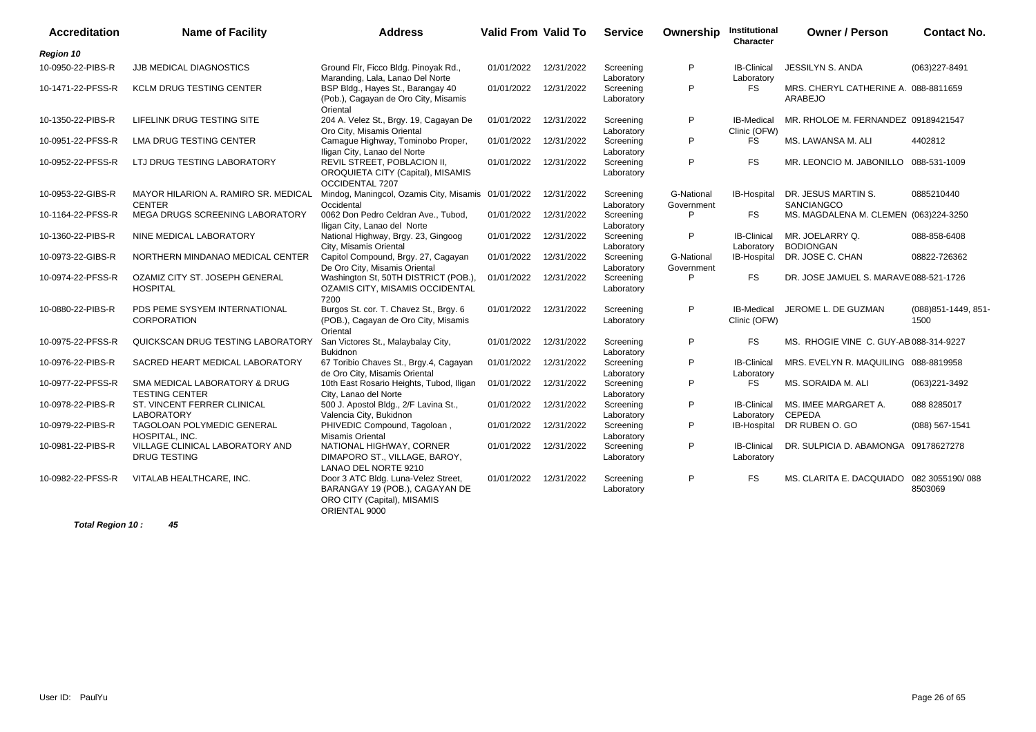| <b>Accreditation</b> | <b>Name of Facility</b>                                | <b>Address</b>                                                                                                        | <b>Valid From Valid To</b> |            | <b>Service</b>          | Ownership                | Institutional<br>Character        | <b>Owner / Person</b>                           | <b>Contact No.</b>           |
|----------------------|--------------------------------------------------------|-----------------------------------------------------------------------------------------------------------------------|----------------------------|------------|-------------------------|--------------------------|-----------------------------------|-------------------------------------------------|------------------------------|
| Region 10            |                                                        |                                                                                                                       |                            |            |                         |                          |                                   |                                                 |                              |
| 10-0950-22-PIBS-R    | <b>JJB MEDICAL DIAGNOSTICS</b>                         | Ground Flr, Ficco Bldg. Pinoyak Rd.,<br>Maranding, Lala, Lanao Del Norte                                              | 01/01/2022                 | 12/31/2022 | Screening<br>Laboratory | P                        | <b>IB-Clinical</b><br>Laboratory  | JESSILYN S. ANDA                                | (063)227-8491                |
| 10-1471-22-PFSS-R    | <b>KCLM DRUG TESTING CENTER</b>                        | BSP Bldg., Hayes St., Barangay 40<br>(Pob.), Cagayan de Oro City, Misamis<br>Oriental                                 | 01/01/2022                 | 12/31/2022 | Screening<br>Laboratory | P                        | FS                                | MRS. CHERYL CATHERINE A. 088-8811659<br>ARABEJO |                              |
| 10-1350-22-PIBS-R    | LIFELINK DRUG TESTING SITE                             | 204 A. Velez St., Brgy. 19, Cagayan De<br>Oro City, Misamis Oriental                                                  | 01/01/2022                 | 12/31/2022 | Screening<br>Laboratory | P                        | <b>IB-Medical</b><br>Clinic (OFW) | MR. RHOLOE M. FERNANDEZ 09189421547             |                              |
| 10-0951-22-PFSS-R    | LMA DRUG TESTING CENTER                                | Camague Highway, Tominobo Proper,<br>Iligan City, Lanao del Norte                                                     | 01/01/2022                 | 12/31/2022 | Screening<br>Laboratory | P                        | FS                                | MS. LAWANSA M. ALI                              | 4402812                      |
| 10-0952-22-PFSS-R    | LTJ DRUG TESTING LABORATORY                            | REVIL STREET, POBLACION II,<br>OROQUIETA CITY (Capital), MISAMIS<br>OCCIDENTAL 7207                                   | 01/01/2022                 | 12/31/2022 | Screening<br>Laboratory | P                        | <b>FS</b>                         | MR. LEONCIO M. JABONILLO 088-531-1009           |                              |
| 10-0953-22-GIBS-R    | MAYOR HILARION A. RAMIRO SR. MEDICAL<br><b>CENTER</b>  | Mindog, Maningcol, Ozamis City, Misamis 01/01/2022<br>Occidental                                                      |                            | 12/31/2022 | Screening<br>Laboratory | G-National<br>Government | IB-Hospital                       | DR. JESUS MARTIN S.<br>SANCIANGCO               | 0885210440                   |
| 10-1164-22-PFSS-R    | MEGA DRUGS SCREENING LABORATORY                        | 0062 Don Pedro Celdran Ave., Tubod,<br>Iligan City, Lanao del Norte                                                   | 01/01/2022                 | 12/31/2022 | Screening<br>Laboratory | P                        | <b>FS</b>                         | MS. MAGDALENA M. CLEMEN (063)224-3250           |                              |
| 10-1360-22-PIBS-R    | NINE MEDICAL LABORATORY                                | National Highway, Brgy. 23, Gingoog<br>City, Misamis Oriental                                                         | 01/01/2022                 | 12/31/2022 | Screening<br>Laboratory | P                        | <b>IB-Clinical</b><br>Laboratory  | MR. JOELARRY Q.<br><b>BODIONGAN</b>             | 088-858-6408                 |
| 10-0973-22-GIBS-R    | NORTHERN MINDANAO MEDICAL CENTER                       | Capitol Compound, Brgy. 27, Cagayan<br>De Oro City, Misamis Oriental                                                  | 01/01/2022                 | 12/31/2022 | Screening<br>Laboratory | G-National<br>Government | IB-Hospital                       | DR. JOSE C. CHAN                                | 08822-726362                 |
| 10-0974-22-PFSS-R    | OZAMIZ CITY ST. JOSEPH GENERAL<br><b>HOSPITAL</b>      | Washington St, 50TH DISTRICT (POB.),<br>OZAMIS CITY, MISAMIS OCCIDENTAL<br>7200                                       | 01/01/2022                 | 12/31/2022 | Screening<br>Laboratory | P                        | <b>FS</b>                         | DR. JOSE JAMUEL S. MARAVE 088-521-1726          |                              |
| 10-0880-22-PIBS-R    | PDS PEME SYSYEM INTERNATIONAL<br>CORPORATION           | Burgos St. cor. T. Chavez St., Brgy. 6<br>(POB.), Cagayan de Oro City, Misamis<br>Oriental                            | 01/01/2022                 | 12/31/2022 | Screening<br>Laboratory | P                        | IB-Medical<br>Clinic (OFW)        | JEROME L. DE GUZMAN                             | (088) 851-1449, 851-<br>1500 |
| 10-0975-22-PFSS-R    | QUICKSCAN DRUG TESTING LABORATORY                      | San Victores St., Malaybalay City,<br><b>Bukidnon</b>                                                                 | 01/01/2022                 | 12/31/2022 | Screening<br>Laboratory | P                        | <b>FS</b>                         | MS. RHOGIE VINE C. GUY-AB 088-314-9227          |                              |
| 10-0976-22-PIBS-R    | SACRED HEART MEDICAL LABORATORY                        | 67 Toribio Chaves St., Brgy.4, Cagayan<br>de Oro City, Misamis Oriental                                               | 01/01/2022                 | 12/31/2022 | Screening<br>Laboratory | P                        | <b>IB-Clinical</b><br>Laboratory  | MRS. EVELYN R. MAQUILING 088-8819958            |                              |
| 10-0977-22-PFSS-R    | SMA MEDICAL LABORATORY & DRUG<br><b>TESTING CENTER</b> | 10th East Rosario Heights, Tubod, Iligan<br>City, Lanao del Norte                                                     | 01/01/2022                 | 12/31/2022 | Screening<br>Laboratory | P                        | FS                                | MS. SORAIDA M. ALI                              | (063)221-3492                |
| 10-0978-22-PIBS-R    | ST. VINCENT FERRER CLINICAL<br><b>LABORATORY</b>       | 500 J. Apostol Bldg., 2/F Lavina St.,<br>Valencia City, Bukidnon                                                      | 01/01/2022                 | 12/31/2022 | Screening<br>Laboratory | P                        | <b>IB-Clinical</b><br>Laboratory  | MS. IMEE MARGARET A.<br><b>CEPEDA</b>           | 088 8285017                  |
| 10-0979-22-PIBS-R    | <b>TAGOLOAN POLYMEDIC GENERAL</b><br>HOSPITAL, INC.    | PHIVEDIC Compound, Tagoloan,<br><b>Misamis Oriental</b>                                                               | 01/01/2022                 | 12/31/2022 | Screening<br>Laboratory | P                        | <b>IB-Hospital</b>                | DR RUBEN O. GO                                  | $(088)$ 567-1541             |
| 10-0981-22-PIBS-R    | VILLAGE CLINICAL LABORATORY AND<br><b>DRUG TESTING</b> | NATIONAL HIGHWAY, CORNER<br>DIMAPORO ST., VILLAGE, BAROY,<br>LANAO DEL NORTE 9210                                     | 01/01/2022                 | 12/31/2022 | Screening<br>Laboratory | P                        | <b>IB-Clinical</b><br>Laboratory  | DR. SULPICIA D. ABAMONGA 09178627278            |                              |
| 10-0982-22-PFSS-R    | VITALAB HEALTHCARE, INC.                               | Door 3 ATC Bldg. Luna-Velez Street,<br>BARANGAY 19 (POB.), CAGAYAN DE<br>ORO CITY (Capital), MISAMIS<br>ORIENTAL 9000 | 01/01/2022                 | 12/31/2022 | Screening<br>Laboratory | P                        | <b>FS</b>                         | MS. CLARITA E. DACQUIADO 082 3055190/088        | 8503069                      |

**Total Region 10 : 45**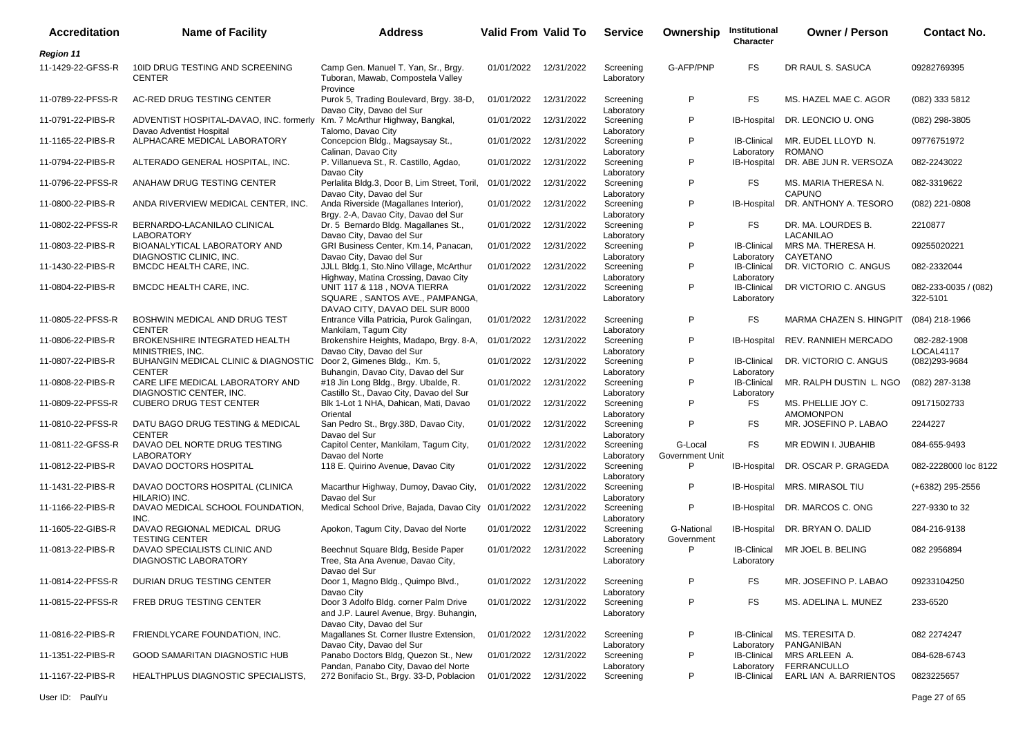| <b>Accreditation</b> | <b>Name of Facility</b>                                                             | <b>Address</b>                                                                                                | Valid From Valid To |            | <b>Service</b>                        | Ownership                  | Institutional<br>Character       | <b>Owner / Person</b>                  | <b>Contact No.</b>               |
|----------------------|-------------------------------------------------------------------------------------|---------------------------------------------------------------------------------------------------------------|---------------------|------------|---------------------------------------|----------------------------|----------------------------------|----------------------------------------|----------------------------------|
| <b>Region 11</b>     |                                                                                     |                                                                                                               |                     |            |                                       |                            |                                  |                                        |                                  |
| 11-1429-22-GFSS-R    | 10ID DRUG TESTING AND SCREENING<br><b>CENTER</b>                                    | Camp Gen. Manuel T. Yan, Sr., Brgy.<br>Tuboran, Mawab, Compostela Valley<br>Province                          | 01/01/2022          | 12/31/2022 | Screening<br>Laboratory               | G-AFP/PNP                  | FS.                              | DR RAUL S. SASUCA                      | 09282769395                      |
| 11-0789-22-PFSS-R    | AC-RED DRUG TESTING CENTER                                                          | Purok 5, Trading Boulevard, Brgy. 38-D.                                                                       | 01/01/2022          | 12/31/2022 | Screening                             | P                          | FS.                              | MS. HAZEL MAE C. AGOR                  | (082) 333 5812                   |
| 11-0791-22-PIBS-R    | ADVENTIST HOSPITAL-DAVAO, INC. formerly Km. 7 McArthur Highway, Bangkal,            | Davao City, Davao del Sur                                                                                     | 01/01/2022          | 12/31/2022 | Laboratory<br>Screening               | P                          | IB-Hospital                      | DR. LEONCIO U. ONG                     | (082) 298-3805                   |
| 11-1165-22-PIBS-R    | Davao Adventist Hospital<br>ALPHACARE MEDICAL LABORATORY                            | Talomo, Davao City<br>Concepcion Bldg., Magsaysay St.,                                                        | 01/01/2022          | 12/31/2022 | Laboratory<br>Screening               | P                          | <b>IB-Clinical</b>               | MR. EUDEL LLOYD N.                     | 09776751972                      |
| 11-0794-22-PIBS-R    | ALTERADO GENERAL HOSPITAL, INC.                                                     | Calinan, Davao City<br>P. Villanueva St., R. Castillo, Agdao,                                                 | 01/01/2022          | 12/31/2022 | Laboratory<br>Screening               | P                          | Laboratory<br>IB-Hospital        | ROMANO<br>DR. ABE JUN R. VERSOZA       | 082-2243022                      |
| 11-0796-22-PFSS-R    | ANAHAW DRUG TESTING CENTER                                                          | Davao City<br>Perlalita Bldg.3, Door B, Lim Street, Toril,<br>Davao City, Davao del Sur                       | 01/01/2022          | 12/31/2022 | Laboratory<br>Screening               | P                          | FS                               | MS. MARIA THERESA N.<br><b>CAPUNO</b>  | 082-3319622                      |
| 11-0800-22-PIBS-R    | ANDA RIVERVIEW MEDICAL CENTER, INC.                                                 | Anda Riverside (Magallanes Interior),<br>Brgy. 2-A, Davao City, Davao del Sur                                 | 01/01/2022          | 12/31/2022 | Laboratory<br>Screening<br>Laboratory | P                          | <b>IB-Hospital</b>               | DR. ANTHONY A. TESORO                  | (082) 221-0808                   |
| 11-0802-22-PFSS-R    | BERNARDO-LACANILAO CLINICAL<br><b>LABORATORY</b>                                    | Dr. 5 Bernardo Bldg. Magallanes St.,<br>Davao City, Davao del Sur                                             | 01/01/2022          | 12/31/2022 | Screening<br>Laboratory               | P                          | FS                               | DR. MA. LOURDES B.<br><b>LACANILAO</b> | 2210877                          |
| 11-0803-22-PIBS-R    | BIOANALYTICAL LABORATORY AND<br>DIAGNOSTIC CLINIC, INC.                             | GRI Business Center, Km.14, Panacan,<br>Davao City, Davao del Sur                                             | 01/01/2022          | 12/31/2022 | Screening<br>Laboratory               | P                          | <b>IB-Clinical</b><br>Laboratory | MRS MA. THERESA H.<br>CAYETANO         | 09255020221                      |
| 11-1430-22-PIBS-R    | <b>BMCDC HEALTH CARE, INC.</b>                                                      | JJLL Bldg.1, Sto.Nino Village, McArthur<br>Highway, Matina Crossing, Davao City                               | 01/01/2022          | 12/31/2022 | Screening<br>Laboratory               | P                          | <b>IB-Clinical</b><br>Laboratory | DR. VICTORIO C. ANGUS                  | 082-2332044                      |
| 11-0804-22-PIBS-R    | BMCDC HEALTH CARE, INC.                                                             | UNIT 117 & 118, NOVA TIERRA<br>SQUARE, SANTOS AVE., PAMPANGA,<br>DAVAO CITY, DAVAO DEL SUR 8000               | 01/01/2022          | 12/31/2022 | Screening<br>Laboratory               | P                          | <b>IB-Clinical</b><br>Laboratory | DR VICTORIO C. ANGUS                   | 082-233-0035 / (082)<br>322-5101 |
| 11-0805-22-PFSS-R    | BOSHWIN MEDICAL AND DRUG TEST<br><b>CENTER</b>                                      | Entrance Villa Patricia, Purok Galingan,<br>Mankilam, Tagum City                                              | 01/01/2022          | 12/31/2022 | Screening<br>Laboratory               | P                          | FS.                              | MARMA CHAZEN S. HINGPIT                | (084) 218-1966                   |
| 11-0806-22-PIBS-R    | BROKENSHIRE INTEGRATED HEALTH<br>MINISTRIES, INC.                                   | Brokenshire Heights, Madapo, Brgy. 8-A,<br>Davao City, Davao del Sur                                          | 01/01/2022          | 12/31/2022 | Screening<br>Laboratory               | P                          | IB-Hospital                      | <b>REV. RANNIEH MERCADO</b>            | 082-282-1908<br>LOCAL4117        |
| 11-0807-22-PIBS-R    | BUHANGIN MEDICAL CLINIC & DIAGNOSTIC Door 2, Gimenes Bldg., Km. 5,<br><b>CENTER</b> | Buhangin, Davao City, Davao del Sur                                                                           | 01/01/2022          | 12/31/2022 | Screening<br>Laboratory               | P                          | <b>IB-Clinical</b><br>Laboratory | DR. VICTORIO C. ANGUS                  | (082)293-9684                    |
| 11-0808-22-PIBS-R    | CARE LIFE MEDICAL LABORATORY AND<br>DIAGNOSTIC CENTER, INC.                         | #18 Jin Long Bldg., Brgy. Ubalde, R.                                                                          | 01/01/2022          | 12/31/2022 | Screening                             | P                          | <b>IB-Clinical</b>               | MR. RALPH DUSTIN L. NGO                | (082) 287-3138                   |
| 11-0809-22-PFSS-R    | <b>CUBERO DRUG TEST CENTER</b>                                                      | Castillo St., Davao City, Davao del Sur<br>Blk 1-Lot 1 NHA, Dahican, Mati, Davao<br>Oriental                  | 01/01/2022          | 12/31/2022 | Laboratory<br>Screening               | P                          | Laboratory<br>FS                 | MS. PHELLIE JOY C.<br><b>AMOMONPON</b> | 09171502733                      |
| 11-0810-22-PFSS-R    | DATU BAGO DRUG TESTING & MEDICAL<br><b>CENTER</b>                                   | San Pedro St., Brgy.38D, Davao City,<br>Davao del Sur                                                         | 01/01/2022          | 12/31/2022 | Laboratory<br>Screening               | P                          | FS.                              | MR. JOSEFINO P. LABAO                  | 2244227                          |
| 11-0811-22-GFSS-R    | DAVAO DEL NORTE DRUG TESTING<br><b>LABORATORY</b>                                   | Capitol Center, Mankilam, Tagum City,<br>Davao del Norte                                                      | 01/01/2022          | 12/31/2022 | Laboratory<br>Screening<br>Laboratory | G-Local<br>Government Unit | FS.                              | MR EDWIN I. JUBAHIB                    | 084-655-9493                     |
| 11-0812-22-PIBS-R    | DAVAO DOCTORS HOSPITAL                                                              | 118 E. Quirino Avenue, Davao City                                                                             | 01/01/2022          | 12/31/2022 | Screening<br>Laboratory               | P                          | IB-Hospital                      | DR. OSCAR P. GRAGEDA                   | 082-2228000 loc 8122             |
| 11-1431-22-PIBS-R    | DAVAO DOCTORS HOSPITAL (CLINICA<br>HILARIO) INC.                                    | Macarthur Highway, Dumoy, Davao City,<br>Davao del Sur                                                        | 01/01/2022          | 12/31/2022 | Screening<br>Laboratory               | P                          | IB-Hospital                      | MRS. MIRASOL TIU                       | (+6382) 295-2556                 |
| 11-1166-22-PIBS-R    | DAVAO MEDICAL SCHOOL FOUNDATION,<br>INC.                                            | Medical School Drive, Bajada, Davao City 01/01/2022                                                           |                     | 12/31/2022 | Screening<br>Laboratory               | P                          | <b>IB-Hospital</b>               | DR. MARCOS C. ONG                      | 227-9330 to 32                   |
| 11-1605-22-GIBS-R    | DAVAO REGIONAL MEDICAL DRUG<br><b>TESTING CENTER</b>                                | Apokon, Tagum City, Davao del Norte                                                                           | 01/01/2022          | 12/31/2022 | Screening<br>Laboratory               | G-National<br>Government   | IB-Hospital                      | DR. BRYAN O. DALID                     | 084-216-9138                     |
| 11-0813-22-PIBS-R    | DAVAO SPECIALISTS CLINIC AND<br>DIAGNOSTIC LABORATORY                               | Beechnut Square Bldg, Beside Paper<br>Tree, Sta Ana Avenue, Davao City,<br>Davao del Sur                      | 01/01/2022          | 12/31/2022 | Screening<br>Laboratory               | P                          | <b>IB-Clinical</b><br>Laboratory | MR JOEL B. BELING                      | 082 2956894                      |
| 11-0814-22-PFSS-R    | DURIAN DRUG TESTING CENTER                                                          | Door 1, Magno Bldg., Quimpo Blvd.,<br>Davao City                                                              | 01/01/2022          | 12/31/2022 | Screening<br>Laboratory               | P                          | FS                               | MR. JOSEFINO P. LABAO                  | 09233104250                      |
| 11-0815-22-PFSS-R    | FREB DRUG TESTING CENTER                                                            | Door 3 Adolfo Bldg. corner Palm Drive<br>and J.P. Laurel Avenue, Brgy. Buhangin,<br>Davao City, Davao del Sur | 01/01/2022          | 12/31/2022 | Screening<br>Laboratory               | P                          | FS                               | MS. ADELINA L. MUNEZ                   | 233-6520                         |
| 11-0816-22-PIBS-R    | FRIENDLYCARE FOUNDATION, INC.                                                       | Magallanes St. Corner Ilustre Extension,                                                                      | 01/01/2022          | 12/31/2022 | Screening                             | P                          | <b>IB-Clinical</b>               | MS. TERESITA D.<br>PANGANIBAN          | 082 2274247                      |
| 11-1351-22-PIBS-R    | GOOD SAMARITAN DIAGNOSTIC HUB                                                       | Davao City, Davao del Sur<br>Panabo Doctors Bldg, Quezon St., New<br>Pandan, Panabo City, Davao del Norte     | 01/01/2022          | 12/31/2022 | Laboratory<br>Screening<br>Laboratory | P                          | Laboratory<br><b>IB-Clinical</b> | MRS ARLEEN A.<br>FERRANCULLO           | 084-628-6743                     |
| 11-1167-22-PIBS-R    | HEALTHPLUS DIAGNOSTIC SPECIALISTS,                                                  | 272 Bonifacio St., Brgy. 33-D, Poblacion                                                                      | 01/01/2022          | 12/31/2022 | Screening                             | P                          | Laboratory<br><b>IB-Clinical</b> | EARL IAN A. BARRIENTOS                 | 0823225657                       |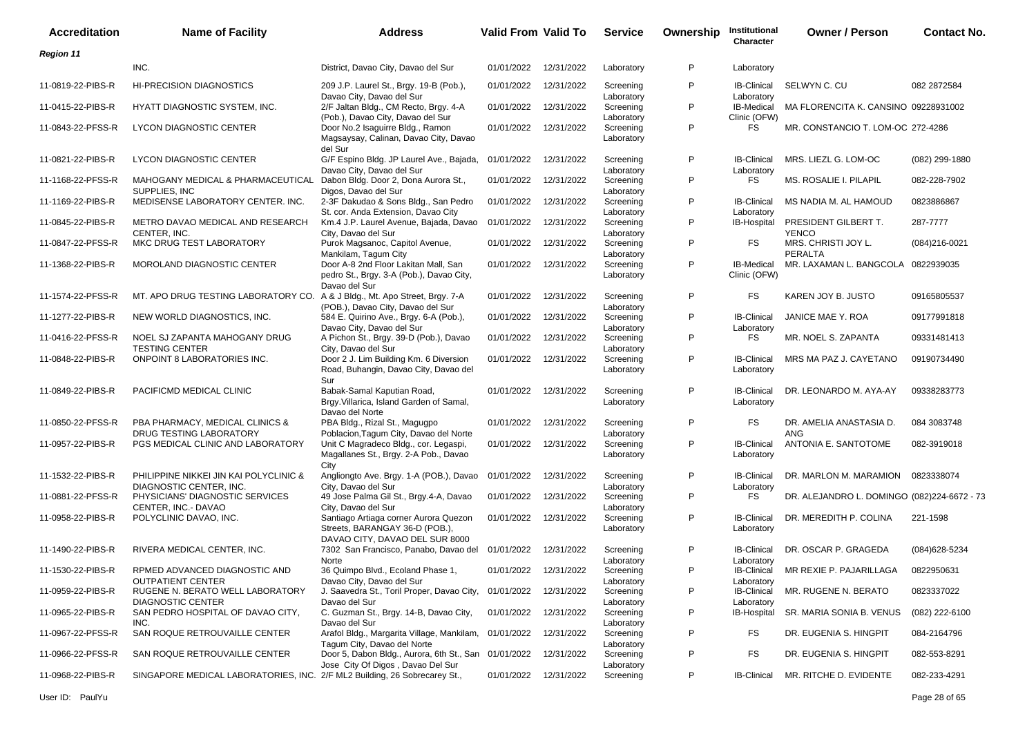| <b>Accreditation</b> | <b>Name of Facility</b>                                                    | <b>Address</b>                                                                                                                   | <b>Valid From Valid To</b> |            | <b>Service</b>                        | Ownership | Institutional<br>Character                     | <b>Owner / Person</b>                                 | <b>Contact No.</b> |
|----------------------|----------------------------------------------------------------------------|----------------------------------------------------------------------------------------------------------------------------------|----------------------------|------------|---------------------------------------|-----------|------------------------------------------------|-------------------------------------------------------|--------------------|
| <b>Region 11</b>     |                                                                            |                                                                                                                                  |                            |            |                                       |           |                                                |                                                       |                    |
|                      | INC.                                                                       | District, Davao City, Davao del Sur                                                                                              | 01/01/2022                 | 12/31/2022 | Laboratory                            | P         | Laboratory                                     |                                                       |                    |
| 11-0819-22-PIBS-R    | <b>HI-PRECISION DIAGNOSTICS</b>                                            | 209 J.P. Laurel St., Brgy. 19-B (Pob.),                                                                                          | 01/01/2022                 | 12/31/2022 | Screening                             | P         | <b>IB-Clinical</b>                             | SELWYN C. CU                                          | 082 2872584        |
| 11-0415-22-PIBS-R    | HYATT DIAGNOSTIC SYSTEM, INC.                                              | Davao City, Davao del Sur<br>2/F Jaltan Bldg., CM Recto, Brgy. 4-A                                                               | 01/01/2022                 | 12/31/2022 | Laboratory<br>Screening               | P         | Laboratory<br>IB-Medical                       | MA FLORENCITA K. CANSINO 09228931002                  |                    |
| 11-0843-22-PFSS-R    | LYCON DIAGNOSTIC CENTER                                                    | (Pob.), Davao City, Davao del Sur<br>Door No.2 Isaguirre Bldg., Ramon<br>Magsaysay, Calinan, Davao City, Davao                   | 01/01/2022                 | 12/31/2022 | Laboratory<br>Screening<br>Laboratory | P         | Clinic (OFW)<br>FS.                            | MR. CONSTANCIO T. LOM-OC 272-4286                     |                    |
| 11-0821-22-PIBS-R    | <b>LYCON DIAGNOSTIC CENTER</b>                                             | del Sur<br>G/F Espino Bldg. JP Laurel Ave., Bajada,<br>Davao City, Davao del Sur                                                 | 01/01/2022                 | 12/31/2022 | Screening                             | P         | <b>IB-Clinical</b>                             | MRS. LIEZL G. LOM-OC                                  | (082) 299-1880     |
| 11-1168-22-PFSS-R    | MAHOGANY MEDICAL & PHARMACEUTICAL<br>SUPPLIES, INC                         | Dabon Bldg. Door 2, Dona Aurora St.,                                                                                             | 01/01/2022                 | 12/31/2022 | Laboratory<br>Screening               | P         | Laboratory<br>FS                               | MS. ROSALIE I. PILAPIL                                | 082-228-7902       |
| 11-1169-22-PIBS-R    | MEDISENSE LABORATORY CENTER. INC.                                          | Digos, Davao del Sur<br>2-3F Dakudao & Sons Bldg., San Pedro                                                                     | 01/01/2022                 | 12/31/2022 | Laboratory<br>Screening               | P         | <b>IB-Clinical</b>                             | MS NADIA M. AL HAMOUD                                 | 0823886867         |
| 11-0845-22-PIBS-R    | METRO DAVAO MEDICAL AND RESEARCH                                           | St. cor. Anda Extension, Davao City<br>Km.4 J.P. Laurel Avenue, Bajada, Davao                                                    | 01/01/2022                 | 12/31/2022 | Laboratory<br>Screening               | P         | Laboratory<br>IB-Hospital                      | PRESIDENT GILBERT T.                                  | 287-7777           |
| 11-0847-22-PFSS-R    | CENTER, INC.<br>MKC DRUG TEST LABORATORY                                   | City, Davao del Sur<br>Purok Magsanoc, Capitol Avenue,<br>Mankilam, Tagum City                                                   | 01/01/2022                 | 12/31/2022 | Laboratory<br>Screening<br>Laboratory | P         | FS                                             | <b>YENCO</b><br>MRS. CHRISTI JOY L.<br><b>PERALTA</b> | $(084)216-0021$    |
| 11-1368-22-PIBS-R    | <b>MOROLAND DIAGNOSTIC CENTER</b>                                          | Door A-8 2nd Floor Lakitan Mall, San<br>pedro St., Brgy. 3-A (Pob.), Davao City,<br>Davao del Sur                                | 01/01/2022                 | 12/31/2022 | Screening<br>Laboratory               | P         | IB-Medical<br>Clinic (OFW)                     | MR. LAXAMAN L. BANGCOLA 0822939035                    |                    |
| 11-1574-22-PFSS-R    | MT. APO DRUG TESTING LABORATORY CO. A & J Bldg., Mt. Apo Street, Brgy. 7-A | (POB.), Davao City, Davao del Sur                                                                                                | 01/01/2022                 | 12/31/2022 | Screening<br>Laboratory               | P         | FS                                             | KAREN JOY B. JUSTO                                    | 09165805537        |
| 11-1277-22-PIBS-R    | NEW WORLD DIAGNOSTICS, INC.                                                | 584 E. Quirino Ave., Brgy. 6-A (Pob.),<br>Davao City, Davao del Sur                                                              | 01/01/2022                 | 12/31/2022 | Screening<br>Laboratory               | P         | <b>IB-Clinical</b><br>Laboratory               | JANICE MAE Y. ROA                                     | 09177991818        |
| 11-0416-22-PFSS-R    | NOEL SJ ZAPANTA MAHOGANY DRUG<br><b>TESTING CENTER</b>                     | A Pichon St., Brgy. 39-D (Pob.), Davao<br>City, Davao del Sur                                                                    | 01/01/2022                 | 12/31/2022 | Screening<br>Laboratory               | P         | FS.                                            | MR. NOEL S. ZAPANTA                                   | 09331481413        |
| 11-0848-22-PIBS-R    | ONPOINT 8 LABORATORIES INC.                                                | Door 2 J. Lim Building Km. 6 Diversion<br>Road, Buhangin, Davao City, Davao del<br>Sur                                           | 01/01/2022                 | 12/31/2022 | Screening<br>Laboratory               | P         | <b>IB-Clinical</b><br>Laboratory               | MRS MA PAZ J. CAYETANO                                | 09190734490        |
| 11-0849-22-PIBS-R    | PACIFICMD MEDICAL CLINIC                                                   | Babak-Samal Kaputian Road,<br>Brgy Villarica, Island Garden of Samal,<br>Davao del Norte                                         | 01/01/2022                 | 12/31/2022 | Screening<br>Laboratory               | P         | <b>IB-Clinical</b><br>Laboratory               | DR. LEONARDO M. AYA-AY                                | 09338283773        |
| 11-0850-22-PFSS-R    | PBA PHARMACY, MEDICAL CLINICS &<br>DRUG TESTING LABORATORY                 | PBA Bldg., Rizal St., Magugpo<br>Poblacion, Tagum City, Davao del Norte                                                          | 01/01/2022                 | 12/31/2022 | Screening<br>Laboratory               | P         | <b>FS</b>                                      | DR. AMELIA ANASTASIA D.<br><b>ANG</b>                 | 084 3083748        |
| 11-0957-22-PIBS-R    | PGS MEDICAL CLINIC AND LABORATORY                                          | Unit C Magradeco Bldg., cor. Legaspi,<br>Magallanes St., Brgy. 2-A Pob., Davao                                                   | 01/01/2022                 | 12/31/2022 | Screening<br>Laboratory               | P         | <b>IB-Clinical</b><br>Laboratory               | ANTONIA E. SANTOTOME                                  | 082-3919018        |
| 11-1532-22-PIBS-R    | PHILIPPINE NIKKEI JIN KAI POLYCLINIC &<br>DIAGNOSTIC CENTER, INC.          | City<br>Angliongto Ave. Brgy. 1-A (POB.), Davao                                                                                  | 01/01/2022                 | 12/31/2022 | Screening                             | P         | <b>IB-Clinical</b>                             | DR. MARLON M. MARAMION                                | 0823338074         |
| 11-0881-22-PFSS-R    | PHYSICIANS' DIAGNOSTIC SERVICES<br>CENTER. INC.- DAVAO                     | City, Davao del Sur<br>49 Jose Palma Gil St., Brgy.4-A, Davao                                                                    | 01/01/2022                 | 12/31/2022 | Laboratory<br>Screening<br>Laboratory | P         | Laboratory<br><b>FS</b>                        | DR. ALEJANDRO L. DOMINGO (082)224-6672 - 73           |                    |
| 11-0958-22-PIBS-R    | POLYCLINIC DAVAO, INC.                                                     | City, Davao del Sur<br>Santiago Artiaga corner Aurora Quezon<br>Streets, BARANGAY 36-D (POB.),<br>DAVAO CITY, DAVAO DEL SUR 8000 | 01/01/2022                 | 12/31/2022 | Screening<br>Laboratory               | P         | <b>IB-Clinical</b><br>Laboratory               | DR. MEREDITH P. COLINA                                | 221-1598           |
| 11-1490-22-PIBS-R    | RIVERA MEDICAL CENTER, INC.                                                | 7302 San Francisco, Panabo, Davao del 01/01/2022                                                                                 |                            | 12/31/2022 | Screening                             | P         | <b>IB-Clinical</b>                             | DR. OSCAR P. GRAGEDA                                  | (084) 628-5234     |
| 11-1530-22-PIBS-R    | RPMED ADVANCED DIAGNOSTIC AND<br><b>OUTPATIENT CENTER</b>                  | Norte<br>36 Quimpo Blvd., Ecoland Phase 1,<br>Davao City, Davao del Sur                                                          | 01/01/2022 12/31/2022      |            | Laboratory<br>Screening<br>Laboratory | P         | Laboratory<br><b>IB-Clinical</b><br>Laboratory | MR REXIE P. PAJARILLAGA                               | 0822950631         |
| 11-0959-22-PIBS-R    | RUGENE N. BERATO WELL LABORATORY<br><b>DIAGNOSTIC CENTER</b>               | J. Saavedra St., Toril Proper, Davao City, 01/01/2022<br>Davao del Sur                                                           |                            | 12/31/2022 | Screening<br>Laboratory               | P         | <b>IB-Clinical</b><br>Laboratory               | MR. RUGENE N. BERATO                                  | 0823337022         |
| 11-0965-22-PIBS-R    | SAN PEDRO HOSPITAL OF DAVAO CITY,                                          | C. Guzman St., Brgy. 14-B, Davao City,<br>Davao del Sur                                                                          | 01/01/2022                 | 12/31/2022 | Screening                             | P         | IB-Hospital                                    | SR. MARIA SONIA B. VENUS                              | (082) 222-6100     |
| 11-0967-22-PFSS-R    | INC.<br>SAN ROQUE RETROUVAILLE CENTER                                      | Arafol Bldg., Margarita Village, Mankilam, 01/01/2022<br>Tagum City, Davao del Norte                                             |                            | 12/31/2022 | Laboratory<br>Screening               | P         | FS                                             | DR. EUGENIA S. HINGPIT                                | 084-2164796        |
| 11-0966-22-PFSS-R    | SAN ROQUE RETROUVAILLE CENTER                                              | Door 5, Dabon Bldg., Aurora, 6th St., San 01/01/2022<br>Jose City Of Digos, Davao Del Sur                                        |                            | 12/31/2022 | Laboratory<br>Screening<br>Laboratory | P         | <b>FS</b>                                      | DR. EUGENIA S. HINGPIT                                | 082-553-8291       |
| 11-0968-22-PIBS-R    | SINGAPORE MEDICAL LABORATORIES, INC. 2/F ML2 Building, 26 Sobrecarey St.,  |                                                                                                                                  | 01/01/2022 12/31/2022      |            | Screening                             | P         | <b>IB-Clinical</b>                             | MR. RITCHE D. EVIDENTE                                | 082-233-4291       |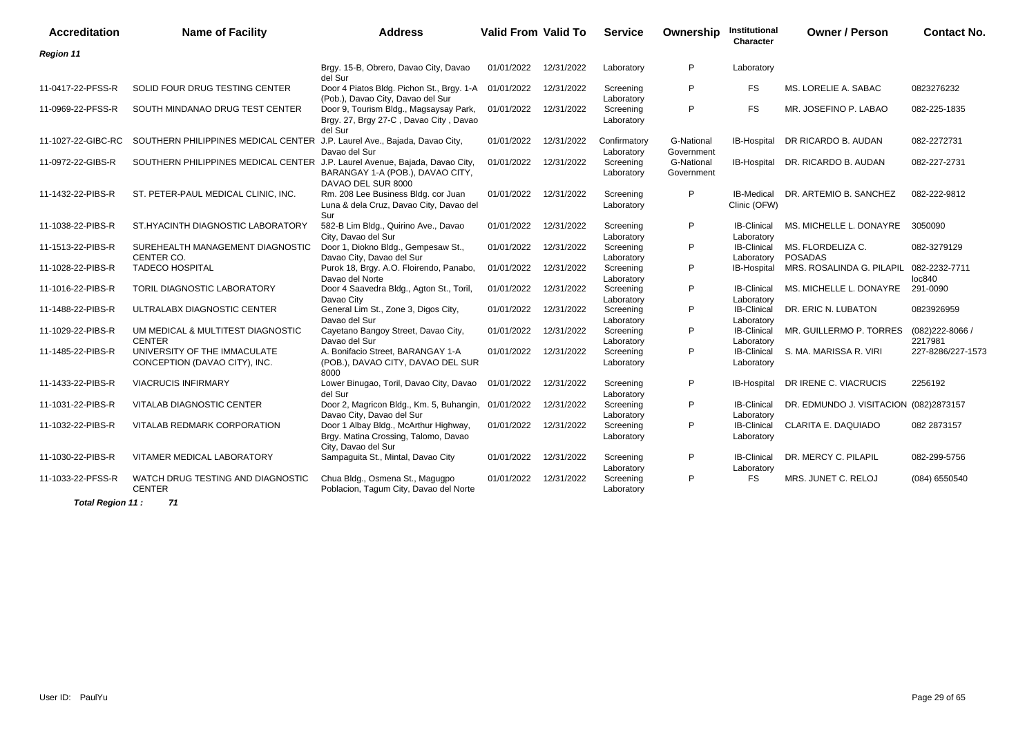| <b>Accreditation</b> | <b>Name of Facility</b>                                                     | <b>Address</b>                                                                                       | Valid From Valid To |            | <b>Service</b>             | Ownership                | Institutional<br>Character        | <b>Owner / Person</b>                  | <b>Contact No.</b>           |
|----------------------|-----------------------------------------------------------------------------|------------------------------------------------------------------------------------------------------|---------------------|------------|----------------------------|--------------------------|-----------------------------------|----------------------------------------|------------------------------|
| <b>Region 11</b>     |                                                                             |                                                                                                      |                     |            |                            |                          |                                   |                                        |                              |
|                      |                                                                             | Brgy. 15-B, Obrero, Davao City, Davao<br>del Sur                                                     | 01/01/2022          | 12/31/2022 | Laboratory                 | P                        | Laboratory                        |                                        |                              |
| 11-0417-22-PFSS-R    | SOLID FOUR DRUG TESTING CENTER                                              | Door 4 Piatos Bldg. Pichon St., Brgy. 1-A<br>(Pob.), Davao City, Davao del Sur                       | 01/01/2022          | 12/31/2022 | Screening<br>Laboratory    | P                        | FS.                               | MS. LORELIE A. SABAC                   | 0823276232                   |
| 11-0969-22-PFSS-R    | SOUTH MINDANAO DRUG TEST CENTER                                             | Door 9, Tourism Bldg., Magsaysay Park,<br>Brgy. 27, Brgy 27-C, Davao City, Davao<br>del Sur          | 01/01/2022          | 12/31/2022 | Screening<br>Laboratory    | P                        | <b>FS</b>                         | MR. JOSEFINO P. LABAO                  | 082-225-1835                 |
| 11-1027-22-GIBC-RC   | SOUTHERN PHILIPPINES MEDICAL CENTER J.P. Laurel Ave., Bajada, Davao City,   | Davao del Sur                                                                                        | 01/01/2022          | 12/31/2022 | Confirmatory<br>Laboratory | G-National<br>Government | <b>IB-Hospital</b>                | DR RICARDO B. AUDAN                    | 082-2272731                  |
| 11-0972-22-GIBS-R    | SOUTHERN PHILIPPINES MEDICAL CENTER J.P. Laurel Avenue, Bajada, Davao City, | BARANGAY 1-A (POB.), DAVAO CITY,<br>DAVAO DEL SUR 8000                                               | 01/01/2022          | 12/31/2022 | Screening<br>Laboratory    | G-National<br>Government | IB-Hospital                       | DR. RICARDO B. AUDAN                   | 082-227-2731                 |
| 11-1432-22-PIBS-R    | ST. PETER-PAUL MEDICAL CLINIC, INC.                                         | Rm. 208 Lee Business Bldg. cor Juan<br>Luna & dela Cruz, Davao City, Davao del<br>Sur                | 01/01/2022          | 12/31/2022 | Screening<br>Laboratory    | P                        | <b>IB-Medical</b><br>Clinic (OFW) | DR. ARTEMIO B. SANCHEZ                 | 082-222-9812                 |
| 11-1038-22-PIBS-R    | ST.HYACINTH DIAGNOSTIC LABORATORY                                           | 582-B Lim Bldg., Quirino Ave., Davao<br>City, Davao del Sur                                          | 01/01/2022          | 12/31/2022 | Screening<br>Laboratory    | P                        | <b>IB-Clinical</b><br>Laboratory  | MS. MICHELLE L. DONAYRE                | 3050090                      |
| 11-1513-22-PIBS-R    | SUREHEALTH MANAGEMENT DIAGNOSTIC<br>CENTER CO.                              | Door 1, Diokno Bldg., Gempesaw St.,<br>Davao City, Davao del Sur                                     | 01/01/2022          | 12/31/2022 | Screening<br>Laboratory    | P                        | <b>IB-Clinical</b><br>Laboratory  | MS. FLORDELIZA C.<br><b>POSADAS</b>    | 082-3279129                  |
| 11-1028-22-PIBS-R    | <b>TADECO HOSPITAL</b>                                                      | Purok 18, Brgy. A.O. Floirendo, Panabo,<br>Davao del Norte                                           | 01/01/2022          | 12/31/2022 | Screening<br>Laboratory    | P                        | IB-Hospital                       | MRS. ROSALINDA G. PILAPIL              | 082-2232-7711<br>loc840      |
| 11-1016-22-PIBS-R    | TORIL DIAGNOSTIC LABORATORY                                                 | Door 4 Saavedra Bldg., Agton St., Toril,<br>Davao City                                               | 01/01/2022          | 12/31/2022 | Screening<br>Laboratory    | P                        | <b>IB-Clinical</b><br>Laboratory  | MS. MICHELLE L. DONAYRE                | 291-0090                     |
| 11-1488-22-PIBS-R    | ULTRALABX DIAGNOSTIC CENTER                                                 | General Lim St., Zone 3, Digos City,<br>Davao del Sur                                                | 01/01/2022          | 12/31/2022 | Screening<br>Laboratory    | P                        | <b>IB-Clinical</b><br>Laboratory  | DR. ERIC N. LUBATON                    | 0823926959                   |
| 11-1029-22-PIBS-R    | UM MEDICAL & MULTITEST DIAGNOSTIC<br><b>CENTER</b>                          | Cayetano Bangoy Street, Davao City,<br>Davao del Sur                                                 | 01/01/2022          | 12/31/2022 | Screening<br>Laboratory    | P                        | <b>IB-Clinical</b><br>Laboratory  | MR. GUILLERMO P. TORRES                | $(082)222 - 8066$<br>2217981 |
| 11-1485-22-PIBS-R    | UNIVERSITY OF THE IMMACULATE<br>CONCEPTION (DAVAO CITY), INC.               | A. Bonifacio Street, BARANGAY 1-A<br>(POB.), DAVAO CITY, DAVAO DEL SUR<br>8000                       | 01/01/2022          | 12/31/2022 | Screening<br>Laboratory    | P                        | <b>IB-Clinical</b><br>Laboratory  | S. MA. MARISSA R. VIRI                 | 227-8286/227-1573            |
| 11-1433-22-PIBS-R    | <b>VIACRUCIS INFIRMARY</b>                                                  | Lower Binugao, Toril, Davao City, Davao<br>del Sur                                                   | 01/01/2022          | 12/31/2022 | Screening<br>Laboratory    | P                        | IB-Hospital                       | DR IRENE C. VIACRUCIS                  | 2256192                      |
| 11-1031-22-PIBS-R    | VITALAB DIAGNOSTIC CENTER                                                   | Door 2, Magricon Bldg., Km. 5, Buhangin, 01/01/2022<br>Davao City, Davao del Sur                     |                     | 12/31/2022 | Screening<br>Laboratory    | P                        | <b>IB-Clinical</b><br>Laboratory  | DR. EDMUNDO J. VISITACION (082)2873157 |                              |
| 11-1032-22-PIBS-R    | VITALAB REDMARK CORPORATION                                                 | Door 1 Albay Bldg., McArthur Highway,<br>Brgy. Matina Crossing, Talomo, Davao<br>City, Davao del Sur | 01/01/2022          | 12/31/2022 | Screening<br>Laboratory    | P                        | <b>IB-Clinical</b><br>Laboratory  | <b>CLARITA E. DAQUIADO</b>             | 082 2873157                  |
| 11-1030-22-PIBS-R    | VITAMER MEDICAL LABORATORY                                                  | Sampaguita St., Mintal, Davao City                                                                   | 01/01/2022          | 12/31/2022 | Screening<br>Laboratory    | P                        | <b>IB-Clinical</b><br>Laboratory  | DR. MERCY C. PILAPIL                   | 082-299-5756                 |
| 11-1033-22-PFSS-R    | WATCH DRUG TESTING AND DIAGNOSTIC<br><b>CENTER</b>                          | Chua Bldg., Osmena St., Magugpo<br>Poblacion, Tagum City, Davao del Norte                            | 01/01/2022          | 12/31/2022 | Screening<br>Laboratory    | P                        | <b>FS</b>                         | MRS. JUNET C. RELOJ                    | (084) 6550540                |

**Total Region 11 : 71**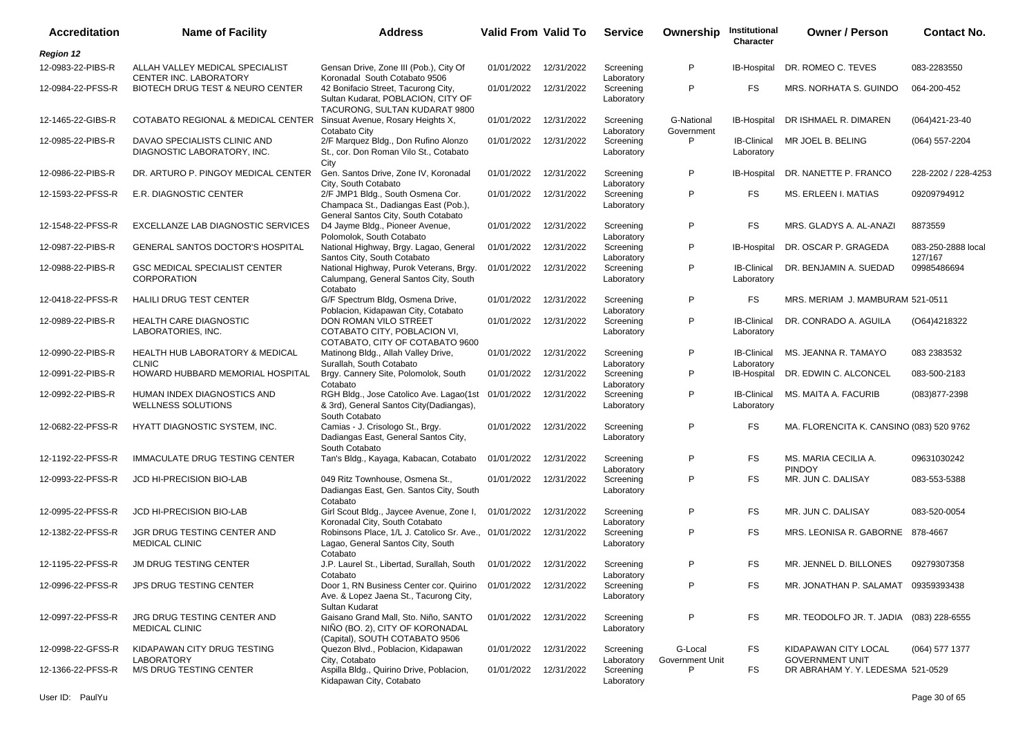| <b>Accreditation</b> | <b>Name of Facility</b>                                              | <b>Address</b>                                                                                                            | <b>Valid From Valid To</b> |                       | <b>Service</b>          | Ownership                  | Institutional<br>Character       | <b>Owner / Person</b>                          | <b>Contact No.</b>            |
|----------------------|----------------------------------------------------------------------|---------------------------------------------------------------------------------------------------------------------------|----------------------------|-----------------------|-------------------------|----------------------------|----------------------------------|------------------------------------------------|-------------------------------|
| <b>Region 12</b>     |                                                                      |                                                                                                                           |                            |                       |                         |                            |                                  |                                                |                               |
| 12-0983-22-PIBS-R    | ALLAH VALLEY MEDICAL SPECIALIST<br>CENTER INC. LABORATORY            | Gensan Drive, Zone III (Pob.), City Of<br>Koronadal South Cotabato 9506                                                   | 01/01/2022                 | 12/31/2022            | Screening<br>Laboratory | P                          | <b>IB-Hospital</b>               | DR. ROMEO C. TEVES                             | 083-2283550                   |
| 12-0984-22-PFSS-R    | BIOTECH DRUG TEST & NEURO CENTER                                     | 42 Bonifacio Street, Tacurong City,<br>Sultan Kudarat, POBLACION, CITY OF<br>TACURONG, SULTAN KUDARAT 9800                | 01/01/2022                 | 12/31/2022            | Screening<br>Laboratory | P                          | FS.                              | MRS. NORHATA S. GUINDO                         | 064-200-452                   |
| 12-1465-22-GIBS-R    | COTABATO REGIONAL & MEDICAL CENTER Sinsuat Avenue, Rosary Heights X, | Cotabato City                                                                                                             | 01/01/2022                 | 12/31/2022            | Screening<br>Laboratory | G-National<br>Government   | IB-Hospital                      | DR ISHMAEL R. DIMAREN                          | $(064)421 - 23 - 40$          |
| 12-0985-22-PIBS-R    | DAVAO SPECIALISTS CLINIC AND<br>DIAGNOSTIC LABORATORY, INC.          | 2/F Marquez Bldg., Don Rufino Alonzo<br>St., cor. Don Roman Vilo St., Cotabato<br>City                                    | 01/01/2022                 | 12/31/2022            | Screening<br>Laboratory | P                          | <b>IB-Clinical</b><br>Laboratory | MR JOEL B. BELING                              | (064) 557-2204                |
| 12-0986-22-PIBS-R    | DR. ARTURO P. PINGOY MEDICAL CENTER                                  | Gen. Santos Drive, Zone IV, Koronadal<br>City, South Cotabato                                                             | 01/01/2022                 | 12/31/2022            | Screening<br>Laboratory | P                          | IB-Hospital                      | DR. NANETTE P. FRANCO                          | 228-2202 / 228-4253           |
| 12-1593-22-PFSS-R    | E.R. DIAGNOSTIC CENTER                                               | 2/F JMP1 Bldg., South Osmena Cor.<br>Champaca St., Dadiangas East (Pob.),<br>General Santos City, South Cotabato          | 01/01/2022                 | 12/31/2022            | Screening<br>Laboratory | P                          | FS.                              | MS. ERLEEN I. MATIAS                           | 09209794912                   |
| 12-1548-22-PFSS-R    | EXCELLANZE LAB DIAGNOSTIC SERVICES                                   | D4 Jayme Bldg., Pioneer Avenue,<br>Polomolok, South Cotabato                                                              | 01/01/2022                 | 12/31/2022            | Screening<br>Laboratory | P                          | FS.                              | MRS. GLADYS A. AL-ANAZI                        | 8873559                       |
| 12-0987-22-PIBS-R    | <b>GENERAL SANTOS DOCTOR'S HOSPITAL</b>                              | National Highway, Brgy. Lagao, General<br>Santos City, South Cotabato                                                     | 01/01/2022                 | 12/31/2022            | Screening<br>Laboratory | P                          | IB-Hospital                      | DR. OSCAR P. GRAGEDA                           | 083-250-2888 local<br>127/167 |
| 12-0988-22-PIBS-R    | <b>GSC MEDICAL SPECIALIST CENTER</b><br><b>CORPORATION</b>           | National Highway, Purok Veterans, Brgy.<br>Calumpang, General Santos City, South<br>Cotabato                              | 01/01/2022                 | 12/31/2022            | Screening<br>Laboratory | P                          | <b>IB-Clinical</b><br>Laboratory | DR. BENJAMIN A. SUEDAD                         | 09985486694                   |
| 12-0418-22-PFSS-R    | <b>HALILI DRUG TEST CENTER</b>                                       | G/F Spectrum Bldg, Osmena Drive,<br>Poblacion, Kidapawan City, Cotabato                                                   | 01/01/2022                 | 12/31/2022            | Screening<br>Laboratory | P                          | FS.                              | MRS. MERIAM J. MAMBURAM 521-0511               |                               |
| 12-0989-22-PIBS-R    | HEALTH CARE DIAGNOSTIC<br>LABORATORIES, INC.                         | DON ROMAN VILO STREET<br>COTABATO CITY, POBLACION VI,<br>COTABATO, CITY OF COTABATO 9600                                  | 01/01/2022                 | 12/31/2022            | Screening<br>Laboratory | P                          | <b>IB-Clinical</b><br>Laboratory | DR. CONRADO A. AGUILA                          | (O64)4218322                  |
| 12-0990-22-PIBS-R    | <b>HEALTH HUB LABORATORY &amp; MEDICAL</b><br><b>CLNIC</b>           | Matinong Bldg., Allah Valley Drive,<br>Surallah, South Cotabato                                                           | 01/01/2022                 | 12/31/2022            | Screening<br>Laboratory | P                          | <b>IB-Clinical</b><br>Laboratory | MS. JEANNA R. TAMAYO                           | 083 2383532                   |
| 12-0991-22-PIBS-R    | HOWARD HUBBARD MEMORIAL HOSPITAL                                     | Brgy. Cannery Site, Polomolok, South<br>Cotabato                                                                          | 01/01/2022                 | 12/31/2022            | Screening<br>Laboratory | P                          | IB-Hospital                      | DR. EDWIN C. ALCONCEL                          | 083-500-2183                  |
| 12-0992-22-PIBS-R    | HUMAN INDEX DIAGNOSTICS AND<br>WELLNESS SOLUTIONS                    | RGH Bldg., Jose Catolico Ave. Lagao(1st<br>& 3rd), General Santos City(Dadiangas),<br>South Cotabato                      | 01/01/2022                 | 12/31/2022            | Screening<br>Laboratory | P                          | <b>IB-Clinical</b><br>Laboratory | MS. MAITA A. FACURIB                           | $(083)877 - 2398$             |
| 12-0682-22-PFSS-R    | HYATT DIAGNOSTIC SYSTEM, INC.                                        | Camias - J. Crisologo St., Brgy.<br>Dadiangas East, General Santos City,<br>South Cotabato                                | 01/01/2022                 | 12/31/2022            | Screening<br>Laboratory | P                          | FS.                              | MA. FLORENCITA K. CANSINO (083) 520 9762       |                               |
| 12-1192-22-PFSS-R    | <b>IMMACULATE DRUG TESTING CENTER</b>                                | Tan's Bldg., Kayaga, Kabacan, Cotabato                                                                                    | 01/01/2022                 | 12/31/2022            | Screening<br>Laboratory | P                          | <b>FS</b>                        | MS. MARIA CECILIA A.<br><b>PINDOY</b>          | 09631030242                   |
| 12-0993-22-PFSS-R    | JCD HI-PRECISION BIO-LAB                                             | 049 Ritz Townhouse, Osmena St.,<br>Dadiangas East, Gen. Santos City, South<br>Cotabato                                    | 01/01/2022                 | 12/31/2022            | Screening<br>Laboratory | P                          | FS.                              | MR. JUN C. DALISAY                             | 083-553-5388                  |
| 12-0995-22-PFSS-R    | JCD HI-PRECISION BIO-LAB                                             | Girl Scout Bldg., Jaycee Avenue, Zone I,<br>Koronadal City, South Cotabato                                                | 01/01/2022                 | 12/31/2022            | Screening<br>Laboratory | P                          | FS.                              | MR. JUN C. DALISAY                             | 083-520-0054                  |
| 12-1382-22-PFSS-R    | JGR DRUG TESTING CENTER AND<br><b>MEDICAL CLINIC</b>                 | Robinsons Place, 1/L J. Catolico Sr. Ave., 01/01/2022<br>Lagao, General Santos City, South<br>Cotabato                    |                            | 12/31/2022            | Screening<br>Laboratory | P                          | FS.                              | MRS. LEONISA R. GABORNE 878-4667               |                               |
| 12-1195-22-PFSS-R    | <b>JM DRUG TESTING CENTER</b>                                        | J.P. Laurel St., Libertad, Surallah, South<br>Cotabato                                                                    |                            | 01/01/2022 12/31/2022 | Screening<br>Laboratory | P                          | FS.                              | MR. JENNEL D. BILLONES                         | 09279307358                   |
| 12-0996-22-PFSS-R    | <b>JPS DRUG TESTING CENTER</b>                                       | Door 1, RN Business Center cor. Quirino 01/01/2022 12/31/2022<br>Ave. & Lopez Jaena St., Tacurong City,<br>Sultan Kudarat |                            |                       | Screening<br>Laboratory | P                          | FS                               | MR. JONATHAN P. SALAMAT 09359393438            |                               |
| 12-0997-22-PFSS-R    | JRG DRUG TESTING CENTER AND<br><b>MEDICAL CLINIC</b>                 | Gaisano Grand Mall, Sto. Niño, SANTO<br>NIÑO (BO. 2), CITY OF KORONADAL<br>(Capital), SOUTH COTABATO 9506                 | 01/01/2022                 | 12/31/2022            | Screening<br>Laboratory | P                          | FS                               | MR. TEODOLFO JR. T. JADIA (083) 228-6555       |                               |
| 12-0998-22-GFSS-R    | KIDAPAWAN CITY DRUG TESTING<br><b>LABORATORY</b>                     | Quezon Blvd., Poblacion, Kidapawan<br>City, Cotabato                                                                      | 01/01/2022                 | 12/31/2022            | Screening<br>Laboratory | G-Local<br>Government Unit | FS                               | KIDAPAWAN CITY LOCAL<br><b>GOVERNMENT UNIT</b> | (064) 577 1377                |
| 12-1366-22-PFSS-R    | M/S DRUG TESTING CENTER                                              | Aspilla Bldg., Quirino Drive, Poblacion,<br>Kidapawan City, Cotabato                                                      | 01/01/2022                 | 12/31/2022            | Screening<br>Laboratory | P                          | FS                               | DR ABRAHAM Y. Y. LEDESMA 521-0529              |                               |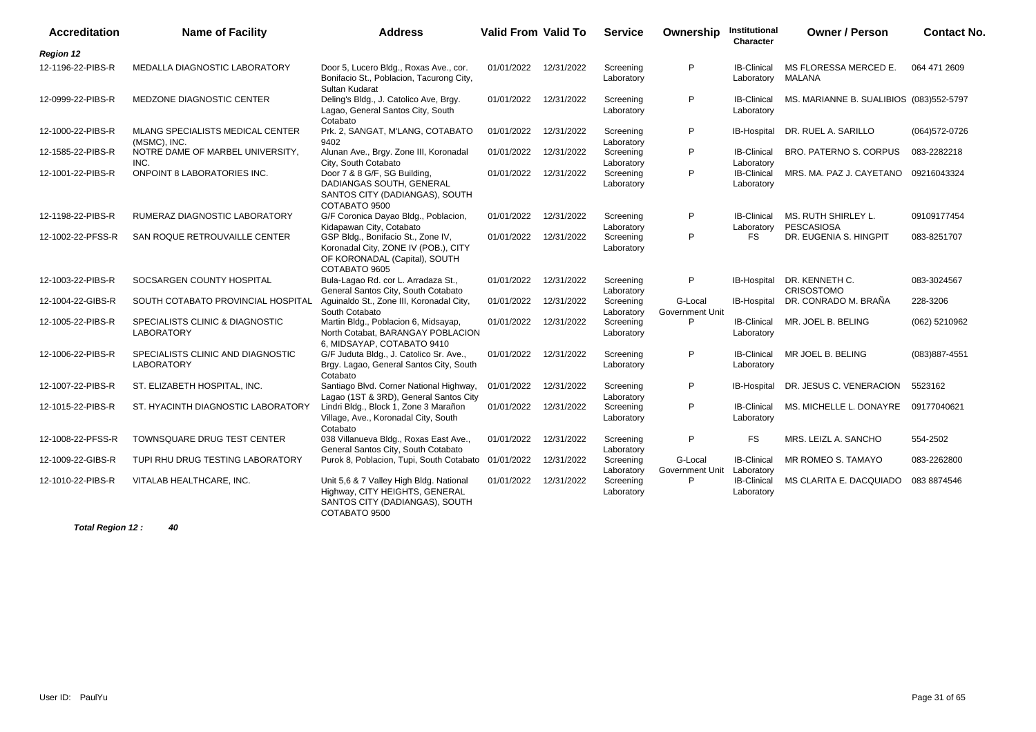| <b>Accreditation</b> | <b>Name of Facility</b>                              | <b>Address</b>                                                                                                               | <b>Valid From Valid To</b> |            | <b>Service</b>          | Ownership                  | Institutional<br><b>Character</b> | <b>Owner / Person</b>                    | <b>Contact No.</b> |
|----------------------|------------------------------------------------------|------------------------------------------------------------------------------------------------------------------------------|----------------------------|------------|-------------------------|----------------------------|-----------------------------------|------------------------------------------|--------------------|
| <b>Region 12</b>     |                                                      |                                                                                                                              |                            |            |                         |                            |                                   |                                          |                    |
| 12-1196-22-PIBS-R    | MEDALLA DIAGNOSTIC LABORATORY                        | Door 5, Lucero Bldg., Roxas Ave., cor.<br>Bonifacio St., Poblacion, Tacurong City,<br>Sultan Kudarat                         | 01/01/2022                 | 12/31/2022 | Screening<br>Laboratory | P                          | <b>IB-Clinical</b><br>Laboratory  | MS FLORESSA MERCED E.<br>MALANA          | 064 471 2609       |
| 12-0999-22-PIBS-R    | MEDZONE DIAGNOSTIC CENTER                            | Deling's Bldg., J. Catolico Ave, Brgy.<br>Lagao, General Santos City, South<br>Cotabato                                      | 01/01/2022                 | 12/31/2022 | Screening<br>Laboratory | P                          | <b>IB-Clinical</b><br>Laboratory  | MS. MARIANNE B. SUALIBIOS (083)552-5797  |                    |
| 12-1000-22-PIBS-R    | MLANG SPECIALISTS MEDICAL CENTER<br>(MSMC), INC.     | Prk. 2, SANGAT, M'LANG, COTABATO<br>9402                                                                                     | 01/01/2022                 | 12/31/2022 | Screening<br>Laboratory | P                          | IB-Hospital                       | DR. RUEL A. SARILLO                      | (064) 572-0726     |
| 12-1585-22-PIBS-R    | NOTRE DAME OF MARBEL UNIVERSITY,<br>INC.             | Alunan Ave., Brgy. Zone III, Koronadal<br>City, South Cotabato                                                               | 01/01/2022                 | 12/31/2022 | Screening<br>Laboratory | P                          | <b>IB-Clinical</b><br>Laboratory  | BRO. PATERNO S. CORPUS                   | 083-2282218        |
| 12-1001-22-PIBS-R    | <b>ONPOINT 8 LABORATORIES INC.</b>                   | Door 7 & 8 G/F, SG Building,<br>DADIANGAS SOUTH, GENERAL<br>SANTOS CITY (DADIANGAS), SOUTH<br>COTABATO 9500                  | 01/01/2022                 | 12/31/2022 | Screening<br>Laboratory | P                          | <b>IB-Clinical</b><br>Laboratory  | MRS. MA. PAZ J. CAYETANO 09216043324     |                    |
| 12-1198-22-PIBS-R    | RUMERAZ DIAGNOSTIC LABORATORY                        | G/F Coronica Dayao Bldg., Poblacion,<br>Kidapawan City, Cotabato                                                             | 01/01/2022                 | 12/31/2022 | Screening<br>Laboratory | P                          | <b>IB-Clinical</b><br>Laboratory  | MS. RUTH SHIRLEY L.<br><b>PESCASIOSA</b> | 09109177454        |
| 12-1002-22-PFSS-R    | SAN ROQUE RETROUVAILLE CENTER                        | GSP Bldg., Bonifacio St., Zone IV,<br>Koronadal City, ZONE IV (POB.), CITY<br>OF KORONADAL (Capital), SOUTH<br>COTABATO 9605 | 01/01/2022                 | 12/31/2022 | Screening<br>Laboratory | P                          | <b>FS</b>                         | DR. EUGENIA S. HINGPIT                   | 083-8251707        |
| 12-1003-22-PIBS-R    | SOCSARGEN COUNTY HOSPITAL                            | Bula-Lagao Rd. cor L. Arradaza St.,<br>General Santos City, South Cotabato                                                   | 01/01/2022                 | 12/31/2022 | Screening<br>Laboratory | P                          | IB-Hospital                       | DR. KENNETH C.<br><b>CRISOSTOMO</b>      | 083-3024567        |
| 12-1004-22-GIBS-R    | SOUTH COTABATO PROVINCIAL HOSPITAL                   | Aguinaldo St., Zone III, Koronadal City,<br>South Cotabato                                                                   | 01/01/2022                 | 12/31/2022 | Screening<br>Laboratory | G-Local<br>Government Unit | <b>IB-Hospital</b>                | DR. CONRADO M. BRAÑA                     | 228-3206           |
| 12-1005-22-PIBS-R    | SPECIALISTS CLINIC & DIAGNOSTIC<br><b>LABORATORY</b> | Martin Bldg., Poblacion 6, Midsayap,<br>North Cotabat, BARANGAY POBLACION<br>6, MIDSAYAP, COTABATO 9410                      | 01/01/2022                 | 12/31/2022 | Screening<br>Laboratory | P                          | <b>IB-Clinical</b><br>Laboratory  | MR. JOEL B. BELING                       | (062) 5210962      |
| 12-1006-22-PIBS-R    | SPECIALISTS CLINIC AND DIAGNOSTIC<br>LABORATORY      | G/F Juduta Bldg., J. Catolico Sr. Ave.,<br>Brgy. Lagao, General Santos City, South<br>Cotabato                               | 01/01/2022                 | 12/31/2022 | Screening<br>Laboratory | P                          | <b>IB-Clinical</b><br>Laboratory  | MR JOEL B. BELING                        | $(083)887 - 4551$  |
| 12-1007-22-PIBS-R    | ST. ELIZABETH HOSPITAL, INC.                         | Santiago Blvd. Corner National Highway,<br>Lagao (1ST & 3RD), General Santos City                                            | 01/01/2022                 | 12/31/2022 | Screening<br>Laboratory | P                          | IB-Hospital                       | DR. JESUS C. VENERACION                  | 5523162            |
| 12-1015-22-PIBS-R    | ST. HYACINTH DIAGNOSTIC LABORATORY                   | Lindri Bldg., Block 1, Zone 3 Marañon<br>Village, Ave., Koronadal City, South                                                | 01/01/2022                 | 12/31/2022 | Screening<br>Laboratory | P                          | <b>IB-Clinical</b><br>Laboratory  | MS. MICHELLE L. DONAYRE                  | 09177040621        |
| 12-1008-22-PFSS-R    | TOWNSQUARE DRUG TEST CENTER                          | Cotabato<br>038 Villanueva Bldg., Roxas East Ave.,<br>General Santos City, South Cotabato                                    | 01/01/2022                 | 12/31/2022 | Screening<br>Laboratory | P                          | <b>FS</b>                         | MRS. LEIZL A. SANCHO                     | 554-2502           |
| 12-1009-22-GIBS-R    | TUPI RHU DRUG TESTING LABORATORY                     | Purok 8, Poblacion, Tupi, South Cotabato                                                                                     | 01/01/2022                 | 12/31/2022 | Screening<br>Laboratory | G-Local<br>Government Unit | <b>IB-Clinical</b><br>Laboratory  | MR ROMEO S. TAMAYO                       | 083-2262800        |
| 12-1010-22-PIBS-R    | VITALAB HEALTHCARE, INC.                             | Unit 5,6 & 7 Valley High Bldg. National<br>Highway, CITY HEIGHTS, GENERAL<br>SANTOS CITY (DADIANGAS), SOUTH<br>COTABATO 9500 | 01/01/2022                 | 12/31/2022 | Screening<br>Laboratory | P                          | <b>IB-Clinical</b><br>Laboratory  | MS CLARITA E. DACQUIADO                  | 083 8874546        |

**Total Region 12 : 40**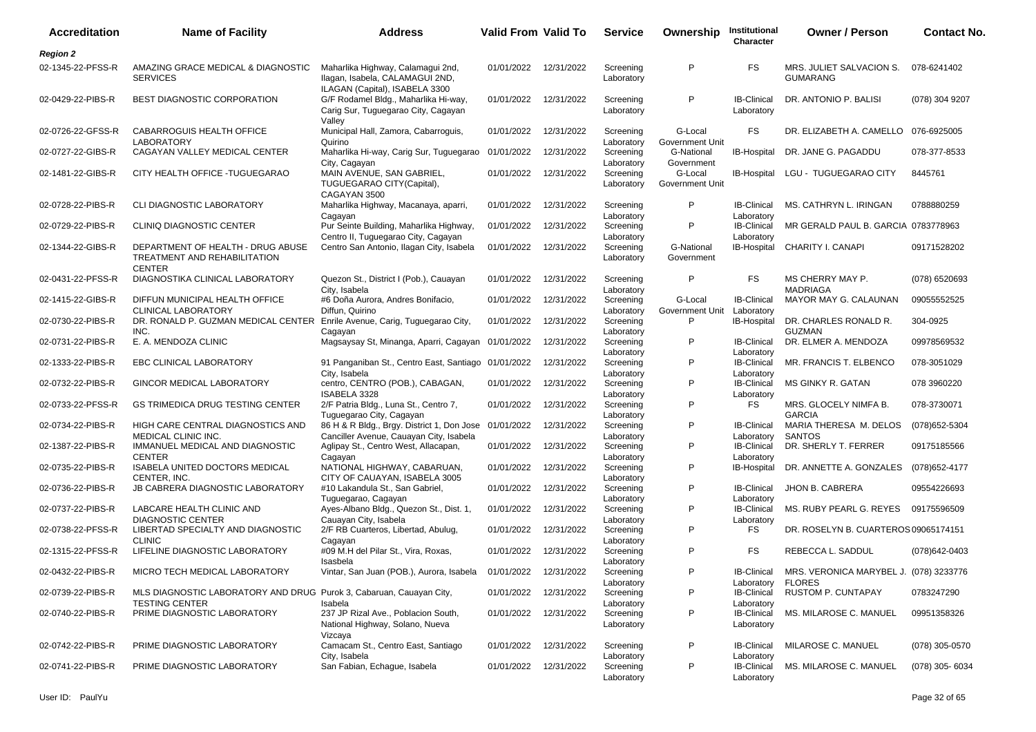| <b>Accreditation</b> | <b>Name of Facility</b>                                                                      | <b>Address</b>                                                                                                | <b>Valid From Valid To</b> |            | <b>Service</b>                        | Ownership                  | Institutional<br>Character                     | <b>Owner / Person</b>                       | <b>Contact No.</b> |
|----------------------|----------------------------------------------------------------------------------------------|---------------------------------------------------------------------------------------------------------------|----------------------------|------------|---------------------------------------|----------------------------|------------------------------------------------|---------------------------------------------|--------------------|
| <b>Region 2</b>      |                                                                                              |                                                                                                               |                            |            |                                       |                            |                                                |                                             |                    |
| 02-1345-22-PFSS-R    | AMAZING GRACE MEDICAL & DIAGNOSTIC<br><b>SERVICES</b>                                        | Maharlika Highway, Calamagui 2nd,<br>Ilagan, Isabela, CALAMAGUI 2ND,                                          | 01/01/2022                 | 12/31/2022 | Screening<br>Laboratory               | P                          | FS.                                            | MRS. JULIET SALVACION S.<br><b>GUMARANG</b> | 078-6241402        |
| 02-0429-22-PIBS-R    | <b>BEST DIAGNOSTIC CORPORATION</b>                                                           | ILAGAN (Capital), ISABELA 3300<br>G/F Rodamel Bldg., Maharlika Hi-way,<br>Carig Sur, Tuguegarao City, Cagayan | 01/01/2022                 | 12/31/2022 | Screening<br>Laboratory               | P                          | <b>IB-Clinical</b><br>Laboratory               | DR. ANTONIO P. BALISI                       | (078) 304 9207     |
| 02-0726-22-GFSS-R    | CABARROGUIS HEALTH OFFICE<br><b>LABORATORY</b>                                               | Valley<br>Municipal Hall, Zamora, Cabarroguis,<br>Quirino                                                     | 01/01/2022                 | 12/31/2022 | Screening<br>Laboratory               | G-Local<br>Government Unit | FS.                                            | DR. ELIZABETH A. CAMELLO                    | 076-6925005        |
| 02-0727-22-GIBS-R    | CAGAYAN VALLEY MEDICAL CENTER                                                                | Maharlika Hi-way, Carig Sur, Tuguegarao<br>City, Cagayan                                                      | 01/01/2022                 | 12/31/2022 | Screening<br>Laboratory               | G-National<br>Government   | IB-Hospital                                    | DR. JANE G. PAGADDU                         | 078-377-8533       |
| 02-1481-22-GIBS-R    | CITY HEALTH OFFICE - TUGUEGARAO                                                              | MAIN AVENUE, SAN GABRIEL,<br>TUGUEGARAO CITY (Capital),<br>CAGAYAN 3500                                       | 01/01/2022                 | 12/31/2022 | Screening<br>Laboratory               | G-Local<br>Government Unit | IB-Hospital                                    | LGU - TUGUEGARAO CITY                       | 8445761            |
| 02-0728-22-PIBS-R    | CLI DIAGNOSTIC LABORATORY                                                                    | Maharlika Highway, Macanaya, aparri,<br>Cagayan                                                               | 01/01/2022                 | 12/31/2022 | Screening<br>Laboratory               | P                          | <b>IB-Clinical</b><br>Laboratory               | MS. CATHRYN L. IRINGAN                      | 0788880259         |
| 02-0729-22-PIBS-R    | <b>CLINIQ DIAGNOSTIC CENTER</b>                                                              | Pur Seinte Building, Maharlika Highway,<br>Centro II, Tuguegarao City, Cagayan                                | 01/01/2022                 | 12/31/2022 | Screening<br>Laboratory               | P                          | <b>IB-Clinical</b><br>Laboratory               | MR GERALD PAUL B. GARCIA 0783778963         |                    |
| 02-1344-22-GIBS-R    | DEPARTMENT OF HEALTH - DRUG ABUSE<br>TREATMENT AND REHABILITATION<br><b>CENTER</b>           | Centro San Antonio, Ilagan City, Isabela                                                                      | 01/01/2022                 | 12/31/2022 | Screening<br>Laboratory               | G-National<br>Government   | IB-Hospital                                    | CHARITY I. CANAPI                           | 09171528202        |
| 02-0431-22-PFSS-R    | DIAGNOSTIKA CLINICAL LABORATORY                                                              | Quezon St., District I (Pob.), Cauayan<br>City. Isabela                                                       | 01/01/2022                 | 12/31/2022 | Screening<br>Laboratory               | P                          | <b>FS</b>                                      | MS CHERRY MAY P.<br><b>MADRIAGA</b>         | (078) 6520693      |
| 02-1415-22-GIBS-R    | DIFFUN MUNICIPAL HEALTH OFFICE<br>CLINICAL LABORATORY                                        | #6 Doña Aurora, Andres Bonifacio,<br>Diffun, Quirino                                                          | 01/01/2022                 | 12/31/2022 | Screening<br>Laboratory               | G-Local<br>Government Unit | <b>IB-Clinical</b><br>Laboratory               | MAYOR MAY G. CALAUNAN                       | 09055552525        |
| 02-0730-22-PIBS-R    | DR. RONALD P. GUZMAN MEDICAL CENTER<br>INC.                                                  | Enrile Avenue, Carig, Tuguegarao City,<br>Cagayan                                                             | 01/01/2022                 | 12/31/2022 | Screening<br>Laboratory               | P                          | IB-Hospital                                    | DR. CHARLES RONALD R.<br><b>GUZMAN</b>      | 304-0925           |
| 02-0731-22-PIBS-R    | E. A. MENDOZA CLINIC                                                                         | Magsaysay St, Minanga, Aparri, Cagayan 01/01/2022                                                             |                            | 12/31/2022 | Screening<br>Laboratory               | P                          | <b>IB-Clinical</b><br>Laboratory               | DR. ELMER A. MENDOZA                        | 09978569532        |
| 02-1333-22-PIBS-R    | <b>EBC CLINICAL LABORATORY</b>                                                               | 91 Panganiban St., Centro East, Santiago 01/01/2022<br>City, Isabela                                          |                            | 12/31/2022 | Screening<br>Laboratory               | P                          | <b>IB-Clinical</b><br>Laboratory               | MR. FRANCIS T. ELBENCO                      | 078-3051029        |
| 02-0732-22-PIBS-R    | <b>GINCOR MEDICAL LABORATORY</b>                                                             | centro, CENTRO (POB.), CABAGAN,<br>ISABELA 3328                                                               | 01/01/2022                 | 12/31/2022 | Screening<br>Laboratory               | P                          | <b>IB-Clinical</b><br>Laboratory               | MS GINKY R. GATAN                           | 078 3960220        |
| 02-0733-22-PFSS-R    | <b>GS TRIMEDICA DRUG TESTING CENTER</b>                                                      | 2/F Patria Bldg., Luna St., Centro 7,<br>Tuguegarao City, Cagayan                                             | 01/01/2022                 | 12/31/2022 | Screening<br>Laboratory               | P                          | FS.                                            | MRS. GLOCELY NIMFA B.<br><b>GARCIA</b>      | 078-3730071        |
| 02-0734-22-PIBS-R    | HIGH CARE CENTRAL DIAGNOSTICS AND<br>MEDICAL CLINIC INC.                                     | 86 H & R Bldg., Brgy. District 1, Don Jose<br>Canciller Avenue, Cauayan City, Isabela                         | 01/01/2022                 | 12/31/2022 | Screening<br>Laboratory               | P                          | <b>IB-Clinical</b><br>Laboratory               | MARIA THERESA M. DELOS<br><b>SANTOS</b>     | (078) 652-5304     |
| 02-1387-22-PIBS-R    | IMMANUEL MEDICAL AND DIAGNOSTIC<br><b>CENTER</b>                                             | Aglipay St., Centro West, Allacapan,<br>Cagayan                                                               | 01/01/2022                 | 12/31/2022 | Screening<br>Laboratory               | P                          | <b>IB-Clinical</b><br>Laboratory               | DR. SHERLY T. FERRER                        | 09175185566        |
| 02-0735-22-PIBS-R    | ISABELA UNITED DOCTORS MEDICAL<br>CENTER, INC.                                               | NATIONAL HIGHWAY, CABARUAN,<br>CITY OF CAUAYAN, ISABELA 3005                                                  | 01/01/2022                 | 12/31/2022 | Screening<br>Laboratory               | P                          | IB-Hospital                                    | DR. ANNETTE A. GONZALES                     | (078) 652-4177     |
| 02-0736-22-PIBS-R    | <b>JB CABRERA DIAGNOSTIC LABORATORY</b>                                                      | #10 Lakandula St., San Gabriel,<br>Tuguegarao, Cagayan                                                        | 01/01/2022                 | 12/31/2022 | Screening<br>Laboratory               | P                          | <b>IB-Clinical</b><br>Laboratory               | <b>JHON B. CABRERA</b>                      | 09554226693        |
| 02-0737-22-PIBS-R    | LABCARE HEALTH CLINIC AND<br><b>DIAGNOSTIC CENTER</b>                                        | Ayes-Albano Bldg., Quezon St., Dist. 1,<br>Cauayan City, Isabela                                              | 01/01/2022                 | 12/31/2022 | Screening<br>Laboratory               | P                          | <b>IB-Clinical</b><br>Laboratory               | MS. RUBY PEARL G. REYES                     | 09175596509        |
| 02-0738-22-PFSS-R    | LIBERTAD SPECIALTY AND DIAGNOSTIC<br><b>CLINIC</b>                                           | 2/F RB Cuarteros, Libertad, Abulug,<br>Cagayan                                                                | 01/01/2022                 | 12/31/2022 | Screening<br>Laboratory               | P                          | FS.                                            | DR. ROSELYN B. CUARTEROS 09065174151        |                    |
| 02-1315-22-PFSS-R    | LIFELINE DIAGNOSTIC LABORATORY                                                               | #09 M.H del Pilar St., Vira, Roxas,<br>Isasbela                                                               | 01/01/2022                 | 12/31/2022 | Screening<br>Laboratory               | P                          | FS.                                            | REBECCA L. SADDUL                           | $(078)642 - 0403$  |
| 02-0432-22-PIBS-R    | MICRO TECH MEDICAL LABORATORY                                                                | Vintar, San Juan (POB.), Aurora, Isabela                                                                      | 01/01/2022 12/31/2022      |            | Screening<br>Laboratory               |                            | <b>IB-Clinical</b><br>Laboratory FLORES        | MRS. VERONICA MARYBEL J. (078) 3233776      |                    |
| 02-0739-22-PIBS-R    | MLS DIAGNOSTIC LABORATORY AND DRUG Purok 3, Cabaruan, Cauayan City,<br><b>TESTING CENTER</b> | Isabela                                                                                                       | 01/01/2022                 | 12/31/2022 | Screening<br>Laboratory               | P                          | <b>IB-Clinical</b><br>Laboratory               | RUSTOM P. CUNTAPAY                          | 0783247290         |
| 02-0740-22-PIBS-R    | PRIME DIAGNOSTIC LABORATORY                                                                  | 237 JP Rizal Ave., Poblacion South,<br>National Highway, Solano, Nueva                                        | 01/01/2022 12/31/2022      |            | Screening<br>Laboratory               | P                          | <b>IB-Clinical</b><br>Laboratory               | MS. MILAROSE C. MANUEL                      | 09951358326        |
| 02-0742-22-PIBS-R    | PRIME DIAGNOSTIC LABORATORY                                                                  | Vizcaya<br>Camacam St., Centro East, Santiago                                                                 | 01/01/2022 12/31/2022      |            | Screening                             | P                          | <b>IB-Clinical</b>                             | MILAROSE C. MANUEL                          | (078) 305-0570     |
| 02-0741-22-PIBS-R    | PRIME DIAGNOSTIC LABORATORY                                                                  | City, Isabela<br>San Fabian, Echague, Isabela                                                                 | 01/01/2022                 | 12/31/2022 | Laboratory<br>Screening<br>Laboratory | P                          | Laboratory<br><b>IB-Clinical</b><br>Laboratory | MS. MILAROSE C. MANUEL                      | (078) 305-6034     |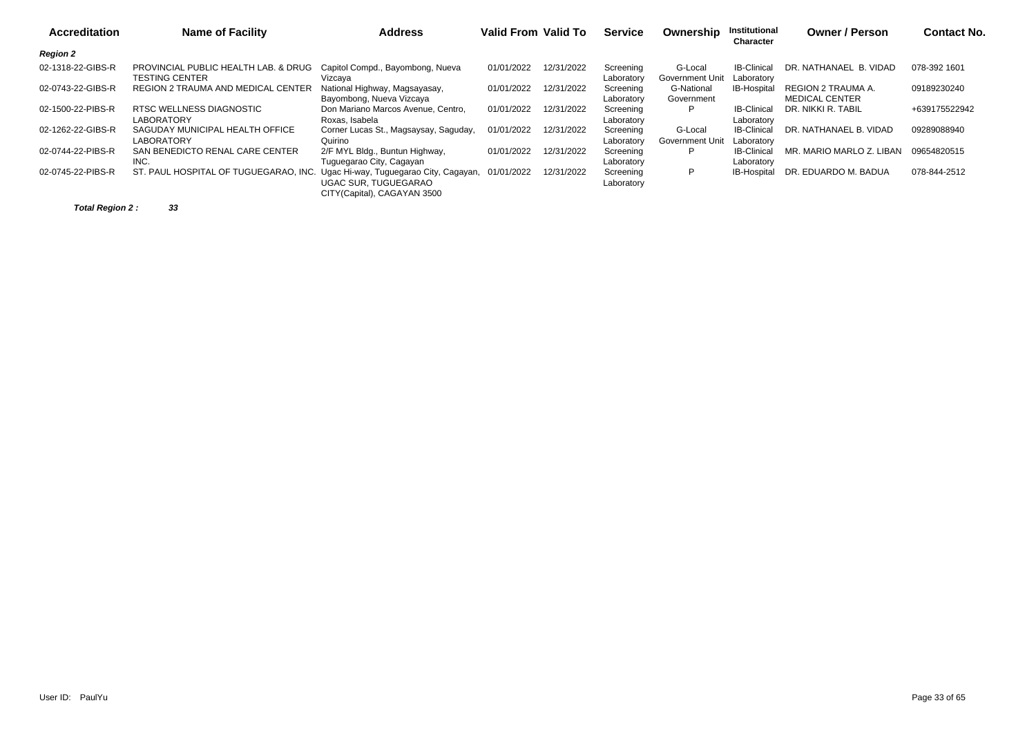| <b>Accreditation</b> | <b>Name of Facility</b>                                                      | <b>Address</b>                                             | <b>Valid From Valid To</b> |            | <b>Service</b>          | Ownership                         | Institutional<br>Character       | <b>Owner / Person</b>                       | <b>Contact No.</b> |
|----------------------|------------------------------------------------------------------------------|------------------------------------------------------------|----------------------------|------------|-------------------------|-----------------------------------|----------------------------------|---------------------------------------------|--------------------|
| <b>Region 2</b>      |                                                                              |                                                            |                            |            |                         |                                   |                                  |                                             |                    |
| 02-1318-22-GIBS-R    | PROVINCIAL PUBLIC HEALTH LAB. & DRUG<br><b>TESTING CENTER</b>                | Capitol Compd., Bayombong, Nueva<br>Vizcaya                | 01/01/2022                 | 12/31/2022 | Screening<br>Laboratory | G-Local<br><b>Government Unit</b> | <b>IB-Clinical</b><br>Laboratory | DR. NATHANAEL B. VIDAD                      | 078-392 1601       |
| 02-0743-22-GIBS-R    | REGION 2 TRAUMA AND MEDICAL CENTER                                           | National Highway, Magsayasay,<br>Bayombong, Nueva Vizcaya  | 01/01/2022                 | 12/31/2022 | Screening<br>Laboratory | G-National<br>Government          | <b>IB-Hospital</b>               | REGION 2 TRAUMA A.<br><b>MEDICAL CENTER</b> | 09189230240        |
| 02-1500-22-PIBS-R    | RTSC WELLNESS DIAGNOSTIC<br><b>LABORATORY</b>                                | Don Mariano Marcos Avenue, Centro,<br>Roxas, Isabela       | 01/01/2022                 | 12/31/2022 | Screening<br>Laboratory |                                   | <b>IB-Clinical</b><br>Laboratory | DR. NIKKI R. TABIL                          | +639175522942      |
| 02-1262-22-GIBS-R    | SAGUDAY MUNICIPAL HEALTH OFFICE<br><b>LABORATORY</b>                         | Corner Lucas St., Magsaysay, Saguday,<br>Quirino           | 01/01/2022                 | 12/31/2022 | Screening<br>Laboratory | G-Local<br>Government Unit        | <b>IB-Clinical</b><br>Laboratory | DR. NATHANAEL B. VIDAD                      | 09289088940        |
| 02-0744-22-PIBS-R    | SAN BENEDICTO RENAL CARE CENTER<br>INC.                                      | 2/F MYL Bldg., Buntun Highway,<br>Tuguegarao City, Cagayan | 01/01/2022                 | 12/31/2022 | Screening<br>Laboratory | P                                 | <b>IB-Clinical</b><br>Laboratory | MR. MARIO MARLO Z. LIBAN                    | 09654820515        |
| 02-0745-22-PIBS-R    | ST. PAUL HOSPITAL OF TUGUEGARAO, INC. Ugac Hi-way, Tuguegarao City, Cagayan, | UGAC SUR. TUGUEGARAO<br>CITY (Capital), CAGAYAN 3500       | 01/01/2022                 | 12/31/2022 | Screening<br>Laboratory | P                                 | IB-Hospital                      | DR. EDUARDO M. BADUA                        | 078-844-2512       |

**Total Region 2 : 33**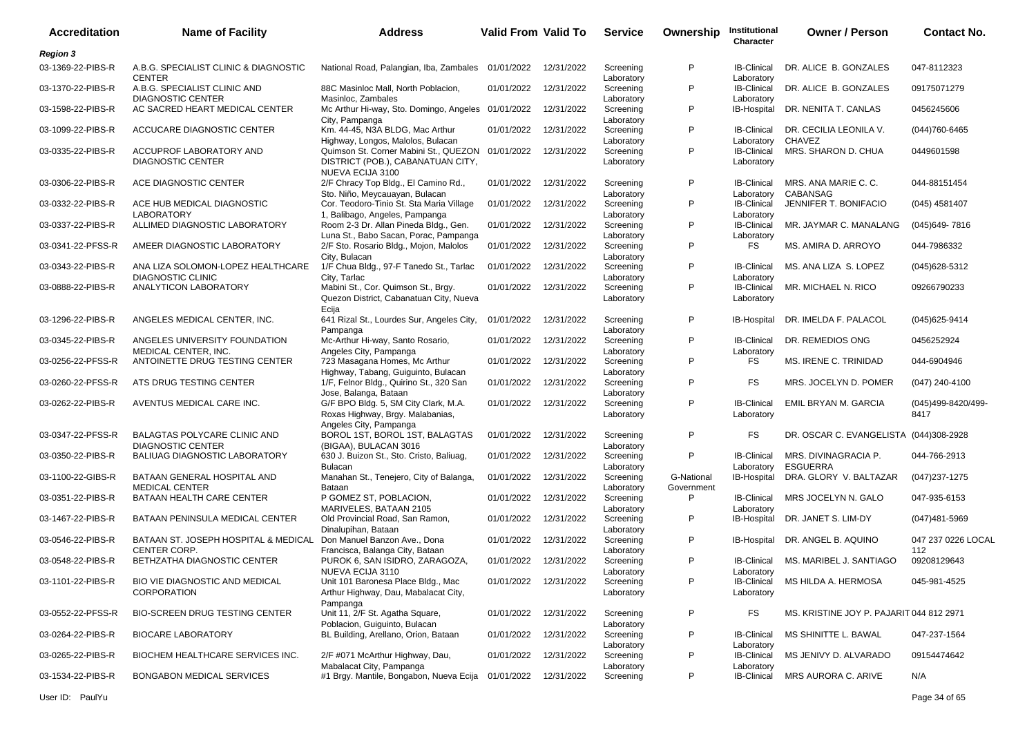| <b>Accreditation</b> | <b>Name of Facility</b>                                       | <b>Address</b>                                                                                            | Valid From Valid To |            | <b>Service</b>          | Ownership                | Institutional<br>Character       | <b>Owner / Person</b>                    | <b>Contact No.</b>         |
|----------------------|---------------------------------------------------------------|-----------------------------------------------------------------------------------------------------------|---------------------|------------|-------------------------|--------------------------|----------------------------------|------------------------------------------|----------------------------|
| <b>Region 3</b>      |                                                               |                                                                                                           |                     |            |                         |                          |                                  |                                          |                            |
| 03-1369-22-PIBS-R    | A.B.G. SPECIALIST CLINIC & DIAGNOSTIC<br><b>CENTER</b>        | National Road, Palangian, Iba, Zambales                                                                   | 01/01/2022          | 12/31/2022 | Screening<br>Laboratory | P                        | <b>IB-Clinical</b><br>Laboratory | DR. ALICE B. GONZALES                    | 047-8112323                |
| 03-1370-22-PIBS-R    | A.B.G. SPECIALIST CLINIC AND<br><b>DIAGNOSTIC CENTER</b>      | 88C Masinloc Mall. North Poblacion.<br>Masinloc, Zambales                                                 | 01/01/2022          | 12/31/2022 | Screening<br>Laboratory | P                        | <b>IB-Clinical</b><br>Laboratory | DR. ALICE B. GONZALES                    | 09175071279                |
| 03-1598-22-PIBS-R    | AC SACRED HEART MEDICAL CENTER                                | Mc Arthur Hi-way, Sto. Domingo, Angeles 01/01/2022<br>City, Pampanga                                      |                     | 12/31/2022 | Screening<br>Laboratory | P                        | IB-Hospital                      | DR. NENITA T. CANLAS                     | 0456245606                 |
| 03-1099-22-PIBS-R    | ACCUCARE DIAGNOSTIC CENTER                                    | Km. 44-45, N3A BLDG, Mac Arthur<br>Highway, Longos, Malolos, Bulacan                                      | 01/01/2022          | 12/31/2022 | Screening<br>Laboratory | P                        | <b>IB-Clinical</b><br>Laboratory | DR. CECILIA LEONILA V.<br>CHAVEZ         | (044) 760-6465             |
| 03-0335-22-PIBS-R    | ACCUPROF LABORATORY AND<br><b>DIAGNOSTIC CENTER</b>           | Quimson St. Corner Mabini St., QUEZON 01/01/2022<br>DISTRICT (POB.), CABANATUAN CITY,<br>NUEVA ECIJA 3100 |                     | 12/31/2022 | Screening<br>Laboratory | P                        | <b>IB-Clinical</b><br>Laboratory | MRS. SHARON D. CHUA                      | 0449601598                 |
| 03-0306-22-PIBS-R    | ACE DIAGNOSTIC CENTER                                         | 2/F Chracy Top Bldg., El Camino Rd.,<br>Sto. Niño, Meycauayan, Bulacan                                    | 01/01/2022          | 12/31/2022 | Screening<br>Laboratory | P                        | <b>IB-Clinical</b><br>Laboratory | MRS. ANA MARIE C. C.<br><b>CABANSAG</b>  | 044-88151454               |
| 03-0332-22-PIBS-R    | ACE HUB MEDICAL DIAGNOSTIC<br><b>LABORATORY</b>               | Cor. Teodoro-Tinio St. Sta Maria Village<br>1, Balibago, Angeles, Pampanga                                | 01/01/2022          | 12/31/2022 | Screening<br>Laboratory | P                        | <b>IB-Clinical</b><br>Laboratory | JENNIFER T. BONIFACIO                    | (045) 4581407              |
| 03-0337-22-PIBS-R    | ALLIMED DIAGNOSTIC LABORATORY                                 | Room 2-3 Dr. Allan Pineda Bldg., Gen.<br>Luna St., Babo Sacan, Porac, Pampanga                            | 01/01/2022          | 12/31/2022 | Screening<br>Laboratory | P                        | <b>IB-Clinical</b><br>Laboratory | MR. JAYMAR C. MANALANG                   | (045) 649 - 7816           |
| 03-0341-22-PFSS-R    | AMEER DIAGNOSTIC LABORATORY                                   | 2/F Sto. Rosario Bldg., Mojon, Malolos<br>City, Bulacan                                                   | 01/01/2022          | 12/31/2022 | Screening<br>Laboratory | P                        | <b>FS</b>                        | MS. AMIRA D. ARROYO                      | 044-7986332                |
| 03-0343-22-PIBS-R    | ANA LIZA SOLOMON-LOPEZ HEALTHCARE<br><b>DIAGNOSTIC CLINIC</b> | 1/F Chua Bldg., 97-F Tanedo St., Tarlac<br>City, Tarlac                                                   | 01/01/2022          | 12/31/2022 | Screening<br>Laboratory | P                        | <b>IB-Clinical</b><br>Laboratory | MS. ANA LIZA S. LOPEZ                    | (045)628-5312              |
| 03-0888-22-PIBS-R    | ANALYTICON LABORATORY                                         | Mabini St., Cor. Quimson St., Brgy.<br>Quezon District, Cabanatuan City, Nueva<br>Ecija                   | 01/01/2022          | 12/31/2022 | Screening<br>Laboratory | P                        | <b>IB-Clinical</b><br>Laboratory | MR. MICHAEL N. RICO                      | 09266790233                |
| 03-1296-22-PIBS-R    | ANGELES MEDICAL CENTER, INC.                                  | 641 Rizal St., Lourdes Sur, Angeles City,<br>Pampanga                                                     | 01/01/2022          | 12/31/2022 | Screening<br>Laboratory | P                        | <b>IB-Hospital</b>               | DR. IMELDA F. PALACOL                    | (045) 625-9414             |
| 03-0345-22-PIBS-R    | ANGELES UNIVERSITY FOUNDATION<br>MEDICAL CENTER, INC.         | Mc-Arthur Hi-way, Santo Rosario,<br>Angeles City, Pampanga                                                | 01/01/2022          | 12/31/2022 | Screening<br>Laboratory | P                        | <b>IB-Clinical</b><br>Laboratory | DR. REMEDIOS ONG                         | 0456252924                 |
| 03-0256-22-PFSS-R    | ANTOINETTE DRUG TESTING CENTER                                | 723 Masagana Homes, Mc Arthur<br>Highway, Tabang, Guiguinto, Bulacan                                      | 01/01/2022          | 12/31/2022 | Screening<br>Laboratory | P                        | <b>FS</b>                        | MS. IRENE C. TRINIDAD                    | 044-6904946                |
| 03-0260-22-PFSS-R    | ATS DRUG TESTING CENTER                                       | 1/F, Felnor Bldg., Quirino St., 320 San<br>Jose, Balanga, Bataan                                          | 01/01/2022          | 12/31/2022 | Screening<br>Laboratory | P                        | FS                               | MRS. JOCELYN D. POMER                    | (047) 240-4100             |
| 03-0262-22-PIBS-R    | AVENTUS MEDICAL CARE INC.                                     | G/F BPO Bldg. 5, SM City Clark, M.A.<br>Roxas Highway, Brgy. Malabanias,<br>Angeles City, Pampanga        | 01/01/2022          | 12/31/2022 | Screening<br>Laboratory | P                        | <b>IB-Clinical</b><br>Laboratory | EMIL BRYAN M. GARCIA                     | (045)499-8420/499-<br>8417 |
| 03-0347-22-PFSS-R    | BALAGTAS POLYCARE CLINIC AND<br><b>DIAGNOSTIC CENTER</b>      | BOROL 1ST, BOROL 1ST, BALAGTAS<br>(BIGAA), BULACAN 3016                                                   | 01/01/2022          | 12/31/2022 | Screening<br>Laboratory | P                        | FS                               | DR. OSCAR C. EVANGELISTA                 | (044)308-2928              |
| 03-0350-22-PIBS-R    | <b>BALIUAG DIAGNOSTIC LABORATORY</b>                          | 630 J. Buizon St., Sto. Cristo, Baliuag,<br><b>Bulacan</b>                                                | 01/01/2022          | 12/31/2022 | Screening<br>Laboratory | P                        | <b>IB-Clinical</b><br>Laboratory | MRS. DIVINAGRACIA P.<br><b>ESGUERRA</b>  | 044-766-2913               |
| 03-1100-22-GIBS-R    | BATAAN GENERAL HOSPITAL AND<br><b>MEDICAL CENTER</b>          | Manahan St., Tenejero, City of Balanga,<br>Bataan                                                         | 01/01/2022          | 12/31/2022 | Screening<br>Laboratory | G-National<br>Government | IB-Hospital                      | DRA. GLORY V. BALTAZAR                   | $(047)$ 237-1275           |
| 03-0351-22-PIBS-R    | BATAAN HEALTH CARE CENTER                                     | P GOMEZ ST, POBLACION,<br>MARIVELES. BATAAN 2105                                                          | 01/01/2022          | 12/31/2022 | Screening<br>Laboratory | P                        | <b>IB-Clinical</b><br>Laboratory | MRS JOCELYN N. GALO                      | 047-935-6153               |
| 03-1467-22-PIBS-R    | BATAAN PENINSULA MEDICAL CENTER                               | Old Provincial Road, San Ramon,<br>Dinalupihan, Bataan                                                    | 01/01/2022          | 12/31/2022 | Screening<br>Laboratory | P                        |                                  | IB-Hospital DR. JANET S. LIM-DY          | $(047)481 - 5969$          |
| 03-0546-22-PIBS-R    | BATAAN ST. JOSEPH HOSPITAL & MEDICAL<br><b>CENTER CORP.</b>   | Don Manuel Banzon Ave., Dona<br>Francisca, Balanga City, Bataan                                           | 01/01/2022          | 12/31/2022 | Screening<br>Laboratory | P                        | <b>IB-Hospital</b>               | DR. ANGEL B. AQUINO                      | 047 237 0226 LOCAL<br>112  |
| 03-0548-22-PIBS-R    | BETHZATHA DIAGNOSTIC CENTER                                   | PUROK 6, SAN ISIDRO, ZARAGOZA,<br>NUEVA ECIJA 3110                                                        | 01/01/2022          | 12/31/2022 | Screening<br>Laboratory | P                        | <b>IB-Clinical</b><br>Laboratory | MS. MARIBEL J. SANTIAGO                  | 09208129643                |
| 03-1101-22-PIBS-R    | BIO VIE DIAGNOSTIC AND MEDICAL<br>CORPORATION                 | Unit 101 Baronesa Place Bldg., Mac<br>Arthur Highway, Dau, Mabalacat City,<br>Pampanga                    | 01/01/2022          | 12/31/2022 | Screening<br>Laboratory | P                        | <b>IB-Clinical</b><br>Laboratory | MS HILDA A. HERMOSA                      | 045-981-4525               |
| 03-0552-22-PFSS-R    | <b>BIO-SCREEN DRUG TESTING CENTER</b>                         | Unit 11, 2/F St. Agatha Square,<br>Poblacion, Guiguinto, Bulacan                                          | 01/01/2022          | 12/31/2022 | Screening<br>Laboratory | P                        | <b>FS</b>                        | MS. KRISTINE JOY P. PAJARIT 044 812 2971 |                            |
| 03-0264-22-PIBS-R    | <b>BIOCARE LABORATORY</b>                                     | BL Building, Arellano, Orion, Bataan                                                                      | 01/01/2022          | 12/31/2022 | Screening<br>Laboratory | P                        | <b>IB-Clinical</b><br>Laboratory | MS SHINITTE L. BAWAL                     | 047-237-1564               |
| 03-0265-22-PIBS-R    | BIOCHEM HEALTHCARE SERVICES INC.                              | 2/F #071 McArthur Highway, Dau,<br>Mabalacat City, Pampanga                                               | 01/01/2022          | 12/31/2022 | Screening<br>Laboratory | P                        | <b>IB-Clinical</b><br>Laboratory | MS JENIVY D. ALVARADO                    | 09154474642                |
| 03-1534-22-PIBS-R    | BONGABON MEDICAL SERVICES                                     | #1 Brgy. Mantile, Bongabon, Nueva Ecija                                                                   | 01/01/2022          | 12/31/2022 | Screening               | P                        | <b>IB-Clinical</b>               | MRS AURORA C. ARIVE                      | N/A                        |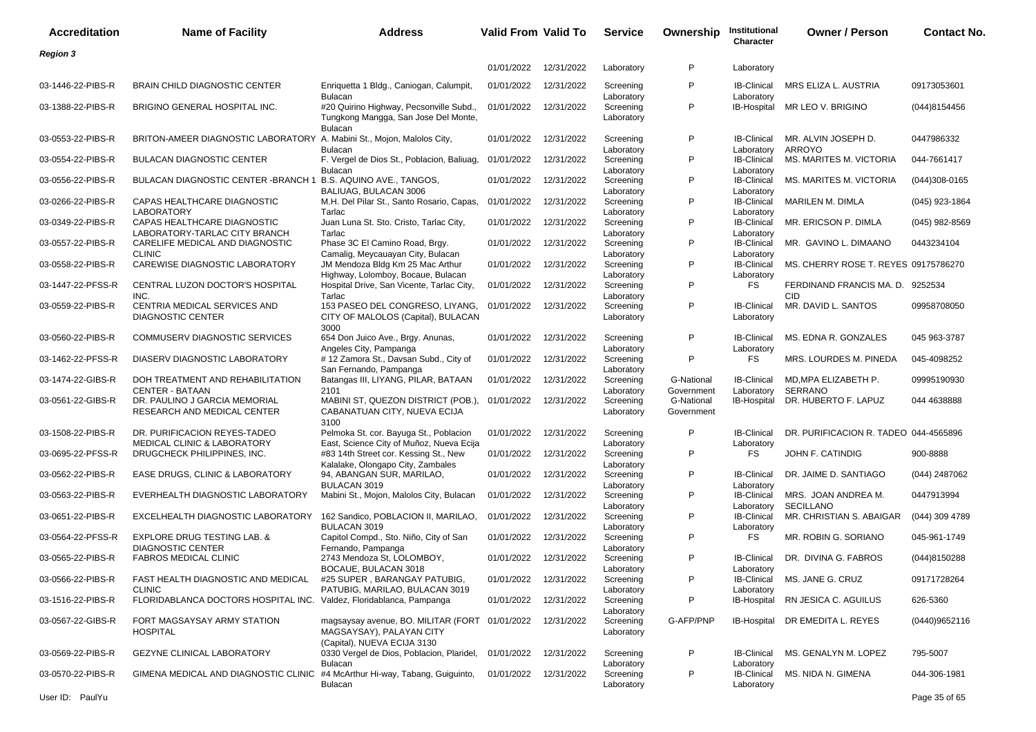| <b>Accreditation</b> | <b>Name of Facility</b>                                                              | <b>Address</b>                                                                                    | <b>Valid From Valid To</b> |            | <b>Service</b>                        | Ownership                | Institutional<br>Character                     | <b>Owner / Person</b>                   | <b>Contact No.</b> |
|----------------------|--------------------------------------------------------------------------------------|---------------------------------------------------------------------------------------------------|----------------------------|------------|---------------------------------------|--------------------------|------------------------------------------------|-----------------------------------------|--------------------|
| <b>Region 3</b>      |                                                                                      |                                                                                                   |                            |            |                                       |                          |                                                |                                         |                    |
|                      |                                                                                      |                                                                                                   | 01/01/2022                 | 12/31/2022 | Laboratory                            | P                        | Laboratory                                     |                                         |                    |
| 03-1446-22-PIBS-R    | <b>BRAIN CHILD DIAGNOSTIC CENTER</b>                                                 | Enriquetta 1 Bldg., Caniogan, Calumpit,<br><b>Bulacan</b>                                         | 01/01/2022                 | 12/31/2022 | Screening<br>Laboratory               | P                        | <b>IB-Clinical</b><br>Laboratory               | MRS ELIZA L. AUSTRIA                    | 09173053601        |
| 03-1388-22-PIBS-R    | BRIGINO GENERAL HOSPITAL INC.                                                        | #20 Quirino Highway, Pecsonville Subd.,<br>Tungkong Mangga, San Jose Del Monte,<br><b>Bulacan</b> | 01/01/2022                 | 12/31/2022 | Screening<br>Laboratory               | P                        |                                                | IB-Hospital MR LEO V. BRIGINO           | (044)8154456       |
| 03-0553-22-PIBS-R    | BRITON-AMEER DIAGNOSTIC LABORATORY A. Mabini St., Mojon, Malolos City,               | <b>Bulacar</b>                                                                                    | 01/01/2022                 | 12/31/2022 | Screening                             | P                        | <b>IB-Clinical</b><br>Laboratory               | MR. ALVIN JOSEPH D.<br><b>ARROYO</b>    | 0447986332         |
| 03-0554-22-PIBS-R    | <b>BULACAN DIAGNOSTIC CENTER</b>                                                     | F. Vergel de Dios St., Poblacion, Baliuag,<br><b>Bulacan</b>                                      | 01/01/2022                 | 12/31/2022 | Laboratory<br>Screening<br>Laboratory | P                        | <b>IB-Clinical</b><br>Laboratory               | MS. MARITES M. VICTORIA                 | 044-7661417        |
| 03-0556-22-PIBS-R    | <b>BULACAN DIAGNOSTIC CENTER - BRANCH 1</b>                                          | B.S. AQUINO AVE., TANGOS,                                                                         | 01/01/2022                 | 12/31/2022 | Screening                             | P                        | <b>IB-Clinical</b>                             | MS. MARITES M. VICTORIA                 | $(044)308-0165$    |
| 03-0266-22-PIBS-R    | CAPAS HEALTHCARE DIAGNOSTIC                                                          | BALIUAG, BULACAN 3006<br>M.H. Del Pilar St., Santo Rosario, Capas,                                | 01/01/2022                 | 12/31/2022 | Laboratory<br>Screening               | P                        | Laboratory<br><b>IB-Clinical</b>               | MARILEN M. DIMLA                        | (045) 923-1864     |
| 03-0349-22-PIBS-R    | <b>LABORATORY</b><br>CAPAS HEALTHCARE DIAGNOSTIC                                     | Tarlac<br>Juan Luna St. Sto. Cristo, Tarlac City,                                                 | 01/01/2022                 | 12/31/2022 | Laboratory<br>Screening               | P                        | Laboratory<br><b>IB-Clinical</b>               | MR. ERICSON P. DIMLA                    | $(045)$ 982-8569   |
| 03-0557-22-PIBS-R    | LABORATORY-TARLAC CITY BRANCH<br>CARELIFE MEDICAL AND DIAGNOSTIC                     | Tarlac<br>Phase 3C El Camino Road, Brgy.                                                          | 01/01/2022                 | 12/31/2022 | Laboratory<br>Screening               | P                        | Laboratory<br><b>IB-Clinical</b>               | MR. GAVINO L. DIMAANO                   | 0443234104         |
| 03-0558-22-PIBS-R    | <b>CLINIC</b><br>CAREWISE DIAGNOSTIC LABORATORY                                      | Camalig, Meycauayan City, Bulacan<br>JM Mendoza Bldg Km 25 Mac Arthur                             | 01/01/2022                 | 12/31/2022 | Laboratory<br>Screening               | P                        | Laboratory<br><b>IB-Clinical</b>               | MS. CHERRY ROSE T. REYES 09175786270    |                    |
| 03-1447-22-PFSS-R    | CENTRAL LUZON DOCTOR'S HOSPITAL                                                      | Highway, Lolomboy, Bocaue, Bulacan<br>Hospital Drive, San Vicente, Tarlac City,                   | 01/01/2022                 | 12/31/2022 | Laboratory<br>Screening               | P                        | Laboratory<br>FS                               | FERDINAND FRANCIS MA. D. 9252534        |                    |
| 03-0559-22-PIBS-R    | INC.<br>CENTRIA MEDICAL SERVICES AND<br><b>DIAGNOSTIC CENTER</b>                     | Tarlac<br>153 PASEO DEL CONGRESO, LIYANG,<br>CITY OF MALOLOS (Capital), BULACAN<br>3000           | 01/01/2022                 | 12/31/2022 | Laboratory<br>Screening<br>Laboratory | P                        | <b>IB-Clinical</b><br>Laboratory               | <b>CID</b><br>MR. DAVID L. SANTOS       | 09958708050        |
| 03-0560-22-PIBS-R    | COMMUSERV DIAGNOSTIC SERVICES                                                        | 654 Don Juico Ave., Brgy. Anunas,<br>Angeles City, Pampanga                                       | 01/01/2022                 | 12/31/2022 | Screening<br>Laboratory               | P                        | <b>IB-Clinical</b><br>Laboratory               | MS. EDNA R. GONZALES                    | 045 963-3787       |
| 03-1462-22-PFSS-R    | DIASERV DIAGNOSTIC LABORATORY                                                        | # 12 Zamora St., Davsan Subd., City of<br>San Fernando, Pampanga                                  | 01/01/2022                 | 12/31/2022 | Screening<br>Laboratory               | P                        | FS                                             | MRS. LOURDES M. PINEDA                  | 045-4098252        |
| 03-1474-22-GIBS-R    | DOH TREATMENT AND REHABILITATION<br><b>CENTER - BATAAN</b>                           | Batangas III, LIYANG, PILAR, BATAAN<br>2101                                                       | 01/01/2022                 | 12/31/2022 | Screening<br>Laboratory               | G-National<br>Government | <b>IB-Clinical</b><br>Laboratory               | MD, MPA ELIZABETH P.<br><b>SERRANO</b>  | 09995190930        |
| 03-0561-22-GIBS-R    | DR. PAULINO J GARCIA MEMORIAL<br>RESEARCH AND MEDICAL CENTER                         | MABINI ST, QUEZON DISTRICT (POB.),<br>CABANATUAN CITY, NUEVA ECIJA<br>3100                        | 01/01/2022                 | 12/31/2022 | Screening<br>Laboratory               | G-National<br>Government | IB-Hospital                                    | DR. HUBERTO F. LAPUZ                    | 044 4638888        |
| 03-1508-22-PIBS-R    | DR. PURIFICACION REYES-TADEO<br><b>MEDICAL CLINIC &amp; LABORATORY</b>               | Pelmoka St. cor. Bayuga St., Poblacion<br>East, Science City of Muñoz, Nueva Ecija                | 01/01/2022                 | 12/31/2022 | Screening<br>Laboratory               | P                        | <b>IB-Clinical</b><br>Laboratory               | DR. PURIFICACION R. TADEO 044-4565896   |                    |
| 03-0695-22-PFSS-R    | DRUGCHECK PHILIPPINES, INC.                                                          | #83 14th Street cor. Kessing St., New<br>Kalalake, Olongapo City, Zambales                        | 01/01/2022                 | 12/31/2022 | Screening<br>Laboratory               | P                        | FS.                                            | JOHN F. CATINDIG                        | 900-8888           |
| 03-0562-22-PIBS-R    | EASE DRUGS, CLINIC & LABORATORY                                                      | 94, ABANGAN SUR, MARILAO,<br>BULACAN 3019                                                         | 01/01/2022                 | 12/31/2022 | Screening<br>Laboratory               | P                        | <b>IB-Clinical</b><br>Laboratory               | DR. JAIME D. SANTIAGO                   | (044) 2487062      |
| 03-0563-22-PIBS-R    | EVERHEALTH DIAGNOSTIC LABORATORY                                                     | Mabini St., Mojon, Malolos City, Bulacan                                                          | 01/01/2022                 | 12/31/2022 | Screening<br>Laboratory               | P                        | <b>IB-Clinical</b><br>Laboratory               | MRS. JOAN ANDREA M.<br><b>SECILLANO</b> | 0447913994         |
| 03-0651-22-PIBS-R    | EXCELHEALTH DIAGNOSTIC LABORATORY                                                    | 162 Sandico, POBLACION II, MARILAO,<br><b>BULACAN 3019</b>                                        | 01/01/2022                 | 12/31/2022 | Screening                             | P                        | <b>IB-Clinical</b>                             | MR. CHRISTIAN S. ABAIGAR                | (044) 309 4789     |
| 03-0564-22-PFSS-R    | <b>EXPLORE DRUG TESTING LAB. &amp;</b><br><b>DIAGNOSTIC CENTER</b>                   | Capitol Compd., Sto. Niño, City of San                                                            | 01/01/2022                 | 12/31/2022 | Laboratory<br>Screening<br>Laboratory | P                        | Laboratory<br>FS                               | MR. ROBIN G. SORIANO                    | 045-961-1749       |
| 03-0565-22-PIBS-R    | <b>FABROS MEDICAL CLINIC</b>                                                         | Fernando, Pampanga<br>2743 Mendoza St, LOLOMBOY,                                                  | 01/01/2022                 | 12/31/2022 | Screening                             | P                        | <b>IB-Clinical</b>                             | DR. DIVINA G. FABROS                    | (044)8150288       |
| 03-0566-22-PIBS-R    | FAST HEALTH DIAGNOSTIC AND MEDICAL                                                   | BOCAUE, BULACAN 3018<br>#25 SUPER, BARANGAY PATUBIG,                                              | 01/01/2022                 | 12/31/2022 | Laboratory<br>Screening               | P                        | Laboratory<br><b>IB-Clinical</b>               | MS. JANE G. CRUZ                        | 09171728264        |
| 03-1516-22-PIBS-R    | <b>CLINIC</b><br>FLORIDABLANCA DOCTORS HOSPITAL INC. Valdez, Floridablanca, Pampanga | PATUBIG, MARILAO, BULACAN 3019                                                                    | 01/01/2022                 | 12/31/2022 | Laboratory<br>Screening               | P                        | Laboratory                                     | IB-Hospital RN JESICA C. AGUILUS        | 626-5360           |
| 03-0567-22-GIBS-R    | FORT MAGSAYSAY ARMY STATION<br><b>HOSPITAL</b>                                       | magsaysay avenue, BO. MILITAR (FORT 01/01/2022<br>MAGSAYSAY), PALAYAN CITY                        |                            | 12/31/2022 | Laboratory<br>Screening<br>Laboratory | G-AFP/PNP                |                                                | IB-Hospital DR EMEDITA L. REYES         | (0440)9652116      |
| 03-0569-22-PIBS-R    | <b>GEZYNE CLINICAL LABORATORY</b>                                                    | (Capital), NUEVA ECIJA 3130<br>0330 Vergel de Dios, Poblacion, Plaridel,                          | 01/01/2022                 | 12/31/2022 | Screening                             | P                        | <b>IB-Clinical</b>                             | MS. GENALYN M. LOPEZ                    | 795-5007           |
| 03-0570-22-PIBS-R    | GIMENA MEDICAL AND DIAGNOSTIC CLINIC                                                 | <b>Bulacan</b><br>#4 McArthur Hi-way, Tabang, Guiguinto,<br>Bulacan                               | 01/01/2022 12/31/2022      |            | Laboratory<br>Screening<br>Laboratory | P                        | Laboratory<br><b>IB-Clinical</b><br>Laboratory | MS. NIDA N. GIMENA                      | 044-306-1981       |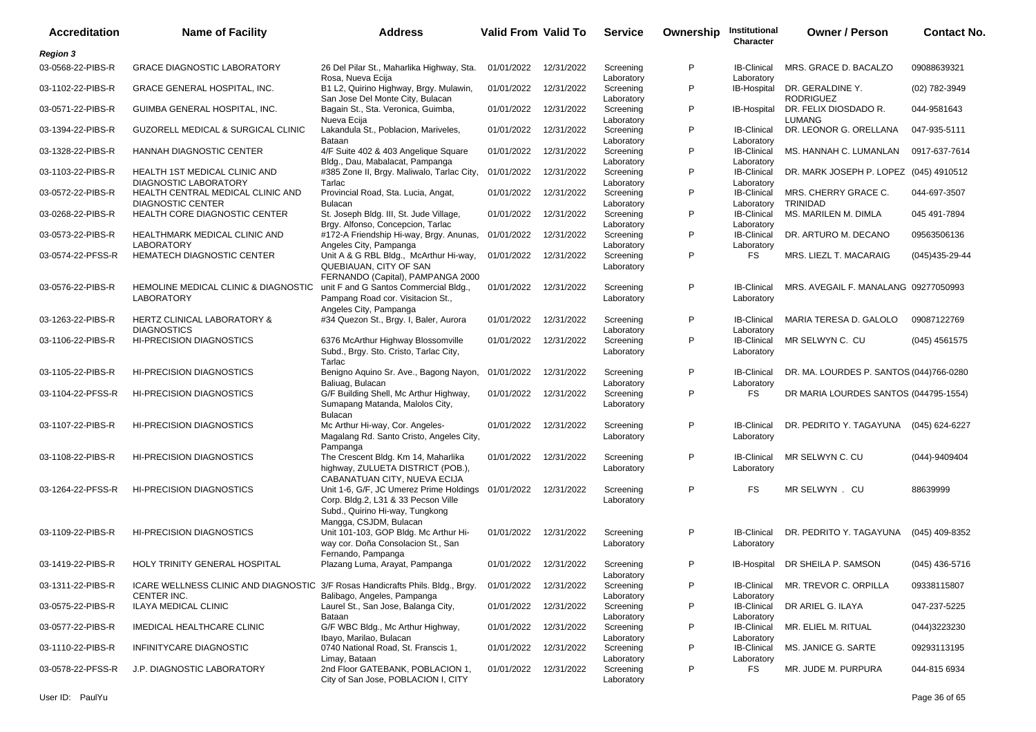| <b>Accreditation</b> | <b>Name of Facility</b>                                                                       | <b>Address</b>                                                                                                                                         | <b>Valid From Valid To</b> |            | <b>Service</b>                        | Ownership | Institutional<br>Character       | <b>Owner / Person</b>                   | <b>Contact No.</b>   |
|----------------------|-----------------------------------------------------------------------------------------------|--------------------------------------------------------------------------------------------------------------------------------------------------------|----------------------------|------------|---------------------------------------|-----------|----------------------------------|-----------------------------------------|----------------------|
| <b>Region 3</b>      |                                                                                               |                                                                                                                                                        |                            |            |                                       |           |                                  |                                         |                      |
| 03-0568-22-PIBS-R    | <b>GRACE DIAGNOSTIC LABORATORY</b>                                                            | 26 Del Pilar St., Maharlika Highway, Sta.<br>Rosa, Nueva Ecija                                                                                         | 01/01/2022                 | 12/31/2022 | Screening<br>Laboratory               | P         | <b>IB-Clinical</b><br>Laboratory | MRS. GRACE D. BACALZO                   | 09088639321          |
| 03-1102-22-PIBS-R    | <b>GRACE GENERAL HOSPITAL, INC.</b>                                                           | B1 L2, Quirino Highway, Brgy. Mulawin,<br>San Jose Del Monte City, Bulacan                                                                             | 01/01/2022                 | 12/31/2022 | Screening<br>Laboratory               | P         | IB-Hospital                      | DR. GERALDINE Y.<br><b>RODRIGUEZ</b>    | (02) 782-3949        |
| 03-0571-22-PIBS-R    | GUIMBA GENERAL HOSPITAL, INC.                                                                 | Bagain St., Sta. Veronica, Guimba,<br>Nueva Ecija                                                                                                      | 01/01/2022                 | 12/31/2022 | Screening<br>Laboratory               | P         | IB-Hospital                      | DR. FELIX DIOSDADO R.<br><b>LUMANG</b>  | 044-9581643          |
| 03-1394-22-PIBS-R    | GUZORELL MEDICAL & SURGICAL CLINIC                                                            | Lakandula St., Poblacion, Mariveles,<br>Bataan                                                                                                         | 01/01/2022                 | 12/31/2022 | Screening<br>Laboratory               | P         | <b>IB-Clinical</b><br>Laboratory | DR. LEONOR G. ORELLANA                  | 047-935-5111         |
| 03-1328-22-PIBS-R    | HANNAH DIAGNOSTIC CENTER                                                                      | 4/F Suite 402 & 403 Angelique Square<br>Bldg., Dau, Mabalacat, Pampanga                                                                                | 01/01/2022                 | 12/31/2022 | Screening<br>Laboratory               | P         | <b>IB-Clinical</b><br>Laboratory | MS. HANNAH C. LUMANLAN                  | 0917-637-7614        |
| 03-1103-22-PIBS-R    | HEALTH 1ST MEDICAL CLINIC AND<br>DIAGNOSTIC LABORATORY                                        | #385 Zone II, Brgy. Maliwalo, Tarlac City,<br>Tarlac                                                                                                   | 01/01/2022                 | 12/31/2022 | Screening<br>Laboratory               | P         | <b>IB-Clinical</b><br>Laboratory | DR. MARK JOSEPH P. LOPEZ (045) 4910512  |                      |
| 03-0572-22-PIBS-R    | HEALTH CENTRAL MEDICAL CLINIC AND<br><b>DIAGNOSTIC CENTER</b>                                 | Provincial Road, Sta. Lucia, Angat,<br><b>Bulacan</b>                                                                                                  | 01/01/2022                 | 12/31/2022 | Screening<br>Laboratory               | P         | <b>IB-Clinical</b><br>Laboratory | MRS. CHERRY GRACE C.<br><b>TRINIDAD</b> | 044-697-3507         |
| 03-0268-22-PIBS-R    | HEALTH CORE DIAGNOSTIC CENTER                                                                 | St. Joseph Bldg. III, St. Jude Village,<br>Brgy. Alfonso, Concepcion, Tarlac                                                                           | 01/01/2022                 | 12/31/2022 | Screening<br>Laboratory               | P         | <b>IB-Clinical</b><br>Laboratory | MS. MARILEN M. DIMLA                    | 045 491-7894         |
| 03-0573-22-PIBS-R    | HEALTHMARK MEDICAL CLINIC AND<br><b>LABORATORY</b>                                            | #172-A Friendship Hi-way, Brgy. Anunas,<br>Angeles City, Pampanga                                                                                      | 01/01/2022                 | 12/31/2022 | Screening<br>Laboratory               | P         | <b>IB-Clinical</b><br>Laboratory | DR. ARTURO M. DECANO                    | 09563506136          |
| 03-0574-22-PFSS-R    | HEMATECH DIAGNOSTIC CENTER                                                                    | Unit A & G RBL Bldg., McArthur Hi-way,<br>QUEBIAUAN, CITY OF SAN<br>FERNANDO (Capital), PAMPANGA 2000                                                  | 01/01/2022                 | 12/31/2022 | Screening<br>Laboratory               | P         | <b>FS</b>                        | MRS. LIEZL T. MACARAIG                  | $(045)435 - 29 - 44$ |
| 03-0576-22-PIBS-R    | HEMOLINE MEDICAL CLINIC & DIAGNOSTIC<br>LABORATORY                                            | unit F and G Santos Commercial Bldg.,<br>Pampang Road cor. Visitacion St.,<br>Angeles City, Pampanga                                                   | 01/01/2022 12/31/2022      |            | Screening<br>Laboratory               | P         | <b>IB-Clinical</b><br>Laboratory | MRS. AVEGAIL F. MANALANG 09277050993    |                      |
| 03-1263-22-PIBS-R    | <b>HERTZ CLINICAL LABORATORY &amp;</b><br><b>DIAGNOSTICS</b>                                  | #34 Quezon St., Brgy. I, Baler, Aurora                                                                                                                 | 01/01/2022                 | 12/31/2022 | Screening<br>Laboratory               | P         | <b>IB-Clinical</b><br>Laboratory | MARIA TERESA D. GALOLO                  | 09087122769          |
| 03-1106-22-PIBS-R    | HI-PRECISION DIAGNOSTICS                                                                      | 6376 McArthur Highway Blossomville<br>Subd., Brgy. Sto. Cristo, Tarlac City,<br>Tarlac                                                                 | 01/01/2022                 | 12/31/2022 | Screening<br>Laboratory               | P         | <b>IB-Clinical</b><br>Laboratory | MR SELWYN C. CU                         | $(045)$ 4561575      |
| 03-1105-22-PIBS-R    | <b>HI-PRECISION DIAGNOSTICS</b>                                                               | Benigno Aquino Sr. Ave., Bagong Nayon,<br>Baliuag, Bulacan                                                                                             | 01/01/2022                 | 12/31/2022 | Screening<br>Laboratory               | P         | <b>IB-Clinical</b><br>Laboratory | DR. MA. LOURDES P. SANTOS (044)766-0280 |                      |
| 03-1104-22-PFSS-R    | <b>HI-PRECISION DIAGNOSTICS</b>                                                               | G/F Building Shell, Mc Arthur Highway,<br>Sumapang Matanda, Malolos City,<br>Bulacan                                                                   | 01/01/2022                 | 12/31/2022 | Screening<br>Laboratory               | P         | <b>FS</b>                        | DR MARIA LOURDES SANTOS (044795-1554)   |                      |
| 03-1107-22-PIBS-R    | <b>HI-PRECISION DIAGNOSTICS</b>                                                               | Mc Arthur Hi-way, Cor. Angeles-<br>Magalang Rd. Santo Cristo, Angeles City,<br>Pampanga                                                                | 01/01/2022                 | 12/31/2022 | Screening<br>Laboratory               | P         | <b>IB-Clinical</b><br>Laboratory | DR. PEDRITO Y. TAGAYUNA                 | (045) 624-6227       |
| 03-1108-22-PIBS-R    | <b>HI-PRECISION DIAGNOSTICS</b>                                                               | The Crescent Bldg. Km 14, Maharlika<br>highway, ZULUETA DISTRICT (POB.),<br>CABANATUAN CITY, NUEVA ECIJA                                               | 01/01/2022                 | 12/31/2022 | Screening<br>Laboratory               | P         | <b>IB-Clinical</b><br>Laboratory | MR SELWYN C. CU                         | $(044) - 9409404$    |
| 03-1264-22-PFSS-R    | <b>HI-PRECISION DIAGNOSTICS</b>                                                               | Unit 1-6, G/F, JC Umerez Prime Holdings 01/01/2022<br>Corp. Bldg.2, L31 & 33 Pecson Ville<br>Subd., Quirino Hi-way, Tungkong<br>Mangga, CSJDM, Bulacan |                            | 12/31/2022 | Screening<br>Laboratory               | P         | <b>FS</b>                        | MR SELWYN . CU                          | 88639999             |
| 03-1109-22-PIBS-R    | <b>HI-PRECISION DIAGNOSTICS</b>                                                               | Unit 101-103, GOP Bldg. Mc Arthur Hi-<br>way cor. Doña Consolacion St., San                                                                            | 01/01/2022                 | 12/31/2022 | Screening<br>Laboratory               | P         | <b>IB-Clinical</b><br>Laboratory | DR. PEDRITO Y. TAGAYUNA                 | (045) 409-8352       |
| 03-1419-22-PIBS-R    | HOLY TRINITY GENERAL HOSPITAL                                                                 | Fernando, Pampanga<br>Plazang Luma, Arayat, Pampanga                                                                                                   | 01/01/2022 12/31/2022      |            | Screening                             | P         |                                  | IB-Hospital DR SHEILA P. SAMSON         | $(045)$ 436-5716     |
| 03-1311-22-PIBS-R    | ICARE WELLNESS CLINIC AND DIAGNOSTIC 3/F Rosas Handicrafts Phils. Bldg., Brgy.<br>CENTER INC. |                                                                                                                                                        | 01/01/2022                 | 12/31/2022 | Laboratory<br>Screening               | P         | <b>IB-Clinical</b>               | MR. TREVOR C. ORPILLA                   | 09338115807          |
| 03-0575-22-PIBS-R    | <b>ILAYA MEDICAL CLINIC</b>                                                                   | Balibago, Angeles, Pampanga<br>Laurel St., San Jose, Balanga City,                                                                                     | 01/01/2022                 | 12/31/2022 | Laboratory<br>Screening               | P         | Laboratory<br><b>IB-Clinical</b> | DR ARIEL G. ILAYA                       | 047-237-5225         |
| 03-0577-22-PIBS-R    | IMEDICAL HEALTHCARE CLINIC                                                                    | Bataan<br>G/F WBC Bldg., Mc Arthur Highway,                                                                                                            | 01/01/2022                 | 12/31/2022 | Laboratory<br>Screening               | P         | Laboratory<br>IB-Clinical        | MR. ELIEL M. RITUAL                     | (044)3223230         |
| 03-1110-22-PIBS-R    | INFINITYCARE DIAGNOSTIC                                                                       | Ibayo, Marilao, Bulacan<br>0740 National Road, St. Franscis 1,<br>Limay, Bataan                                                                        | 01/01/2022                 | 12/31/2022 | Laboratory<br>Screening<br>Laboratory | P         | Laboratory<br><b>IB-Clinical</b> | MS. JANICE G. SARTE                     | 09293113195          |
| 03-0578-22-PFSS-R    | J.P. DIAGNOSTIC LABORATORY                                                                    | 2nd Floor GATEBANK, POBLACION 1,<br>City of San Jose, POBLACION I, CITY                                                                                | 01/01/2022 12/31/2022      |            | Screening<br>Laboratory               | P         | Laboratory<br>FS                 | MR. JUDE M. PURPURA                     | 044-815 6934         |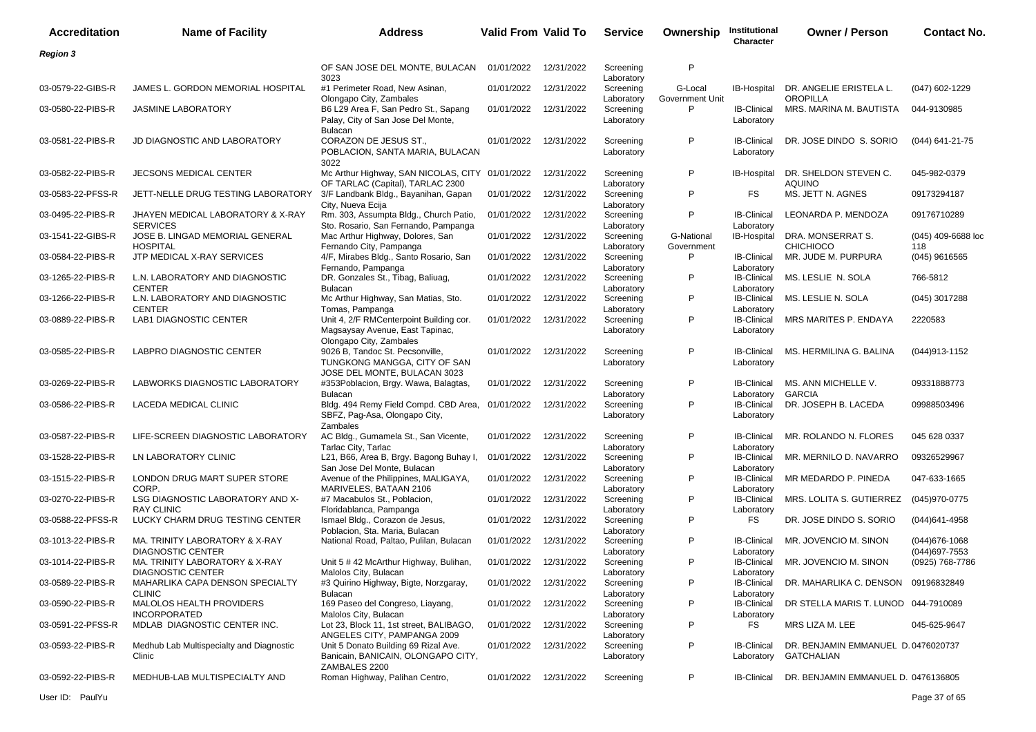| <b>Accreditation</b> | <b>Name of Facility</b>                                    | Address                                                                                               | Valid From Valid To |                       | <b>Service</b>                        | Ownership                  | Institutional<br>Character       | <b>Owner / Person</b>                             | <b>Contact No.</b>                     |
|----------------------|------------------------------------------------------------|-------------------------------------------------------------------------------------------------------|---------------------|-----------------------|---------------------------------------|----------------------------|----------------------------------|---------------------------------------------------|----------------------------------------|
| <b>Region 3</b>      |                                                            |                                                                                                       |                     |                       |                                       |                            |                                  |                                                   |                                        |
|                      |                                                            | OF SAN JOSE DEL MONTE, BULACAN                                                                        | 01/01/2022          | 12/31/2022            | Screening                             | P                          |                                  |                                                   |                                        |
| 03-0579-22-GIBS-R    | JAMES L. GORDON MEMORIAL HOSPITAL                          | 3023<br>#1 Perimeter Road, New Asinan,<br>Olongapo City, Zambales                                     | 01/01/2022          | 12/31/2022            | Laboratory<br>Screening<br>Laboratory | G-Local<br>Government Unit | IB-Hospital                      | DR. ANGELIE ERISTELA L.<br><b>OROPILLA</b>        | (047) 602-1229                         |
| 03-0580-22-PIBS-R    | <b>JASMINE LABORATORY</b>                                  | B6 L29 Area F, San Pedro St., Sapang<br>Palay, City of San Jose Del Monte,<br><b>Bulacan</b>          | 01/01/2022          | 12/31/2022            | Screening<br>Laboratory               | P                          | <b>IB-Clinical</b><br>Laboratory | MRS. MARINA M. BAUTISTA                           | 044-9130985                            |
| 03-0581-22-PIBS-R    | JD DIAGNOSTIC AND LABORATORY                               | CORAZON DE JESUS ST.,<br>POBLACION, SANTA MARIA, BULACAN<br>3022                                      | 01/01/2022          | 12/31/2022            | Screening<br>Laboratory               | P                          | <b>IB-Clinical</b><br>Laboratory | DR. JOSE DINDO S. SORIO                           | (044) 641-21-75                        |
| 03-0582-22-PIBS-R    | JECSONS MEDICAL CENTER                                     | Mc Arthur Highway, SAN NICOLAS, CITY 01/01/2022<br>OF TARLAC (Capital), TARLAC 2300                   |                     | 12/31/2022            | Screening<br>Laboratory               | P                          | <b>IB-Hospital</b>               | DR. SHELDON STEVEN C.<br><b>AQUINO</b>            | 045-982-0379                           |
| 03-0583-22-PFSS-R    | JETT-NELLE DRUG TESTING LABORATORY                         | 3/F Landbank Bldg., Bayanihan, Gapan<br>City, Nueva Ecija                                             | 01/01/2022          | 12/31/2022            | Screening<br>Laboratory               | P                          | FS                               | MS. JETT N. AGNES                                 | 09173294187                            |
| 03-0495-22-PIBS-R    | JHAYEN MEDICAL LABORATORY & X-RAY<br><b>SERVICES</b>       | Rm. 303, Assumpta Bldg., Church Patio,<br>Sto. Rosario, San Fernando, Pampanga                        | 01/01/2022          | 12/31/2022            | Screening<br>Laboratory               | P                          | <b>IB-Clinical</b><br>Laboratory | LEONARDA P. MENDOZA                               | 09176710289                            |
| 03-1541-22-GIBS-R    | JOSE B. LINGAD MEMORIAL GENERAL<br><b>HOSPITAL</b>         | Mac Arthur Highway, Dolores, San<br>Fernando City, Pampanga                                           | 01/01/2022          | 12/31/2022            | Screening<br>Laboratory               | G-National<br>Government   | <b>IB-Hospital</b>               | DRA. MONSERRAT S.<br><b>CHICHIOCO</b>             | (045) 409-6688 loc<br>118              |
| 03-0584-22-PIBS-R    | JTP MEDICAL X-RAY SERVICES                                 | 4/F, Mirabes Bldg., Santo Rosario, San<br>Fernando, Pampanga                                          | 01/01/2022          | 12/31/2022            | Screening<br>Laboratory               | P                          | <b>IB-Clinical</b><br>Laboratory | MR. JUDE M. PURPURA                               | $(045)$ 9616565                        |
| 03-1265-22-PIBS-R    | L.N. LABORATORY AND DIAGNOSTIC<br><b>CENTER</b>            | DR. Gonzales St., Tibag, Baliuag,<br>Bulacan                                                          | 01/01/2022          | 12/31/2022            | Screening<br>Laboratory               | P                          | <b>IB-Clinical</b><br>Laboratory | MS. LESLIE N. SOLA                                | 766-5812                               |
| 03-1266-22-PIBS-R    | L.N. LABORATORY AND DIAGNOSTIC<br><b>CENTER</b>            | Mc Arthur Highway, San Matias, Sto.<br>Tomas, Pampanga                                                | 01/01/2022          | 12/31/2022            | Screening<br>Laboratory               | P                          | <b>IB-Clinical</b><br>Laboratory | MS. LESLIE N. SOLA                                | (045) 3017288                          |
| 03-0889-22-PIBS-R    | <b>LAB1 DIAGNOSTIC CENTER</b>                              | Unit 4, 2/F RMCenterpoint Building cor.<br>Magsaysay Avenue, East Tapinac,<br>Olongapo City, Zambales | 01/01/2022          | 12/31/2022            | Screening<br>Laboratory               | P                          | <b>IB-Clinical</b><br>Laboratory | MRS MARITES P. ENDAYA                             | 2220583                                |
| 03-0585-22-PIBS-R    | LABPRO DIAGNOSTIC CENTER                                   | 9026 B, Tandoc St. Pecsonville,<br>TUNGKONG MANGGA, CITY OF SAN<br>JOSE DEL MONTE, BULACAN 3023       | 01/01/2022          | 12/31/2022            | Screening<br>Laboratory               | P                          | <b>IB-Clinical</b><br>Laboratory | MS. HERMILINA G. BALINA                           | (044) 913-1152                         |
| 03-0269-22-PIBS-R    | LABWORKS DIAGNOSTIC LABORATORY                             | #353Poblacion, Brgy. Wawa, Balagtas,<br><b>Bulacan</b>                                                | 01/01/2022          | 12/31/2022            | Screening<br>Laboratory               | P                          | <b>IB-Clinical</b><br>Laboratory | MS. ANN MICHELLE V.<br><b>GARCIA</b>              | 09331888773                            |
| 03-0586-22-PIBS-R    | LACEDA MEDICAL CLINIC                                      | Bldg. 494 Remy Field Compd. CBD Area,<br>SBFZ, Pag-Asa, Olongapo City,<br><b>Zambales</b>             | 01/01/2022          | 12/31/2022            | Screening<br>Laboratory               | P                          | <b>IB-Clinical</b><br>Laboratory | DR. JOSEPH B. LACEDA                              | 09988503496                            |
| 03-0587-22-PIBS-R    | LIFE-SCREEN DIAGNOSTIC LABORATORY                          | AC Bldg., Gumamela St., San Vicente,<br>Tarlac City, Tarlac                                           | 01/01/2022          | 12/31/2022            | Screening<br>Laboratory               | P                          | <b>IB-Clinical</b><br>Laboratory | MR. ROLANDO N. FLORES                             | 045 628 0337                           |
| 03-1528-22-PIBS-R    | LN LABORATORY CLINIC                                       | L21, B66, Area B, Brgy. Bagong Buhay I,<br>San Jose Del Monte, Bulacan                                | 01/01/2022          | 12/31/2022            | Screening<br>Laboratory               | P                          | <b>IB-Clinical</b><br>Laboratory | MR. MERNILO D. NAVARRO                            | 09326529967                            |
| 03-1515-22-PIBS-R    | LONDON DRUG MART SUPER STORE<br>CORP.                      | Avenue of the Philippines, MALIGAYA,<br>MARIVELES, BATAAN 2106                                        | 01/01/2022          | 12/31/2022            | Screening<br>Laboratory               | P                          | <b>IB-Clinical</b><br>Laboratory | MR MEDARDO P. PINEDA                              | 047-633-1665                           |
| 03-0270-22-PIBS-R    | LSG DIAGNOSTIC LABORATORY AND X-<br><b>RAY CLINIC</b>      | #7 Macabulos St., Poblacion,<br>Floridablanca, Pampanga                                               | 01/01/2022          | 12/31/2022            | Screening<br>Laboratory               | P                          | <b>IB-Clinical</b><br>Laboratory | MRS. LOLITA S. GUTIERREZ                          | (045)970-0775                          |
| 03-0588-22-PFSS-R    | LUCKY CHARM DRUG TESTING CENTER                            | Ismael Bldg., Corazon de Jesus,<br>Poblacion, Sta. Maria, Bulacan                                     | 01/01/2022          | 12/31/2022            | Screening<br>Laboratory               | P                          | FS                               | DR. JOSE DINDO S. SORIO                           | $(044)641 - 4958$                      |
| 03-1013-22-PIBS-R    | MA. TRINITY LABORATORY & X-RAY<br><b>DIAGNOSTIC CENTER</b> | National Road, Paltao, Pulilan, Bulacan                                                               | 01/01/2022          | 12/31/2022            | Screening<br>Laboratory               | P                          | <b>IB-Clinical</b><br>Laboratory | MR. JOVENCIO M. SINON                             | $(044)676 - 1068$<br>$(044)697 - 7553$ |
| 03-1014-22-PIBS-R    | MA. TRINITY LABORATORY & X-RAY<br><b>DIAGNOSTIC CENTER</b> | Unit 5 # 42 McArthur Highway, Bulihan,<br>Malolos City, Bulacan                                       | 01/01/2022          | 12/31/2022            | Screening<br>Laboratory               | P                          | <b>IB-Clinical</b><br>Laboratory | MR. JOVENCIO M. SINON                             | (0925) 768-7786                        |
| 03-0589-22-PIBS-R    | MAHARLIKA CAPA DENSON SPECIALTY<br><b>CLINIC</b>           | #3 Quirino Highway, Bigte, Norzgaray,<br>Bulacan                                                      | 01/01/2022          | 12/31/2022            | Screening<br>Laboratory               | P                          | <b>IB-Clinical</b><br>Laboratory | DR. MAHARLIKA C. DENSON 09196832849               |                                        |
| 03-0590-22-PIBS-R    | MALOLOS HEALTH PROVIDERS<br><b>INCORPORATED</b>            | 169 Paseo del Congreso, Liayang,<br>Malolos City, Bulacan                                             | 01/01/2022          | 12/31/2022            | Screening<br>Laboratory               | P                          | <b>IB-Clinical</b><br>Laboratory | DR STELLA MARIS T. LUNOD 044-7910089              |                                        |
| 03-0591-22-PFSS-R    | MDLAB DIAGNOSTIC CENTER INC.                               | Lot 23, Block 11, 1st street, BALIBAGO,<br>ANGELES CITY, PAMPANGA 2009                                | 01/01/2022          | 12/31/2022            | Screening<br>Laboratory               | P                          | FS                               | MRS LIZA M. LEE                                   | 045-625-9647                           |
| 03-0593-22-PIBS-R    | Medhub Lab Multispecialty and Diagnostic<br>Clinic         | Unit 5 Donato Building 69 Rizal Ave.<br>Banicain, BANICAIN, OLONGAPO CITY,                            |                     | 01/01/2022 12/31/2022 | Screening<br>Laboratory               | P                          | <b>IB-Clinical</b><br>Laboratory | DR. BENJAMIN EMMANUEL D. 0476020737<br>GATCHALIAN |                                        |
| 03-0592-22-PIBS-R    | MEDHUB-LAB MULTISPECIALTY AND                              | ZAMBALES 2200<br>Roman Highway, Palihan Centro,                                                       |                     | 01/01/2022 12/31/2022 | Screening                             | P                          | <b>IB-Clinical</b>               | DR. BENJAMIN EMMANUEL D. 0476136805               |                                        |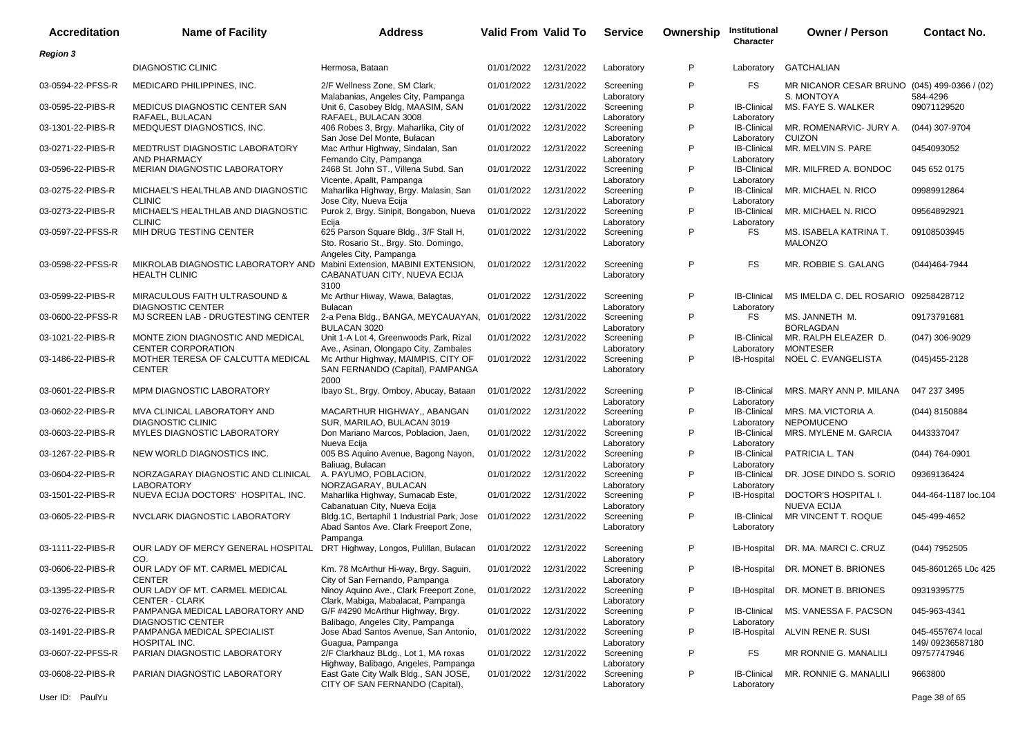| <b>Accreditation</b> | <b>Name of Facility</b>                                        | <b>Address</b>                                                                                           | <b>Valid From Valid To</b> |            | <b>Service</b>                        | Ownership | Institutional<br>Character       | <b>Owner / Person</b>                        | <b>Contact No.</b>                   |
|----------------------|----------------------------------------------------------------|----------------------------------------------------------------------------------------------------------|----------------------------|------------|---------------------------------------|-----------|----------------------------------|----------------------------------------------|--------------------------------------|
| <b>Region 3</b>      |                                                                |                                                                                                          |                            |            |                                       |           |                                  |                                              |                                      |
|                      | <b>DIAGNOSTIC CLINIC</b>                                       | Hermosa, Bataan                                                                                          | 01/01/2022                 | 12/31/2022 | Laboratory                            | P         | Laboratory                       | <b>GATCHALIAN</b>                            |                                      |
| 03-0594-22-PFSS-R    | MEDICARD PHILIPPINES, INC.                                     | 2/F Wellness Zone, SM Clark,<br>Malabanias, Angeles City, Pampanga                                       | 01/01/2022                 | 12/31/2022 | Screening                             | P         | FS                               | MR NICANOR CESAR BRUNO (045) 499-0366 / (02) | 584-4296                             |
| 03-0595-22-PIBS-R    | MEDICUS DIAGNOSTIC CENTER SAN<br>RAFAEL, BULACAN               | Unit 6, Casobey Bldg, MAASIM, SAN<br>RAFAEL, BULACAN 3008                                                | 01/01/2022                 | 12/31/2022 | Laboratory<br>Screening<br>Laboratory | P         | IB-Clinical<br>Laboratory        | S. MONTOYA<br>MS. FAYE S. WALKER             | 09071129520                          |
| 03-1301-22-PIBS-R    | MEDQUEST DIAGNOSTICS, INC.                                     | 406 Robes 3, Brgy. Maharlika, City of<br>San Jose Del Monte, Bulacan                                     | 01/01/2022                 | 12/31/2022 | Screening<br>Laboratory               | P         | <b>IB-Clinical</b><br>Laboratory | MR. ROMENARVIC- JURY A.<br><b>CUIZON</b>     | (044) 307-9704                       |
| 03-0271-22-PIBS-R    | MEDTRUST DIAGNOSTIC LABORATORY<br>AND PHARMACY                 | Mac Arthur Highway, Sindalan, San<br>Fernando City, Pampanga                                             | 01/01/2022                 | 12/31/2022 | Screening<br>Laboratory               | P         | IB-Clinical<br>Laboratory        | MR. MELVIN S. PARE                           | 0454093052                           |
| 03-0596-22-PIBS-R    | MERIAN DIAGNOSTIC LABORATORY                                   | 2468 St. John ST., Villena Subd. San<br>Vicente, Apalit, Pampanga                                        | 01/01/2022                 | 12/31/2022 | Screening<br>Laboratory               | P         | <b>IB-Clinical</b><br>Laboratory | MR. MILFRED A. BONDOC                        | 045 652 0175                         |
| 03-0275-22-PIBS-R    | MICHAEL'S HEALTHLAB AND DIAGNOSTIC<br><b>CLINIC</b>            | Maharlika Highway, Brgy. Malasin, San<br>Jose City, Nueva Ecija                                          | 01/01/2022                 | 12/31/2022 | Screening<br>Laboratory               | P         | <b>IB-Clinical</b><br>Laboratory | MR. MICHAEL N. RICO                          | 09989912864                          |
| 03-0273-22-PIBS-R    | MICHAEL'S HEALTHLAB AND DIAGNOSTIC<br><b>CLINIC</b>            | Purok 2, Brgy. Sinipit, Bongabon, Nueva<br>Ecija                                                         | 01/01/2022                 | 12/31/2022 | Screening<br>Laboratory               | P         | <b>IB-Clinical</b><br>Laboratory | MR. MICHAEL N. RICO                          | 09564892921                          |
| 03-0597-22-PFSS-R    | MIH DRUG TESTING CENTER                                        | 625 Parson Square Bldg., 3/F Stall H,<br>Sto. Rosario St., Brgy. Sto. Domingo,<br>Angeles City, Pampanga | 01/01/2022                 | 12/31/2022 | Screening<br>Laboratory               | P         | FS                               | MS. ISABELA KATRINA T.<br><b>MALONZO</b>     | 09108503945                          |
| 03-0598-22-PFSS-R    | MIKROLAB DIAGNOSTIC LABORATORY AND<br><b>HEALTH CLINIC</b>     | Mabini Extension, MABINI EXTENSION,<br>CABANATUAN CITY, NUEVA ECIJA<br>3100                              | 01/01/2022                 | 12/31/2022 | Screening<br>Laboratory               | P         | FS                               | MR. ROBBIE S. GALANG                         | (044)464-7944                        |
| 03-0599-22-PIBS-R    | MIRACULOUS FAITH ULTRASOUND &<br><b>DIAGNOSTIC CENTER</b>      | Mc Arthur Hiway, Wawa, Balagtas,<br><b>Bulacan</b>                                                       | 01/01/2022                 | 12/31/2022 | Screening<br>Laboratory               | P         | <b>IB-Clinical</b><br>Laboratory | MS IMELDA C. DEL ROSARIO 09258428712         |                                      |
| 03-0600-22-PFSS-R    | MJ SCREEN LAB - DRUGTESTING CENTER                             | 2-a Pena Bldg., BANGA, MEYCAUAYAN, 01/01/2022<br><b>BULACAN 3020</b>                                     |                            | 12/31/2022 | Screening<br>Laboratory               | P         | FS                               | MS. JANNETH M.<br><b>BORLAGDAN</b>           | 09173791681                          |
| 03-1021-22-PIBS-R    | MONTE ZION DIAGNOSTIC AND MEDICAL<br><b>CENTER CORPORATION</b> | Unit 1-A Lot 4, Greenwoods Park, Rizal<br>Ave., Asinan, Olongapo City, Zambales                          | 01/01/2022                 | 12/31/2022 | Screening<br>Laboratory               | P         | <b>IB-Clinical</b><br>Laboratory | MR. RALPH ELEAZER D.<br><b>MONTESER</b>      | $(047)$ 306-9029                     |
| 03-1486-22-PIBS-R    | MOTHER TERESA OF CALCUTTA MEDICAL<br><b>CENTER</b>             | Mc Arthur Highway, MAIMPIS, CITY OF<br>SAN FERNANDO (Capital), PAMPANGA<br>2000                          | 01/01/2022                 | 12/31/2022 | Screening<br>Laboratory               | P         | IB-Hospital                      | NOEL C. EVANGELISTA                          | $(045)455 - 2128$                    |
| 03-0601-22-PIBS-R    | MPM DIAGNOSTIC LABORATORY                                      | Ibayo St., Brgy. Omboy, Abucay, Bataan                                                                   | 01/01/2022                 | 12/31/2022 | Screening<br>Laboratory               | P         | <b>IB-Clinical</b><br>Laboratory | MRS. MARY ANN P. MILANA                      | 047 237 3495                         |
| 03-0602-22-PIBS-R    | MVA CLINICAL LABORATORY AND<br><b>DIAGNOSTIC CLINIC</b>        | MACARTHUR HIGHWAY,, ABANGAN<br>SUR, MARILAO, BULACAN 3019                                                | 01/01/2022                 | 12/31/2022 | Screening<br>Laboratory               | P         | IB-Clinical<br>Laboratory        | MRS. MA.VICTORIA A.<br><b>NEPOMUCENO</b>     | (044) 8150884                        |
| 03-0603-22-PIBS-R    | MYLES DIAGNOSTIC LABORATORY                                    | Don Mariano Marcos, Poblacion, Jaen,<br>Nueva Ecija                                                      | 01/01/2022                 | 12/31/2022 | Screening<br>Laboratory               | P         | IB-Clinical<br>Laboratory        | MRS. MYLENE M. GARCIA                        | 0443337047                           |
| 03-1267-22-PIBS-R    | NEW WORLD DIAGNOSTICS INC.                                     | 005 BS Aquino Avenue, Bagong Nayon,<br>Baliuag, Bulacan                                                  | 01/01/2022                 | 12/31/2022 | Screening<br>Laboratory               | P         | IB-Clinical<br>Laboratory        | PATRICIA L. TAN                              | (044) 764-0901                       |
| 03-0604-22-PIBS-R    | NORZAGARAY DIAGNOSTIC AND CLINICAL<br><b>LABORATORY</b>        | A. PAYUMO, POBLACION,<br>NORZAGARAY, BULACAN                                                             | 01/01/2022                 | 12/31/2022 | Screening<br>Laboratory               | P         | <b>IB-Clinical</b><br>Laboratory | DR. JOSE DINDO S. SORIO                      | 09369136424                          |
| 03-1501-22-PIBS-R    | NUEVA ECIJA DOCTORS' HOSPITAL, INC.                            | Maharlika Highway, Sumacab Este,<br>Cabanatuan City, Nueva Ecija                                         | 01/01/2022                 | 12/31/2022 | Screening<br>Laboratory               | P         | IB-Hospital                      | DOCTOR'S HOSPITAL I.<br><b>NUEVA ECIJA</b>   | 044-464-1187 loc.104                 |
| 03-0605-22-PIBS-R    | NVCLARK DIAGNOSTIC LABORATORY                                  | Bldg.1C, Bertaphil 1 Industrial Park, Jose<br>Abad Santos Ave. Clark Freeport Zone,<br>Pampanga          | 01/01/2022                 | 12/31/2022 | Screening<br>Laboratory               | P         | IB-Clinical<br>Laboratory        | MR VINCENT T. ROQUE                          | 045-499-4652                         |
| 03-1111-22-PIBS-R    | OUR LADY OF MERCY GENERAL HOSPITAL<br>CO.                      | DRT Highway, Longos, Pulillan, Bulacan                                                                   | 01/01/2022                 | 12/31/2022 | Screening<br>Laboratory               | P         | <b>IB-Hospital</b>               | DR. MA. MARCI C. CRUZ                        | (044) 7952505                        |
| 03-0606-22-PIBS-R    | OUR LADY OF MT. CARMEL MEDICAL<br><b>CENTER</b>                | Km. 78 McArthur Hi-way, Brgy. Saguin,<br>City of San Fernando, Pampanga                                  | 01/01/2022                 | 12/31/2022 | Screening<br>Laboratory               | P         | IB-Hospital                      | DR. MONET B. BRIONES                         | 045-8601265 L0c 425                  |
| 03-1395-22-PIBS-R    | OUR LADY OF MT. CARMEL MEDICAL<br><b>CENTER - CLARK</b>        | Ninoy Aquino Ave., Clark Freeport Zone,<br>Clark, Mabiga, Mabalacat, Pampanga                            | 01/01/2022                 | 12/31/2022 | Screening<br>Laboratory               | P         | <b>IB-Hospital</b>               | DR. MONET B. BRIONES                         | 09319395775                          |
| 03-0276-22-PIBS-R    | PAMPANGA MEDICAL LABORATORY AND<br><b>DIAGNOSTIC CENTER</b>    | G/F #4290 McArthur Highway, Brgy.<br>Balibago, Angeles City, Pampanga                                    | 01/01/2022                 | 12/31/2022 | Screening<br>Laboratory               | P         | <b>IB-Clinical</b><br>Laboratory | MS. VANESSA F. PACSON                        | 045-963-4341                         |
| 03-1491-22-PIBS-R    | PAMPANGA MEDICAL SPECIALIST<br>HOSPITAL INC.                   | Jose Abad Santos Avenue, San Antonio,<br>Guagua, Pampanga                                                | 01/01/2022                 | 12/31/2022 | Screening<br>Laboratory               | P         | IB-Hospital                      | ALVIN RENE R. SUSI                           | 045-4557674 local<br>149/09236587180 |
| 03-0607-22-PFSS-R    | PARIAN DIAGNOSTIC LABORATORY                                   | 2/F Clarkhauz BLdg., Lot 1, MA roxas<br>Highway, Balibago, Angeles, Pampanga                             | 01/01/2022                 | 12/31/2022 | Screening<br>Laboratory               | P         | FS                               | MR RONNIE G. MANALILI                        | 09757747946                          |
| 03-0608-22-PIBS-R    | PARIAN DIAGNOSTIC LABORATORY                                   | East Gate City Walk Bldg., SAN JOSE,<br>CITY OF SAN FERNANDO (Capital),                                  | 01/01/2022                 | 12/31/2022 | Screening<br>Laboratory               | P         | <b>IB-Clinical</b><br>Laboratory | MR. RONNIE G. MANALILI                       | 9663800                              |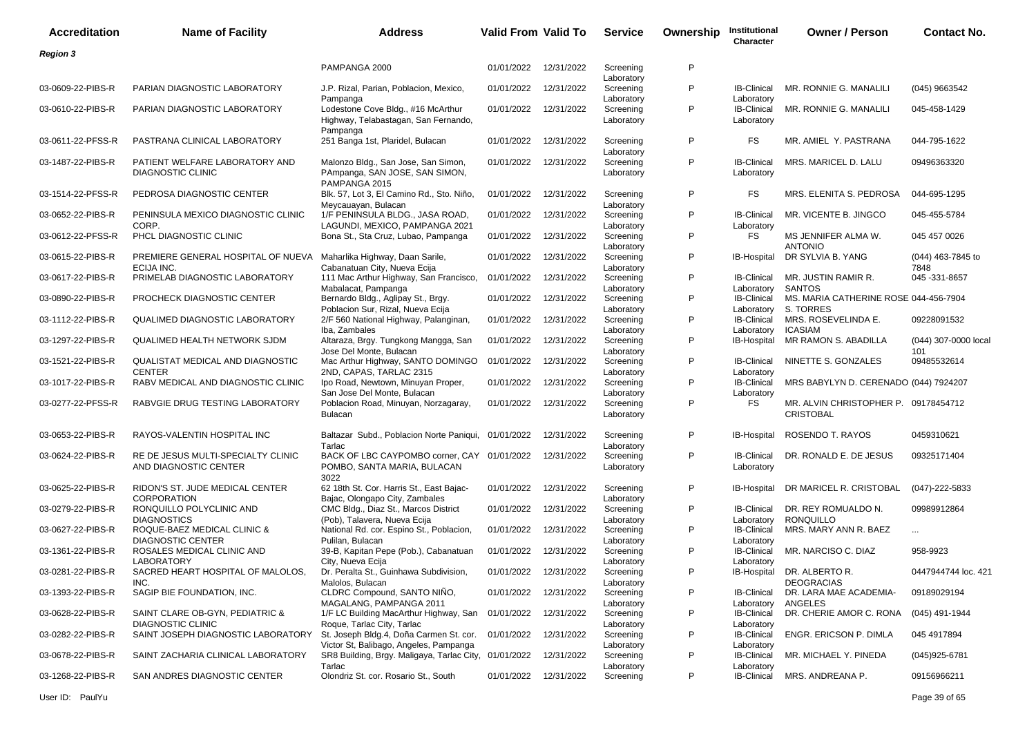| <b>Accreditation</b> | <b>Name of Facility</b>                                                          | <b>Address</b>                                                                         | Valid From Valid To |            | <b>Service</b>                        | Ownership | Institutional<br>Character                     | <b>Owner / Person</b>                                    | <b>Contact No.</b>          |
|----------------------|----------------------------------------------------------------------------------|----------------------------------------------------------------------------------------|---------------------|------------|---------------------------------------|-----------|------------------------------------------------|----------------------------------------------------------|-----------------------------|
| <b>Region 3</b>      |                                                                                  |                                                                                        |                     |            |                                       |           |                                                |                                                          |                             |
|                      |                                                                                  | PAMPANGA 2000                                                                          | 01/01/2022          | 12/31/2022 | Screening                             | P         |                                                |                                                          |                             |
| 03-0609-22-PIBS-R    | PARIAN DIAGNOSTIC LABORATORY                                                     | J.P. Rizal, Parian, Poblacion, Mexico,                                                 | 01/01/2022          | 12/31/2022 | Laboratory<br>Screening               | P         | <b>IB-Clinical</b>                             | MR. RONNIE G. MANALILI                                   | (045) 9663542               |
| 03-0610-22-PIBS-R    | PARIAN DIAGNOSTIC LABORATORY                                                     | Pampanga<br>Lodestone Cove Bldg., #16 McArthur<br>Highway, Telabastagan, San Fernando, | 01/01/2022          | 12/31/2022 | Laboratory<br>Screening<br>Laboratory | P         | Laboratory<br><b>IB-Clinical</b><br>Laboratory | MR. RONNIE G. MANALILI                                   | 045-458-1429                |
| 03-0611-22-PFSS-R    | PASTRANA CLINICAL LABORATORY                                                     | Pampanga<br>251 Banga 1st, Plaridel, Bulacan                                           | 01/01/2022          | 12/31/2022 | Screening<br>Laboratory               | P         | <b>FS</b>                                      | MR. AMIEL Y. PASTRANA                                    | 044-795-1622                |
| 03-1487-22-PIBS-R    | PATIENT WELFARE LABORATORY AND<br><b>DIAGNOSTIC CLINIC</b>                       | Malonzo Bldg., San Jose, San Simon,<br>PAmpanga, SAN JOSE, SAN SIMON,<br>PAMPANGA 2015 | 01/01/2022          | 12/31/2022 | Screening<br>Laboratory               | P         | <b>IB-Clinical</b><br>Laboratory               | MRS. MARICEL D. LALU                                     | 09496363320                 |
| 03-1514-22-PFSS-R    | PEDROSA DIAGNOSTIC CENTER                                                        | Blk. 57, Lot 3, El Camino Rd., Sto. Niño,<br>Meycauayan, Bulacan                       | 01/01/2022          | 12/31/2022 | Screening<br>Laboratory               | P         | FS                                             | MRS. ELENITA S. PEDROSA                                  | 044-695-1295                |
| 03-0652-22-PIBS-R    | PENINSULA MEXICO DIAGNOSTIC CLINIC<br>CORP.                                      | 1/F PENINSULA BLDG., JASA ROAD,<br>LAGUNDI, MEXICO, PAMPANGA 2021                      | 01/01/2022          | 12/31/2022 | Screening<br>Laboratory               | P         | <b>IB-Clinical</b><br>Laboratory               | MR. VICENTE B. JINGCO                                    | 045-455-5784                |
| 03-0612-22-PFSS-R    | PHCL DIAGNOSTIC CLINIC                                                           | Bona St., Sta Cruz, Lubao, Pampanga                                                    | 01/01/2022          | 12/31/2022 | Screening<br>Laboratory               | P         | FS                                             | MS JENNIFER ALMA W.<br><b>ANTONIO</b>                    | 045 457 0026                |
| 03-0615-22-PIBS-R    | PREMIERE GENERAL HOSPITAL OF NUEVA Maharlika Highway, Daan Sarile,<br>ECIJA INC. | Cabanatuan City, Nueva Ecija                                                           | 01/01/2022          | 12/31/2022 | Screening<br>Laboratory               | P         | IB-Hospital                                    | DR SYLVIA B. YANG                                        | (044) 463-7845 to<br>7848   |
| 03-0617-22-PIBS-R    | PRIMELAB DIAGNOSTIC LABORATORY                                                   | 111 Mac Arthur Highway, San Francisco,<br>Mabalacat, Pampanga                          | 01/01/2022          | 12/31/2022 | Screening<br>Laboratory               | P         | <b>IB-Clinical</b><br>Laboratory               | MR. JUSTIN RAMIR R.<br><b>SANTOS</b>                     | 045 - 331 - 8657            |
| 03-0890-22-PIBS-R    | PROCHECK DIAGNOSTIC CENTER                                                       | Bernardo Bldg., Aglipay St., Brgy.<br>Poblacion Sur, Rizal, Nueva Ecija                | 01/01/2022          | 12/31/2022 | Screening<br>Laboratory               | P         | <b>IB-Clinical</b><br>Laboratory               | MS. MARIA CATHERINE ROSE 044-456-7904<br>S. TORRES       |                             |
| 03-1112-22-PIBS-R    | <b>QUALIMED DIAGNOSTIC LABORATORY</b>                                            | 2/F 560 National Highway, Palanginan,<br>Iba, Zambales                                 | 01/01/2022          | 12/31/2022 | Screening<br>Laboratory               | P         | <b>IB-Clinical</b><br>Laboratory               | MRS. ROSEVELINDA E.<br><b>ICASIAM</b>                    | 09228091532                 |
| 03-1297-22-PIBS-R    | QUALIMED HEALTH NETWORK SJDM                                                     | Altaraza, Brgy. Tungkong Mangga, San<br>Jose Del Monte, Bulacan                        | 01/01/2022          | 12/31/2022 | Screening<br>Laboratory               | P         | IB-Hospital                                    | MR RAMON S. ABADILLA                                     | (044) 307-0000 local<br>101 |
| 03-1521-22-PIBS-R    | QUALISTAT MEDICAL AND DIAGNOSTIC<br><b>CENTER</b>                                | Mac Arthur Highway, SANTO DOMINGO<br>2ND, CAPAS, TARLAC 2315                           | 01/01/2022          | 12/31/2022 | Screening<br>Laboratory               | P         | <b>IB-Clinical</b><br>Laboratory               | NINETTE S. GONZALES                                      | 09485532614                 |
| 03-1017-22-PIBS-R    | RABV MEDICAL AND DIAGNOSTIC CLINIC                                               | Ipo Road, Newtown, Minuyan Proper,<br>San Jose Del Monte, Bulacan                      | 01/01/2022          | 12/31/2022 | Screening<br>Laboratory               | P         | <b>IB-Clinical</b><br>Laboratory               | MRS BABYLYN D. CERENADO (044) 7924207                    |                             |
| 03-0277-22-PFSS-R    | RABVGIE DRUG TESTING LABORATORY                                                  | Poblacion Road, Minuyan, Norzagaray,<br>Bulacan                                        | 01/01/2022          | 12/31/2022 | Screening<br>Laboratory               | P         | FS                                             | MR. ALVIN CHRISTOPHER P. 09178454712<br><b>CRISTOBAL</b> |                             |
| 03-0653-22-PIBS-R    | RAYOS-VALENTIN HOSPITAL INC                                                      | Baltazar Subd., Poblacion Norte Paniqui,<br>Tarlac                                     | 01/01/2022          | 12/31/2022 | Screening<br>Laboratory               | P         | <b>IB-Hospital</b>                             | ROSENDO T. RAYOS                                         | 0459310621                  |
| 03-0624-22-PIBS-R    | RE DE JESUS MULTI-SPECIALTY CLINIC<br>AND DIAGNOSTIC CENTER                      | BACK OF LBC CAYPOMBO corner, CAY 01/01/2022<br>POMBO, SANTA MARIA, BULACAN<br>3022     |                     | 12/31/2022 | Screening<br>Laboratory               | P         | <b>IB-Clinical</b><br>Laboratory               | DR. RONALD E. DE JESUS                                   | 09325171404                 |
| 03-0625-22-PIBS-R    | RIDON'S ST. JUDE MEDICAL CENTER<br><b>CORPORATION</b>                            | 62 18th St. Cor. Harris St., East Bajac-<br>Bajac, Olongapo City, Zambales             | 01/01/2022          | 12/31/2022 | Screening<br>Laboratory               | P         | IB-Hospital                                    | DR MARICEL R. CRISTOBAL                                  | $(047) - 222 - 5833$        |
| 03-0279-22-PIBS-R    | RONQUILLO POLYCLINIC AND<br><b>DIAGNOSTICS</b>                                   | CMC Bldg., Diaz St., Marcos District<br>(Pob), Talavera, Nueva Ecija                   | 01/01/2022          | 12/31/2022 | Screening<br>Laboratory               | P         | <b>IB-Clinical</b><br>Laboratory               | DR. REY ROMUALDO N.<br>RONQUILLO                         | 09989912864                 |
| 03-0627-22-PIBS-R    | ROQUE-BAEZ MEDICAL CLINIC &<br><b>DIAGNOSTIC CENTER</b>                          | National Rd. cor. Espino St., Poblacion,<br>Pulilan, Bulacan                           | 01/01/2022          | 12/31/2022 | Screening<br>Laboratory               | P         | <b>IB-Clinical</b><br>Laboratory               | MRS. MARY ANN R. BAEZ                                    | $\ldots$                    |
| 03-1361-22-PIBS-R    | ROSALES MEDICAL CLINIC AND<br><b>LABORATORY</b>                                  | 39-B, Kapitan Pepe (Pob.), Cabanatuan<br>City, Nueva Ecija                             | 01/01/2022          | 12/31/2022 | Screening<br>Laboratory               | P         | <b>IB-Clinical</b><br>Laboratory               | MR. NARCISO C. DIAZ                                      | 958-9923                    |
| 03-0281-22-PIBS-R    | SACRED HEART HOSPITAL OF MALOLOS,<br>INC.                                        | Dr. Peralta St., Guinhawa Subdivision,<br>Malolos, Bulacan                             | 01/01/2022          | 12/31/2022 | Screening<br>Laboratory               | P         |                                                | IB-Hospital DR. ALBERTOR.<br><b>DEOGRACIAS</b>           | 0447944744 loc. 421         |
| 03-1393-22-PIBS-R    | SAGIP BIE FOUNDATION, INC.                                                       | CLDRC Compound, SANTO NIÑO,<br>MAGALANG, PAMPANGA 2011                                 | 01/01/2022          | 12/31/2022 | Screening<br>Laboratory               | P         | <b>IB-Clinical</b><br>Laboratory               | DR. LARA MAE ACADEMIA-<br>ANGELES                        | 09189029194                 |
| 03-0628-22-PIBS-R    | SAINT CLARE OB-GYN, PEDIATRIC &<br><b>DIAGNOSTIC CLINIC</b>                      | 1/F LC Building MacArthur Highway, San 01/01/2022<br>Roque, Tarlac City, Tarlac        |                     | 12/31/2022 | Screening<br>Laboratory               | P         | <b>IB-Clinical</b><br>Laboratory               | DR. CHERIE AMOR C. RONA                                  | (045) 491-1944              |
| 03-0282-22-PIBS-R    | SAINT JOSEPH DIAGNOSTIC LABORATORY                                               | St. Joseph Bldg.4, Doña Carmen St. cor.<br>Victor St, Balibago, Angeles, Pampanga      | 01/01/2022          | 12/31/2022 | Screening<br>Laboratory               | P         | <b>IB-Clinical</b><br>Laboratory               | ENGR. ERICSON P. DIMLA                                   | 045 4917894                 |
| 03-0678-22-PIBS-R    | SAINT ZACHARIA CLINICAL LABORATORY                                               | SR8 Building, Brgy. Maligaya, Tarlac City, 01/01/2022<br>Tarlac                        |                     | 12/31/2022 | Screening<br>Laboratory               | P         | <b>IB-Clinical</b><br>Laboratory               | MR. MICHAEL Y. PINEDA                                    | (045)925-6781               |
| 03-1268-22-PIBS-R    | SAN ANDRES DIAGNOSTIC CENTER                                                     | Olondriz St. cor. Rosario St., South                                                   | 01/01/2022          | 12/31/2022 | Screening                             | P         | <b>IB-Clinical</b>                             | MRS. ANDREANA P.                                         | 09156966211                 |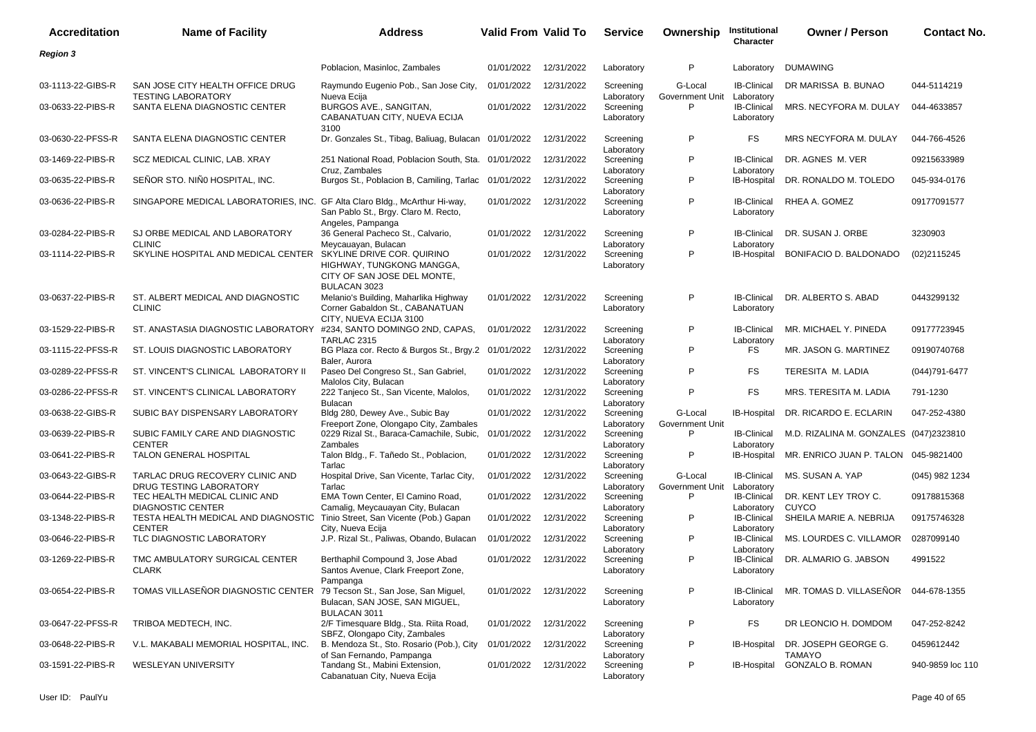| <b>Accreditation</b> | <b>Name of Facility</b>                                                          | <b>Address</b>                                                                                         | <b>Valid From Valid To</b> |            | <b>Service</b>                        | Ownership                             | Institutional<br>Character                     | <b>Owner / Person</b>                    | <b>Contact No.</b> |
|----------------------|----------------------------------------------------------------------------------|--------------------------------------------------------------------------------------------------------|----------------------------|------------|---------------------------------------|---------------------------------------|------------------------------------------------|------------------------------------------|--------------------|
| <b>Region 3</b>      |                                                                                  |                                                                                                        |                            |            |                                       |                                       |                                                |                                          |                    |
|                      |                                                                                  | Poblacion, Masinloc, Zambales                                                                          | 01/01/2022                 | 12/31/2022 | Laboratory                            | P                                     | Laboratory                                     | <b>DUMAWING</b>                          |                    |
| 03-1113-22-GIBS-R    | SAN JOSE CITY HEALTH OFFICE DRUG<br><b>TESTING LABORATORY</b>                    | Raymundo Eugenio Pob., San Jose City,<br>Nueva Ecija                                                   | 01/01/2022                 | 12/31/2022 | Screening<br>Laboratory               | G-Local<br>Government Unit Laboratory | <b>IB-Clinical</b>                             | DR MARISSA B. BUNAO                      | 044-5114219        |
| 03-0633-22-PIBS-R    | SANTA ELENA DIAGNOSTIC CENTER                                                    | BURGOS AVE., SANGITAN,<br>CABANATUAN CITY, NUEVA ECIJA<br>3100                                         | 01/01/2022                 | 12/31/2022 | Screening<br>Laboratory               | P                                     | <b>IB-Clinical</b><br>Laboratory               | MRS. NECYFORA M. DULAY                   | 044-4633857        |
| 03-0630-22-PFSS-R    | SANTA ELENA DIAGNOSTIC CENTER                                                    | Dr. Gonzales St., Tibag, Baliuag, Bulacan 01/01/2022                                                   |                            | 12/31/2022 | Screening<br>Laboratory               | P                                     | FS                                             | MRS NECYFORA M. DULAY                    | 044-766-4526       |
| 03-1469-22-PIBS-R    | SCZ MEDICAL CLINIC, LAB. XRAY                                                    | 251 National Road, Poblacion South, Sta. 01/01/2022<br>Cruz, Zambales                                  |                            | 12/31/2022 | Screening<br>Laboratory               | P                                     | <b>IB-Clinical</b><br>Laboratory               | DR. AGNES M. VER                         | 09215633989        |
| 03-0635-22-PIBS-R    | SEÑOR STO. NIÑO HOSPITAL, INC.                                                   | Burgos St., Poblacion B, Camiling, Tarlac 01/01/2022                                                   |                            | 12/31/2022 | Screening<br>Laboratory               | P                                     | <b>IB-Hospital</b>                             | DR. RONALDO M. TOLEDO                    | 045-934-0176       |
| 03-0636-22-PIBS-R    | SINGAPORE MEDICAL LABORATORIES, INC.                                             | GF Alta Claro Bldg., McArthur Hi-way,<br>San Pablo St., Brgy. Claro M. Recto,<br>Angeles, Pampanga     | 01/01/2022                 | 12/31/2022 | Screening<br>Laboratory               | P                                     | <b>IB-Clinical</b><br>Laboratory               | RHEA A. GOMEZ                            | 09177091577        |
| 03-0284-22-PIBS-R    | SJ ORBE MEDICAL AND LABORATORY<br><b>CLINIC</b>                                  | 36 General Pacheco St., Calvario,<br>Meycauayan, Bulacan                                               | 01/01/2022                 | 12/31/2022 | Screening<br>Laboratory               | P                                     | <b>IB-Clinical</b><br>Laboratory               | DR. SUSAN J. ORBE                        | 3230903            |
| 03-1114-22-PIBS-R    | SKYLINE HOSPITAL AND MEDICAL CENTER                                              | SKYLINE DRIVE COR. QUIRINO<br>HIGHWAY, TUNGKONG MANGGA,<br>CITY OF SAN JOSE DEL MONTE,<br>BULACAN 3023 | 01/01/2022                 | 12/31/2022 | Screening<br>Laboratory               | P                                     | IB-Hospital                                    | BONIFACIO D. BALDONADO                   | (02)2115245        |
| 03-0637-22-PIBS-R    | ST. ALBERT MEDICAL AND DIAGNOSTIC<br><b>CLINIC</b>                               | Melanio's Building, Maharlika Highway<br>Corner Gabaldon St., CABANATUAN<br>CITY. NUEVA ECIJA 3100     | 01/01/2022                 | 12/31/2022 | Screening<br>Laboratory               | P                                     | <b>IB-Clinical</b><br>Laboratory               | DR. ALBERTO S. ABAD                      | 0443299132         |
| 03-1529-22-PIBS-R    | ST. ANASTASIA DIAGNOSTIC LABORATORY                                              | #234, SANTO DOMINGO 2ND, CAPAS,<br>TARLAC 2315                                                         | 01/01/2022                 | 12/31/2022 | Screening<br>Laboratory               | P                                     | <b>IB-Clinical</b><br>Laboratory               | MR. MICHAEL Y. PINEDA                    | 09177723945        |
| 03-1115-22-PFSS-R    | ST. LOUIS DIAGNOSTIC LABORATORY                                                  | BG Plaza cor. Recto & Burgos St., Brgy.2 01/01/2022<br>Baler, Aurora                                   |                            | 12/31/2022 | Screening                             | P                                     | FS                                             | MR. JASON G. MARTINEZ                    | 09190740768        |
| 03-0289-22-PFSS-R    | ST. VINCENT'S CLINICAL LABORATORY II                                             | Paseo Del Congreso St., San Gabriel,                                                                   | 01/01/2022                 | 12/31/2022 | Laboratory<br>Screening               | P                                     | FS                                             | TERESITA M. LADIA                        | $(044)791 - 6477$  |
| 03-0286-22-PFSS-R    | ST. VINCENT'S CLINICAL LABORATORY                                                | Malolos City, Bulacan<br>222 Tanjeco St., San Vicente, Malolos,<br><b>Bulacan</b>                      | 01/01/2022                 | 12/31/2022 | Laboratory<br>Screening               | P                                     | <b>FS</b>                                      | MRS. TERESITA M. LADIA                   | 791-1230           |
| 03-0638-22-GIBS-R    | SUBIC BAY DISPENSARY LABORATORY                                                  | Bldg 280, Dewey Ave., Subic Bay<br>Freeport Zone, Olongapo City, Zambales                              | 01/01/2022                 | 12/31/2022 | Laboratory<br>Screening               | G-Local<br>Government Unit            | IB-Hospital                                    | DR. RICARDO E. ECLARIN                   | 047-252-4380       |
| 03-0639-22-PIBS-R    | SUBIC FAMILY CARE AND DIAGNOSTIC<br><b>CENTER</b>                                | 0229 Rizal St., Baraca-Camachile, Subic,<br>Zambales                                                   | 01/01/2022                 | 12/31/2022 | Laboratory<br>Screening<br>Laboratory | P                                     | <b>IB-Clinical</b><br>Laboratory               | M.D. RIZALINA M. GONZALES (047)2323810   |                    |
| 03-0641-22-PIBS-R    | TALON GENERAL HOSPITAL                                                           | Talon Bldg., F. Tañedo St., Poblacion,<br>Tarlac                                                       | 01/01/2022                 | 12/31/2022 | Screening<br>Laboratory               | P                                     | IB-Hospital                                    | MR. ENRICO JUAN P. TALON 045-9821400     |                    |
| 03-0643-22-GIBS-R    | TARLAC DRUG RECOVERY CLINIC AND                                                  | Hospital Drive, San Vicente, Tarlac City,                                                              | 01/01/2022                 | 12/31/2022 | Screening                             | G-Local                               | <b>IB-Clinical</b>                             | MS. SUSAN A. YAP                         | (045) 982 1234     |
| 03-0644-22-PIBS-R    | DRUG TESTING LABORATORY<br>TEC HEALTH MEDICAL CLINIC AND                         | Tarlac<br>EMA Town Center, El Camino Road,                                                             | 01/01/2022                 | 12/31/2022 | Laboratory<br>Screening               | Government Unit<br>P                  | Laboratory<br><b>IB-Clinical</b>               | DR. KENT LEY TROY C.                     | 09178815368        |
| 03-1348-22-PIBS-R    | <b>DIAGNOSTIC CENTER</b><br>TESTA HEALTH MEDICAL AND DIAGNOSTIC<br><b>CENTER</b> | Camalig, Meycauayan City, Bulacan<br>Tinio Street, San Vicente (Pob.) Gapan                            | 01/01/2022                 | 12/31/2022 | Laboratory<br>Screening               | P                                     | Laboratory<br><b>IB-Clinical</b>               | <b>CUYCO</b><br>SHEILA MARIE A. NEBRIJA  | 09175746328        |
| 03-0646-22-PIBS-R    | TLC DIAGNOSTIC LABORATORY                                                        | City, Nueva Ecija<br>J.P. Rizal St., Paliwas, Obando, Bulacan                                          | 01/01/2022                 | 12/31/2022 | Laboratory<br>Screening               | P                                     | Laboratory<br><b>IB-Clinical</b>               | MS. LOURDES C. VILLAMOR                  | 0287099140         |
| 03-1269-22-PIBS-R    | TMC AMBULATORY SURGICAL CENTER<br>CLARK                                          | Berthaphil Compound 3, Jose Abad<br>Santos Avenue, Clark Freeport Zone,                                | 01/01/2022 12/31/2022      |            | Laboratory<br>Screening<br>Laboratory | P                                     | Laboratory<br><b>IB-Clinical</b><br>Laboratory | DR. ALMARIO G. JABSON                    | 4991522            |
| 03-0654-22-PIBS-R    | TOMAS VILLASEÑOR DIAGNOSTIC CENTER                                               | Pampanga<br>79 Tecson St., San Jose, San Miguel,<br>Bulacan, SAN JOSE, SAN MIGUEL,                     | 01/01/2022 12/31/2022      |            | Screening<br>Laboratory               | P                                     | <b>IB-Clinical</b><br>Laboratory               | MR. TOMAS D. VILLASEÑOR 044-678-1355     |                    |
| 03-0647-22-PFSS-R    | TRIBOA MEDTECH, INC.                                                             | BULACAN 3011<br>2/F Timesquare Bldg., Sta. Riita Road,                                                 | 01/01/2022                 | 12/31/2022 | Screening                             | P                                     | FS                                             | DR LEONCIO H. DOMDOM                     | 047-252-8242       |
| 03-0648-22-PIBS-R    | V.L. MAKABALI MEMORIAL HOSPITAL, INC.                                            | SBFZ, Olongapo City, Zambales<br>B. Mendoza St., Sto. Rosario (Pob.), City                             | 01/01/2022                 | 12/31/2022 | Laboratory<br>Screening               | P                                     | <b>IB-Hospital</b>                             | DR. JOSEPH GEORGE G.                     | 0459612442         |
| 03-1591-22-PIBS-R    | WESLEYAN UNIVERSITY                                                              | of San Fernando, Pampanga<br>Tandang St., Mabini Extension,<br>Cabanatuan City, Nueva Ecija            | 01/01/2022                 | 12/31/2022 | Laboratory<br>Screening<br>Laboratory | P                                     | IB-Hospital                                    | <b>TAMAYO</b><br><b>GONZALO B. ROMAN</b> | 940-9859 loc 110   |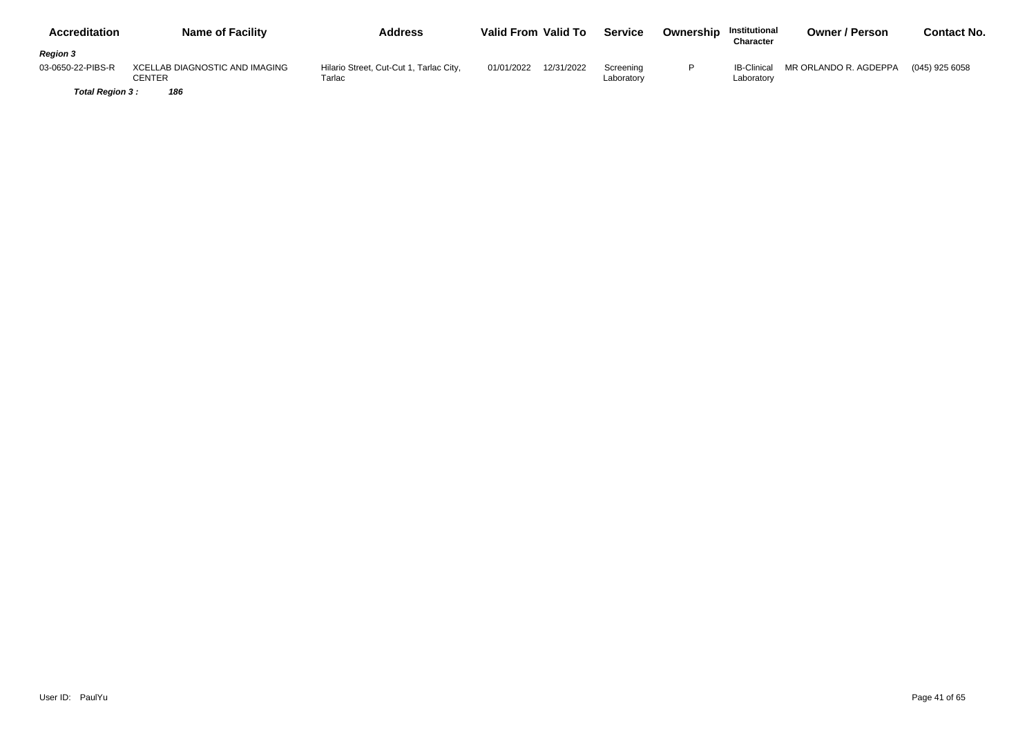| <b>Accreditation</b> | <b>Name of Facility</b>                  | <b>Address</b>                                    | Valid From Valid To      | <b>Service</b>          | Ownership | <b>Institutional</b><br>Character | <b>Owner / Person</b> | Contact No.    |
|----------------------|------------------------------------------|---------------------------------------------------|--------------------------|-------------------------|-----------|-----------------------------------|-----------------------|----------------|
| <b>Region 3</b>      |                                          |                                                   |                          |                         |           |                                   |                       |                |
| 03-0650-22-PIBS-R    | XCELLAB DIAGNOSTIC AND IMAGING<br>CENTER | Hilario Street, Cut-Cut 1, Tarlac City,<br>Tarlac | 12/31/2022<br>01/01/2022 | Screening<br>Laboratory |           | <b>IB-Clinical</b><br>Laboratory  | MR ORLANDO R. AGDEPPA | (045) 925 6058 |
| Total Region 3:      | 186                                      |                                                   |                          |                         |           |                                   |                       |                |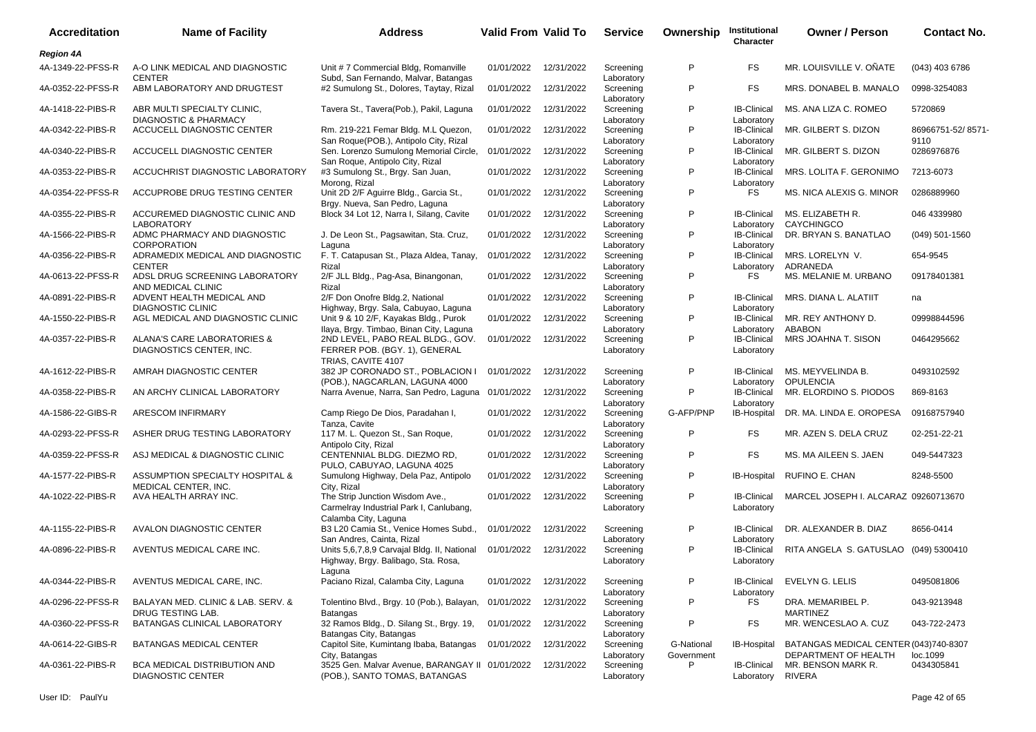| <b>Accreditation</b> | <b>Name of Facility</b>                                         | <b>Address</b>                                                                                     | Valid From Valid To |            | <b>Service</b>          | Ownership                | Institutional<br>Character       | <b>Owner / Person</b>                                         | <b>Contact No.</b>        |
|----------------------|-----------------------------------------------------------------|----------------------------------------------------------------------------------------------------|---------------------|------------|-------------------------|--------------------------|----------------------------------|---------------------------------------------------------------|---------------------------|
| <b>Region 4A</b>     |                                                                 |                                                                                                    |                     |            |                         |                          |                                  |                                                               |                           |
| 4A-1349-22-PFSS-R    | A-O LINK MEDICAL AND DIAGNOSTIC<br><b>CENTER</b>                | Unit #7 Commercial Bldg, Romanville<br>Subd, San Fernando, Malvar, Batangas                        | 01/01/2022          | 12/31/2022 | Screening<br>Laboratory | P                        | FS                               | MR. LOUISVILLE V. ONATE                                       | (043) 403 6786            |
| 4A-0352-22-PFSS-R    | ABM LABORATORY AND DRUGTEST                                     | #2 Sumulong St., Dolores, Taytay, Rizal                                                            | 01/01/2022          | 12/31/2022 | Screening<br>Laboratory | P                        | FS                               | MRS. DONABEL B. MANALO                                        | 0998-3254083              |
| 4A-1418-22-PIBS-R    | ABR MULTI SPECIALTY CLINIC,<br><b>DIAGNOSTIC &amp; PHARMACY</b> | Tavera St., Tavera(Pob.), Pakil, Laguna                                                            | 01/01/2022          | 12/31/2022 | Screening<br>Laboratory | P                        | <b>IB-Clinical</b><br>Laboratory | MS. ANA LIZA C. ROMEO                                         | 5720869                   |
| 4A-0342-22-PIBS-R    | ACCUCELL DIAGNOSTIC CENTER                                      | Rm. 219-221 Femar Bldg. M.L Quezon,<br>San Roque(POB.), Antipolo City, Rizal                       | 01/01/2022          | 12/31/2022 | Screening<br>Laboratory | P                        | <b>IB-Clinical</b><br>Laboratory | MR. GILBERT S. DIZON                                          | 86966751-52/8571-<br>9110 |
| 4A-0340-22-PIBS-R    | ACCUCELL DIAGNOSTIC CENTER                                      | Sen. Lorenzo Sumulong Memorial Circle,<br>San Roque, Antipolo City, Rizal                          | 01/01/2022          | 12/31/2022 | Screening<br>Laboratory | P                        | <b>IB-Clinical</b><br>Laboratory | MR. GILBERT S. DIZON                                          | 0286976876                |
| 4A-0353-22-PIBS-R    | ACCUCHRIST DIAGNOSTIC LABORATORY                                | #3 Sumulong St., Brgy. San Juan,<br>Morong, Rizal                                                  | 01/01/2022          | 12/31/2022 | Screening<br>Laboratory | P                        | <b>IB-Clinical</b><br>Laboratory | MRS. LOLITA F. GERONIMO                                       | 7213-6073                 |
| 4A-0354-22-PFSS-R    | ACCUPROBE DRUG TESTING CENTER                                   | Unit 2D 2/F Aguirre Bldg., Garcia St.,<br>Brgy. Nueva, San Pedro, Laguna                           | 01/01/2022          | 12/31/2022 | Screening<br>Laboratory | P                        | FS                               | MS. NICA ALEXIS G. MINOR                                      | 0286889960                |
| 4A-0355-22-PIBS-R    | ACCUREMED DIAGNOSTIC CLINIC AND<br><b>LABORATORY</b>            | Block 34 Lot 12, Narra I, Silang, Cavite                                                           | 01/01/2022          | 12/31/2022 | Screening<br>Laboratory | P                        | <b>IB-Clinical</b><br>Laboratory | MS. ELIZABETH R.<br><b>CAYCHINGCO</b>                         | 046 4339980               |
| 4A-1566-22-PIBS-R    | ADMC PHARMACY AND DIAGNOSTIC<br><b>CORPORATION</b>              | J. De Leon St., Pagsawitan, Sta. Cruz,<br>Laguna                                                   | 01/01/2022          | 12/31/2022 | Screening<br>Laboratory | P                        | <b>IB-Clinical</b><br>Laboratory | DR. BRYAN S. BANATLAO                                         | $(049)$ 501-1560          |
| 4A-0356-22-PIBS-R    | ADRAMEDIX MEDICAL AND DIAGNOSTIC<br><b>CENTER</b>               | F. T. Catapusan St., Plaza Aldea, Tanay,<br>Rizal                                                  | 01/01/2022          | 12/31/2022 | Screening<br>Laboratory | P                        | <b>IB-Clinical</b><br>Laboratory | MRS. LORELYN V.<br>ADRANEDA                                   | 654-9545                  |
| 4A-0613-22-PFSS-R    | ADSL DRUG SCREENING LABORATORY<br>AND MEDICAL CLINIC            | 2/F JLL Bldg., Pag-Asa, Binangonan,<br>Rizal                                                       | 01/01/2022          | 12/31/2022 | Screening<br>Laboratory | P                        | FS                               | MS. MELANIE M. URBANO                                         | 09178401381               |
| 4A-0891-22-PIBS-R    | ADVENT HEALTH MEDICAL AND<br><b>DIAGNOSTIC CLINIC</b>           | 2/F Don Onofre Bldg.2, National<br>Highway, Brgy. Sala, Cabuyao, Laguna                            | 01/01/2022          | 12/31/2022 | Screening<br>Laboratory | P                        | <b>IB-Clinical</b><br>Laboratory | MRS. DIANA L. ALATIIT                                         | na                        |
| 4A-1550-22-PIBS-R    | AGL MEDICAL AND DIAGNOSTIC CLINIC                               | Unit 9 & 10 2/F, Kayakas Bldg., Purok<br>Ilaya, Brgy. Timbao, Binan City, Laguna                   | 01/01/2022          | 12/31/2022 | Screening<br>Laboratory | P                        | <b>IB-Clinical</b><br>Laboratory | MR. REY ANTHONY D.<br><b>ABABON</b>                           | 09998844596               |
| 4A-0357-22-PIBS-R    | ALANA'S CARE LABORATORIES &<br>DIAGNOSTICS CENTER, INC.         | 2ND LEVEL, PABO REAL BLDG., GOV.<br>FERRER POB. (BGY. 1), GENERAL<br>TRIAS, CAVITE 4107            | 01/01/2022          | 12/31/2022 | Screening<br>Laboratory | P                        | <b>IB-Clinical</b><br>Laboratory | MRS JOAHNA T. SISON                                           | 0464295662                |
| 4A-1612-22-PIBS-R    | AMRAH DIAGNOSTIC CENTER                                         | 382 JP CORONADO ST., POBLACION I<br>(POB.), NAGCARLAN, LAGUNA 4000                                 | 01/01/2022          | 12/31/2022 | Screening<br>Laboratory | P                        | <b>IB-Clinical</b><br>Laboratory | MS. MEYVELINDA B.<br><b>OPULENCIA</b>                         | 0493102592                |
| 4A-0358-22-PIBS-R    | AN ARCHY CLINICAL LABORATORY                                    | Narra Avenue, Narra, San Pedro, Laguna 01/01/2022                                                  |                     | 12/31/2022 | Screening<br>Laboratory | P                        | <b>IB-Clinical</b><br>Laboratory | MR. ELORDINO S. PIODOS                                        | 869-8163                  |
| 4A-1586-22-GIBS-R    | ARESCOM INFIRMARY                                               | Camp Riego De Dios, Paradahan I,<br>Tanza, Cavite                                                  | 01/01/2022          | 12/31/2022 | Screening<br>Laboratory | G-AFP/PNP                | IB-Hospital                      | DR. MA. LINDA E. OROPESA                                      | 09168757940               |
| 4A-0293-22-PFSS-R    | ASHER DRUG TESTING LABORATORY                                   | 117 M. L. Quezon St., San Roque,<br>Antipolo City, Rizal                                           | 01/01/2022          | 12/31/2022 | Screening<br>Laboratory | P                        | <b>FS</b>                        | MR. AZEN S. DELA CRUZ                                         | 02-251-22-21              |
| 4A-0359-22-PFSS-R    | ASJ MEDICAL & DIAGNOSTIC CLINIC                                 | CENTENNIAL BLDG. DIEZMO RD,<br>PULO, CABUYAO, LAGUNA 4025                                          | 01/01/2022          | 12/31/2022 | Screening<br>Laboratory | P                        | FS                               | MS. MA AILEEN S. JAEN                                         | 049-5447323               |
| 4A-1577-22-PIBS-R    | ASSUMPTION SPECIALTY HOSPITAL &<br>MEDICAL CENTER, INC.         | Sumulong Highway, Dela Paz, Antipolo<br>City, Rizal                                                | 01/01/2022          | 12/31/2022 | Screening<br>Laboratory | P                        | IB-Hospital                      | RUFINO E. CHAN                                                | 8248-5500                 |
| 4A-1022-22-PIBS-R    | AVA HEALTH ARRAY INC.                                           | The Strip Junction Wisdom Ave.,<br>Carmelray Industrial Park I, Canlubang,<br>Calamba City, Laguna | 01/01/2022          | 12/31/2022 | Screening<br>Laboratory | P                        | <b>IB-Clinical</b><br>Laboratory | MARCEL JOSEPH I. ALCARAZ 09260713670                          |                           |
| 4A-1155-22-PIBS-R    | AVALON DIAGNOSTIC CENTER                                        | B3 L20 Camia St., Venice Homes Subd.,<br>San Andres, Cainta, Rizal                                 | 01/01/2022          | 12/31/2022 | Screening<br>Laboratory | P                        | <b>IB-Clinical</b><br>Laboratory | DR. ALEXANDER B. DIAZ                                         | 8656-0414                 |
| 4A-0896-22-PIBS-R    | AVENTUS MEDICAL CARE INC.                                       | Units 5,6,7,8,9 Carvajal Bldg. II, National<br>Highway, Brgy. Balibago, Sta. Rosa,<br>Laguna       | 01/01/2022          | 12/31/2022 | Screening<br>Laboratory | P                        | <b>IB-Clinical</b><br>Laboratory | RITA ANGELA S. GATUSLAO                                       | (049) 5300410             |
| 4A-0344-22-PIBS-R    | AVENTUS MEDICAL CARE, INC.                                      | Paciano Rizal, Calamba City, Laguna                                                                | 01/01/2022          | 12/31/2022 | Screening<br>Laboratory | P                        | <b>IB-Clinical</b><br>Laboratory | EVELYN G. LELIS                                               | 0495081806                |
| 4A-0296-22-PFSS-R    | BALAYAN MED. CLINIC & LAB. SERV. &<br>DRUG TESTING LAB.         | Tolentino Blvd., Brgy. 10 (Pob.), Balayan, 01/01/2022<br>Batangas                                  |                     | 12/31/2022 | Screening<br>Laboratory | P                        | FS                               | DRA. MEMARIBEL P.<br><b>MARTINEZ</b>                          | 043-9213948               |
| 4A-0360-22-PFSS-R    | BATANGAS CLINICAL LABORATORY                                    | 32 Ramos Bldg., D. Silang St., Brgy. 19,<br>Batangas City, Batangas                                | 01/01/2022          | 12/31/2022 | Screening<br>Laboratory | P                        | FS                               | MR. WENCESLAO A. CUZ                                          | 043-722-2473              |
| 4A-0614-22-GIBS-R    | BATANGAS MEDICAL CENTER                                         | Capitol Site, Kumintang Ibaba, Batangas<br>City, Batangas                                          | 01/01/2022          | 12/31/2022 | Screening<br>Laboratory | G-National<br>Government | IB-Hospital                      | BATANGAS MEDICAL CENTER (043)740-8307<br>DEPARTMENT OF HEALTH | loc.1099                  |
| 4A-0361-22-PIBS-R    | BCA MEDICAL DISTRIBUTION AND<br><b>DIAGNOSTIC CENTER</b>        | 3525 Gen. Malvar Avenue, BARANGAY II 01/01/2022 12/31/2022<br>(POB.), SANTO TOMAS, BATANGAS        |                     |            | Screening<br>Laboratory | P                        | <b>IB-Clinical</b><br>Laboratory | MR. BENSON MARK R.<br><b>RIVERA</b>                           | 0434305841                |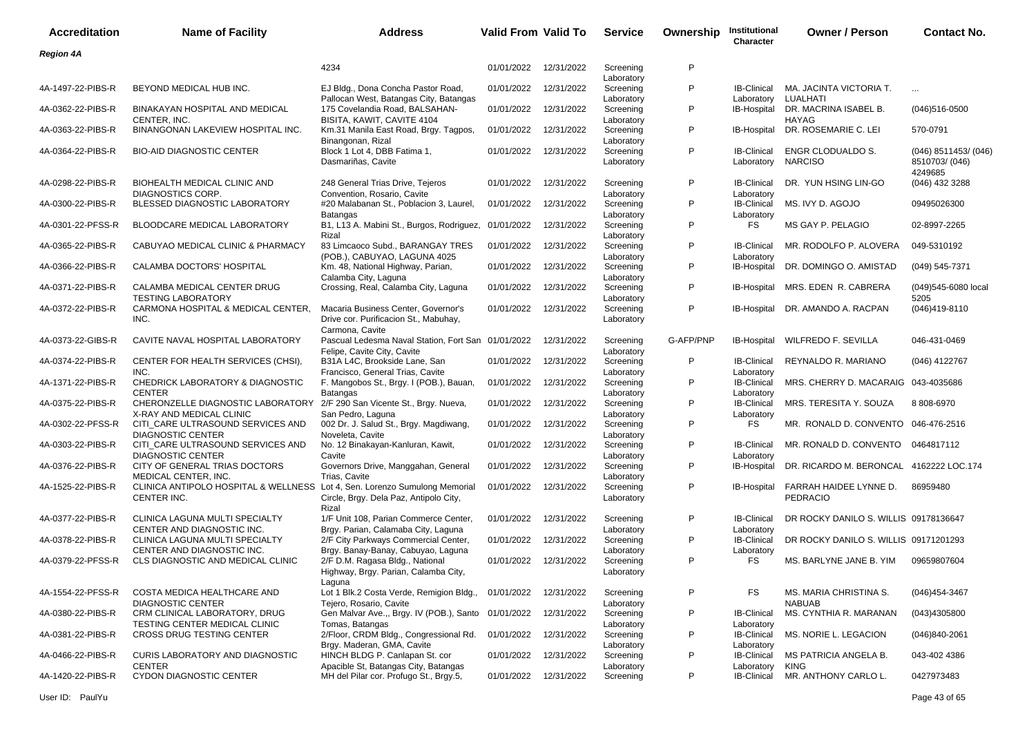| <b>Accreditation</b> | <b>Name of Facility</b>                                                                             | <b>Address</b>                                                                                       | Valid From Valid To |            | <b>Service</b>                        | Ownership | Institutional<br>Character       | <b>Owner / Person</b>                            | Contact No.                                           |
|----------------------|-----------------------------------------------------------------------------------------------------|------------------------------------------------------------------------------------------------------|---------------------|------------|---------------------------------------|-----------|----------------------------------|--------------------------------------------------|-------------------------------------------------------|
| <b>Region 4A</b>     |                                                                                                     |                                                                                                      |                     |            |                                       |           |                                  |                                                  |                                                       |
|                      |                                                                                                     | 4234                                                                                                 | 01/01/2022          | 12/31/2022 | Screening                             | P         |                                  |                                                  |                                                       |
| 4A-1497-22-PIBS-R    | BEYOND MEDICAL HUB INC.                                                                             | EJ Bldg., Dona Concha Pastor Road,                                                                   | 01/01/2022          | 12/31/2022 | Laboratory<br>Screening               | P         | <b>IB-Clinical</b>               | MA. JACINTA VICTORIA T.                          | $\ddotsc$                                             |
| 4A-0362-22-PIBS-R    | BINAKAYAN HOSPITAL AND MEDICAL                                                                      | Pallocan West, Batangas City, Batangas<br>175 Covelandia Road, BALSAHAN-                             | 01/01/2022          | 12/31/2022 | Laboratory<br>Screening               | P         | Laboratory<br>IB-Hospital        | LUALHATI<br>DR. MACRINA ISABEL B.                | $(046)516 - 0500$                                     |
| 4A-0363-22-PIBS-R    | CENTER, INC.<br>BINANGONAN LAKEVIEW HOSPITAL INC.                                                   | BISITA, KAWIT, CAVITE 4104<br>Km.31 Manila East Road, Brgy. Tagpos,                                  | 01/01/2022          | 12/31/2022 | Laboratory<br>Screening               | P         |                                  | <b>HAYAG</b><br>IB-Hospital DR. ROSEMARIE C. LEI | 570-0791                                              |
| 4A-0364-22-PIBS-R    | <b>BIO-AID DIAGNOSTIC CENTER</b>                                                                    | Binangonan, Rizal<br>Block 1 Lot 4, DBB Fatima 1,<br>Dasmariñas, Cavite                              | 01/01/2022          | 12/31/2022 | Laboratory<br>Screening<br>Laboratory | P         | <b>IB-Clinical</b><br>Laboratory | ENGR CLODUALDO S.<br><b>NARCISO</b>              | $(046)$ 8511453/ $(046)$<br>8510703/ (046)<br>4249685 |
| 4A-0298-22-PIBS-R    | BIOHEALTH MEDICAL CLINIC AND<br>DIAGNOSTICS CORP.                                                   | 248 General Trias Drive, Tejeros<br>Convention, Rosario, Cavite                                      | 01/01/2022          | 12/31/2022 | Screening<br>Laboratory               | P         | <b>IB-Clinical</b><br>Laboratory | DR. YUN HSING LIN-GO                             | (046) 432 3288                                        |
| 4A-0300-22-PIBS-R    | BLESSED DIAGNOSTIC LABORATORY                                                                       | #20 Malabanan St., Poblacion 3, Laurel,<br><b>Batangas</b>                                           | 01/01/2022          | 12/31/2022 | Screening<br>Laboratory               | P         | <b>IB-Clinical</b><br>Laboratory | MS. IVY D. AGOJO                                 | 09495026300                                           |
| 4A-0301-22-PFSS-R    | BLOODCARE MEDICAL LABORATORY                                                                        | B1, L13 A. Mabini St., Burgos, Rodriguez, 01/01/2022<br>Rizal                                        |                     | 12/31/2022 | Screening<br>Laboratory               | P         | <b>FS</b>                        | MS GAY P. PELAGIO                                | 02-8997-2265                                          |
| 4A-0365-22-PIBS-R    | CABUYAO MEDICAL CLINIC & PHARMACY                                                                   | 83 Limcaoco Subd., BARANGAY TRES<br>(POB.), CABUYAO, LAGUNA 4025                                     | 01/01/2022          | 12/31/2022 | Screening<br>Laboratory               | P         | <b>IB-Clinical</b><br>Laboratory | MR. RODOLFO P. ALOVERA                           | 049-5310192                                           |
| 4A-0366-22-PIBS-R    | CALAMBA DOCTORS' HOSPITAL                                                                           | Km. 48, National Highway, Parian,<br>Calamba City, Laguna                                            | 01/01/2022          | 12/31/2022 | Screening                             | P         | IB-Hospital                      | DR. DOMINGO O. AMISTAD                           | (049) 545-7371                                        |
| 4A-0371-22-PIBS-R    | CALAMBA MEDICAL CENTER DRUG<br><b>TESTING LABORATORY</b>                                            | Crossing, Real, Calamba City, Laguna                                                                 | 01/01/2022          | 12/31/2022 | Laboratory<br>Screening               | P         | IB-Hospital                      | MRS. EDEN R. CABRERA                             | (049)545-6080 local<br>5205                           |
| 4A-0372-22-PIBS-R    | CARMONA HOSPITAL & MEDICAL CENTER,<br>INC.                                                          | Macaria Business Center, Governor's<br>Drive cor. Purificacion St., Mabuhay,<br>Carmona, Cavite      | 01/01/2022          | 12/31/2022 | Laboratory<br>Screening<br>Laboratory | P         |                                  | IB-Hospital DR, AMANDO A, RACPAN                 | $(046)419-8110$                                       |
| 4A-0373-22-GIBS-R    | CAVITE NAVAL HOSPITAL LABORATORY                                                                    | Pascual Ledesma Naval Station, Fort San 01/01/2022<br>Felipe, Cavite City, Cavite                    |                     | 12/31/2022 | Screening<br>Laboratory               | G-AFP/PNP | IB-Hospital                      | WILFREDO F. SEVILLA                              | 046-431-0469                                          |
| 4A-0374-22-PIBS-R    | CENTER FOR HEALTH SERVICES (CHSI),<br>INC.                                                          | B31A L4C, Brookside Lane, San<br>Francisco, General Trias, Cavite                                    | 01/01/2022          | 12/31/2022 | Screening<br>Laboratory               | P         | <b>IB-Clinical</b><br>Laboratory | REYNALDO R. MARIANO                              | (046) 4122767                                         |
| 4A-1371-22-PIBS-R    | CHEDRICK LABORATORY & DIAGNOSTIC<br><b>CENTER</b>                                                   | F. Mangobos St., Brgy. I (POB.), Bauan,<br><b>Batangas</b>                                           | 01/01/2022          | 12/31/2022 | Screening<br>Laboratory               | P         | <b>IB-Clinical</b><br>Laboratory | MRS. CHERRY D. MACARAIG 043-4035686              |                                                       |
| 4A-0375-22-PIBS-R    | CHERONZELLE DIAGNOSTIC LABORATORY 2/F 290 San Vicente St., Brgy. Nueva,<br>X-RAY AND MEDICAL CLINIC | San Pedro, Laguna                                                                                    | 01/01/2022          | 12/31/2022 | Screening<br>Laboratory               | P         | <b>IB-Clinical</b><br>Laboratory | MRS. TERESITA Y. SOUZA                           | 8 808-6970                                            |
| 4A-0302-22-PFSS-R    | CITI_CARE ULTRASOUND SERVICES AND<br><b>DIAGNOSTIC CENTER</b>                                       | 002 Dr. J. Salud St., Brgy. Magdiwang,<br>Noveleta, Cavite                                           | 01/01/2022          | 12/31/2022 | Screening<br>Laboratory               | P         | <b>FS</b>                        | MR. RONALD D. CONVENTO 046-476-2516              |                                                       |
| 4A-0303-22-PIBS-R    | CITI_CARE ULTRASOUND SERVICES AND<br><b>DIAGNOSTIC CENTER</b>                                       | No. 12 Binakayan-Kanluran, Kawit,<br>Cavite                                                          | 01/01/2022          | 12/31/2022 | Screening<br>Laboratory               | P         | <b>IB-Clinical</b><br>Laboratory | MR. RONALD D. CONVENTO 0464817112                |                                                       |
| 4A-0376-22-PIBS-R    | CITY OF GENERAL TRIAS DOCTORS<br>MEDICAL CENTER, INC.                                               | Governors Drive, Manggahan, General<br>Trias, Cavite                                                 | 01/01/2022          | 12/31/2022 | Screening<br>Laboratory               | P         | IB-Hospital                      | DR. RICARDO M. BERONCAL 4162222 LOC.174          |                                                       |
| 4A-1525-22-PIBS-R    | CLINICA ANTIPOLO HOSPITAL & WELLNESS Lot 4, Sen. Lorenzo Sumulong Memorial<br>CENTER INC.           | Circle, Brgy. Dela Paz, Antipolo City,<br>Rizal                                                      | 01/01/2022          | 12/31/2022 | Screening<br>Laboratory               | P         | IB-Hospital                      | FARRAH HAIDEE LYNNE D.<br><b>PEDRACIO</b>        | 86959480                                              |
| 4A-0377-22-PIBS-R    | CLINICA LAGUNA MULTI SPECIALTY<br>CENTER AND DIAGNOSTIC INC.                                        | 1/F Unit 108, Parian Commerce Center,<br>Brgy. Parian, Calamaba City, Laguna                         | 01/01/2022          | 12/31/2022 | Screening<br>Laboratory               | P         | <b>IB-Clinical</b><br>Laboratory | DR ROCKY DANILO S. WILLIS 09178136647            |                                                       |
| 4A-0378-22-PIBS-R    | CLINICA LAGUNA MULTI SPECIALTY<br>CENTER AND DIAGNOSTIC INC.                                        | 2/F City Parkways Commercial Center,<br>Brgy. Banay-Banay, Cabuyao, Laguna                           | 01/01/2022          | 12/31/2022 | Screening<br>Laboratory               | P         | <b>IB-Clinical</b><br>Laboratory | DR ROCKY DANILO S. WILLIS 09171201293            |                                                       |
| 4A-0379-22-PFSS-R    | CLS DIAGNOSTIC AND MEDICAL CLINIC                                                                   | 2/F D.M. Ragasa Bldg., National<br>Highway, Brgy. Parian, Calamba City,                              | 01/01/2022          | 12/31/2022 | Screening<br>Laboratory               | P         | <b>FS</b>                        | MS. BARLYNE JANE B. YIM                          | 09659807604                                           |
| 4A-1554-22-PFSS-R    | COSTA MEDICA HEALTHCARE AND<br><b>DIAGNOSTIC CENTER</b>                                             | Laguna<br>Lot 1 Blk.2 Costa Verde, Remigion Bldg., 01/01/2022                                        |                     | 12/31/2022 | Screening                             | P         | FS                               | MS. MARIA CHRISTINA S.<br><b>NABUAB</b>          | (046)454-3467                                         |
| 4A-0380-22-PIBS-R    | CRM CLINICAL LABORATORY, DRUG                                                                       | Tejero, Rosario, Cavite<br>Gen Malvar Ave.,, Brgy. IV (POB.), Santo 01/01/2022                       |                     | 12/31/2022 | Laboratory<br>Screening               | P         | <b>IB-Clinical</b>               | MS. CYNTHIA R. MARANAN                           | (043)4305800                                          |
| 4A-0381-22-PIBS-R    | TESTING CENTER MEDICAL CLINIC<br>CROSS DRUG TESTING CENTER                                          | Tomas, Batangas<br>2/Floor, CRDM Bldg., Congressional Rd.                                            | 01/01/2022          | 12/31/2022 | Laboratory<br>Screening               | P         | Laboratory<br><b>IB-Clinical</b> | MS. NORIE L. LEGACION                            | $(046)840 - 2061$                                     |
| 4A-0466-22-PIBS-R    | CURIS LABORATORY AND DIAGNOSTIC                                                                     | Brgy. Maderan, GMA, Cavite<br>HINCH BLDG P. Canlapan St. cor<br>Apacible St, Batangas City, Batangas | 01/01/2022          | 12/31/2022 | Laboratory<br>Screening               | P         | Laboratory<br><b>IB-Clinical</b> | MS PATRICIA ANGELA B.                            | 043-402 4386                                          |
| 4A-1420-22-PIBS-R    | <b>CENTER</b><br>CYDON DIAGNOSTIC CENTER                                                            | MH del Pilar cor. Profugo St., Brgy.5,                                                               | 01/01/2022          | 12/31/2022 | Laboratory<br>Screening               | P         | Laboratory<br><b>IB-Clinical</b> | KING<br>MR. ANTHONY CARLO L.                     | 0427973483                                            |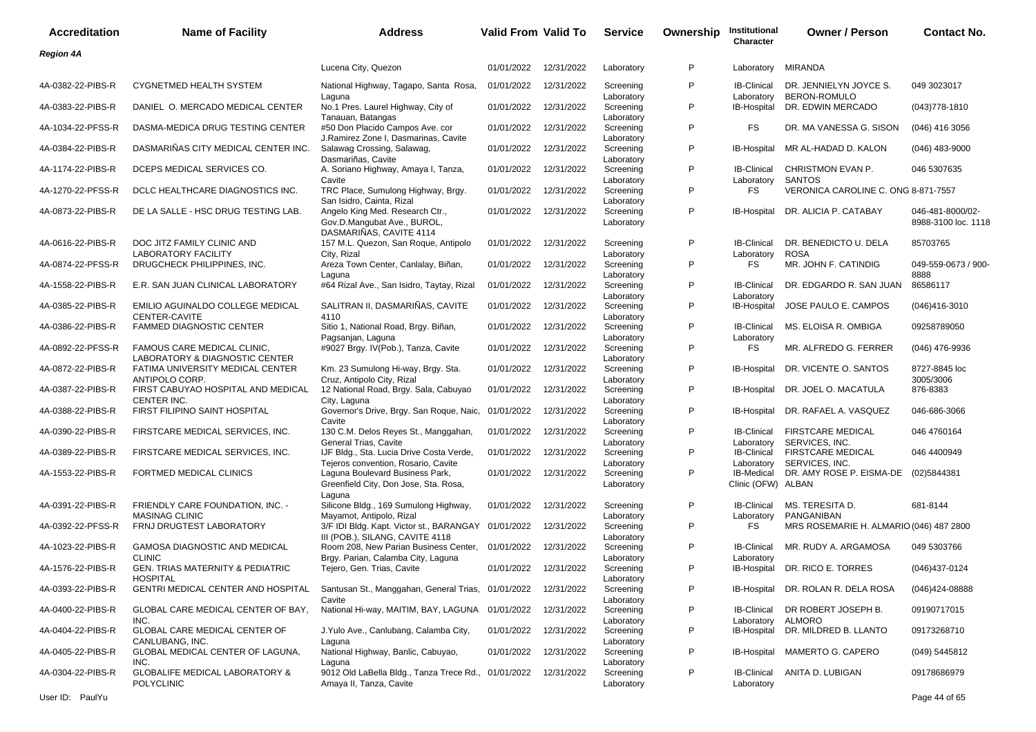| <b>Accreditation</b> | <b>Name of Facility</b>                                       | Address                                                                                                                | <b>Valid From Valid To</b> |            | <b>Service</b>                        | Ownership | Institutional<br>Character                     | <b>Owner / Person</b>                                 | <b>Contact No.</b>                      |
|----------------------|---------------------------------------------------------------|------------------------------------------------------------------------------------------------------------------------|----------------------------|------------|---------------------------------------|-----------|------------------------------------------------|-------------------------------------------------------|-----------------------------------------|
| <b>Region 4A</b>     |                                                               |                                                                                                                        |                            |            |                                       |           |                                                |                                                       |                                         |
|                      |                                                               | Lucena City, Quezon                                                                                                    | 01/01/2022                 | 12/31/2022 | Laboratory                            | P         | Laboratory                                     | MIRANDA                                               |                                         |
| 4A-0382-22-PIBS-R    | <b>CYGNETMED HEALTH SYSTEM</b>                                | National Highway, Tagapo, Santa Rosa,<br>Laguna                                                                        | 01/01/2022                 | 12/31/2022 | Screening<br>Laboratory               | P         | <b>IB-Clinical</b><br>Laboratory               | DR. JENNIELYN JOYCE S.<br><b>BERON-ROMULO</b>         | 049 3023017                             |
| 4A-0383-22-PIBS-R    | DANIEL O. MERCADO MEDICAL CENTER                              | No.1 Pres. Laurel Highway, City of                                                                                     | 01/01/2022                 | 12/31/2022 | Screening                             | P         | IB-Hospital                                    | DR. EDWIN MERCADO                                     | $(043)778 - 1810$                       |
| 4A-1034-22-PFSS-R    | DASMA-MEDICA DRUG TESTING CENTER                              | Tanauan, Batangas<br>#50 Don Placido Campos Ave. cor<br>J.Ramirez Zone I, Dasmarinas, Cavite                           | 01/01/2022                 | 12/31/2022 | Laboratory<br>Screening<br>Laboratory | P         | FS.                                            | DR. MA VANESSA G. SISON                               | $(046)$ 416 3056                        |
| 4A-0384-22-PIBS-R    | DASMARIÑAS CITY MEDICAL CENTER INC.                           | Salawag Crossing, Salawag,                                                                                             | 01/01/2022                 | 12/31/2022 | Screening                             | P         | IB-Hospital                                    | MR AL-HADAD D. KALON                                  | $(046)$ 483-9000                        |
| 4A-1174-22-PIBS-R    | DCEPS MEDICAL SERVICES CO.                                    | Dasmariñas, Cavite<br>A. Soriano Highway, Amaya I, Tanza,                                                              | 01/01/2022                 | 12/31/2022 | Laboratory<br>Screening               | P         | <b>IB-Clinical</b>                             | CHRISTMON EVAN P.                                     | 046 5307635                             |
| 4A-1270-22-PFSS-R    | DCLC HEALTHCARE DIAGNOSTICS INC.                              | Cavite<br>TRC Place, Sumulong Highway, Brgy.                                                                           | 01/01/2022                 | 12/31/2022 | Laboratory<br>Screening               | P         | Laboratory<br>FS.                              | SANTOS<br>VERONICA CAROLINE C. ONG 8-871-7557         |                                         |
| 4A-0873-22-PIBS-R    | DE LA SALLE - HSC DRUG TESTING LAB.                           | San Isidro, Cainta, Rizal<br>Angelo King Med. Research Ctr.,<br>Gov.D.Mangubat Ave., BUROL,<br>DASMARIÑAS, CAVITE 4114 | 01/01/2022                 | 12/31/2022 | Laboratory<br>Screening<br>Laboratory | P         | <b>IB-Hospital</b>                             | DR. ALICIA P. CATABAY                                 | 046-481-8000/02-<br>8988-3100 loc. 1118 |
| 4A-0616-22-PIBS-R    | DOC JITZ FAMILY CLINIC AND<br><b>LABORATORY FACILITY</b>      | 157 M.L. Quezon, San Roque, Antipolo<br>City, Rizal                                                                    | 01/01/2022                 | 12/31/2022 | Screening<br>Laboratory               | P         | <b>IB-Clinical</b><br>Laboratory               | DR. BENEDICTO U. DELA<br><b>ROSA</b>                  | 85703765                                |
| 4A-0874-22-PFSS-R    | DRUGCHECK PHILIPPINES, INC.                                   | Areza Town Center, Canlalay, Biñan,                                                                                    | 01/01/2022                 | 12/31/2022 | Screening                             | P         | FS                                             | MR. JOHN F. CATINDIG                                  | 049-559-0673 / 900-<br>8888             |
| 4A-1558-22-PIBS-R    | E.R. SAN JUAN CLINICAL LABORATORY                             | Laguna<br>#64 Rizal Ave., San Isidro, Taytay, Rizal                                                                    | 01/01/2022                 | 12/31/2022 | Laboratory<br>Screening<br>Laboratory | P         | <b>IB-Clinical</b><br>Laboratory               | DR. EDGARDO R. SAN JUAN                               | 86586117                                |
| 4A-0385-22-PIBS-R    | <b>EMILIO AGUINALDO COLLEGE MEDICAL</b><br>CENTER-CAVITE      | SALITRAN II, DASMARIÑAS, CAVITE<br>4110                                                                                | 01/01/2022                 | 12/31/2022 | Screening<br>Laboratory               | P         | <b>IB-Hospital</b>                             | JOSE PAULO E. CAMPOS                                  | $(046)416 - 3010$                       |
| 4A-0386-22-PIBS-R    | <b>FAMMED DIAGNOSTIC CENTER</b>                               | Sitio 1, National Road, Brgy. Biñan,<br>Pagsanjan, Laguna                                                              | 01/01/2022                 | 12/31/2022 | Screening                             | P         | <b>IB-Clinical</b>                             | MS. ELOISA R. OMBIGA                                  | 09258789050                             |
| 4A-0892-22-PFSS-R    | FAMOUS CARE MEDICAL CLINIC,<br>LABORATORY & DIAGNOSTIC CENTER | #9027 Brgy. IV(Pob.), Tanza, Cavite                                                                                    | 01/01/2022                 | 12/31/2022 | Laboratory<br>Screening               | P         | Laboratory<br>FS.                              | MR. ALFREDO G. FERRER                                 | (046) 476-9936                          |
| 4A-0872-22-PIBS-R    | FATIMA UNIVERSITY MEDICAL CENTER<br>ANTIPOLO CORP.            | Km. 23 Sumulong Hi-way, Brgy. Sta.<br>Cruz, Antipolo City, Rizal                                                       | 01/01/2022                 | 12/31/2022 | Laboratory<br>Screening<br>Laboratory | P         | IB-Hospital                                    | DR. VICENTE O. SANTOS                                 | 8727-8845 loc<br>3005/3006              |
| 4A-0387-22-PIBS-R    | FIRST CABUYAO HOSPITAL AND MEDICAL<br>CENTER INC.             | 12 National Road, Brgy. Sala, Cabuyao<br>City, Laguna                                                                  | 01/01/2022                 | 12/31/2022 | Screening<br>Laboratory               | P         | IB-Hospital                                    | DR. JOEL O. MACATULA                                  | 876-8383                                |
| 4A-0388-22-PIBS-R    | FIRST FILIPINO SAINT HOSPITAL                                 | Governor's Drive, Brgy. San Roque, Naic,<br>Cavite                                                                     | 01/01/2022                 | 12/31/2022 | Screening<br>Laboratory               | P         | IB-Hospital                                    | DR. RAFAEL A. VASQUEZ                                 | 046-686-3066                            |
| 4A-0390-22-PIBS-R    | FIRSTCARE MEDICAL SERVICES, INC.                              | 130 C.M. Delos Reyes St., Manggahan,                                                                                   | 01/01/2022                 | 12/31/2022 | Screening                             | P         | <b>IB-Clinical</b>                             | <b>FIRSTCARE MEDICAL</b>                              | 046 4760164                             |
| 4A-0389-22-PIBS-R    | FIRSTCARE MEDICAL SERVICES, INC.                              | General Trias, Cavite<br>IJF Bldg., Sta. Lucia Drive Costa Verde,                                                      | 01/01/2022                 | 12/31/2022 | Laboratory<br>Screening               | P         | Laboratory<br><b>IB-Clinical</b>               | SERVICES, INC.<br><b>FIRSTCARE MEDICAL</b>            | 046 4400949                             |
| 4A-1553-22-PIBS-R    | FORTMED MEDICAL CLINICS                                       | Tejeros convention, Rosario, Cavite<br>Laguna Boulevard Business Park,<br>Greenfield City, Don Jose, Sta. Rosa,        | 01/01/2022                 | 12/31/2022 | Laboratory<br>Screening<br>Laboratory | P         | Laboratory<br>IB-Medical<br>Clinic (OFW) ALBAN | SERVICES, INC.<br>DR. AMY ROSE P. EISMA-DE            | (02)5844381                             |
| 4A-0391-22-PIBS-R    | FRIENDLY CARE FOUNDATION, INC. -                              | Laguna<br>Silicone Bldg., 169 Sumulong Highway,                                                                        | 01/01/2022                 | 12/31/2022 | Screening                             | P         | <b>IB-Clinical</b>                             | MS. TERESITA D.                                       | 681-8144                                |
| 4A-0392-22-PFSS-R    | <b>MASINAG CLINIC</b><br>FRNJ DRUGTEST LABORATORY             | Mayamot, Antipolo, Rizal<br>3/F IDI Bldg. Kapt. Victor st., BARANGAY 01/01/2022                                        |                            | 12/31/2022 | Laboratory<br>Screening               | P         | Laboratory<br>FS.                              | PANGANIBAN<br>MRS ROSEMARIE H. ALMARIO (046) 487 2800 |                                         |
| 4A-1023-22-PIBS-R    | <b>GAMOSA DIAGNOSTIC AND MEDICAL</b>                          | III (POB.), SILANG, CAVITE 4118<br>Room 208, New Parian Business Center, 01/01/2022                                    |                            | 12/31/2022 | Laboratory<br>Screening               | P         | <b>IB-Clinical</b>                             | MR. RUDY A. ARGAMOSA                                  | 049 5303766                             |
| 4A-1576-22-PIBS-R    | <b>CLINIC</b><br><b>GEN. TRIAS MATERNITY &amp; PEDIATRIC</b>  | Brgy. Parian, Calamba City, Laguna<br>Tejero, Gen. Trias, Cavite                                                       | 01/01/2022                 | 12/31/2022 | Laboratory<br>Screening               | P         | Laboratory<br>IB-Hospital                      | DR. RICO E. TORRES                                    | (046)437-0124                           |
| 4A-0393-22-PIBS-R    | <b>HOSPITAL</b><br>GENTRI MEDICAL CENTER AND HOSPITAL         | Santusan St., Manggahan, General Trias, 01/01/2022                                                                     |                            | 12/31/2022 | Laboratory<br>Screening               | P         | IB-Hospital                                    | DR. ROLAN R. DELA ROSA                                | (046)424-08888                          |
| 4A-0400-22-PIBS-R    | GLOBAL CARE MEDICAL CENTER OF BAY,                            | Cavite<br>National Hi-way, MAITIM, BAY, LAGUNA 01/01/2022                                                              |                            | 12/31/2022 | Laboratory<br>Screening               | P         | <b>IB-Clinical</b>                             | DR ROBERT JOSEPH B.                                   | 09190717015                             |
| 4A-0404-22-PIBS-R    | INC.<br>GLOBAL CARE MEDICAL CENTER OF                         | J. Yulo Ave., Canlubang, Calamba City,                                                                                 | 01/01/2022                 | 12/31/2022 | Laboratory<br>Screening               | P         | Laboratory<br><b>IB-Hospital</b>               | ALMORO<br>DR. MILDRED B. LLANTO                       | 09173268710                             |
| 4A-0405-22-PIBS-R    | CANLUBANG, INC.<br>GLOBAL MEDICAL CENTER OF LAGUNA,<br>INC.   | Laguna<br>National Highway, Banlic, Cabuyao,                                                                           | 01/01/2022                 | 12/31/2022 | Laboratory<br>Screening               | P         | <b>IB-Hospital</b>                             | MAMERTO G. CAPERO                                     | (049) 5445812                           |
| 4A-0304-22-PIBS-R    | GLOBALIFE MEDICAL LABORATORY &<br><b>POLYCLINIC</b>           | Laguna<br>9012 Old LaBella Bldg., Tanza Trece Rd., 01/01/2022 12/31/2022<br>Amaya II, Tanza, Cavite                    |                            |            | Laboratory<br>Screening<br>Laboratory | P         | <b>IB-Clinical</b><br>Laboratory               | ANITA D. LUBIGAN                                      | 09178686979                             |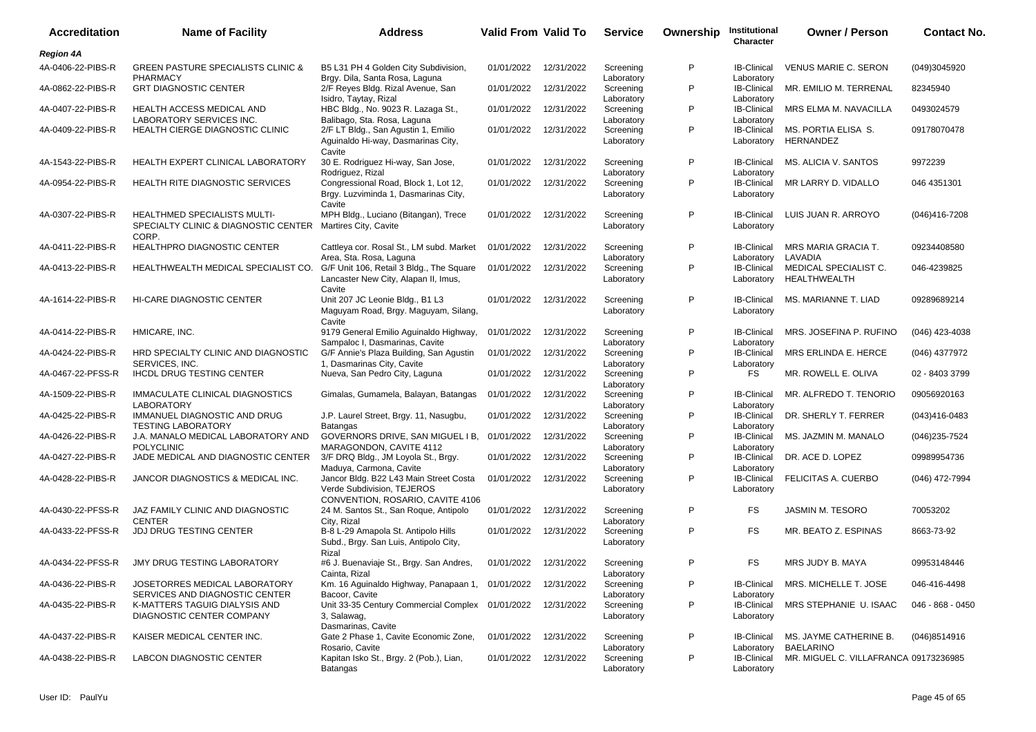| <b>Accreditation</b> | <b>Name of Facility</b>                                                                             | Address                                                                                                                             | Valid From Valid To   |            | <b>Service</b>                        | Ownership | Institutional<br><b>Character</b>              | <b>Owner / Person</b>                                     | <b>Contact No.</b> |
|----------------------|-----------------------------------------------------------------------------------------------------|-------------------------------------------------------------------------------------------------------------------------------------|-----------------------|------------|---------------------------------------|-----------|------------------------------------------------|-----------------------------------------------------------|--------------------|
| <b>Region 4A</b>     |                                                                                                     |                                                                                                                                     |                       |            |                                       |           |                                                |                                                           |                    |
| 4A-0406-22-PIBS-R    | <b>GREEN PASTURE SPECIALISTS CLINIC &amp;</b><br>PHARMACY                                           | B5 L31 PH 4 Golden City Subdivision,<br>Brgy. Dila, Santa Rosa, Laguna                                                              | 01/01/2022            | 12/31/2022 | Screening<br>Laboratory               | P         | <b>IB-Clinical</b><br>Laboratory               | <b>VENUS MARIE C. SERON</b>                               | (049)3045920       |
| 4A-0862-22-PIBS-R    | <b>GRT DIAGNOSTIC CENTER</b>                                                                        | 2/F Reyes Bldg. Rizal Avenue, San<br>Isidro, Taytay, Rizal                                                                          | 01/01/2022            | 12/31/2022 | Screening<br>Laboratory               | P         | <b>IB-Clinical</b><br>Laboratory               | MR. EMILIO M. TERRENAL                                    | 82345940           |
| 4A-0407-22-PIBS-R    | HEALTH ACCESS MEDICAL AND<br>LABORATORY SERVICES INC.                                               | HBC Bldg., No. 9023 R. Lazaga St.,<br>Balibago, Sta. Rosa, Laguna                                                                   | 01/01/2022            | 12/31/2022 | Screening                             | P         | <b>IB-Clinical</b>                             | <b>MRS ELMA M. NAVACILLA</b>                              | 0493024579         |
| 4A-0409-22-PIBS-R    | HEALTH CIERGE DIAGNOSTIC CLINIC                                                                     | 2/F LT Bldg., San Agustin 1, Emilio<br>Aguinaldo Hi-way, Dasmarinas City,<br>Cavite                                                 | 01/01/2022            | 12/31/2022 | Laboratory<br>Screening<br>Laboratory | P         | Laboratory<br><b>IB-Clinical</b><br>Laboratory | MS. PORTIA ELISA S.<br>HERNANDEZ                          | 09178070478        |
| 4A-1543-22-PIBS-R    | HEALTH EXPERT CLINICAL LABORATORY                                                                   | 30 E. Rodriguez Hi-way, San Jose,<br>Rodriguez, Rizal                                                                               | 01/01/2022            | 12/31/2022 | Screening                             | P         | <b>IB-Clinical</b>                             | MS. ALICIA V. SANTOS                                      | 9972239            |
| 4A-0954-22-PIBS-R    | <b>HEALTH RITE DIAGNOSTIC SERVICES</b>                                                              | Congressional Road, Block 1, Lot 12,<br>Brgy. Luzviminda 1, Dasmarinas City,<br>Cavite                                              | 01/01/2022            | 12/31/2022 | Laboratory<br>Screening<br>Laboratory | P         | Laboratory<br><b>IB-Clinical</b><br>Laboratory | MR LARRY D. VIDALLO                                       | 046 4351301        |
| 4A-0307-22-PIBS-R    | HEALTHMED SPECIALISTS MULTI-<br>SPECIALTY CLINIC & DIAGNOSTIC CENTER Martires City, Cavite<br>CORP. | MPH Bldg., Luciano (Bitangan), Trece                                                                                                | 01/01/2022            | 12/31/2022 | Screening<br>Laboratory               | P         | <b>IB-Clinical</b><br>Laboratory               | LUIS JUAN R. ARROYO                                       | (046)416-7208      |
| 4A-0411-22-PIBS-R    | <b>HEALTHPRO DIAGNOSTIC CENTER</b>                                                                  | Cattleya cor. Rosal St., LM subd. Market<br>Area, Sta. Rosa, Laguna                                                                 | 01/01/2022            | 12/31/2022 | Screening<br>Laboratory               | P         | <b>IB-Clinical</b>                             | MRS MARIA GRACIA T.<br>LAVADIA                            | 09234408580        |
| 4A-0413-22-PIBS-R    | HEALTHWEALTH MEDICAL SPECIALIST CO.                                                                 | G/F Unit 106, Retail 3 Bldg., The Square<br>Lancaster New City, Alapan II, Imus,<br>Cavite                                          | 01/01/2022            | 12/31/2022 | Screening<br>Laboratory               | P         | Laboratory<br><b>IB-Clinical</b><br>Laboratory | MEDICAL SPECIALIST C.<br>HEALTHWEALTH                     | 046-4239825        |
| 4A-1614-22-PIBS-R    | <b>HI-CARE DIAGNOSTIC CENTER</b>                                                                    | Unit 207 JC Leonie Bldg., B1 L3<br>Maguyam Road, Brgy. Maguyam, Silang,<br>Cavite                                                   | 01/01/2022            | 12/31/2022 | Screening<br>Laboratory               | P         | <b>IB-Clinical</b><br>Laboratory               | MS. MARIANNE T. LIAD                                      | 09289689214        |
| 4A-0414-22-PIBS-R    | HMICARE, INC.                                                                                       | 9179 General Emilio Aguinaldo Highway,<br>Sampaloc I, Dasmarinas, Cavite                                                            | 01/01/2022            | 12/31/2022 | Screening<br>Laboratory               | P         | <b>IB-Clinical</b><br>Laboratory               | MRS. JOSEFINA P. RUFINO                                   | (046) 423-4038     |
| 4A-0424-22-PIBS-R    | HRD SPECIALTY CLINIC AND DIAGNOSTIC<br>SERVICES, INC.                                               | G/F Annie's Plaza Building, San Agustin<br>1, Dasmarinas City, Cavite                                                               | 01/01/2022            | 12/31/2022 | Screening<br>Laboratory               | P         | <b>IB-Clinical</b><br>Laboratory               | MRS ERLINDA E. HERCE                                      | (046) 4377972      |
| 4A-0467-22-PFSS-R    | <b>IHCDL DRUG TESTING CENTER</b>                                                                    | Nueva, San Pedro City, Laguna                                                                                                       | 01/01/2022            | 12/31/2022 | Screening<br>Laboratory               | P         | FS                                             | MR. ROWELL E. OLIVA                                       | 02 - 8403 3799     |
| 4A-1509-22-PIBS-R    | IMMACULATE CLINICAL DIAGNOSTICS<br><b>LABORATORY</b>                                                | Gimalas, Gumamela, Balayan, Batangas                                                                                                | 01/01/2022            | 12/31/2022 | Screening<br>Laboratory               | P         | <b>IB-Clinical</b><br>Laboratory               | MR. ALFREDO T. TENORIO                                    | 09056920163        |
| 4A-0425-22-PIBS-R    | IMMANUEL DIAGNOSTIC AND DRUG<br><b>TESTING LABORATORY</b>                                           | J.P. Laurel Street, Brgy. 11, Nasugbu,<br>Batangas                                                                                  | 01/01/2022            | 12/31/2022 | Screening<br>Laboratory               | P         | <b>IB-Clinical</b><br>Laboratory               | DR. SHERLY T. FERRER                                      | (043)416-0483      |
| 4A-0426-22-PIBS-R    | J.A. MANALO MEDICAL LABORATORY AND<br><b>POLYCLINIC</b>                                             | GOVERNORS DRIVE, SAN MIGUEL I B,<br>MARAGONDON, CAVITE 4112                                                                         | 01/01/2022            | 12/31/2022 | Screening<br>Laboratory               | P         | <b>IB-Clinical</b><br>Laboratory               | MS. JAZMIN M. MANALO                                      | (046)235-7524      |
| 4A-0427-22-PIBS-R    | JADE MEDICAL AND DIAGNOSTIC CENTER                                                                  | 3/F DRQ Bldg., JM Loyola St., Brgy.                                                                                                 | 01/01/2022            | 12/31/2022 | Screening                             | P         | <b>IB-Clinical</b>                             | DR. ACE D. LOPEZ                                          | 09989954736        |
| 4A-0428-22-PIBS-R    | JANCOR DIAGNOSTICS & MEDICAL INC.                                                                   | Maduya, Carmona, Cavite<br>Jancor Bldg. B22 L43 Main Street Costa<br>Verde Subdivision, TEJEROS<br>CONVENTION, ROSARIO, CAVITE 4106 | 01/01/2022            | 12/31/2022 | Laboratory<br>Screening<br>Laboratory | P         | Laboratory<br><b>IB-Clinical</b><br>Laboratory | <b>FELICITAS A. CUERBO</b>                                | (046) 472-7994     |
| 4A-0430-22-PFSS-R    | JAZ FAMILY CLINIC AND DIAGNOSTIC<br><b>CENTER</b>                                                   | 24 M. Santos St., San Roque, Antipolo<br>City, Rizal                                                                                | 01/01/2022            | 12/31/2022 | Screening<br>Laboratory               | P         | FS                                             | JASMIN M. TESORO                                          | 70053202           |
| 4A-0433-22-PFSS-R    | <b>JDJ DRUG TESTING CENTER</b>                                                                      | B-8 L-29 Amapola St. Antipolo Hills<br>Subd., Brgy. San Luis, Antipolo City,<br>Rizal                                               | 01/01/2022            | 12/31/2022 | Screening<br>Laboratory               | P         | FS.                                            | MR. BEATO Z. ESPINAS                                      | 8663-73-92         |
| 4A-0434-22-PFSS-R    | <b>JMY DRUG TESTING LABORATORY</b>                                                                  | #6 J. Buenaviaje St., Brgy. San Andres,<br>Cainta, Rizal                                                                            | 01/01/2022 12/31/2022 |            | Screening<br>Laboratory               | P         | FS.                                            | MRS JUDY B. MAYA                                          | 09953148446        |
| 4A-0436-22-PIBS-R    | JOSETORRES MEDICAL LABORATORY<br>SERVICES AND DIAGNOSTIC CENTER                                     | Km. 16 Aguinaldo Highway, Panapaan 1, 01/01/2022 12/31/2022<br>Bacoor, Cavite                                                       |                       |            | Screening<br>Laboratory               | P         | <b>IB-Clinical</b><br>Laboratory               | MRS. MICHELLE T. JOSE                                     | 046-416-4498       |
| 4A-0435-22-PIBS-R    | K-MATTERS TAGUIG DIALYSIS AND<br>DIAGNOSTIC CENTER COMPANY                                          | Unit 33-35 Century Commercial Complex 01/01/2022 12/31/2022<br>3, Salawag,<br>Dasmarinas, Cavite                                    |                       |            | Screening<br>Laboratory               | P         | <b>IB-Clinical</b><br>Laboratory               | MRS STEPHANIE U. ISAAC                                    | 046 - 868 - 0450   |
| 4A-0437-22-PIBS-R    | KAISER MEDICAL CENTER INC.                                                                          | Gate 2 Phase 1, Cavite Economic Zone,                                                                                               | 01/01/2022            | 12/31/2022 | Screening                             | P         | <b>IB-Clinical</b>                             | MS. JAYME CATHERINE B.                                    | (046)8514916       |
| 4A-0438-22-PIBS-R    | LABCON DIAGNOSTIC CENTER                                                                            | Rosario, Cavite<br>Kapitan Isko St., Brgy. 2 (Pob.), Lian,<br>Batangas                                                              | 01/01/2022 12/31/2022 |            | Laboratory<br>Screening<br>Laboratory | P         | Laboratory<br>IB-Clinical<br>Laboratory        | <b>BAELARINO</b><br>MR. MIGUEL C. VILLAFRANCA 09173236985 |                    |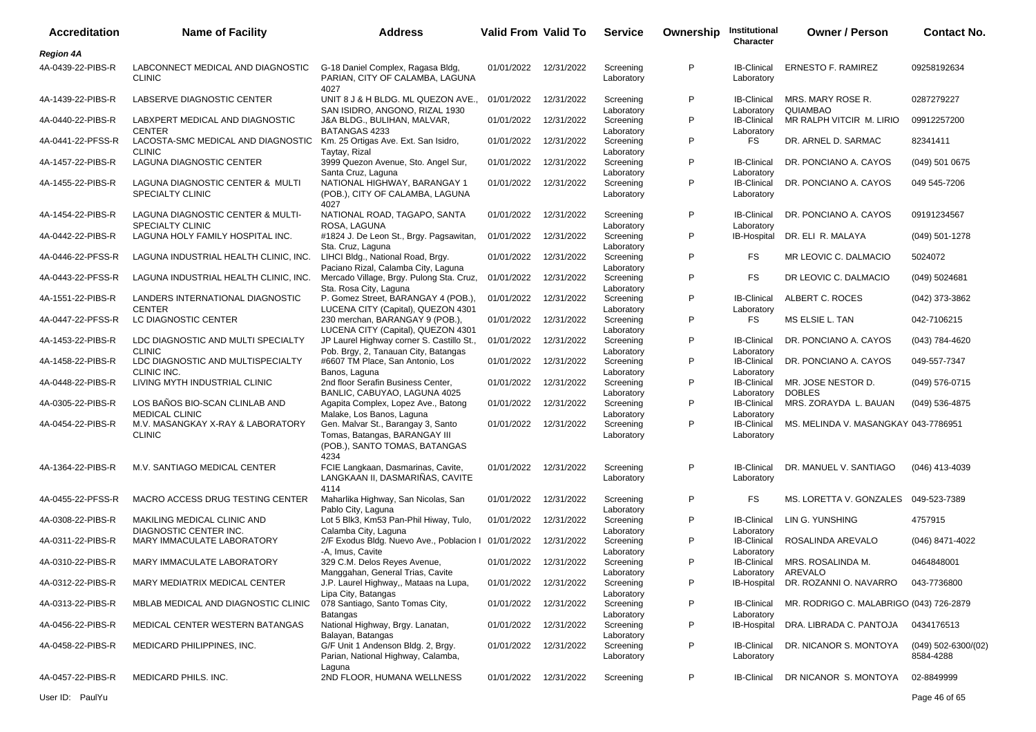| <b>Accreditation</b> | <b>Name of Facility</b>                                      | <b>Address</b>                                                                                   | <b>Valid From Valid To</b> |            | <b>Service</b>                        | Ownership | Institutional<br>Character                     | <b>Owner / Person</b>                   | <b>Contact No.</b>                 |
|----------------------|--------------------------------------------------------------|--------------------------------------------------------------------------------------------------|----------------------------|------------|---------------------------------------|-----------|------------------------------------------------|-----------------------------------------|------------------------------------|
| <b>Region 4A</b>     |                                                              |                                                                                                  |                            |            |                                       |           |                                                |                                         |                                    |
| 4A-0439-22-PIBS-R    | LABCONNECT MEDICAL AND DIAGNOSTIC<br><b>CLINIC</b>           | G-18 Daniel Complex, Ragasa Bldg,<br>PARIAN, CITY OF CALAMBA, LAGUNA<br>4027                     | 01/01/2022                 | 12/31/2022 | Screening<br>Laboratory               | P         | <b>IB-Clinical</b><br>Laboratory               | <b>ERNESTO F. RAMIREZ</b>               | 09258192634                        |
| 4A-1439-22-PIBS-R    | LABSERVE DIAGNOSTIC CENTER                                   | UNIT 8 J & H BLDG. ML QUEZON AVE.,                                                               | 01/01/2022                 | 12/31/2022 | Screening                             | P         | <b>IB-Clinical</b>                             | MRS. MARY ROSE R.<br>QUIAMBAO           | 0287279227                         |
| 4A-0440-22-PIBS-R    | LABXPERT MEDICAL AND DIAGNOSTIC<br><b>CENTER</b>             | SAN ISIDRO, ANGONO, RIZAL 1930<br>J&A BLDG., BULIHAN, MALVAR,<br>BATANGAS 4233                   | 01/01/2022                 | 12/31/2022 | Laboratory<br>Screening<br>Laboratory | P         | Laboratory<br><b>IB-Clinical</b><br>Laboratory | MR RALPH VITCIR M. LIRIO                | 09912257200                        |
| 4A-0441-22-PFSS-R    | LACOSTA-SMC MEDICAL AND DIAGNOSTIC<br><b>CLINIC</b>          | Km. 25 Ortigas Ave. Ext. San Isidro,<br>Taytay, Rizal                                            | 01/01/2022                 | 12/31/2022 | Screening<br>Laboratory               | P         | <b>FS</b>                                      | DR. ARNEL D. SARMAC                     | 82341411                           |
| 4A-1457-22-PIBS-R    | LAGUNA DIAGNOSTIC CENTER                                     | 3999 Quezon Avenue, Sto. Angel Sur,<br>Santa Cruz, Laguna                                        | 01/01/2022                 | 12/31/2022 | Screening<br>Laboratory               | P         | <b>IB-Clinical</b><br>Laboratory               | DR. PONCIANO A. CAYOS                   | $(049)$ 501 0675                   |
| 4A-1455-22-PIBS-R    | LAGUNA DIAGNOSTIC CENTER & MULTI<br>SPECIALTY CLINIC         | NATIONAL HIGHWAY, BARANGAY 1<br>(POB.), CITY OF CALAMBA, LAGUNA<br>4027                          | 01/01/2022                 | 12/31/2022 | Screening<br>Laboratory               | P         | <b>IB-Clinical</b><br>Laboratory               | DR. PONCIANO A. CAYOS                   | 049 545-7206                       |
| 4A-1454-22-PIBS-R    | LAGUNA DIAGNOSTIC CENTER & MULTI-<br><b>SPECIALTY CLINIC</b> | NATIONAL ROAD, TAGAPO, SANTA<br>ROSA, LAGUNA                                                     | 01/01/2022                 | 12/31/2022 | Screening<br>Laboratory               | P         | <b>IB-Clinical</b><br>Laboratory               | DR. PONCIANO A. CAYOS                   | 09191234567                        |
| 4A-0442-22-PIBS-R    | LAGUNA HOLY FAMILY HOSPITAL INC.                             | #1824 J. De Leon St., Brgy. Pagsawitan,<br>Sta. Cruz, Laguna                                     | 01/01/2022                 | 12/31/2022 | Screening<br>Laboratory               | P         | IB-Hospital                                    | DR. ELI R. MALAYA                       | (049) 501-1278                     |
| 4A-0446-22-PFSS-R    | LAGUNA INDUSTRIAL HEALTH CLINIC, INC.                        | LIHCI Bldg., National Road, Brgy.<br>Paciano Rizal, Calamba City, Laguna                         | 01/01/2022                 | 12/31/2022 | Screening<br>Laboratory               | P         | FS                                             | MR LEOVIC C. DALMACIO                   | 5024072                            |
| 4A-0443-22-PFSS-R    | LAGUNA INDUSTRIAL HEALTH CLINIC, INC.                        | Mercado Village, Brgy. Pulong Sta. Cruz,<br>Sta. Rosa City, Laguna                               | 01/01/2022                 | 12/31/2022 | Screening<br>Laboratory               | P         | FS                                             | DR LEOVIC C. DALMACIO                   | (049) 5024681                      |
| 4A-1551-22-PIBS-R    | LANDERS INTERNATIONAL DIAGNOSTIC<br><b>CENTER</b>            | P. Gomez Street, BARANGAY 4 (POB.),<br>LUCENA CITY (Capital), QUEZON 4301                        | 01/01/2022                 | 12/31/2022 | Screening<br>Laboratory               | P         | <b>IB-Clinical</b><br>Laboratory               | ALBERT C. ROCES                         | (042) 373-3862                     |
| 4A-0447-22-PFSS-R    | LC DIAGNOSTIC CENTER                                         | 230 merchan, BARANGAY 9 (POB.),<br>LUCENA CITY (Capital), QUEZON 4301                            | 01/01/2022                 | 12/31/2022 | Screening<br>Laboratory               | P         | <b>FS</b>                                      | MS ELSIE L. TAN                         | 042-7106215                        |
| 4A-1453-22-PIBS-R    | LDC DIAGNOSTIC AND MULTI SPECIALTY<br><b>CLINIC</b>          | JP Laurel Highway corner S. Castillo St.,<br>Pob. Brgy, 2, Tanauan City, Batangas                | 01/01/2022                 | 12/31/2022 | Screening<br>Laboratory               | P         | <b>IB-Clinical</b><br>Laboratory               | DR. PONCIANO A. CAYOS                   | (043) 784-4620                     |
| 4A-1458-22-PIBS-R    | LDC DIAGNOSTIC AND MULTISPECIALTY<br>CLINIC INC.             | #6607 TM Place, San Antonio, Los<br>Banos, Laguna                                                | 01/01/2022                 | 12/31/2022 | Screening                             | P         | <b>IB-Clinical</b>                             | DR. PONCIANO A. CAYOS                   | 049-557-7347                       |
| 4A-0448-22-PIBS-R    | LIVING MYTH INDUSTRIAL CLINIC                                | 2nd floor Serafin Business Center,<br>BANLIC, CABUYAO, LAGUNA 4025                               | 01/01/2022                 | 12/31/2022 | Laboratory<br>Screening               | P         | Laboratory<br><b>IB-Clinical</b><br>Laboratory | MR. JOSE NESTOR D.<br><b>DOBLES</b>     | (049) 576-0715                     |
| 4A-0305-22-PIBS-R    | LOS BAÑOS BIO-SCAN CLINLAB AND<br><b>MEDICAL CLINIC</b>      | Agapita Complex, Lopez Ave., Batong                                                              | 01/01/2022                 | 12/31/2022 | Laboratory<br>Screening               | P         | <b>IB-Clinical</b>                             | MRS. ZORAYDA L. BAUAN                   | (049) 536-4875                     |
| 4A-0454-22-PIBS-R    | M.V. MASANGKAY X-RAY & LABORATORY<br><b>CLINIC</b>           | Malake, Los Banos, Laguna<br>Gen. Malvar St., Barangay 3, Santo<br>Tomas, Batangas, BARANGAY III | 01/01/2022                 | 12/31/2022 | Laboratory<br>Screening<br>Laboratory | P         | Laboratory<br><b>IB-Clinical</b><br>Laboratory | MS. MELINDA V. MASANGKAY 043-7786951    |                                    |
|                      |                                                              | (POB.), SANTO TOMAS, BATANGAS<br>4234                                                            |                            |            |                                       |           |                                                |                                         |                                    |
| 4A-1364-22-PIBS-R    | M.V. SANTIAGO MEDICAL CENTER                                 | FCIE Langkaan, Dasmarinas, Cavite,<br>LANGKAAN II, DASMARIÑAS, CAVITE<br>4114                    | 01/01/2022                 | 12/31/2022 | Screening<br>Laboratory               | P         | <b>IB-Clinical</b><br>Laboratory               | DR. MANUEL V. SANTIAGO                  | (046) 413-4039                     |
| 4A-0455-22-PFSS-R    | MACRO ACCESS DRUG TESTING CENTER                             | Maharlika Highway, San Nicolas, San<br>Pablo City, Laguna                                        | 01/01/2022                 | 12/31/2022 | Screening<br>Laboratory               | P         | <b>FS</b>                                      | MS. LORETTA V. GONZALES                 | 049-523-7389                       |
| 4A-0308-22-PIBS-R    | MAKILING MEDICAL CLINIC AND<br>DIAGNOSTIC CENTER INC.        | Lot 5 Blk3, Km53 Pan-Phil Hiway, Tulo,<br>Calamba City, Laguna                                   | 01/01/2022                 | 12/31/2022 | Screening<br>Laboratory               | P         | <b>IB-Clinical</b><br>Laboratory               | LIN G. YUNSHING                         | 4757915                            |
| 4A-0311-22-PIBS-R    | MARY IMMACULATE LABORATORY                                   | 2/F Exodus Bldg. Nuevo Ave., Poblacion I<br>-A, Imus, Cavite                                     | 01/01/2022                 | 12/31/2022 | Screening<br>Laboratory               | P         | <b>IB-Clinical</b><br>Laboratory               | ROSALINDA AREVALO                       | (046) 8471-4022                    |
| 4A-0310-22-PIBS-R    | MARY IMMACULATE LABORATORY                                   | 329 C.M. Delos Reyes Avenue,<br>Manggahan, General Trias, Cavite                                 | 01/01/2022                 | 12/31/2022 | Screening<br>Laboratory               | P         | <b>IB-Clinical</b><br>Laboratory               | MRS. ROSALINDA M.<br>AREVALO            | 0464848001                         |
| 4A-0312-22-PIBS-R    | MARY MEDIATRIX MEDICAL CENTER                                | J.P. Laurel Highway,, Mataas na Lupa,<br>Lipa City, Batangas                                     | 01/01/2022                 | 12/31/2022 | Screening                             | P         |                                                | IB-Hospital DR. ROZANNI O. NAVARRO      | 043-7736800                        |
| 4A-0313-22-PIBS-R    | MBLAB MEDICAL AND DIAGNOSTIC CLINIC                          | 078 Santiago, Santo Tomas City,<br><b>Batangas</b>                                               | 01/01/2022                 | 12/31/2022 | Laboratory<br>Screening<br>Laboratory | P         | <b>IB-Clinical</b><br>Laboratory               | MR. RODRIGO C. MALABRIGO (043) 726-2879 |                                    |
| 4A-0456-22-PIBS-R    | MEDICAL CENTER WESTERN BATANGAS                              | National Highway, Brgy. Lanatan,<br>Balayan, Batangas                                            | 01/01/2022                 | 12/31/2022 | Screening                             | P         | IB-Hospital                                    | DRA. LIBRADA C. PANTOJA                 | 0434176513                         |
| 4A-0458-22-PIBS-R    | MEDICARD PHILIPPINES, INC.                                   | G/F Unit 1 Andenson Bldg. 2, Brgy.<br>Parian, National Highway, Calamba,                         | 01/01/2022                 | 12/31/2022 | Laboratory<br>Screening<br>Laboratory | P         | <b>IB-Clinical</b><br>Laboratory               | DR. NICANOR S. MONTOYA                  | $(049)$ 502-6300/(02)<br>8584-4288 |
| 4A-0457-22-PIBS-R    | MEDICARD PHILS. INC.                                         | Laguna<br>2ND FLOOR, HUMANA WELLNESS                                                             | 01/01/2022                 | 12/31/2022 | Screening                             | P         | <b>IB-Clinical</b>                             | DR NICANOR S. MONTOYA                   | 02-8849999                         |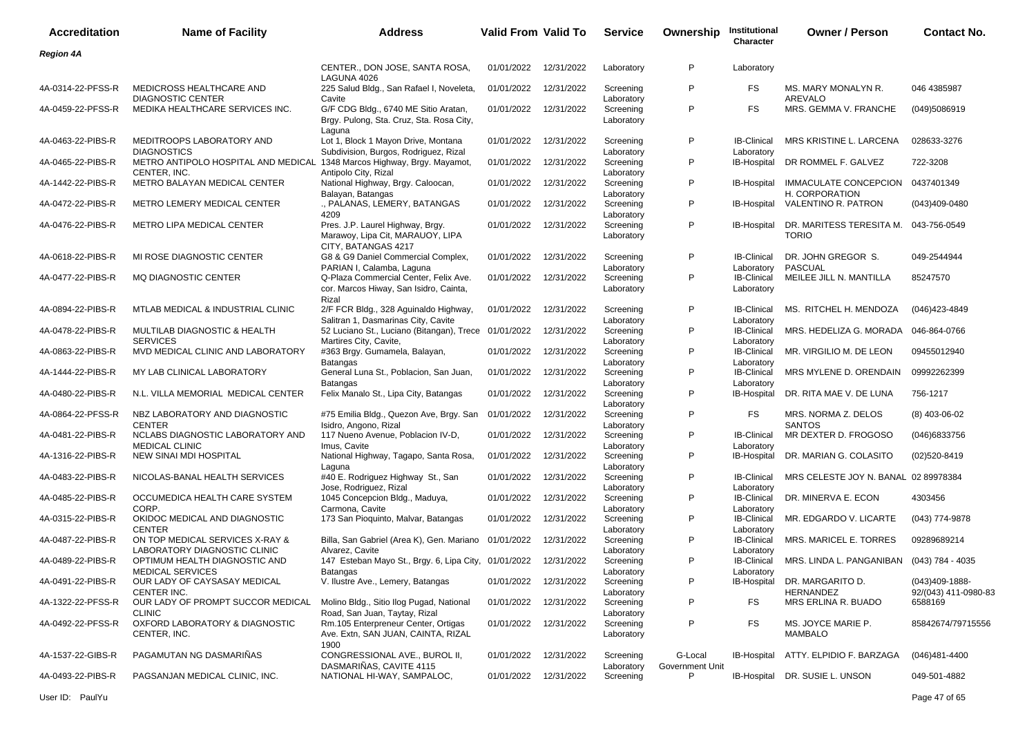| <b>Accreditation</b> | <b>Name of Facility</b>                                                                  | <b>Address</b>                                                                              | <b>Valid From Valid To</b> |            | <b>Service</b>                        | Ownership                  | Institutional<br>Character       | <b>Owner / Person</b>                                 | <b>Contact No.</b>                     |
|----------------------|------------------------------------------------------------------------------------------|---------------------------------------------------------------------------------------------|----------------------------|------------|---------------------------------------|----------------------------|----------------------------------|-------------------------------------------------------|----------------------------------------|
| <b>Region 4A</b>     |                                                                                          |                                                                                             |                            |            |                                       |                            |                                  |                                                       |                                        |
|                      |                                                                                          | CENTER., DON JOSE, SANTA ROSA,<br>LAGUNA 4026                                               | 01/01/2022                 | 12/31/2022 | Laboratory                            | P                          | Laboratory                       |                                                       |                                        |
| 4A-0314-22-PFSS-R    | MEDICROSS HEALTHCARE AND<br><b>DIAGNOSTIC CENTER</b>                                     | 225 Salud Bldg., San Rafael I, Noveleta,<br>Cavite                                          | 01/01/2022                 | 12/31/2022 | Screening<br>Laboratory               | P                          | FS                               | MS. MARY MONALYN R.<br>AREVALO                        | 046 4385987                            |
| 4A-0459-22-PFSS-R    | MEDIKA HEALTHCARE SERVICES INC.                                                          | G/F CDG Bldg., 6740 ME Sitio Aratan,<br>Brgy. Pulong, Sta. Cruz, Sta. Rosa City,<br>Laguna  | 01/01/2022                 | 12/31/2022 | Screening<br>Laboratory               | P                          | <b>FS</b>                        | MRS. GEMMA V. FRANCHE                                 | (049)5086919                           |
| 4A-0463-22-PIBS-R    | MEDITROOPS LABORATORY AND<br><b>DIAGNOSTICS</b>                                          | Lot 1, Block 1 Mayon Drive, Montana<br>Subdivision, Burgos, Rodriguez, Rizal                | 01/01/2022                 | 12/31/2022 | Screening<br>Laboratory               | P                          | <b>IB-Clinical</b><br>Laboratory | MRS KRISTINE L. LARCENA                               | 028633-3276                            |
| 4A-0465-22-PIBS-R    | METRO ANTIPOLO HOSPITAL AND MEDICAL 1348 Marcos Highway, Brgy. Mayamot,                  | Antipolo City, Rizal                                                                        | 01/01/2022                 | 12/31/2022 | Screening                             | P                          | IB-Hospital                      | DR ROMMEL F. GALVEZ                                   | 722-3208                               |
| 4A-1442-22-PIBS-R    | CENTER, INC.<br>METRO BALAYAN MEDICAL CENTER                                             | National Highway, Brgy. Caloocan,<br>Balayan, Batangas                                      | 01/01/2022                 | 12/31/2022 | Laboratory<br>Screening<br>Laboratory | P                          | <b>IB-Hospital</b>               | IMMACULATE CONCEPCION<br>H. CORPORATION               | 0437401349                             |
| 4A-0472-22-PIBS-R    | METRO LEMERY MEDICAL CENTER                                                              | ., PALANAS, LEMERY, BATANGAS<br>4209                                                        | 01/01/2022                 | 12/31/2022 | Screening<br>Laboratory               | P                          | <b>IB-Hospital</b>               | VALENTINO R. PATRON                                   | (043)409-0480                          |
| 4A-0476-22-PIBS-R    | METRO LIPA MEDICAL CENTER                                                                | Pres. J.P. Laurel Highway, Brgy.<br>Marawoy, Lipa Cit, MARAUOY, LIPA<br>CITY, BATANGAS 4217 | 01/01/2022                 | 12/31/2022 | Screening<br>Laboratory               | P                          | IB-Hospital                      | DR. MARITESS TERESITA M. 043-756-0549<br><b>TORIO</b> |                                        |
| 4A-0618-22-PIBS-R    | MI ROSE DIAGNOSTIC CENTER                                                                | G8 & G9 Daniel Commercial Complex,<br>PARIAN I, Calamba, Laguna                             | 01/01/2022                 | 12/31/2022 | Screening<br>Laboratory               | P                          | <b>IB-Clinical</b><br>Laboratory | DR. JOHN GREGOR S.<br><b>PASCUAL</b>                  | 049-2544944                            |
| 4A-0477-22-PIBS-R    | <b>MQ DIAGNOSTIC CENTER</b>                                                              | Q-Plaza Commercial Center, Felix Ave.<br>cor. Marcos Hiway, San Isidro, Cainta,<br>Rizal    | 01/01/2022                 | 12/31/2022 | Screening<br>Laboratory               | P                          | <b>IB-Clinical</b><br>Laboratory | MEILEE JILL N. MANTILLA                               | 85247570                               |
| 4A-0894-22-PIBS-R    | MTLAB MEDICAL & INDUSTRIAL CLINIC                                                        | 2/F FCR Bldg., 328 Aguinaldo Highway,<br>Salitran 1, Dasmarinas City, Cavite                | 01/01/2022                 | 12/31/2022 | Screening<br>Laboratory               | P                          | <b>IB-Clinical</b><br>Laboratory | MS. RITCHEL H. MENDOZA                                | (046)423-4849                          |
| 4A-0478-22-PIBS-R    | MULTILAB DIAGNOSTIC & HEALTH<br><b>SERVICES</b>                                          | 52 Luciano St., Luciano (Bitangan), Trece 01/01/2022<br>Martires City, Cavite,              |                            | 12/31/2022 | Screening<br>Laboratory               | P                          | <b>IB-Clinical</b><br>Laboratory | MRS. HEDELIZA G. MORADA                               | 046-864-0766                           |
| 4A-0863-22-PIBS-R    | MVD MEDICAL CLINIC AND LABORATORY                                                        | #363 Brgy. Gumamela, Balayan,<br>Batangas                                                   | 01/01/2022                 | 12/31/2022 | Screening<br>Laboratory               | P                          | <b>IB-Clinical</b><br>Laboratory | MR. VIRGILIO M. DE LEON                               | 09455012940                            |
| 4A-1444-22-PIBS-R    | MY LAB CLINICAL LABORATORY                                                               | General Luna St., Poblacion, San Juan,<br>Batangas                                          | 01/01/2022                 | 12/31/2022 | Screening<br>Laboratory               | P                          | <b>IB-Clinical</b>               | MRS MYLENE D. ORENDAIN                                | 09992262399                            |
| 4A-0480-22-PIBS-R    | N.L. VILLA MEMORIAL MEDICAL CENTER                                                       | Felix Manalo St., Lipa City, Batangas                                                       | 01/01/2022                 | 12/31/2022 | Screening<br>Laboratory               | P                          | Laboratory<br>IB-Hospital        | DR. RITA MAE V. DE LUNA                               | 756-1217                               |
| 4A-0864-22-PFSS-R    | NBZ LABORATORY AND DIAGNOSTIC<br><b>CENTER</b>                                           | #75 Emilia Bldg., Quezon Ave, Brgy. San<br>Isidro, Angono, Rizal                            | 01/01/2022                 | 12/31/2022 | Screening<br>Laboratory               | P                          | FS                               | MRS. NORMA Z. DELOS<br><b>SANTOS</b>                  | $(8)$ 403-06-02                        |
| 4A-0481-22-PIBS-R    | NCLABS DIAGNOSTIC LABORATORY AND                                                         | 117 Nueno Avenue, Poblacion IV-D,                                                           | 01/01/2022                 | 12/31/2022 | Screening                             | P                          | <b>IB-Clinical</b>               | MR DEXTER D. FROGOSO                                  | (046)6833756                           |
| 4A-1316-22-PIBS-R    | <b>MEDICAL CLINIC</b><br>NEW SINAI MDI HOSPITAL                                          | Imus, Cavite<br>National Highway, Tagapo, Santa Rosa,                                       | 01/01/2022                 | 12/31/2022 | Laboratory<br>Screening               | P                          | Laboratory<br>IB-Hospital        | DR. MARIAN G. COLASITO                                | $(02)520 - 8419$                       |
| 4A-0483-22-PIBS-R    | NICOLAS-BANAL HEALTH SERVICES                                                            | Laguna<br>#40 E. Rodriguez Highway St., San                                                 | 01/01/2022                 | 12/31/2022 | Laboratory<br>Screening               | P                          | <b>IB-Clinical</b>               | MRS CELESTE JOY N. BANAL 02 89978384                  |                                        |
| 4A-0485-22-PIBS-R    | OCCUMEDICA HEALTH CARE SYSTEM                                                            | Jose, Rodriguez, Rizal<br>1045 Concepcion Bldg., Maduya,                                    | 01/01/2022                 | 12/31/2022 | Laboratory<br>Screening               | P                          | Laboratory<br><b>IB-Clinical</b> | DR. MINERVA E. ECON                                   | 4303456                                |
| 4A-0315-22-PIBS-R    | CORP.<br>OKIDOC MEDICAL AND DIAGNOSTIC                                                   | Carmona, Cavite<br>173 San Pioquinto, Malvar, Batangas                                      | 01/01/2022                 | 12/31/2022 | Laboratory<br>Screening               | P                          | Laboratory<br><b>IB-Clinical</b> | MR. EDGARDO V. LICARTE                                | (043) 774-9878                         |
| 4A-0487-22-PIBS-R    | <b>CENTER</b><br>ON TOP MEDICAL SERVICES X-RAY &                                         | Billa, San Gabriel (Area K), Gen. Mariano 01/01/2022                                        |                            | 12/31/2022 | Laboratory<br>Screening               | P                          | Laboratory<br>IB-Clinical        | MRS. MARICEL E. TORRES                                | 09289689214                            |
| 4A-0489-22-PIBS-R    | LABORATORY DIAGNOSTIC CLINIC<br>OPTIMUM HEALTH DIAGNOSTIC AND<br><b>MEDICAL SERVICES</b> | Alvarez, Cavite<br>147 Esteban Mayo St., Brgy. 6, Lipa City, 01/01/2022                     |                            | 12/31/2022 | Laboratory<br>Screening               | P                          | Laboratory<br><b>IB-Clinical</b> | MRS. LINDA L. PANGANIBAN                              | (043) 784 - 4035                       |
| 4A-0491-22-PIBS-R    | OUR LADY OF CAYSASAY MEDICAL<br>CENTER INC.                                              | Batangas<br>V. Ilustre Ave., Lemery, Batangas                                               | 01/01/2022                 | 12/31/2022 | Laboratory<br>Screening<br>Laboratory | P                          | Laboratory<br>IB-Hospital        | DR. MARGARITO D.<br><b>HERNANDEZ</b>                  | (043)409-1888-<br>92/(043) 411-0980-83 |
| 4A-1322-22-PFSS-R    | OUR LADY OF PROMPT SUCCOR MEDICAL<br><b>CLINIC</b>                                       | Molino Bldg., Sitio Ilog Pugad, National<br>Road, San Juan, Taytay, Rizal                   | 01/01/2022                 | 12/31/2022 | Screening<br>Laboratory               | P                          | FS                               | MRS ERLINA R. BUADO                                   | 6588169                                |
| 4A-0492-22-PFSS-R    | OXFORD LABORATORY & DIAGNOSTIC<br>CENTER, INC.                                           | Rm.105 Enterpreneur Center, Ortigas<br>Ave. Extn, SAN JUAN, CAINTA, RIZAL                   | 01/01/2022                 | 12/31/2022 | Screening<br>Laboratory               | P                          | FS                               | MS. JOYCE MARIE P.<br><b>MAMBALO</b>                  | 85842674/79715556                      |
| 4A-1537-22-GIBS-R    | PAGAMUTAN NG DASMARIÑAS                                                                  | 1900<br>CONGRESSIONAL AVE., BUROL II,<br>DASMARIÑAS, CAVITE 4115                            | 01/01/2022                 | 12/31/2022 | Screening<br>Laboratory               | G-Local<br>Government Unit | IB-Hospital                      | ATTY. ELPIDIO F. BARZAGA                              | (046)481-4400                          |
| 4A-0493-22-PIBS-R    | PAGSANJAN MEDICAL CLINIC, INC.                                                           | NATIONAL HI-WAY, SAMPALOC,                                                                  | 01/01/2022                 | 12/31/2022 | Screening                             | P                          | IB-Hospital                      | DR. SUSIE L. UNSON                                    | 049-501-4882                           |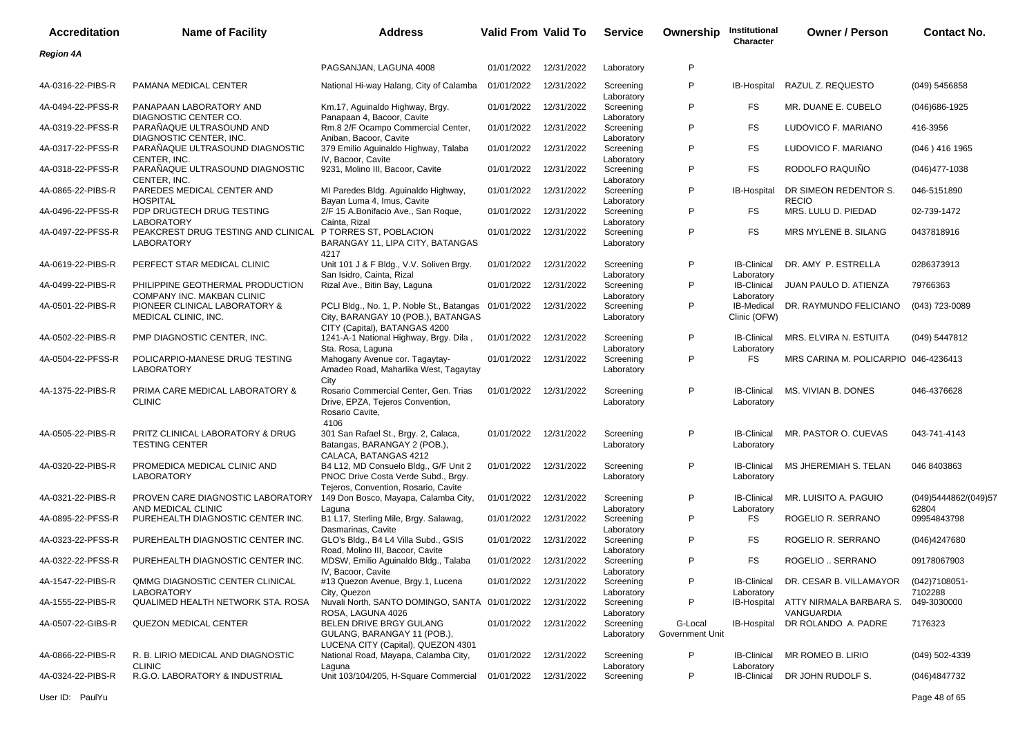| <b>Accreditation</b> | <b>Name of Facility</b>                                                                              | <b>Address</b>                                                                                                              | <b>Valid From Valid To</b> |            | <b>Service</b>                        | Ownership                  | Institutional<br>Character                     | <b>Owner / Person</b>                         | <b>Contact No.</b>     |
|----------------------|------------------------------------------------------------------------------------------------------|-----------------------------------------------------------------------------------------------------------------------------|----------------------------|------------|---------------------------------------|----------------------------|------------------------------------------------|-----------------------------------------------|------------------------|
| <b>Region 4A</b>     |                                                                                                      |                                                                                                                             |                            |            |                                       |                            |                                                |                                               |                        |
|                      |                                                                                                      | PAGSANJAN, LAGUNA 4008                                                                                                      | 01/01/2022                 | 12/31/2022 | Laboratory                            | P                          |                                                |                                               |                        |
| 4A-0316-22-PIBS-R    | PAMANA MEDICAL CENTER                                                                                | National Hi-way Halang, City of Calamba                                                                                     | 01/01/2022                 | 12/31/2022 | Screening<br>Laboratory               | P                          | IB-Hospital                                    | RAZUL Z. REQUESTO                             | (049) 5456858          |
| 4A-0494-22-PFSS-R    | PANAPAAN LABORATORY AND<br>DIAGNOSTIC CENTER CO.                                                     | Km.17, Aguinaldo Highway, Brgy.<br>Panapaan 4, Bacoor, Cavite                                                               | 01/01/2022                 | 12/31/2022 | Screening                             | P                          | FS                                             | MR. DUANE E. CUBELO                           | $(046)686 - 1925$      |
| 4A-0319-22-PFSS-R    | PARANAQUE ULTRASOUND AND                                                                             | Rm.8 2/F Ocampo Commercial Center,                                                                                          | 01/01/2022                 | 12/31/2022 | Laboratory<br>Screening               | P                          | FS.                                            | LUDOVICO F. MARIANO                           | 416-3956               |
| 4A-0317-22-PFSS-R    | DIAGNOSTIC CENTER, INC.<br>PARAÑAQUE ULTRASOUND DIAGNOSTIC                                           | Aniban, Bacoor, Cavite<br>379 Emilio Aguinaldo Highway, Talaba                                                              | 01/01/2022                 | 12/31/2022 | Laboratory<br>Screening               | P                          | FS.                                            | LUDOVICO F. MARIANO                           | (046) 416 1965         |
| 4A-0318-22-PFSS-R    | CENTER, INC.<br>PARAÑAQUE ULTRASOUND DIAGNOSTIC                                                      | IV, Bacoor, Cavite<br>9231, Molino III, Bacoor, Cavite                                                                      | 01/01/2022                 | 12/31/2022 | Laboratory<br>Screening               | P                          | FS.                                            | RODOLFO RAQUIÑO                               | $(046)477 - 1038$      |
| 4A-0865-22-PIBS-R    | CENTER, INC.<br>PAREDES MEDICAL CENTER AND                                                           | MI Paredes Bldg. Aguinaldo Highway,                                                                                         | 01/01/2022                 | 12/31/2022 | Laboratory<br>Screening               | P                          | IB-Hospital                                    | DR SIMEON REDENTOR S.                         | 046-5151890            |
| 4A-0496-22-PFSS-R    | <b>HOSPITAL</b><br>PDP DRUGTECH DRUG TESTING                                                         | Bayan Luma 4, Imus, Cavite<br>2/F 15 A.Bonifacio Ave., San Roque,                                                           | 01/01/2022                 | 12/31/2022 | Laboratory<br>Screening               | P                          | FS.                                            | <b>RECIO</b><br>MRS. LULU D. PIEDAD           | 02-739-1472            |
| 4A-0497-22-PFSS-R    | <b>LABORATORY</b><br>PEAKCREST DRUG TESTING AND CLINICAL P TORRES ST, POBLACION<br><b>LABORATORY</b> | Cainta, Rizal<br>BARANGAY 11, LIPA CITY, BATANGAS<br>4217                                                                   | 01/01/2022                 | 12/31/2022 | Laboratory<br>Screening<br>Laboratory | P                          | FS.                                            | MRS MYLENE B. SILANG                          | 0437818916             |
| 4A-0619-22-PIBS-R    | PERFECT STAR MEDICAL CLINIC                                                                          | Unit 101 J & F Bldg., V.V. Soliven Brgy.                                                                                    | 01/01/2022                 | 12/31/2022 | Screening                             | P                          | <b>IB-Clinical</b>                             | DR. AMY P. ESTRELLA                           | 0286373913             |
| 4A-0499-22-PIBS-R    | PHILIPPINE GEOTHERMAL PRODUCTION<br>COMPANY INC. MAKBAN CLINIC                                       | San Isidro, Cainta, Rizal<br>Rizal Ave., Bitin Bay, Laguna                                                                  | 01/01/2022                 | 12/31/2022 | Laboratory<br>Screening<br>Laboratory | P                          | Laboratory<br><b>IB-Clinical</b><br>Laboratory | JUAN PAULO D. ATIENZA                         | 79766363               |
| 4A-0501-22-PIBS-R    | PIONEER CLINICAL LABORATORY &<br>MEDICAL CLINIC, INC.                                                | PCLI Bldg., No. 1, P. Noble St., Batangas 01/01/2022<br>City, BARANGAY 10 (POB.), BATANGAS<br>CITY (Capital), BATANGAS 4200 |                            | 12/31/2022 | Screening<br>Laboratory               | P                          | IB-Medical<br>Clinic (OFW)                     | DR. RAYMUNDO FELICIANO                        | (043) 723-0089         |
| 4A-0502-22-PIBS-R    | PMP DIAGNOSTIC CENTER, INC.                                                                          | 1241-A-1 National Highway, Brgy. Dila,<br>Sta. Rosa, Laguna                                                                 | 01/01/2022                 | 12/31/2022 | Screening<br>Laboratory               | P                          | <b>IB-Clinical</b><br>Laboratory               | MRS. ELVIRA N. ESTUITA                        | (049) 5447812          |
| 4A-0504-22-PFSS-R    | POLICARPIO-MANESE DRUG TESTING<br><b>LABORATORY</b>                                                  | Mahogany Avenue cor. Tagaytay-<br>Amadeo Road, Maharlika West, Tagaytay<br>City                                             | 01/01/2022                 | 12/31/2022 | Screening<br>Laboratory               | P                          | FS.                                            | MRS CARINA M. POLICARPIO 046-4236413          |                        |
| 4A-1375-22-PIBS-R    | PRIMA CARE MEDICAL LABORATORY &<br><b>CLINIC</b>                                                     | Rosario Commercial Center, Gen. Trias<br>Drive, EPZA, Tejeros Convention,<br>Rosario Cavite,<br>4106                        | 01/01/2022                 | 12/31/2022 | Screening<br>Laboratory               | P                          | <b>IB-Clinical</b><br>Laboratory               | MS. VIVIAN B. DONES                           | 046-4376628            |
| 4A-0505-22-PIBS-R    | PRITZ CLINICAL LABORATORY & DRUG<br><b>TESTING CENTER</b>                                            | 301 San Rafael St., Brgy. 2, Calaca,<br>Batangas, BARANGAY 2 (POB.),<br>CALACA, BATANGAS 4212                               | 01/01/2022                 | 12/31/2022 | Screening<br>Laboratory               | P                          | <b>IB-Clinical</b><br>Laboratory               | MR. PASTOR O. CUEVAS                          | 043-741-4143           |
| 4A-0320-22-PIBS-R    | PROMEDICA MEDICAL CLINIC AND<br><b>LABORATORY</b>                                                    | B4 L12, MD Consuelo Bldg., G/F Unit 2<br>PNOC Drive Costa Verde Subd., Brgy.                                                | 01/01/2022                 | 12/31/2022 | Screening<br>Laboratory               | P                          | <b>IB-Clinical</b><br>Laboratory               | MS JHEREMIAH S. TELAN                         | 046 8403863            |
| 4A-0321-22-PIBS-R    | PROVEN CARE DIAGNOSTIC LABORATORY                                                                    | Tejeros, Convention, Rosario, Cavite<br>149 Don Bosco, Mayapa, Calamba City,                                                | 01/01/2022                 | 12/31/2022 | Screening                             | P                          | <b>IB-Clinical</b>                             | MR. LUISITO A. PAGUIO                         | (049)5444862/(049)57   |
| 4A-0895-22-PFSS-R    | AND MEDICAL CLINIC<br>PUREHEALTH DIAGNOSTIC CENTER INC.                                              | Laguna<br>B1 L17, Sterling Mile, Brgy. Salawag,                                                                             | 01/01/2022                 | 12/31/2022 | Laboratory<br>Screening               | P                          | Laboratory<br>FS.                              | ROGELIO R. SERRANO                            | 62804<br>09954843798   |
| 4A-0323-22-PFSS-R    | PUREHEALTH DIAGNOSTIC CENTER INC.                                                                    | Dasmarinas, Cavite<br>GLO's Bldg., B4 L4 Villa Subd., GSIS                                                                  | 01/01/2022                 | 12/31/2022 | Laboratory<br>Screening               | P                          | FS                                             | ROGELIO R. SERRANO                            | (046)4247680           |
| 4A-0322-22-PFSS-R    | PUREHEALTH DIAGNOSTIC CENTER INC.                                                                    | Road, Molino III, Bacoor, Cavite<br>MDSW, Emilio Aguinaldo Bldg., Talaba                                                    | 01/01/2022                 | 12/31/2022 | Laboratory<br>Screening               | P                          | FS.                                            | ROGELIO  SERRANO                              | 09178067903            |
| 4A-1547-22-PIBS-R    | QMMG DIAGNOSTIC CENTER CLINICAL                                                                      | IV, Bacoor, Cavite<br>#13 Quezon Avenue, Brgy.1, Lucena                                                                     | 01/01/2022                 | 12/31/2022 | Laboratory<br>Screening               | P                          | <b>IB-Clinical</b>                             | DR. CESAR B. VILLAMAYOR                       | $(042)7108051-$        |
| 4A-1555-22-PIBS-R    | LABORATORY<br>QUALIMED HEALTH NETWORK STA. ROSA                                                      | City, Quezon<br>Nuvali North, SANTO DOMINGO, SANTA 01/01/2022                                                               |                            | 12/31/2022 | Laboratory<br>Screening               | P                          | Laboratory<br>IB-Hospital                      | ATTY NIRMALA BARBARA S.                       | 7102288<br>049-3030000 |
| 4A-0507-22-GIBS-R    | QUEZON MEDICAL CENTER                                                                                | ROSA, LAGUNA 4026<br>BELEN DRIVE BRGY GULANG<br>GULANG, BARANGAY 11 (POB.),                                                 | 01/01/2022                 | 12/31/2022 | Laboratory<br>Screening<br>Laboratory | G-Local<br>Government Unit |                                                | VANGUARDIA<br>IB-Hospital DR ROLANDO A. PADRE | 7176323                |
| 4A-0866-22-PIBS-R    | R. B. LIRIO MEDICAL AND DIAGNOSTIC                                                                   | LUCENA CITY (Capital), QUEZON 4301<br>National Road, Mayapa, Calamba City,                                                  | 01/01/2022                 | 12/31/2022 | Screening                             | P                          | <b>IB-Clinical</b>                             | MR ROMEO B. LIRIO                             | (049) 502-4339         |
| 4A-0324-22-PIBS-R    | <b>CLINIC</b><br>R.G.O. LABORATORY & INDUSTRIAL                                                      | Laguna<br>Unit 103/104/205, H-Square Commercial                                                                             | 01/01/2022                 | 12/31/2022 | Laboratory<br>Screening               | P                          | Laboratory<br>IB-Clinical                      | DR JOHN RUDOLF S.                             | (046)4847732           |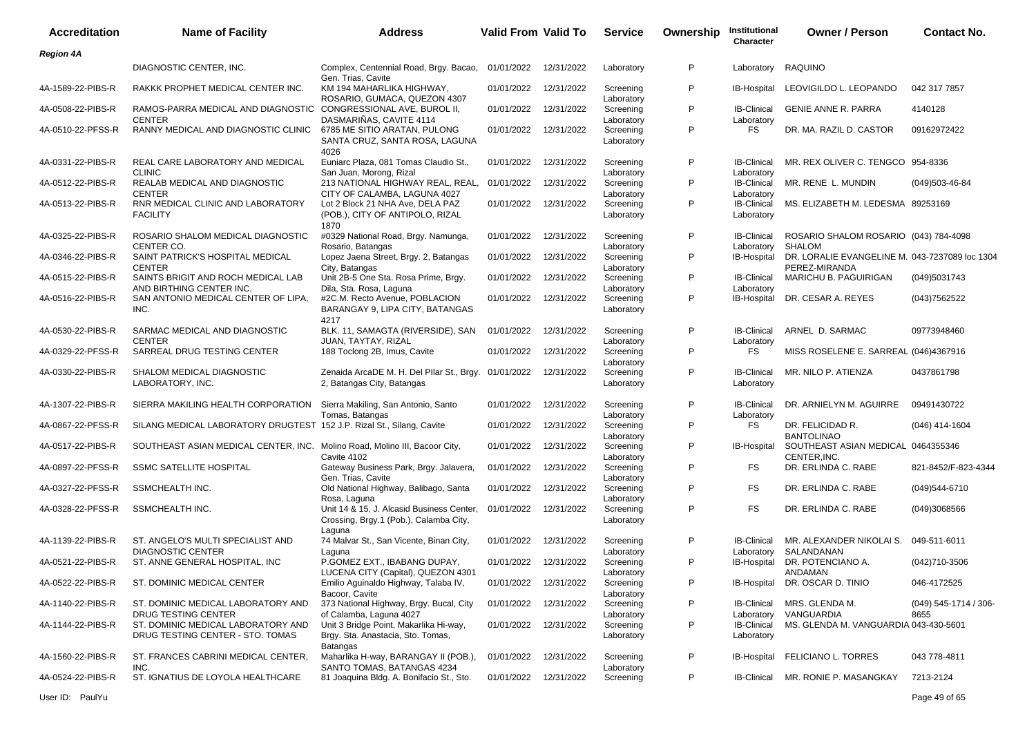| <b>Accreditation</b> | <b>Name of Facility</b>                                                    | <b>Address</b>                                                                                 | <b>Valid From Valid To</b> |            | <b>Service</b>          | Ownership    | Institutional<br>Character       | <b>Owner / Person</b>                                           | <b>Contact No.</b>              |
|----------------------|----------------------------------------------------------------------------|------------------------------------------------------------------------------------------------|----------------------------|------------|-------------------------|--------------|----------------------------------|-----------------------------------------------------------------|---------------------------------|
| <b>Region 4A</b>     |                                                                            |                                                                                                |                            |            |                         |              |                                  |                                                                 |                                 |
|                      | DIAGNOSTIC CENTER, INC.                                                    | Complex, Centennial Road, Brgy. Bacao,<br>Gen. Trias, Cavite                                   | 01/01/2022                 | 12/31/2022 | Laboratory              | P            | Laboratory                       | RAQUINO                                                         |                                 |
| 4A-1589-22-PIBS-R    | RAKKK PROPHET MEDICAL CENTER INC.                                          | KM 194 MAHARLIKA HIGHWAY,<br>ROSARIO, GUMACA, QUEZON 4307                                      | 01/01/2022                 | 12/31/2022 | Screening<br>Laboratory | P            | IB-Hospital                      | LEOVIGILDO L. LEOPANDO                                          | 042 317 7857                    |
| 4A-0508-22-PIBS-R    | RAMOS-PARRA MEDICAL AND DIAGNOSTIC<br><b>CENTER</b>                        | CONGRESSIONAL AVE, BUROL II,<br>DASMARIÑAS, CAVITE 4114                                        | 01/01/2022                 | 12/31/2022 | Screening<br>Laboratory | P            | <b>IB-Clinical</b><br>Laboratory | <b>GENIE ANNE R. PARRA</b>                                      | 4140128                         |
| 4A-0510-22-PFSS-R    | RANNY MEDICAL AND DIAGNOSTIC CLINIC 6785 ME SITIO ARATAN, PULONG           | SANTA CRUZ, SANTA ROSA, LAGUNA<br>4026                                                         | 01/01/2022                 | 12/31/2022 | Screening<br>Laboratory | P            | FS                               | DR. MA. RAZIL D. CASTOR                                         | 09162972422                     |
| 4A-0331-22-PIBS-R    | REAL CARE LABORATORY AND MEDICAL<br><b>CLINIC</b>                          | Euniarc Plaza, 081 Tomas Claudio St.,<br>San Juan, Morong, Rizal                               | 01/01/2022                 | 12/31/2022 | Screening<br>Laboratory | P            | <b>IB-Clinical</b><br>Laboratory | MR. REX OLIVER C. TENGCO 954-8336                               |                                 |
| 4A-0512-22-PIBS-R    | REALAB MEDICAL AND DIAGNOSTIC<br><b>CENTER</b>                             | 213 NATIONAL HIGHWAY REAL, REAL,<br>CITY OF CALAMBA. LAGUNA 4027                               | 01/01/2022                 | 12/31/2022 | Screening<br>Laboratory | P            | <b>IB-Clinical</b><br>Laboratory | MR. RENE L. MUNDIN                                              | $(049)503 - 46 - 84$            |
| 4A-0513-22-PIBS-R    | RNR MEDICAL CLINIC AND LABORATORY<br><b>FACILITY</b>                       | Lot 2 Block 21 NHA Ave, DELA PAZ<br>(POB.), CITY OF ANTIPOLO, RIZAL<br>1870                    | 01/01/2022                 | 12/31/2022 | Screening<br>Laboratory | P            | <b>IB-Clinical</b><br>Laboratory | MS. ELIZABETH M. LEDESMA 89253169                               |                                 |
| 4A-0325-22-PIBS-R    | ROSARIO SHALOM MEDICAL DIAGNOSTIC<br>CENTER CO.                            | #0329 National Road, Brgy. Namunga,<br>Rosario, Batangas                                       | 01/01/2022                 | 12/31/2022 | Screening<br>Laboratory | P            | <b>IB-Clinical</b><br>Laboratory | ROSARIO SHALOM ROSARIO (043) 784-4098<br><b>SHALOM</b>          |                                 |
| 4A-0346-22-PIBS-R    | SAINT PATRICK'S HOSPITAL MEDICAL<br><b>CENTER</b>                          | Lopez Jaena Street, Brgy. 2, Batangas<br>City, Batangas                                        | 01/01/2022                 | 12/31/2022 | Screening<br>Laboratory | P            | IB-Hospital                      | DR. LORALIE EVANGELINE M. 043-7237089 loc 1304<br>PEREZ-MIRANDA |                                 |
| 4A-0515-22-PIBS-R    | SAINTS BRIGIT AND ROCH MEDICAL LAB<br>AND BIRTHING CENTER INC.             | Unit 2B-5 One Sta. Rosa Prime, Brgy.<br>Dila, Sta. Rosa, Laguna                                | 01/01/2022                 | 12/31/2022 | Screening<br>Laboratory | P            | <b>IB-Clinical</b><br>Laboratory | MARICHU B. PAGUIRIGAN                                           | (049)5031743                    |
| 4A-0516-22-PIBS-R    | SAN ANTONIO MEDICAL CENTER OF LIPA,<br>INC.                                | #2C.M. Recto Avenue, POBLACION<br>BARANGAY 9, LIPA CITY, BATANGAS<br>4217                      | 01/01/2022                 | 12/31/2022 | Screening<br>Laboratory | P            | IB-Hospital                      | DR. CESAR A. REYES                                              | (043)7562522                    |
| 4A-0530-22-PIBS-R    | SARMAC MEDICAL AND DIAGNOSTIC<br><b>CENTER</b>                             | BLK. 11, SAMAGTA (RIVERSIDE), SAN<br>JUAN, TAYTAY, RIZAL                                       | 01/01/2022                 | 12/31/2022 | Screening<br>Laboratory | P            | <b>IB-Clinical</b><br>Laboratory | ARNEL D. SARMAC                                                 | 09773948460                     |
| 4A-0329-22-PFSS-R    | SARREAL DRUG TESTING CENTER                                                | 188 Toclong 2B, Imus, Cavite                                                                   | 01/01/2022                 | 12/31/2022 | Screening<br>Laboratory | P            | FS                               | MISS ROSELENE E. SARREAL (046)4367916                           |                                 |
| 4A-0330-22-PIBS-R    | SHALOM MEDICAL DIAGNOSTIC<br>LABORATORY, INC.                              | Zenaida ArcaDE M. H. Del Pllar St., Brgy. 01/01/2022<br>2, Batangas City, Batangas             |                            | 12/31/2022 | Screening<br>Laboratory | P            | <b>IB-Clinical</b><br>Laboratory | MR. NILO P. ATIENZA                                             | 0437861798                      |
| 4A-1307-22-PIBS-R    | SIERRA MAKILING HEALTH CORPORATION                                         | Sierra Makiling, San Antonio, Santo<br>Tomas, Batangas                                         | 01/01/2022                 | 12/31/2022 | Screening<br>Laboratory | P            | <b>IB-Clinical</b><br>Laboratory | DR. ARNIELYN M. AGUIRRE                                         | 09491430722                     |
| 4A-0867-22-PFSS-R    | SILANG MEDICAL LABORATORY DRUGTEST 152 J.P. Rizal St., Silang, Cavite      |                                                                                                | 01/01/2022                 | 12/31/2022 | Screening<br>Laboratory | P            | FS                               | DR. FELICIDAD R.<br><b>BANTOLINAO</b>                           | $(046)$ 414-1604                |
| 4A-0517-22-PIBS-R    | SOUTHEAST ASIAN MEDICAL CENTER, INC. Molino Road, Molino III, Bacoor City, | Cavite 4102                                                                                    | 01/01/2022                 | 12/31/2022 | Screening<br>Laboratory | P            | IB-Hospital                      | SOUTHEAST ASIAN MEDICAL 0464355346<br>CENTER, INC.              |                                 |
| 4A-0897-22-PFSS-R    | <b>SSMC SATELLITE HOSPITAL</b>                                             | Gateway Business Park, Brgy. Jalavera,<br>Gen. Trias, Cavite                                   | 01/01/2022                 | 12/31/2022 | Screening<br>Laboratory | P            | <b>FS</b>                        | DR. ERLINDA C. RABE                                             | 821-8452/F-823-4344             |
| 4A-0327-22-PFSS-R    | SSMCHEALTH INC.                                                            | Old National Highway, Balibago, Santa<br>Rosa, Laguna                                          | 01/01/2022                 | 12/31/2022 | Screening<br>Laboratory | P            | <b>FS</b>                        | DR. ERLINDA C. RABE                                             | (049)544-6710                   |
| 4A-0328-22-PFSS-R    | SSMCHEALTH INC.                                                            | Unit 14 & 15, J. Alcasid Business Center,<br>Crossing, Brgy.1 (Pob.), Calamba City,<br>Laguna  | 01/01/2022                 | 12/31/2022 | Screening<br>Laboratory | P            | <b>FS</b>                        | DR. ERLINDA C. RABE                                             | (049)3068566                    |
| 4A-1139-22-PIBS-R    | ST. ANGELO'S MULTI SPECIALIST AND<br><b>DIAGNOSTIC CENTER</b>              | 74 Malvar St., San Vicente, Binan City,<br>Laguna                                              | 01/01/2022                 | 12/31/2022 | Screening<br>Laboratory | P            | <b>IB-Clinical</b><br>Laboratory | MR. ALEXANDER NIKOLAI S.<br>SALANDANAN                          | 049-511-6011                    |
| 4A-0521-22-PIBS-R    | ST. ANNE GENERAL HOSPITAL, INC                                             | P.GOMEZ EXT., IBABANG DUPAY,<br>LUCENA CITY (Capital), QUEZON 4301                             | 01/01/2022 12/31/2022      |            | Screening<br>Laboratory | P            | IB-Hospital                      | DR. POTENCIANO A.<br>ANDAMAN                                    | (042)710-3506                   |
| 4A-0522-22-PIBS-R    | ST. DOMINIC MEDICAL CENTER                                                 | Emilio Aguinaldo Highway, Talaba IV,<br>Bacoor, Cavite                                         | 01/01/2022                 | 12/31/2022 | Screening<br>Laboratory | P            |                                  | IB-Hospital DR. OSCAR D. TINIO                                  | 046-4172525                     |
| 4A-1140-22-PIBS-R    | ST. DOMINIC MEDICAL LABORATORY AND<br>DRUG TESTING CENTER                  | 373 National Highway, Brgy. Bucal, City<br>of Calamba, Laguna 4027                             | 01/01/2022                 | 12/31/2022 | Screening<br>Laboratory | P            | <b>IB-Clinical</b><br>Laboratory | MRS. GLENDA M.<br>VANGUARDIA                                    | $(049)$ 545-1714 / 306-<br>8655 |
| 4A-1144-22-PIBS-R    | ST. DOMINIC MEDICAL LABORATORY AND<br>DRUG TESTING CENTER - STO. TOMAS     | Unit 3 Bridge Point, Makarlika Hi-way,<br>Brgy. Sta. Anastacia, Sto. Tomas,<br><b>Batangas</b> | 01/01/2022                 | 12/31/2022 | Screening<br>Laboratory | P            | <b>IB-Clinical</b><br>Laboratory | MS. GLENDA M. VANGUARDIA 043-430-5601                           |                                 |
| 4A-1560-22-PIBS-R    | ST. FRANCES CABRINI MEDICAL CENTER,<br>INC.                                | Maharlika H-way, BARANGAY II (POB.),<br>SANTO TOMAS, BATANGAS 4234                             | 01/01/2022                 | 12/31/2022 | Screening<br>Laboratory | $\mathsf{P}$ | <b>IB-Hospital</b>               | FELICIANO L. TORRES                                             | 043 778-4811                    |
| 4A-0524-22-PIBS-R    | ST. IGNATIUS DE LOYOLA HEALTHCARE                                          | 81 Joaquina Bldg. A. Bonifacio St., Sto.                                                       | 01/01/2022 12/31/2022      |            | Screening               | P            | <b>IB-Clinical</b>               | MR. RONIE P. MASANGKAY                                          | 7213-2124                       |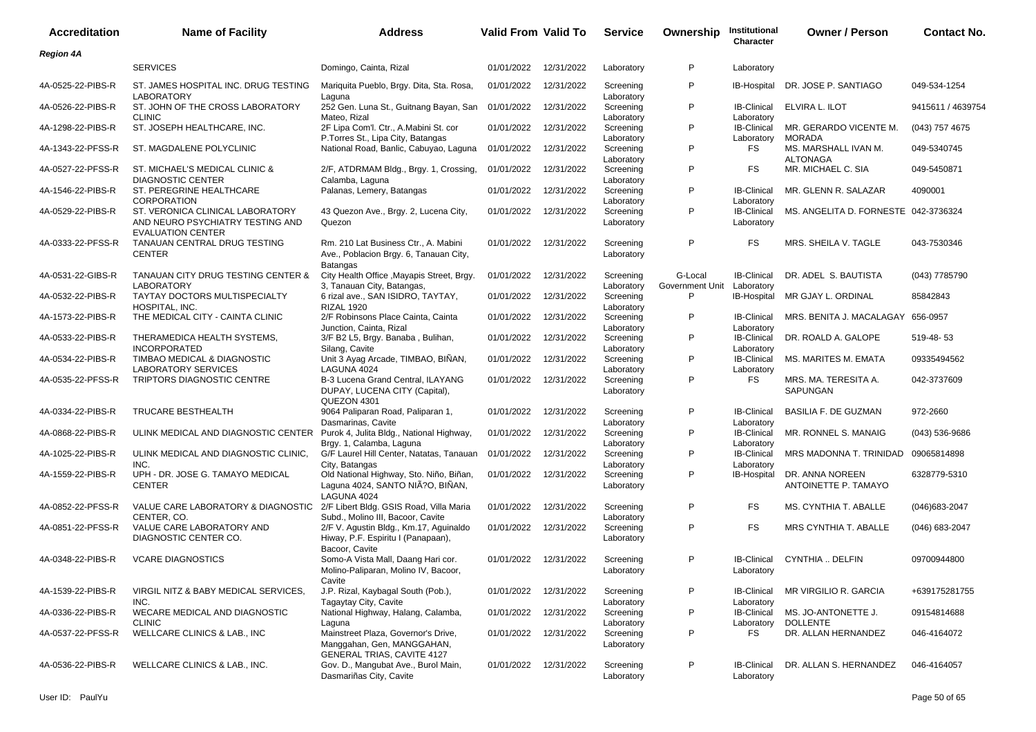| <b>Accreditation</b> | <b>Name of Facility</b>                                                                                                | Address                                                                                                          | <b>Valid From Valid To</b> |            | <b>Service</b>                        | Ownership                  | Institutional<br>Character                     | <b>Owner / Person</b>                   | <b>Contact No.</b> |
|----------------------|------------------------------------------------------------------------------------------------------------------------|------------------------------------------------------------------------------------------------------------------|----------------------------|------------|---------------------------------------|----------------------------|------------------------------------------------|-----------------------------------------|--------------------|
| <b>Region 4A</b>     |                                                                                                                        |                                                                                                                  |                            |            |                                       |                            |                                                |                                         |                    |
|                      | <b>SERVICES</b>                                                                                                        | Domingo, Cainta, Rizal                                                                                           | 01/01/2022                 | 12/31/2022 | Laboratory                            | P                          | Laboratory                                     |                                         |                    |
| 4A-0525-22-PIBS-R    | ST. JAMES HOSPITAL INC. DRUG TESTING<br><b>LABORATORY</b>                                                              | Mariquita Pueblo, Brgy. Dita, Sta. Rosa,<br>Laguna                                                               | 01/01/2022                 | 12/31/2022 | Screening<br>Laboratory               | P                          | <b>IB-Hospital</b>                             | DR. JOSE P. SANTIAGO                    | 049-534-1254       |
| 4A-0526-22-PIBS-R    | ST. JOHN OF THE CROSS LABORATORY<br><b>CLINIC</b>                                                                      | 252 Gen. Luna St., Guitnang Bayan, San<br>Mateo, Rizal                                                           | 01/01/2022                 | 12/31/2022 | Screening                             | P                          | <b>IB-Clinical</b>                             | <b>ELVIRA L. ILOT</b>                   | 9415611 / 4639754  |
| 4A-1298-22-PIBS-R    | ST. JOSEPH HEALTHCARE, INC.                                                                                            | 2F Lipa Com'l. Ctr., A.Mabini St. cor<br>P. Torres St., Lipa City, Batangas                                      | 01/01/2022                 | 12/31/2022 | Laboratory<br>Screening               | P                          | Laboratory<br><b>IB-Clinical</b>               | MR. GERARDO VICENTE M.<br>MORADA        | (043) 757 4675     |
| 4A-1343-22-PFSS-R    | ST. MAGDALENE POLYCLINIC                                                                                               | National Road, Banlic, Cabuyao, Laguna                                                                           | 01/01/2022                 | 12/31/2022 | Laboratory<br>Screening               | P                          | Laboratory<br>FS                               | MS. MARSHALL IVAN M.<br><b>ALTONAGA</b> | 049-5340745        |
| 4A-0527-22-PFSS-R    | ST. MICHAEL'S MEDICAL CLINIC &<br><b>DIAGNOSTIC CENTER</b>                                                             | 2/F, ATDRMAM Bldg., Brgy. 1, Crossing,                                                                           | 01/01/2022                 | 12/31/2022 | Laboratory<br>Screening               | P                          | <b>FS</b>                                      | MR. MICHAEL C. SIA                      | 049-5450871        |
| 4A-1546-22-PIBS-R    | ST. PEREGRINE HEALTHCARE                                                                                               | Calamba, Laguna<br>Palanas, Lemery, Batangas                                                                     | 01/01/2022                 | 12/31/2022 | Laboratory<br>Screening               | P                          | <b>IB-Clinical</b>                             | MR. GLENN R. SALAZAR                    | 4090001            |
| 4A-0529-22-PIBS-R    | <b>CORPORATION</b><br>ST. VERONICA CLINICAL LABORATORY<br>AND NEURO PSYCHIATRY TESTING AND<br><b>EVALUATION CENTER</b> | 43 Quezon Ave., Brgy. 2, Lucena City,<br>Quezon                                                                  | 01/01/2022                 | 12/31/2022 | Laboratory<br>Screening<br>Laboratory | P                          | Laboratory<br><b>IB-Clinical</b><br>Laboratory | MS. ANGELITA D. FORNESTE 042-3736324    |                    |
| 4A-0333-22-PFSS-R    | TANAUAN CENTRAL DRUG TESTING<br><b>CENTER</b>                                                                          | Rm. 210 Lat Business Ctr., A. Mabini<br>Ave., Poblacion Brgy. 6, Tanauan City,<br><b>Batangas</b>                | 01/01/2022                 | 12/31/2022 | Screening<br>Laboratory               | P                          | <b>FS</b>                                      | MRS. SHEILA V. TAGLE                    | 043-7530346        |
| 4A-0531-22-GIBS-R    | TANAUAN CITY DRUG TESTING CENTER &<br><b>LABORATORY</b>                                                                | City Health Office , Mayapis Street, Brgy.<br>3, Tanauan City, Batangas,                                         | 01/01/2022                 | 12/31/2022 | Screening<br>Laboratory               | G-Local<br>Government Unit | <b>IB-Clinical</b><br>Laboratory               | DR. ADEL S. BAUTISTA                    | (043) 7785790      |
| 4A-0532-22-PIBS-R    | <b>TAYTAY DOCTORS MULTISPECIALTY</b><br>HOSPITAL, INC.                                                                 | 6 rizal ave., SAN ISIDRO, TAYTAY,<br><b>RIZAL 1920</b>                                                           | 01/01/2022                 | 12/31/2022 | Screening<br>Laboratory               | P                          | IB-Hospital                                    | MR GJAY L. ORDINAL                      | 85842843           |
| 4A-1573-22-PIBS-R    | THE MEDICAL CITY - CAINTA CLINIC                                                                                       | 2/F Robinsons Place Cainta, Cainta<br>Junction, Cainta, Rizal                                                    | 01/01/2022                 | 12/31/2022 | Screening<br>Laboratory               | P                          | <b>IB-Clinical</b><br>Laboratory               | MRS. BENITA J. MACALAGAY                | 656-0957           |
| 4A-0533-22-PIBS-R    | THERAMEDICA HEALTH SYSTEMS,<br><b>INCORPORATED</b>                                                                     | 3/F B2 L5, Brgy. Banaba, Bulihan,<br>Silang, Cavite                                                              | 01/01/2022                 | 12/31/2022 | Screening<br>Laboratory               | P                          | <b>IB-Clinical</b><br>Laboratory               | DR. ROALD A. GALOPE                     | 519-48-53          |
| 4A-0534-22-PIBS-R    | TIMBAO MEDICAL & DIAGNOSTIC<br><b>LABORATORY SERVICES</b>                                                              | Unit 3 Ayag Arcade, TIMBAO, BINAN,<br>LAGUNA 4024                                                                | 01/01/2022                 | 12/31/2022 | Screening<br>Laboratory               | P                          | <b>IB-Clinical</b><br>Laboratory               | MS. MARITES M. EMATA                    | 09335494562        |
| 4A-0535-22-PFSS-R    | TRIPTORS DIAGNOSTIC CENTRE                                                                                             | B-3 Lucena Grand Central, ILAYANG<br>DUPAY, LUCENA CITY (Capital),<br>QUEZON 4301                                | 01/01/2022                 | 12/31/2022 | Screening<br>Laboratory               | P                          | <b>FS</b>                                      | MRS. MA. TERESITA A.<br>SAPUNGAN        | 042-3737609        |
| 4A-0334-22-PIBS-R    | TRUCARE BESTHEALTH                                                                                                     | 9064 Paliparan Road, Paliparan 1,<br>Dasmarinas, Cavite                                                          | 01/01/2022                 | 12/31/2022 | Screening<br>Laboratory               | P                          | <b>IB-Clinical</b><br>Laboratory               | <b>BASILIA F. DE GUZMAN</b>             | 972-2660           |
| 4A-0868-22-PIBS-R    | ULINK MEDICAL AND DIAGNOSTIC CENTER                                                                                    | Purok 4, Julita Bldg., National Highway,<br>Brgy. 1, Calamba, Laguna                                             | 01/01/2022                 | 12/31/2022 | Screening<br>Laboratory               | P                          | <b>IB-Clinical</b><br>Laboratory               | MR. RONNEL S. MANAIG                    | $(043)$ 536-9686   |
| 4A-1025-22-PIBS-R    | ULINK MEDICAL AND DIAGNOSTIC CLINIC,<br>INC.                                                                           | G/F Laurel Hill Center, Natatas, Tanauan                                                                         | 01/01/2022                 | 12/31/2022 | Screening                             | P                          | <b>IB-Clinical</b>                             | MRS MADONNA T. TRINIDAD                 | 09065814898        |
| 4A-1559-22-PIBS-R    | UPH - DR. JOSE G. TAMAYO MEDICAL<br><b>CENTER</b>                                                                      | City, Batangas<br>Old National Highway, Sto. Niño, Biñan,<br>Laguna 4024, SANTO NIA?O, BIÑAN,<br>LAGUNA 4024     | 01/01/2022                 | 12/31/2022 | Laboratory<br>Screening<br>Laboratory | P                          | Laboratory<br>IB-Hospital                      | DR. ANNA NOREEN<br>ANTOINETTE P. TAMAYO | 6328779-5310       |
| 4A-0852-22-PFSS-R    | VALUE CARE LABORATORY & DIAGNOSTIC<br>CENTER, CO.                                                                      | 2/F Libert Bldg. GSIS Road, Villa Maria<br>Subd., Molino III, Bacoor, Cavite                                     | 01/01/2022                 | 12/31/2022 | Screening                             | P                          | FS                                             | MS. CYNTHIA T. ABALLE                   | $(046)683 - 2047$  |
| 4A-0851-22-PFSS-R    | VALUE CARE LABORATORY AND<br>DIAGNOSTIC CENTER CO.                                                                     | 2/F V. Agustin Bldg., Km.17, Aguinaldo<br>Hiway, P.F. Espiritu I (Panapaan),<br>Bacoor, Cavite                   | 01/01/2022                 | 12/31/2022 | Laboratory<br>Screening<br>Laboratory | P                          | <b>FS</b>                                      | MRS CYNTHIA T. ABALLE                   | (046) 683-2047     |
| 4A-0348-22-PIBS-R    | <b>VCARE DIAGNOSTICS</b>                                                                                               | Somo-A Vista Mall, Daang Hari cor.<br>Molino-Paliparan, Molino IV, Bacoor,                                       | 01/01/2022                 | 12/31/2022 | Screening<br>Laboratory               | P                          | IB-Clinical<br>Laboratory                      | CYNTHIA  DELFIN                         | 09700944800        |
| 4A-1539-22-PIBS-R    | VIRGIL NITZ & BABY MEDICAL SERVICES,                                                                                   | Cavite<br>J.P. Rizal, Kaybagal South (Pob.),<br>Tagaytay City, Cavite                                            | 01/01/2022                 | 12/31/2022 | Screening                             | P                          | <b>IB-Clinical</b>                             | MR VIRGILIO R. GARCIA                   | +639175281755      |
| 4A-0336-22-PIBS-R    | INC.<br>WECARE MEDICAL AND DIAGNOSTIC<br><b>CLINIC</b>                                                                 | National Highway, Halang, Calamba,                                                                               | 01/01/2022                 | 12/31/2022 | Laboratory<br>Screening               | P                          | Laboratory<br><b>IB-Clinical</b>               | MS. JO-ANTONETTE J.                     | 09154814688        |
| 4A-0537-22-PFSS-R    | WELLCARE CLINICS & LAB., INC                                                                                           | Laguna<br>Mainstreet Plaza, Governor's Drive,<br>Manggahan, Gen, MANGGAHAN,<br><b>GENERAL TRIAS, CAVITE 4127</b> | 01/01/2022                 | 12/31/2022 | Laboratory<br>Screening<br>Laboratory | P                          | Laboratory<br>FS                               | <b>DOLLENTE</b><br>DR. ALLAN HERNANDEZ  | 046-4164072        |
| 4A-0536-22-PIBS-R    | WELLCARE CLINICS & LAB., INC.                                                                                          | Gov. D., Mangubat Ave., Burol Main,<br>Dasmariñas City, Cavite                                                   | 01/01/2022 12/31/2022      |            | Screening<br>Laboratory               | P                          | <b>IB-Clinical</b><br>Laboratory               | DR. ALLAN S. HERNANDEZ                  | 046-4164057        |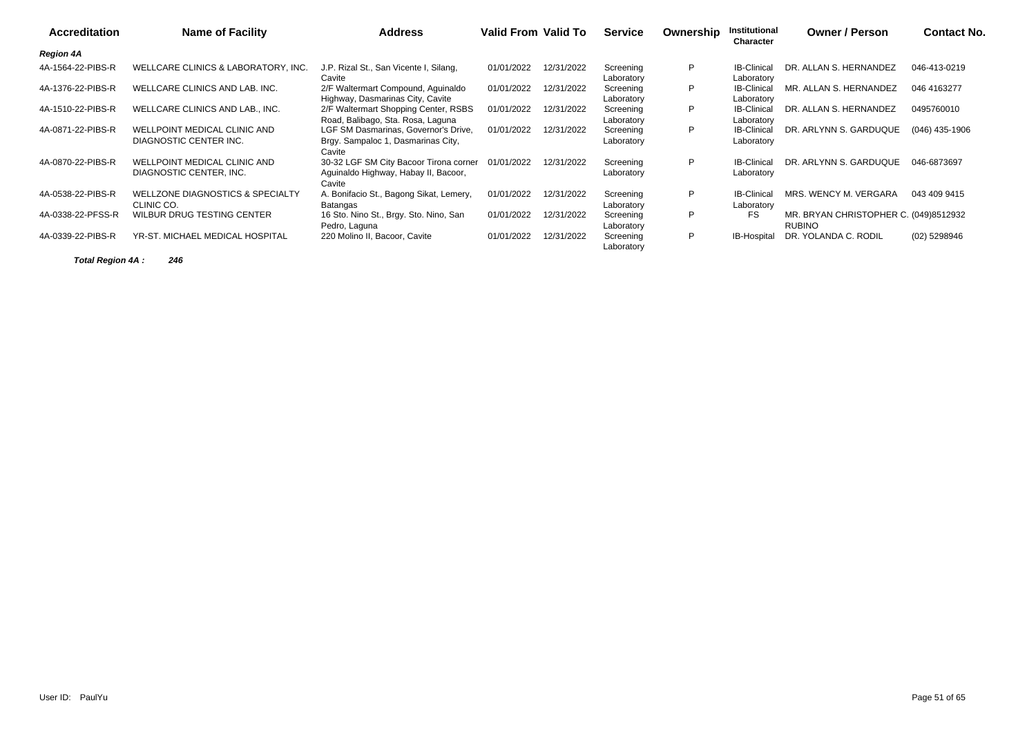| <b>Accreditation</b> | <b>Name of Facility</b>                                        | <b>Address</b>                                                                           | Valid From Valid To |            | <b>Service</b>          | Ownership | Institutional<br>Character       | <b>Owner / Person</b>                                  | Contact No.      |
|----------------------|----------------------------------------------------------------|------------------------------------------------------------------------------------------|---------------------|------------|-------------------------|-----------|----------------------------------|--------------------------------------------------------|------------------|
| <b>Region 4A</b>     |                                                                |                                                                                          |                     |            |                         |           |                                  |                                                        |                  |
| 4A-1564-22-PIBS-R    | WELLCARE CLINICS & LABORATORY. INC.                            | J.P. Rizal St., San Vicente I, Silang,<br>Cavite                                         | 01/01/2022          | 12/31/2022 | Screening<br>Laboratory | P         | <b>IB-Clinical</b><br>Laboratory | DR. ALLAN S. HERNANDEZ                                 | 046-413-0219     |
| 4A-1376-22-PIBS-R    | WELLCARE CLINICS AND LAB. INC.                                 | 2/F Waltermart Compound, Aguinaldo<br>Highway, Dasmarinas City, Cavite                   | 01/01/2022          | 12/31/2022 | Screening<br>Laboratory | P         | <b>IB-Clinical</b><br>Laboratory | MR. ALLAN S. HERNANDEZ                                 | 046 4163277      |
| 4A-1510-22-PIBS-R    | WELLCARE CLINICS AND LAB., INC.                                | 2/F Waltermart Shopping Center, RSBS<br>Road, Balibago, Sta. Rosa, Laguna                | 01/01/2022          | 12/31/2022 | Screening<br>Laboratory | P         | <b>IB-Clinical</b><br>Laboratory | DR. ALLAN S. HERNANDEZ                                 | 0495760010       |
| 4A-0871-22-PIBS-R    | WELLPOINT MEDICAL CLINIC AND<br>DIAGNOSTIC CENTER INC.         | LGF SM Dasmarinas, Governor's Drive,<br>Brgy. Sampaloc 1, Dasmarinas City,<br>Cavite     | 01/01/2022          | 12/31/2022 | Screening<br>Laboratory | P         | <b>IB-Clinical</b><br>Laboratory | DR. ARLYNN S. GARDUQUE                                 | $(046)$ 435-1906 |
| 4A-0870-22-PIBS-R    | <b>WELLPOINT MEDICAL CLINIC AND</b><br>DIAGNOSTIC CENTER, INC. | 30-32 LGF SM City Bacoor Tirona corner<br>Aguinaldo Highway, Habay II, Bacoor,<br>Cavite | 01/01/2022          | 12/31/2022 | Screening<br>Laboratory | P         | <b>IB-Clinical</b><br>Laboratory | DR. ARLYNN S. GARDUQUE                                 | 046-6873697      |
| 4A-0538-22-PIBS-R    | WELLZONE DIAGNOSTICS & SPECIALTY<br>CLINIC CO.                 | A. Bonifacio St., Bagong Sikat, Lemery,<br>Batangas                                      | 01/01/2022          | 12/31/2022 | Screening<br>Laboratory | P         | <b>IB-Clinical</b><br>Laboratory | MRS. WENCY M. VERGARA                                  | 043 409 9415     |
| 4A-0338-22-PFSS-R    | WILBUR DRUG TESTING CENTER                                     | 16 Sto. Nino St., Brgy. Sto. Nino, San<br>Pedro, Laguna                                  | 01/01/2022          | 12/31/2022 | Screening<br>Laboratory | P         | <b>FS</b>                        | MR. BRYAN CHRISTOPHER C. (049)8512932<br><b>RUBINO</b> |                  |
| 4A-0339-22-PIBS-R    | YR-ST. MICHAEL MEDICAL HOSPITAL                                | 220 Molino II, Bacoor, Cavite                                                            | 01/01/2022          | 12/31/2022 | Screening<br>Laboratory | P         | IB-Hospital                      | DR. YOLANDA C. RODIL                                   | (02) 5298946     |

**Total Region 4A : 246**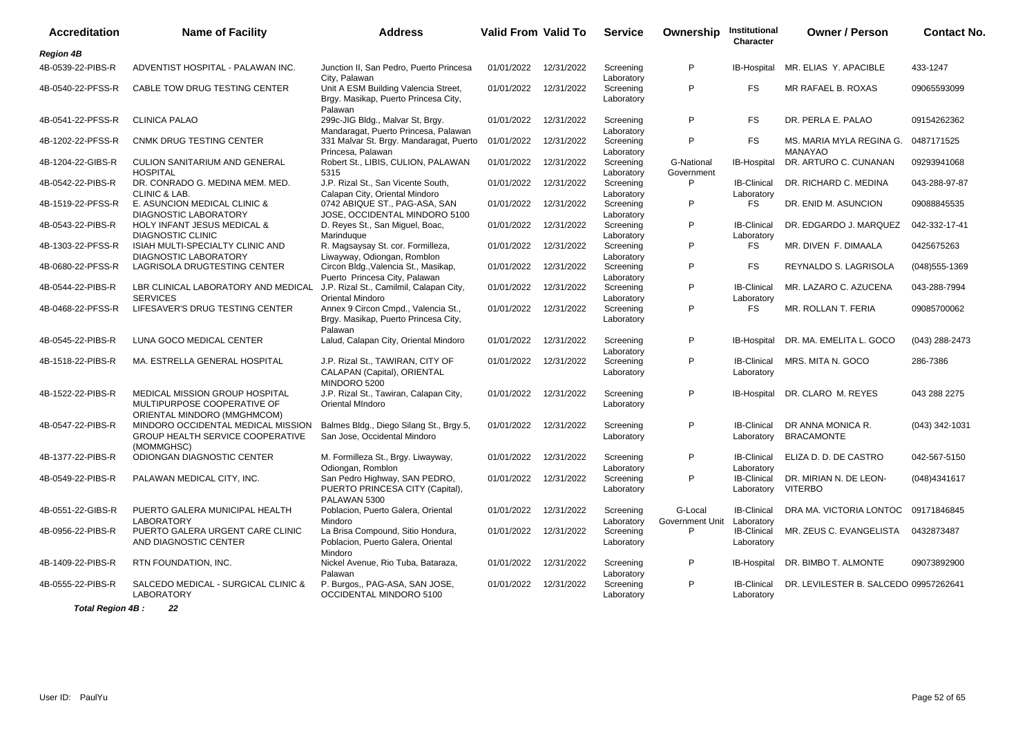| <b>Accreditation</b> | <b>Name of Facility</b>                                                                      | <b>Address</b>                                                                          | <b>Valid From Valid To</b> |            | <b>Service</b>          | Ownership                  | Institutional<br>Character       | <b>Owner / Person</b>                      | <b>Contact No.</b> |
|----------------------|----------------------------------------------------------------------------------------------|-----------------------------------------------------------------------------------------|----------------------------|------------|-------------------------|----------------------------|----------------------------------|--------------------------------------------|--------------------|
| <b>Region 4B</b>     |                                                                                              |                                                                                         |                            |            |                         |                            |                                  |                                            |                    |
| 4B-0539-22-PIBS-R    | ADVENTIST HOSPITAL - PALAWAN INC.                                                            | Junction II, San Pedro, Puerto Princesa<br>City. Palawan                                | 01/01/2022                 | 12/31/2022 | Screening<br>Laboratory | P                          | IB-Hospital                      | MR. ELIAS Y. APACIBLE                      | 433-1247           |
| 4B-0540-22-PFSS-R    | CABLE TOW DRUG TESTING CENTER                                                                | Unit A ESM Building Valencia Street,<br>Brgy. Masikap, Puerto Princesa City,<br>Palawan | 01/01/2022                 | 12/31/2022 | Screening<br>Laboratory | P                          | <b>FS</b>                        | MR RAFAEL B. ROXAS                         | 09065593099        |
| 4B-0541-22-PFSS-R    | <b>CLINICA PALAO</b>                                                                         | 299c-JIG Bldg., Malvar St, Brgy.<br>Mandaragat, Puerto Princesa, Palawan                | 01/01/2022                 | 12/31/2022 | Screening<br>Laboratory | P                          | <b>FS</b>                        | DR. PERLA E. PALAO                         | 09154262362        |
| 4B-1202-22-PFSS-R    | <b>CNMK DRUG TESTING CENTER</b>                                                              | 331 Malvar St. Brgy. Mandaragat, Puerto<br>Princesa, Palawan                            | 01/01/2022                 | 12/31/2022 | Screening<br>Laboratory | P                          | <b>FS</b>                        | MS. MARIA MYLA REGINA G.<br><b>MANAYAO</b> | 0487171525         |
| 4B-1204-22-GIBS-R    | <b>CULION SANITARIUM AND GENERAL</b><br><b>HOSPITAL</b>                                      | Robert St., LIBIS, CULION, PALAWAN<br>5315                                              | 01/01/2022                 | 12/31/2022 | Screening<br>Laboratory | G-National<br>Government   | IB-Hospital                      | DR. ARTURO C. CUNANAN                      | 09293941068        |
| 4B-0542-22-PIBS-R    | DR. CONRADO G. MEDINA MEM. MED.<br><b>CLINIC &amp; LAB.</b>                                  | J.P. Rizal St., San Vicente South,<br>Calapan City, Oriental Mindoro                    | 01/01/2022                 | 12/31/2022 | Screening<br>Laboratory | P                          | <b>IB-Clinical</b><br>Laboratory | DR. RICHARD C. MEDINA                      | 043-288-97-87      |
| 4B-1519-22-PFSS-R    | E. ASUNCION MEDICAL CLINIC &<br>DIAGNOSTIC LABORATORY                                        | 0742 ABIQUE ST., PAG-ASA, SAN<br>JOSE, OCCIDENTAL MINDORO 5100                          | 01/01/2022                 | 12/31/2022 | Screening<br>Laboratory | P                          | <b>FS</b>                        | DR. ENID M. ASUNCION                       | 09088845535        |
| 4B-0543-22-PIBS-R    | <b>HOLY INFANT JESUS MEDICAL &amp;</b><br><b>DIAGNOSTIC CLINIC</b>                           | D. Reyes St., San Miguel, Boac,<br>Marinduque                                           | 01/01/2022                 | 12/31/2022 | Screening<br>Laboratory | P                          | <b>IB-Clinical</b><br>Laboratory | DR. EDGARDO J. MARQUEZ                     | 042-332-17-41      |
| 4B-1303-22-PFSS-R    | ISIAH MULTI-SPECIALTY CLINIC AND<br>DIAGNOSTIC LABORATORY                                    | R. Magsaysay St. cor. Formilleza,<br>Liwayway, Odiongan, Romblon                        | 01/01/2022                 | 12/31/2022 | Screening<br>Laboratory | P                          | <b>FS</b>                        | MR. DIVEN F. DIMAALA                       | 0425675263         |
| 4B-0680-22-PFSS-R    | LAGRISOLA DRUGTESTING CENTER                                                                 | Circon Bldg., Valencia St., Masikap,<br>Puerto Princesa City, Palawan                   | 01/01/2022                 | 12/31/2022 | Screening<br>Laboratory | P                          | <b>FS</b>                        | REYNALDO S. LAGRISOLA                      | $(048)$ 555-1369   |
| 4B-0544-22-PIBS-R    | LBR CLINICAL LABORATORY AND MEDICAL<br><b>SERVICES</b>                                       | J.P. Rizal St., Camilmil, Calapan City,<br><b>Oriental Mindoro</b>                      | 01/01/2022                 | 12/31/2022 | Screening<br>Laboratory | P                          | <b>IB-Clinical</b><br>Laboratory | MR. LAZARO C. AZUCENA                      | 043-288-7994       |
| 4B-0468-22-PFSS-R    | LIFESAVER'S DRUG TESTING CENTER                                                              | Annex 9 Circon Cmpd., Valencia St.,<br>Brgy. Masikap, Puerto Princesa City,<br>Palawan  | 01/01/2022                 | 12/31/2022 | Screening<br>Laboratory | P                          | <b>FS</b>                        | MR. ROLLAN T. FERIA                        | 09085700062        |
| 4B-0545-22-PIBS-R    | LUNA GOCO MEDICAL CENTER                                                                     | Lalud, Calapan City, Oriental Mindoro                                                   | 01/01/2022                 | 12/31/2022 | Screening<br>Laboratory | P                          | IB-Hospital                      | DR. MA. EMELITA L. GOCO                    | (043) 288-2473     |
| 4B-1518-22-PIBS-R    | MA. ESTRELLA GENERAL HOSPITAL                                                                | J.P. Rizal St., TAWIRAN, CITY OF<br>CALAPAN (Capital), ORIENTAL<br>MINDORO 5200         | 01/01/2022                 | 12/31/2022 | Screening<br>Laboratory | P                          | <b>IB-Clinical</b><br>Laboratory | MRS. MITA N. GOCO                          | 286-7386           |
| 4B-1522-22-PIBS-R    | MEDICAL MISSION GROUP HOSPITAL<br>MULTIPURPOSE COOPERATIVE OF<br>ORIENTAL MINDORO (MMGHMCOM) | J.P. Rizal St., Tawiran, Calapan City,<br>Oriental MIndoro                              | 01/01/2022                 | 12/31/2022 | Screening<br>Laboratory | P                          | IB-Hospital                      | DR. CLARO M. REYES                         | 043 288 2275       |
| 4B-0547-22-PIBS-R    | MINDORO OCCIDENTAL MEDICAL MISSION<br>GROUP HEALTH SERVICE COOPERATIVE<br>(MOMMGHSC)         | Balmes Bldg., Diego Silang St., Brgy.5,<br>San Jose, Occidental Mindoro                 | 01/01/2022                 | 12/31/2022 | Screening<br>Laboratory | P                          | <b>IB-Clinical</b><br>Laboratory | DR ANNA MONICA R.<br><b>BRACAMONTE</b>     | (043) 342-1031     |
| 4B-1377-22-PIBS-R    | ODIONGAN DIAGNOSTIC CENTER                                                                   | M. Formilleza St., Brgy. Liwayway,<br>Odiongan, Romblon                                 | 01/01/2022                 | 12/31/2022 | Screening<br>Laboratory | P                          | <b>IB-Clinical</b><br>Laboratory | ELIZA D. D. DE CASTRO                      | 042-567-5150       |
| 4B-0549-22-PIBS-R    | PALAWAN MEDICAL CITY, INC.                                                                   | San Pedro Highway, SAN PEDRO,<br>PUERTO PRINCESA CITY (Capital),<br>PALAWAN 5300        | 01/01/2022                 | 12/31/2022 | Screening<br>Laboratory | P                          | <b>IB-Clinical</b><br>Laboratory | DR. MIRIAN N. DE LEON-<br><b>VITERBO</b>   | (048)4341617       |
| 4B-0551-22-GIBS-R    | PUERTO GALERA MUNICIPAL HEALTH<br><b>LABORATORY</b>                                          | Poblacion, Puerto Galera, Oriental<br>Mindoro                                           | 01/01/2022                 | 12/31/2022 | Screening<br>Laboratory | G-Local<br>Government Unit | <b>IB-Clinical</b><br>Laboratory | DRA MA. VICTORIA LONTOC                    | 09171846845        |
| 4B-0956-22-PIBS-R    | PUERTO GALERA URGENT CARE CLINIC<br>AND DIAGNOSTIC CENTER                                    | La Brisa Compound, Sitio Hondura,<br>Poblacion, Puerto Galera, Oriental<br>Mindoro      | 01/01/2022                 | 12/31/2022 | Screening<br>Laboratory | P                          | <b>IB-Clinical</b><br>Laboratory | MR. ZEUS C. EVANGELISTA                    | 0432873487         |
| 4B-1409-22-PIBS-R    | RTN FOUNDATION, INC.                                                                         | Nickel Avenue, Rio Tuba, Bataraza,<br>Palawan                                           | 01/01/2022                 | 12/31/2022 | Screening<br>Laboratory | P                          | IB-Hospital                      | DR. BIMBO T. ALMONTE                       | 09073892900        |
| 4B-0555-22-PIBS-R    | SALCEDO MEDICAL - SURGICAL CLINIC &<br>LABORATORY                                            | P. Burgos,, PAG-ASA, SAN JOSE,<br>OCCIDENTAL MINDORO 5100                               | 01/01/2022                 | 12/31/2022 | Screening<br>Laboratory | P                          | <b>IB-Clinical</b><br>Laboratory | DR. LEVILESTER B. SALCEDO 09957262641      |                    |

**Total Region 4B : 22**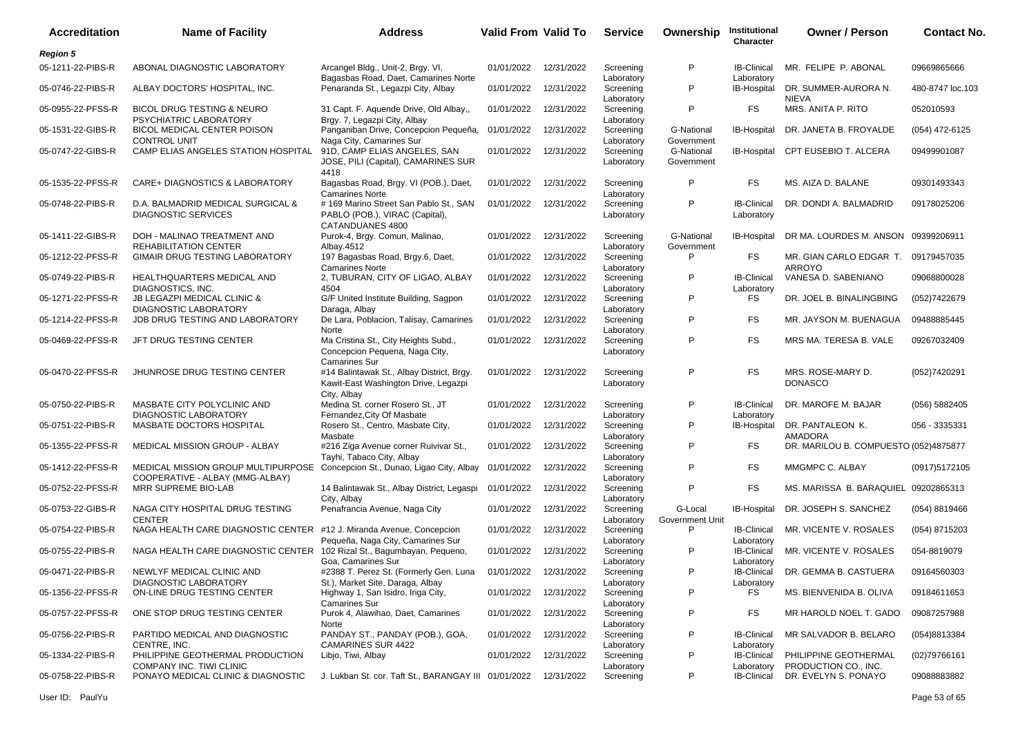| <b>Accreditation</b> | <b>Name of Facility</b>                                               | <b>Address</b>                                                                                   | <b>Valid From Valid To</b> |            | <b>Service</b>          | Ownership                  | Institutional<br>Character       | <b>Owner / Person</b>                         | <b>Contact No.</b> |
|----------------------|-----------------------------------------------------------------------|--------------------------------------------------------------------------------------------------|----------------------------|------------|-------------------------|----------------------------|----------------------------------|-----------------------------------------------|--------------------|
| <b>Region 5</b>      |                                                                       |                                                                                                  |                            |            |                         |                            |                                  |                                               |                    |
| 05-1211-22-PIBS-R    | ABONAL DIAGNOSTIC LABORATORY                                          | Arcangel Bldg., Unit-2, Brgy. VI,<br>Bagasbas Road, Daet, Camarines Norte                        | 01/01/2022                 | 12/31/2022 | Screening<br>Laboratory | P                          | <b>IB-Clinical</b><br>Laboratory | MR. FELIPE P. ABONAL                          | 09669865666        |
| 05-0746-22-PIBS-R    | ALBAY DOCTORS' HOSPITAL, INC.                                         | Penaranda St., Legazpi City, Albay                                                               | 01/01/2022                 | 12/31/2022 | Screening<br>Laboratory | P                          | IB-Hospital                      | DR. SUMMER-AURORA N.<br><b>NIEVA</b>          | 480-8747 loc.103   |
| 05-0955-22-PFSS-R    | <b>BICOL DRUG TESTING &amp; NEURO</b><br>PSYCHIATRIC LABORATORY       | 31 Capt. F. Aquende Drive, Old Albay,,<br>Brgy. 7, Legazpi City, Albay                           | 01/01/2022                 | 12/31/2022 | Screening<br>Laboratory | P                          | FS.                              | MRS. ANITA P. RITO                            | 052010593          |
| 05-1531-22-GIBS-R    | BICOL MEDICAL CENTER POISON<br><b>CONTROL UNIT</b>                    | Panganiban Drive, Concepcion Pequeña,<br>Naga City, Camarines Sur                                | 01/01/2022                 | 12/31/2022 | Screening<br>Laboratory | G-National<br>Government   | <b>IB-Hospital</b>               | DR. JANETA B. FROYALDE                        | (054) 472-6125     |
| 05-0747-22-GIBS-R    | CAMP ELIAS ANGELES STATION HOSPITAL                                   | 91D, CAMP ELIAS ANGELES, SAN<br>JOSE, PILI (Capital), CAMARINES SUR<br>4418                      | 01/01/2022                 | 12/31/2022 | Screening<br>Laboratory | G-National<br>Government   |                                  | IB-Hospital CPT EUSEBIO T. ALCERA             | 09499901087        |
| 05-1535-22-PFSS-R    | CARE+ DIAGNOSTICS & LABORATORY                                        | Bagasbas Road, Brgy. VI (POB.), Daet,<br><b>Camarines Norte</b>                                  | 01/01/2022                 | 12/31/2022 | Screening<br>Laboratory | P                          | FS.                              | MS. AIZA D. BALANE                            | 09301493343        |
| 05-0748-22-PIBS-R    | D.A. BALMADRID MEDICAL SURGICAL &<br><b>DIAGNOSTIC SERVICES</b>       | #169 Marino Street San Pablo St., SAN<br>PABLO (POB.), VIRAC (Capital),<br>CATANDUANES 4800      | 01/01/2022                 | 12/31/2022 | Screening<br>Laboratory | P                          | <b>IB-Clinical</b><br>Laboratory | DR. DONDI A. BALMADRID                        | 09178025206        |
| 05-1411-22-GIBS-R    | DOH - MALINAO TREATMENT AND<br><b>REHABILITATION CENTER</b>           | Purok-4, Brgy. Comun, Malinao,<br>Albay.4512                                                     | 01/01/2022                 | 12/31/2022 | Screening<br>Laboratory | G-National<br>Government   | IB-Hospital                      | DR MA. LOURDES M. ANSON 09399206911           |                    |
| 05-1212-22-PFSS-R    | GIMAIR DRUG TESTING LABORATORY                                        | 197 Bagasbas Road, Brgy.6, Daet,<br><b>Camarines Norte</b>                                       | 01/01/2022                 | 12/31/2022 | Screening<br>Laboratory | P                          | FS                               | MR. GIAN CARLO EDGAR T.<br><b>ARROYO</b>      | 09179457035        |
| 05-0749-22-PIBS-R    | HEALTHQUARTERS MEDICAL AND<br>DIAGNOSTICS, INC.                       | 2, TUBURAN, CITY OF LIGAO, ALBAY<br>4504                                                         | 01/01/2022                 | 12/31/2022 | Screening<br>Laboratory | P                          | <b>IB-Clinical</b><br>Laboratory | VANESA D. SABENIANO                           | 09068800028        |
| 05-1271-22-PFSS-R    | JB LEGAZPI MEDICAL CLINIC &<br><b>DIAGNOSTIC LABORATORY</b>           | G/F United Institute Building, Sagpon<br>Daraga, Albay                                           | 01/01/2022                 | 12/31/2022 | Screening<br>Laboratory | P                          | FS                               | DR. JOEL B. BINALINGBING                      | (052)7422679       |
| 05-1214-22-PFSS-R    | JDB DRUG TESTING AND LABORATORY                                       | De Lara, Poblacion, Talisay, Camarines<br>Norte                                                  | 01/01/2022                 | 12/31/2022 | Screening<br>Laboratory | P                          | FS.                              | MR. JAYSON M. BUENAGUA                        | 09488885445        |
| 05-0469-22-PFSS-R    | JFT DRUG TESTING CENTER                                               | Ma Cristina St., City Heights Subd.,<br>Concepcion Pequena, Naga City,<br><b>Camarines Sur</b>   | 01/01/2022                 | 12/31/2022 | Screening<br>Laboratory | P                          | FS.                              | MRS MA. TERESA B. VALE                        | 09267032409        |
| 05-0470-22-PFSS-R    | JHUNROSE DRUG TESTING CENTER                                          | #14 Balintawak St., Albay District, Brgy.<br>Kawit-East Washington Drive, Legazpi<br>City, Albay | 01/01/2022                 | 12/31/2022 | Screening<br>Laboratory | P                          | FS.                              | MRS. ROSE-MARY D.<br><b>DONASCO</b>           | {052}7420291       |
| 05-0750-22-PIBS-R    | MASBATE CITY POLYCLINIC AND<br><b>DIAGNOSTIC LABORATORY</b>           | Medina St. corner Rosero St., JT<br>Fernandez, City Of Masbate                                   | 01/01/2022                 | 12/31/2022 | Screening<br>Laboratory | P                          | <b>IB-Clinical</b><br>Laboratory | DR. MAROFE M. BAJAR                           | (056) 5882405      |
| 05-0751-22-PIBS-R    | MASBATE DOCTORS HOSPITAL                                              | Rosero St., Centro, Masbate City,<br>Masbate                                                     | 01/01/2022                 | 12/31/2022 | Screening<br>Laboratory | P                          | IB-Hospital                      | DR. PANTALEON K.<br>AMADORA                   | 056 - 3335331      |
| 05-1355-22-PFSS-R    | MEDICAL MISSION GROUP - ALBAY                                         | #216 Ziga Avenue corner Ruivivar St.,<br>Tayhi, Tabaco City, Albay                               | 01/01/2022                 | 12/31/2022 | Screening<br>Laboratory | P                          | FS                               | DR. MARILOU B. COMPUESTO (052)4875877         |                    |
| 05-1412-22-PFSS-R    | MEDICAL MISSION GROUP MULTIPURPOSE<br>COOPERATIVE - ALBAY (MMG-ALBAY) | Concepcion St., Dunao, Ligao City, Albay                                                         | 01/01/2022                 | 12/31/2022 | Screening<br>Laboratory | P                          | FS.                              | MMGMPC C. ALBAY                               | (0917)5172105      |
| 05-0752-22-PFSS-R    | MRR SUPREME BIO-LAB                                                   | 14 Balintawak St., Albay District, Legaspi<br>City, Albay                                        | 01/01/2022                 | 12/31/2022 | Screening<br>Laboratory | P                          | FS.                              | MS. MARISSA B. BARAQUIEL 09202865313          |                    |
| 05-0753-22-GIBS-R    | NAGA CITY HOSPITAL DRUG TESTING<br><b>CENTER</b>                      | Penafrancia Avenue, Naga City                                                                    | 01/01/2022                 | 12/31/2022 | Screening<br>Laboratory | G-Local<br>Government Unit | IB-Hospital                      | DR. JOSEPH S. SANCHEZ                         | (054) 8819466      |
| 05-0754-22-PIBS-R    | NAGA HEALTH CARE DIAGNOSTIC CENTER                                    | #12 J. Miranda Avenue, Concepcion<br>Pequeña, Naga City, Camarines Sur                           | 01/01/2022                 | 12/31/2022 | Screening<br>Laboratory | P                          | <b>IB-Clinical</b><br>Laboratory | MR. VICENTE V. ROSALES                        | (054) 8715203      |
| 05-0755-22-PIBS-R    | NAGA HEALTH CARE DIAGNOSTIC CENTER                                    | 102 Rizal St., Bagumbayan, Pequeno,<br>Goa, Camarines Sur                                        | 01/01/2022                 | 12/31/2022 | Screening<br>Laboratory | P                          | <b>IB-Clinical</b><br>Laboratory | MR. VICENTE V. ROSALES                        | 054-8819079        |
| 05-0471-22-PIBS-R    | NEWLYF MEDICAL CLINIC AND<br><b>DIAGNOSTIC LABORATORY</b>             | #2388 T. Perez St. (Formerly Gen. Luna<br>St.), Market Site, Daraga, Albay                       | 01/01/2022 12/31/2022      |            | Screening<br>Laboratory | P                          | <b>IB-Clinical</b><br>Laboratory | DR. GEMMA B. CASTUERA                         | 09164560303        |
| 05-1356-22-PFSS-R    | ON-LINE DRUG TESTING CENTER                                           | Highway 1, San Isidro, Iriga City,<br><b>Camarines Sur</b>                                       | 01/01/2022                 | 12/31/2022 | Screening<br>Laboratory | P                          | FS                               | MS. BIENVENIDA B. OLIVA                       | 09184611653        |
| 05-0757-22-PFSS-R    | ONE STOP DRUG TESTING CENTER                                          | Purok 4, Alawihao, Daet, Camarines<br>Norte                                                      | 01/01/2022                 | 12/31/2022 | Screening<br>Laboratory | P                          | FS                               | MR HAROLD NOEL T. GADO                        | 09087257988        |
| 05-0756-22-PIBS-R    | PARTIDO MEDICAL AND DIAGNOSTIC<br>CENTRE, INC.                        | PANDAY ST., PANDAY (POB.), GOA,<br><b>CAMARINES SUR 4422</b>                                     | 01/01/2022                 | 12/31/2022 | Screening<br>Laboratory | P                          | <b>IB-Clinical</b><br>Laboratory | MR SALVADOR B. BELARO                         | (054)8813384       |
| 05-1334-22-PIBS-R    | PHILIPPINE GEOTHERMAL PRODUCTION<br>COMPANY INC. TIWI CLINIC          | Libjo, Tiwi, Albay                                                                               | 01/01/2022                 | 12/31/2022 | Screening<br>Laboratory | P                          | <b>IB-Clinical</b><br>Laboratory | PHILIPPINE GEOTHERMAL<br>PRODUCTION CO., INC. | (02)79766161       |
| 05-0758-22-PIBS-R    | PONAYO MEDICAL CLINIC & DIAGNOSTIC                                    | J. Lukban St. cor. Taft St., BARANGAY III 01/01/2022 12/31/2022                                  |                            |            | Screening               | P                          | <b>IB-Clinical</b>               | DR. EVELYN S. PONAYO                          | 09088883882        |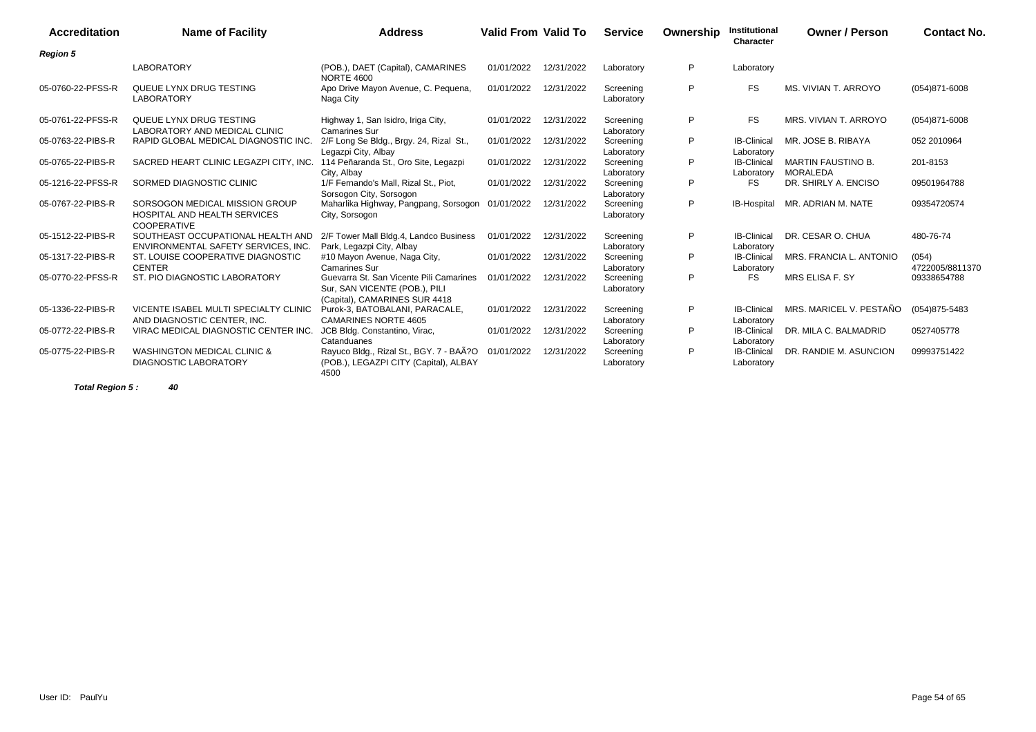| <b>Accreditation</b> | <b>Name of Facility</b>                                                              | <b>Address</b>                                                                                            | <b>Valid From Valid To</b> |            | <b>Service</b>          | Ownership | Institutional<br><b>Character</b> | <b>Owner / Person</b>                 | <b>Contact No.</b>       |
|----------------------|--------------------------------------------------------------------------------------|-----------------------------------------------------------------------------------------------------------|----------------------------|------------|-------------------------|-----------|-----------------------------------|---------------------------------------|--------------------------|
| <b>Region 5</b>      |                                                                                      |                                                                                                           |                            |            |                         |           |                                   |                                       |                          |
|                      | <b>LABORATORY</b>                                                                    | (POB.), DAET (Capital), CAMARINES<br><b>NORTE 4600</b>                                                    | 01/01/2022                 | 12/31/2022 | Laboratory              | P         | Laboratory                        |                                       |                          |
| 05-0760-22-PFSS-R    | QUEUE LYNX DRUG TESTING<br><b>LABORATORY</b>                                         | Apo Drive Mayon Avenue, C. Pequena,<br>Naga City                                                          | 01/01/2022                 | 12/31/2022 | Screening<br>Laboratory | P         | <b>FS</b>                         | MS. VIVIAN T. ARROYO                  | $(054)871 - 6008$        |
| 05-0761-22-PFSS-R    | QUEUE LYNX DRUG TESTING<br>LABORATORY AND MEDICAL CLINIC                             | Highway 1, San Isidro, Iriga City,<br><b>Camarines Sur</b>                                                | 01/01/2022                 | 12/31/2022 | Screening<br>Laboratory | P         | <b>FS</b>                         | MRS. VIVIAN T. ARROYO                 | $(054)871 - 6008$        |
| 05-0763-22-PIBS-R    | RAPID GLOBAL MEDICAL DIAGNOSTIC INC.                                                 | 2/F Long Se Bldg., Brgy. 24, Rizal St.,<br>Legazpi City, Albay                                            | 01/01/2022                 | 12/31/2022 | Screening<br>Laboratory | P         | <b>IB-Clinical</b><br>Laboratory  | MR. JOSE B. RIBAYA                    | 052 2010964              |
| 05-0765-22-PIBS-R    | SACRED HEART CLINIC LEGAZPI CITY. INC.                                               | 114 Peñaranda St., Oro Site, Legazpi<br>City, Albay                                                       | 01/01/2022                 | 12/31/2022 | Screening<br>Laboratory | P         | <b>IB-Clinical</b><br>Laboratory  | <b>MARTIN FAUSTINO B.</b><br>MORALEDA | 201-8153                 |
| 05-1216-22-PFSS-R    | SORMED DIAGNOSTIC CLINIC                                                             | 1/F Fernando's Mall, Rizal St., Piot,<br>Sorsogon City, Sorsogon                                          | 01/01/2022                 | 12/31/2022 | Screening<br>Laboratory | P         | <b>FS</b>                         | DR. SHIRLY A. ENCISO                  | 09501964788              |
| 05-0767-22-PIBS-R    | SORSOGON MEDICAL MISSION GROUP<br>HOSPITAL AND HEALTH SERVICES<br><b>COOPERATIVE</b> | Maharlika Highway, Pangpang, Sorsogon<br>City, Sorsogon                                                   | 01/01/2022                 | 12/31/2022 | Screening<br>Laboratory | P         | IB-Hospital                       | MR. ADRIAN M. NATE                    | 09354720574              |
| 05-1512-22-PIBS-R    | SOUTHEAST OCCUPATIONAL HEALTH AND<br>ENVIRONMENTAL SAFETY SERVICES, INC.             | 2/F Tower Mall Bldg.4, Landco Business<br>Park, Legazpi City, Albay                                       | 01/01/2022                 | 12/31/2022 | Screening<br>Laboratory | P         | <b>IB-Clinical</b><br>Laboratory  | DR. CESAR O. CHUA                     | 480-76-74                |
| 05-1317-22-PIBS-R    | ST. LOUISE COOPERATIVE DIAGNOSTIC<br><b>CENTER</b>                                   | #10 Mayon Avenue, Naga City,<br>Camarines Sur                                                             | 01/01/2022                 | 12/31/2022 | Screening<br>Laboratory | P         | <b>IB-Clinical</b><br>Laboratory  | MRS. FRANCIA L. ANTONIO               | (054)<br>4722005/8811370 |
| 05-0770-22-PFSS-R    | ST. PIO DIAGNOSTIC LABORATORY                                                        | Guevarra St. San Vicente Pili Camarines<br>Sur, SAN VICENTE (POB.), PILI<br>(Capital), CAMARINES SUR 4418 | 01/01/2022                 | 12/31/2022 | Screening<br>Laboratory | P         | <b>FS</b>                         | MRS ELISA F. SY                       | 09338654788              |
| 05-1336-22-PIBS-R    | VICENTE ISABEL MULTI SPECIALTY CLINIC<br>AND DIAGNOSTIC CENTER. INC.                 | Purok-3, BATOBALANI, PARACALE,<br><b>CAMARINES NORTE 4605</b>                                             | 01/01/2022                 | 12/31/2022 | Screening<br>Laboratory | P         | <b>IB-Clinical</b><br>Laboratory  | MRS. MARICEL V. PESTAÑO               | $(054)875 - 5483$        |
| 05-0772-22-PIBS-R    | VIRAC MEDICAL DIAGNOSTIC CENTER INC.                                                 | JCB Bldg. Constantino, Virac,<br>Catanduanes                                                              | 01/01/2022                 | 12/31/2022 | Screening<br>Laboratory | P         | <b>IB-Clinical</b><br>Laboratory  | DR. MILA C. BALMADRID                 | 0527405778               |
| 05-0775-22-PIBS-R    | WASHINGTON MEDICAL CLINIC &<br><b>DIAGNOSTIC LABORATORY</b>                          | Rayuco Bldg., Rizal St., BGY. 7 - BAÃ?O<br>(POB.), LEGAZPI CITY (Capital), ALBAY<br>4500                  | 01/01/2022                 | 12/31/2022 | Screening<br>Laboratory | P         | <b>IB-Clinical</b><br>Laboratory  | DR. RANDIE M. ASUNCION                | 09993751422              |

**Total Region 5 : 40**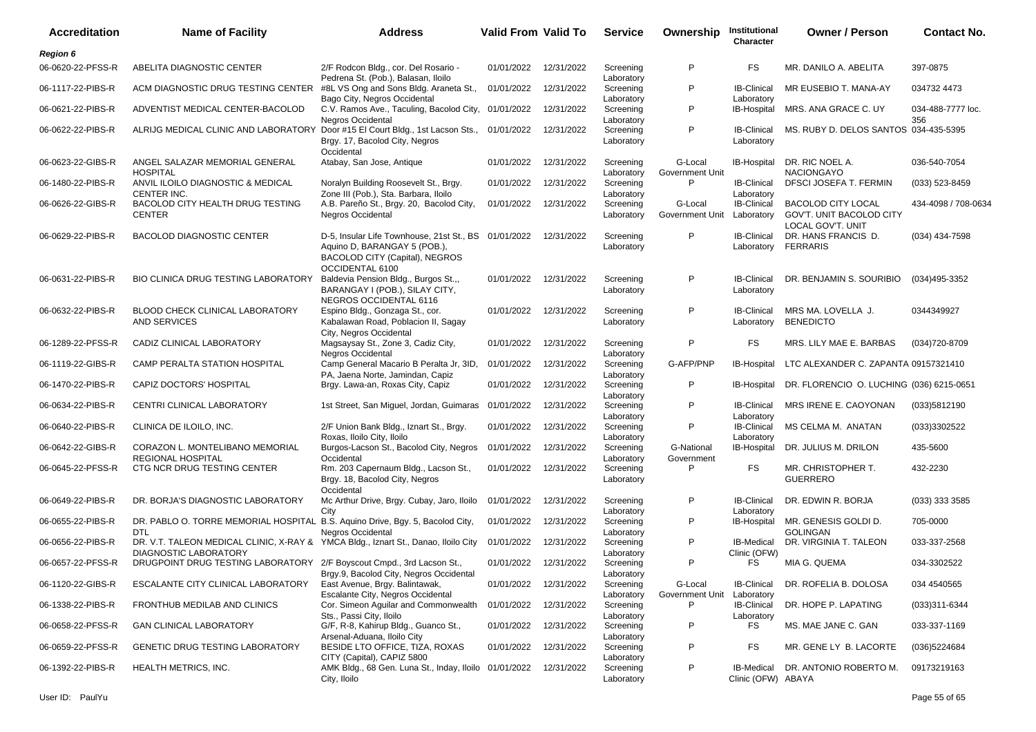| <b>Accreditation</b> | <b>Name of Facility</b>                                                                                     | <b>Address</b>                                                                                                                            | <b>Valid From Valid To</b> |            | <b>Service</b>          | Ownership                  | Institutional<br>Character              | <b>Owner / Person</b>                                                      | <b>Contact No.</b>       |
|----------------------|-------------------------------------------------------------------------------------------------------------|-------------------------------------------------------------------------------------------------------------------------------------------|----------------------------|------------|-------------------------|----------------------------|-----------------------------------------|----------------------------------------------------------------------------|--------------------------|
| <b>Region 6</b>      |                                                                                                             |                                                                                                                                           |                            |            |                         |                            |                                         |                                                                            |                          |
| 06-0620-22-PFSS-R    | ABELITA DIAGNOSTIC CENTER                                                                                   | 2/F Rodcon Bldg., cor. Del Rosario -<br>Pedrena St. (Pob.), Balasan, Iloilo                                                               | 01/01/2022                 | 12/31/2022 | Screening<br>Laboratory | P                          | FS                                      | MR. DANILO A. ABELITA                                                      | 397-0875                 |
| 06-1117-22-PIBS-R    | ACM DIAGNOSTIC DRUG TESTING CENTER                                                                          | #8L VS Ong and Sons Bldg. Araneta St.,<br>Bago City, Negros Occidental                                                                    | 01/01/2022                 | 12/31/2022 | Screening<br>Laboratory | P                          | <b>IB-Clinical</b><br>Laboratory        | MR EUSEBIO T. MANA-AY                                                      | 034732 4473              |
| 06-0621-22-PIBS-R    | ADVENTIST MEDICAL CENTER-BACOLOD                                                                            | C.V. Ramos Ave., Taculing, Bacolod City, 01/01/2022<br><b>Negros Occidental</b>                                                           |                            | 12/31/2022 | Screening<br>Laboratory | P                          | IB-Hospital                             | MRS. ANA GRACE C. UY                                                       | 034-488-7777 loc.<br>356 |
| 06-0622-22-PIBS-R    | ALRIJG MEDICAL CLINIC AND LABORATORY Door #15 El Court Bldg., 1st Lacson Sts.,                              | Brgy. 17, Bacolod City, Negros<br>Occidental                                                                                              | 01/01/2022                 | 12/31/2022 | Screening<br>Laboratory | P                          | <b>IB-Clinical</b><br>Laboratory        | MS. RUBY D. DELOS SANTOS 034-435-5395                                      |                          |
| 06-0623-22-GIBS-R    | ANGEL SALAZAR MEMORIAL GENERAL<br><b>HOSPITAL</b>                                                           | Atabay, San Jose, Antique                                                                                                                 | 01/01/2022                 | 12/31/2022 | Screening<br>Laboratory | G-Local<br>Government Unit | IB-Hospital                             | DR. RIC NOEL A.<br><b>NACIONGAYO</b>                                       | 036-540-7054             |
| 06-1480-22-PIBS-R    | ANVIL ILOILO DIAGNOSTIC & MEDICAL<br>CENTER INC.                                                            | Noralyn Building Roosevelt St., Brgy.<br>Zone III (Pob.), Sta. Barbara, Iloilo                                                            | 01/01/2022                 | 12/31/2022 | Screening<br>Laboratory | P                          | <b>IB-Clinical</b><br>Laboratory        | DFSCI JOSEFA T. FERMIN                                                     | $(033)$ 523-8459         |
| 06-0626-22-GIBS-R    | BACOLOD CITY HEALTH DRUG TESTING<br><b>CENTER</b>                                                           | A.B. Pareño St., Brgy. 20, Bacolod City,<br><b>Negros Occidental</b>                                                                      | 01/01/2022                 | 12/31/2022 | Screening<br>Laboratory | G-Local<br>Government Unit | <b>IB-Clinical</b><br>Laboratory        | <b>BACOLOD CITY LOCAL</b><br>GOV'T. UNIT BACOLOD CITY<br>LOCAL GOV'T. UNIT | 434-4098 / 708-0634      |
| 06-0629-22-PIBS-R    | <b>BACOLOD DIAGNOSTIC CENTER</b>                                                                            | D-5, Insular Life Townhouse, 21st St., BS 01/01/2022<br>Aquino D, BARANGAY 5 (POB.),<br>BACOLOD CITY (Capital), NEGROS<br>OCCIDENTAL 6100 |                            | 12/31/2022 | Screening<br>Laboratory | P                          | <b>IB-Clinical</b><br>Laboratory        | DR. HANS FRANCIS D.<br><b>FERRARIS</b>                                     | (034) 434-7598           |
| 06-0631-22-PIBS-R    | <b>BIO CLINICA DRUG TESTING LABORATORY</b>                                                                  | Baldevia Pension Bldg., Burgos St.,,<br>BARANGAY I (POB.), SILAY CITY,<br>NEGROS OCCIDENTAL 6116                                          | 01/01/2022                 | 12/31/2022 | Screening<br>Laboratory | P                          | <b>IB-Clinical</b><br>Laboratory        | DR. BENJAMIN S. SOURIBIO                                                   | (034)495-3352            |
| 06-0632-22-PIBS-R    | BLOOD CHECK CLINICAL LABORATORY<br><b>AND SERVICES</b>                                                      | Espino Bldg., Gonzaga St., cor.<br>Kabalawan Road, Poblacion II, Sagay<br>City, Negros Occidental                                         | 01/01/2022                 | 12/31/2022 | Screening<br>Laboratory | P                          | <b>IB-Clinical</b><br>Laboratory        | MRS MA. LOVELLA J.<br><b>BENEDICTO</b>                                     | 0344349927               |
| 06-1289-22-PFSS-R    | CADIZ CLINICAL LABORATORY                                                                                   | Magsaysay St., Zone 3, Cadiz City,<br><b>Negros Occidental</b>                                                                            | 01/01/2022                 | 12/31/2022 | Screening<br>Laboratory | P                          | FS                                      | MRS. LILY MAE E. BARBAS                                                    | (034) 720-8709           |
| 06-1119-22-GIBS-R    | CAMP PERALTA STATION HOSPITAL                                                                               | Camp General Macario B Peralta Jr, 3ID,<br>PA, Jaena Norte, Jamindan, Capiz                                                               | 01/01/2022                 | 12/31/2022 | Screening<br>Laboratory | G-AFP/PNP                  | IB-Hospital                             | LTC ALEXANDER C. ZAPANTA 09157321410                                       |                          |
| 06-1470-22-PIBS-R    | CAPIZ DOCTORS' HOSPITAL                                                                                     | Brgy. Lawa-an, Roxas City, Capiz                                                                                                          | 01/01/2022                 | 12/31/2022 | Screening<br>Laboratory | P                          | <b>IB-Hospital</b>                      | DR. FLORENCIO O. LUCHING (036) 6215-0651                                   |                          |
| 06-0634-22-PIBS-R    | CENTRI CLINICAL LABORATORY                                                                                  | 1st Street, San Miguel, Jordan, Guimaras 01/01/2022                                                                                       |                            | 12/31/2022 | Screening<br>Laboratory | P                          | <b>IB-Clinical</b><br>Laboratory        | MRS IRENE E. CAOYONAN                                                      | (033)5812190             |
| 06-0640-22-PIBS-R    | CLINICA DE ILOILO, INC.                                                                                     | 2/F Union Bank Bldg., Iznart St., Brgy.<br>Roxas, Iloilo City, Iloilo                                                                     | 01/01/2022                 | 12/31/2022 | Screening<br>Laboratory | P                          | IB-Clinical<br>Laboratory               | MS CELMA M. ANATAN                                                         | (033)3302522             |
| 06-0642-22-GIBS-R    | CORAZON L. MONTELIBANO MEMORIAL<br><b>REGIONAL HOSPITAL</b>                                                 | Burgos-Lacson St., Bacolod City, Negros<br>Occidental                                                                                     | 01/01/2022                 | 12/31/2022 | Screening<br>Laboratory | G-National<br>Government   | IB-Hospital                             | DR. JULIUS M. DRILON                                                       | 435-5600                 |
| 06-0645-22-PFSS-R    | CTG NCR DRUG TESTING CENTER                                                                                 | Rm. 203 Capernaum Bldg., Lacson St.,<br>Brgy. 18, Bacolod City, Negros<br>Occidental                                                      | 01/01/2022                 | 12/31/2022 | Screening<br>Laboratory | P                          | FS                                      | MR. CHRISTOPHER T.<br><b>GUERRERO</b>                                      | 432-2230                 |
| 06-0649-22-PIBS-R    | DR. BORJA'S DIAGNOSTIC LABORATORY                                                                           | Mc Arthur Drive, Brgy. Cubay, Jaro, Iloilo<br>City                                                                                        | 01/01/2022                 | 12/31/2022 | Screening<br>Laboratory | P                          | <b>IB-Clinical</b><br>Laboratory        | DR. EDWIN R. BORJA                                                         | (033) 333 3585           |
| 06-0655-22-PIBS-R    | DR. PABLO O. TORRE MEMORIAL HOSPITAL B.S. Aquino Drive, Bgy. 5, Bacolod City,<br><b>DTL</b>                 | <b>Negros Occidental</b>                                                                                                                  | 01/01/2022                 | 12/31/2022 | Screening<br>Laboratory | P                          | IB-Hospital                             | MR. GENESIS GOLDI D.<br><b>GOLINGAN</b>                                    | 705-0000                 |
| 06-0656-22-PIBS-R    | DR. V.T. TALEON MEDICAL CLINIC, X-RAY & YMCA Bldg., Iznart St., Danao, Iloilo City<br>DIAGNOSTIC LABORATORY |                                                                                                                                           | 01/01/2022                 | 12/31/2022 | Screening<br>Laboratory | P                          | <b>IB-Medical</b><br>Clinic (OFW)       | DR. VIRGINIA T. TALEON                                                     | 033-337-2568             |
| 06-0657-22-PFSS-R    | DRUGPOINT DRUG TESTING LABORATORY 2/F Boyscout Cmpd., 3rd Lacson St.,                                       | Brgy.9, Bacolod City, Negros Occidental                                                                                                   | 01/01/2022 12/31/2022      |            | Screening<br>Laboratory | P                          | FS                                      | MIA G. QUEMA                                                               | 034-3302522              |
| 06-1120-22-GIBS-R    | ESCALANTE CITY CLINICAL LABORATORY                                                                          | East Avenue, Brgy. Balintawak,<br>Escalante City, Negros Occidental                                                                       | 01/01/2022                 | 12/31/2022 | Screening<br>Laboratory | G-Local<br>Government Unit | <b>IB-Clinical</b><br>Laboratory        | DR. ROFELIA B. DOLOSA                                                      | 034 454 0565             |
| 06-1338-22-PIBS-R    | FRONTHUB MEDILAB AND CLINICS                                                                                | Cor. Simeon Aguilar and Commonwealth<br>Sts., Passi City, Iloilo                                                                          | 01/01/2022                 | 12/31/2022 | Screening<br>Laboratory | P                          | <b>IB-Clinical</b><br>Laboratory        | DR. HOPE P. LAPATING                                                       | $(033)311 - 6344$        |
| 06-0658-22-PFSS-R    | <b>GAN CLINICAL LABORATORY</b>                                                                              | G/F, R-8, Kahirup Bldg., Guanco St.,<br>Arsenal-Aduana, Iloilo City                                                                       | 01/01/2022                 | 12/31/2022 | Screening<br>Laboratory | P                          | FS                                      | MS. MAE JANE C. GAN                                                        | 033-337-1169             |
| 06-0659-22-PFSS-R    | <b>GENETIC DRUG TESTING LABORATORY</b>                                                                      | BESIDE LTO OFFICE, TIZA, ROXAS<br>CITY (Capital), CAPIZ 5800                                                                              | 01/01/2022                 | 12/31/2022 | Screening<br>Laboratory | P                          | FS                                      | MR. GENE LY B. LACORTE                                                     | (036)5224684             |
| 06-1392-22-PIBS-R    | HEALTH METRICS, INC.                                                                                        | AMK Bldg., 68 Gen. Luna St., Inday, Iloilo 01/01/2022 12/31/2022<br>City, Iloilo                                                          |                            |            | Screening<br>Laboratory | P                          | <b>IB-Medical</b><br>Clinic (OFW) ABAYA | DR. ANTONIO ROBERTO M.                                                     | 09173219163              |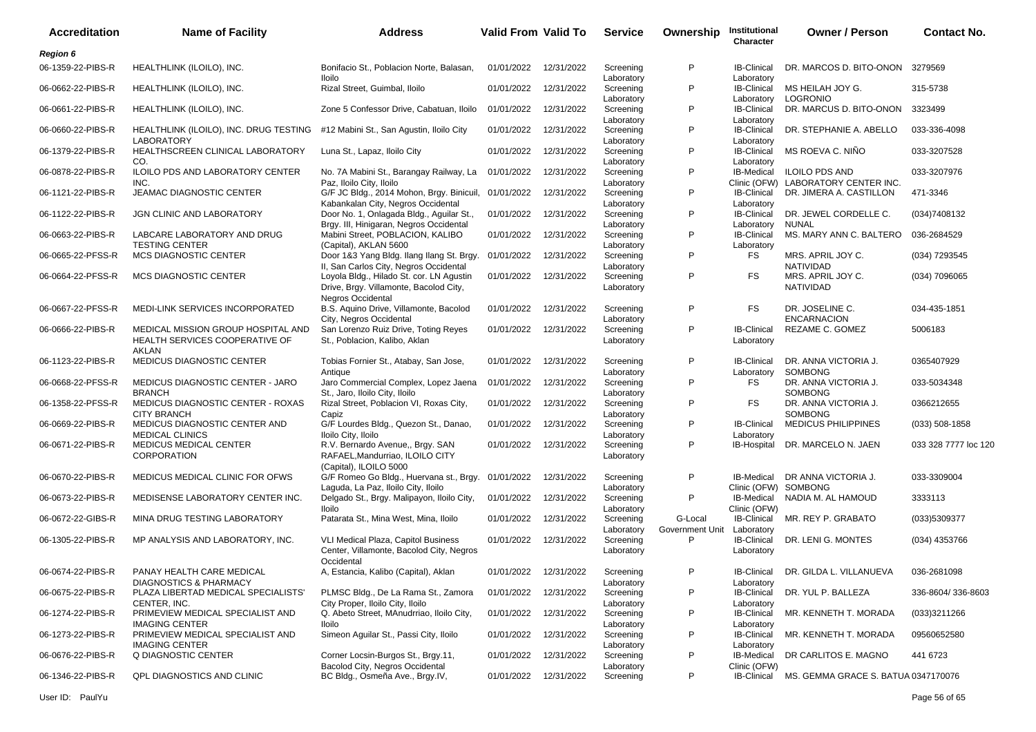| <b>Accreditation</b> | <b>Name of Facility</b>                                                              | <b>Address</b>                                                                                                      | <b>Valid From Valid To</b> |                       | <b>Service</b>          | Ownership                  | Institutional<br>Character                | <b>Owner / Person</b>                           | <b>Contact No.</b>   |
|----------------------|--------------------------------------------------------------------------------------|---------------------------------------------------------------------------------------------------------------------|----------------------------|-----------------------|-------------------------|----------------------------|-------------------------------------------|-------------------------------------------------|----------------------|
| <b>Region 6</b>      |                                                                                      |                                                                                                                     |                            |                       |                         |                            |                                           |                                                 |                      |
| 06-1359-22-PIBS-R    | HEALTHLINK (ILOILO), INC.                                                            | Bonifacio St., Poblacion Norte, Balasan,<br>Iloilo                                                                  | 01/01/2022                 | 12/31/2022            | Screening<br>Laboratory | P                          | <b>IB-Clinical</b><br>Laboratory          | DR. MARCOS D. BITO-ONON                         | 3279569              |
| 06-0662-22-PIBS-R    | HEALTHLINK (ILOILO), INC.                                                            | Rizal Street, Guimbal, Iloilo                                                                                       | 01/01/2022                 | 12/31/2022            | Screening<br>Laboratory | P                          | <b>IB-Clinical</b><br>Laboratory          | MS HEILAH JOY G.<br><b>LOGRONIO</b>             | 315-5738             |
| 06-0661-22-PIBS-R    | HEALTHLINK (ILOILO), INC.                                                            | Zone 5 Confessor Drive, Cabatuan, Iloilo                                                                            | 01/01/2022                 | 12/31/2022            | Screening<br>Laboratory | P                          | <b>IB-Clinical</b><br>Laboratory          | DR. MARCUS D. BITO-ONON                         | 3323499              |
| 06-0660-22-PIBS-R    | HEALTHLINK (ILOILO), INC. DRUG TESTING<br><b>LABORATORY</b>                          | #12 Mabini St., San Agustin, Iloilo City                                                                            | 01/01/2022                 | 12/31/2022            | Screening<br>Laboratory | P                          | <b>IB-Clinical</b><br>Laboratory          | DR. STEPHANIE A. ABELLO                         | 033-336-4098         |
| 06-1379-22-PIBS-R    | HEALTHSCREEN CLINICAL LABORATORY<br>CO.                                              | Luna St., Lapaz, Iloilo City                                                                                        | 01/01/2022                 | 12/31/2022            | Screening<br>Laboratory | P                          | <b>IB-Clinical</b><br>Laboratory          | MS ROEVA C. NIÑO                                | 033-3207528          |
| 06-0878-22-PIBS-R    | ILOILO PDS AND LABORATORY CENTER<br>INC.                                             | No. 7A Mabini St., Barangay Railway, La<br>Paz, Iloilo City, Iloilo                                                 | 01/01/2022                 | 12/31/2022            | Screening<br>Laboratory | P                          | IB-Medical<br>Clinic (OFW)                | <b>ILOILO PDS AND</b><br>LABORATORY CENTER INC. | 033-3207976          |
| 06-1121-22-PIBS-R    | <b>JEAMAC DIAGNOSTIC CENTER</b>                                                      | G/F JC Bldg., 2014 Mohon, Brgy. Binicuil, 01/01/2022<br>Kabankalan City, Negros Occidental                          |                            | 12/31/2022            | Screening<br>Laboratory | P                          | <b>IB-Clinical</b><br>Laboratory          | DR. JIMERA A. CASTILLON                         | 471-3346             |
| 06-1122-22-PIBS-R    | JGN CLINIC AND LABORATORY                                                            | Door No. 1, Onlagada Bldg., Aguilar St.,<br>Brgy. III, Hinigaran, Negros Occidental                                 | 01/01/2022                 | 12/31/2022            | Screening<br>Laboratory | P                          | <b>IB-Clinical</b><br>Laboratory          | DR. JEWEL CORDELLE C.<br>NUNAL                  | (034)7408132         |
| 06-0663-22-PIBS-R    | LABCARE LABORATORY AND DRUG<br><b>TESTING CENTER</b>                                 | Mabini Street, POBLACION, KALIBO<br>(Capital), AKLAN 5600                                                           | 01/01/2022                 | 12/31/2022            | Screening<br>Laboratory | P                          | <b>IB-Clinical</b><br>Laboratory          | MS. MARY ANN C. BALTERO                         | 036-2684529          |
| 06-0665-22-PFSS-R    | <b>MCS DIAGNOSTIC CENTER</b>                                                         | Door 1&3 Yang Bldg. Ilang Ilang St. Brgy.<br>II, San Carlos City, Negros Occidental                                 | 01/01/2022                 | 12/31/2022            | Screening<br>Laboratory | P                          | FS                                        | MRS. APRIL JOY C.<br>NATIVIDAD                  | (034) 7293545        |
| 06-0664-22-PFSS-R    | <b>MCS DIAGNOSTIC CENTER</b>                                                         | Loyola Bldg., Hilado St. cor. LN Agustin<br>Drive, Brgy. Villamonte, Bacolod City,<br><b>Negros Occidental</b>      | 01/01/2022                 | 12/31/2022            | Screening<br>Laboratory | P                          | FS                                        | MRS. APRIL JOY C.<br><b>NATIVIDAD</b>           | (034) 7096065        |
| 06-0667-22-PFSS-R    | <b>MEDI-LINK SERVICES INCORPORATED</b>                                               | B.S. Aquino Drive, Villamonte, Bacolod<br>City, Negros Occidental                                                   | 01/01/2022                 | 12/31/2022            | Screening<br>Laboratory | P                          | FS.                                       | DR. JOSELINE C.<br><b>ENCARNACION</b>           | 034-435-1851         |
| 06-0666-22-PIBS-R    | MEDICAL MISSION GROUP HOSPITAL AND<br>HEALTH SERVICES COOPERATIVE OF<br><b>AKLAN</b> | San Lorenzo Ruiz Drive, Toting Reyes<br>St., Poblacion, Kalibo, Aklan                                               | 01/01/2022                 | 12/31/2022            | Screening<br>Laboratory | P                          | <b>IB-Clinical</b><br>Laboratory          | REZAME C. GOMEZ                                 | 5006183              |
| 06-1123-22-PIBS-R    | MEDICUS DIAGNOSTIC CENTER                                                            | Tobias Fornier St., Atabay, San Jose,<br>Antique                                                                    | 01/01/2022                 | 12/31/2022            | Screening<br>Laboratory | P                          | <b>IB-Clinical</b><br>Laboratory          | DR. ANNA VICTORIA J.<br>SOMBONG                 | 0365407929           |
| 06-0668-22-PFSS-R    | MEDICUS DIAGNOSTIC CENTER - JARO<br><b>BRANCH</b>                                    | Jaro Commercial Complex, Lopez Jaena<br>St., Jaro, Iloilo City, Iloilo                                              | 01/01/2022                 | 12/31/2022            | Screening<br>Laboratory | P                          | FS                                        | DR. ANNA VICTORIA J.<br><b>SOMBONG</b>          | 033-5034348          |
| 06-1358-22-PFSS-R    | MEDICUS DIAGNOSTIC CENTER - ROXAS<br><b>CITY BRANCH</b>                              | Rizal Street, Poblacion VI, Roxas City,<br>Capiz                                                                    | 01/01/2022                 | 12/31/2022            | Screening<br>Laboratory | P                          | FS                                        | DR. ANNA VICTORIA J.<br><b>SOMBONG</b>          | 0366212655           |
| 06-0669-22-PIBS-R    | MEDICUS DIAGNOSTIC CENTER AND<br><b>MEDICAL CLINICS</b>                              | G/F Lourdes Bldg., Quezon St., Danao,<br>Iloilo City, Iloilo                                                        | 01/01/2022                 | 12/31/2022            | Screening<br>Laboratory | P                          | <b>IB-Clinical</b><br>Laboratory          | <b>MEDICUS PHILIPPINES</b>                      | $(033) 508 - 1858$   |
| 06-0671-22-PIBS-R    | <b>MEDICUS MEDICAL CENTER</b><br><b>CORPORATION</b>                                  | R.V. Bernardo Avenue,, Brgy. SAN<br>RAFAEL, Mandurriao, ILOILO CITY                                                 | 01/01/2022                 | 12/31/2022            | Screening<br>Laboratory | P                          | IB-Hospital                               | DR. MARCELO N. JAEN                             | 033 328 7777 loc 120 |
| 06-0670-22-PIBS-R    | MEDICUS MEDICAL CLINIC FOR OFWS                                                      | (Capital), ILOILO 5000<br>G/F Romeo Go Bldg., Huervana st., Brgy. 01/01/2022<br>Laguda, La Paz, Iloilo City, Iloilo |                            | 12/31/2022            | Screening<br>Laboratory | P                          | <b>IB-Medical</b><br>Clinic (OFW) SOMBONG | DR ANNA VICTORIA J.                             | 033-3309004          |
| 06-0673-22-PIBS-R    | MEDISENSE LABORATORY CENTER INC.                                                     | Delgado St., Brgy. Malipayon, Iloilo City,<br><b>Iloilo</b>                                                         | 01/01/2022                 | 12/31/2022            | Screening<br>Laboratory | P                          | IB-Medical<br>Clinic (OFW)                | NADIA M. AL HAMOUD                              | 3333113              |
| 06-0672-22-GIBS-R    | MINA DRUG TESTING LABORATORY                                                         | Patarata St., Mina West, Mina, Iloilo                                                                               | 01/01/2022                 | 12/31/2022            | Screening<br>Laboratory | G-Local<br>Government Unit | <b>IB-Clinical</b><br>Laboratory          | MR. REY P. GRABATO                              | (033)5309377         |
| 06-1305-22-PIBS-R    | MP ANALYSIS AND LABORATORY, INC.                                                     | VLI Medical Plaza, Capitol Business<br>Center, Villamonte, Bacolod City, Negros<br>Occidental                       | 01/01/2022                 | 12/31/2022            | Screening<br>Laboratory | P                          | <b>IB-Clinical</b><br>Laboratory          | DR. LENI G. MONTES                              | (034) 4353766        |
| 06-0674-22-PIBS-R    | PANAY HEALTH CARE MEDICAL<br><b>DIAGNOSTICS &amp; PHARMACY</b>                       | A, Estancia, Kalibo (Capital), Aklan                                                                                |                            | 01/01/2022 12/31/2022 | Screening<br>Laboratory | P                          | <b>IB-Clinical</b><br>Laboratory          | DR. GILDA L. VILLANUEVA                         | 036-2681098          |
| 06-0675-22-PIBS-R    | PLAZA LIBERTAD MEDICAL SPECIALISTS'<br>CENTER, INC.                                  | PLMSC Bldg., De La Rama St., Zamora<br>City Proper, Iloilo City, Iloilo                                             | 01/01/2022                 | 12/31/2022            | Screening<br>Laboratory | P                          | <b>IB-Clinical</b><br>Laboratory          | DR. YUL P. BALLEZA                              | 336-8604/336-8603    |
| 06-1274-22-PIBS-R    | PRIMEVIEW MEDICAL SPECIALIST AND<br><b>IMAGING CENTER</b>                            | Q. Abeto Street, MAnudrriao, Iloilo City,<br><b>Iloilo</b>                                                          | 01/01/2022                 | 12/31/2022            | Screening<br>Laboratory | P                          | <b>IB-Clinical</b><br>Laboratory          | MR. KENNETH T. MORADA                           | (033)3211266         |
| 06-1273-22-PIBS-R    | PRIMEVIEW MEDICAL SPECIALIST AND<br><b>IMAGING CENTER</b>                            | Simeon Aguilar St., Passi City, Iloilo                                                                              | 01/01/2022                 | 12/31/2022            | Screening<br>Laboratory | P                          | <b>IB-Clinical</b><br>Laboratory          | MR. KENNETH T. MORADA                           | 09560652580          |
| 06-0676-22-PIBS-R    | Q DIAGNOSTIC CENTER                                                                  | Corner Locsin-Burgos St., Brgy.11,<br>Bacolod City, Negros Occidental                                               | 01/01/2022                 | 12/31/2022            | Screening<br>Laboratory | P                          | IB-Medical<br>Clinic (OFW)                | DR CARLITOS E. MAGNO                            | 441 6723             |
| 06-1346-22-PIBS-R    | QPL DIAGNOSTICS AND CLINIC                                                           | BC Bldg., Osmeña Ave., Brgy.IV,                                                                                     | 01/01/2022                 | 12/31/2022            | Screening               | P                          | <b>IB-Clinical</b>                        | MS. GEMMA GRACE S. BATUA 0347170076             |                      |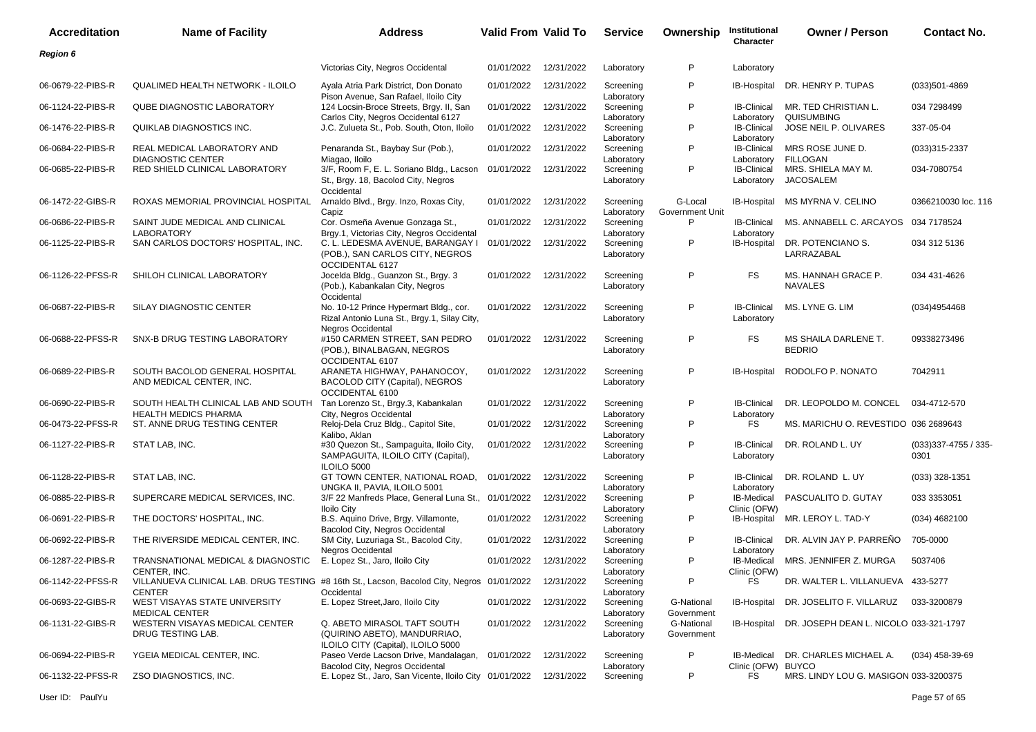| <b>Accreditation</b> | <b>Name of Facility</b>                                                                                     | <b>Address</b>                                                                                                    | <b>Valid From Valid To</b> |            | <b>Service</b>                        | Ownership                  | Institutional<br>Character               | <b>Owner / Person</b>                  | <b>Contact No.</b>            |
|----------------------|-------------------------------------------------------------------------------------------------------------|-------------------------------------------------------------------------------------------------------------------|----------------------------|------------|---------------------------------------|----------------------------|------------------------------------------|----------------------------------------|-------------------------------|
| <b>Region 6</b>      |                                                                                                             |                                                                                                                   |                            |            |                                       |                            |                                          |                                        |                               |
|                      |                                                                                                             | Victorias City, Negros Occidental                                                                                 | 01/01/2022                 | 12/31/2022 | Laboratory                            | P                          | Laboratory                               |                                        |                               |
| 06-0679-22-PIBS-R    | QUALIMED HEALTH NETWORK - ILOILO                                                                            | Ayala Atria Park District, Don Donato<br>Pison Avenue, San Rafael, Iloilo City                                    | 01/01/2022                 | 12/31/2022 | Screening<br>Laboratory               | P                          | <b>IB-Hospital</b>                       | DR. HENRY P. TUPAS                     | (033)501-4869                 |
| 06-1124-22-PIBS-R    | <b>QUBE DIAGNOSTIC LABORATORY</b>                                                                           | 124 Locsin-Broce Streets, Brgy. II, San<br>Carlos City, Negros Occidental 6127                                    | 01/01/2022                 | 12/31/2022 | Screening<br>Laboratory               | P                          | <b>IB-Clinical</b><br>Laboratory         | MR. TED CHRISTIAN L.<br>QUISUMBING     | 034 7298499                   |
| 06-1476-22-PIBS-R    | QUIKLAB DIAGNOSTICS INC.                                                                                    | J.C. Zulueta St., Pob. South, Oton, Iloilo                                                                        | 01/01/2022                 | 12/31/2022 | Screening<br>Laboratory               | P                          | <b>IB-Clinical</b><br>Laboratory         | JOSE NEIL P. OLIVARES                  | 337-05-04                     |
| 06-0684-22-PIBS-R    | REAL MEDICAL LABORATORY AND<br><b>DIAGNOSTIC CENTER</b>                                                     | Penaranda St., Baybay Sur (Pob.),<br>Miagao, Iloilo                                                               | 01/01/2022                 | 12/31/2022 | Screening                             | P                          | <b>IB-Clinical</b><br>Laboratory         | MRS ROSE JUNE D.<br><b>FILLOGAN</b>    | $(033)315 - 2337$             |
| 06-0685-22-PIBS-R    | RED SHIELD CLINICAL LABORATORY                                                                              | 3/F, Room F, E. L. Soriano Bldg., Lacson<br>St., Brgy. 18, Bacolod City, Negros<br>Occidental                     | 01/01/2022                 | 12/31/2022 | Laboratory<br>Screening<br>Laboratory | P                          | <b>IB-Clinical</b><br>Laboratory         | MRS. SHIELA MAY M.<br><b>JACOSALEM</b> | 034-7080754                   |
| 06-1472-22-GIBS-R    | ROXAS MEMORIAL PROVINCIAL HOSPITAL                                                                          | Arnaldo Blvd., Brgy. Inzo, Roxas City,<br>Capiz                                                                   | 01/01/2022                 | 12/31/2022 | Screening<br>Laboratory               | G-Local<br>Government Unit | <b>IB-Hospital</b>                       | MS MYRNA V. CELINO                     | 0366210030 loc. 116           |
| 06-0686-22-PIBS-R    | SAINT JUDE MEDICAL AND CLINICAL<br><b>LABORATORY</b>                                                        | Cor. Osmeña Avenue Gonzaga St.,<br>Brgy.1, Victorias City, Negros Occidental                                      | 01/01/2022                 | 12/31/2022 | Screening<br>Laboratory               | P                          | <b>IB-Clinical</b><br>Laboratory         | MS. ANNABELL C. ARCAYOS                | 034 7178524                   |
| 06-1125-22-PIBS-R    | SAN CARLOS DOCTORS' HOSPITAL, INC.                                                                          | C. L. LEDESMA AVENUE, BARANGAY I<br>(POB.), SAN CARLOS CITY, NEGROS<br>OCCIDENTAL 6127                            | 01/01/2022                 | 12/31/2022 | Screening<br>Laboratory               | P                          | IB-Hospital                              | DR. POTENCIANO S.<br>LARRAZABAL        | 034 312 5136                  |
| 06-1126-22-PFSS-R    | SHILOH CLINICAL LABORATORY                                                                                  | Jocelda Bldg., Guanzon St., Brgy. 3<br>(Pob.), Kabankalan City, Negros<br>Occidental                              | 01/01/2022                 | 12/31/2022 | Screening<br>Laboratory               | P                          | <b>FS</b>                                | MS. HANNAH GRACE P.<br><b>NAVALES</b>  | 034 431-4626                  |
| 06-0687-22-PIBS-R    | SILAY DIAGNOSTIC CENTER                                                                                     | No. 10-12 Prince Hypermart Bldg., cor.<br>Rizal Antonio Luna St., Brgy.1, Silay City,<br><b>Negros Occidental</b> | 01/01/2022                 | 12/31/2022 | Screening<br>Laboratory               | P                          | <b>IB-Clinical</b><br>Laboratory         | MS. LYNE G. LIM                        | (034)4954468                  |
| 06-0688-22-PFSS-R    | SNX-B DRUG TESTING LABORATORY                                                                               | #150 CARMEN STREET, SAN PEDRO<br>(POB.), BINALBAGAN, NEGROS<br>OCCIDENTAL 6107                                    | 01/01/2022                 | 12/31/2022 | Screening<br>Laboratory               | P                          | FS                                       | MS SHAILA DARLENE T.<br><b>BEDRIO</b>  | 09338273496                   |
| 06-0689-22-PIBS-R    | SOUTH BACOLOD GENERAL HOSPITAL<br>AND MEDICAL CENTER, INC.                                                  | ARANETA HIGHWAY, PAHANOCOY,<br>BACOLOD CITY (Capital), NEGROS<br>OCCIDENTAL 6100                                  | 01/01/2022                 | 12/31/2022 | Screening<br>Laboratory               | P                          | IB-Hospital                              | RODOLFO P. NONATO                      | 7042911                       |
| 06-0690-22-PIBS-R    | SOUTH HEALTH CLINICAL LAB AND SOUTH<br><b>HEALTH MEDICS PHARMA</b>                                          | Tan Lorenzo St., Brgy.3, Kabankalan<br>City, Negros Occidental                                                    | 01/01/2022                 | 12/31/2022 | Screening<br>Laboratory               | P                          | <b>IB-Clinical</b><br>Laboratory         | DR. LEOPOLDO M. CONCEL                 | 034-4712-570                  |
| 06-0473-22-PFSS-R    | ST. ANNE DRUG TESTING CENTER                                                                                | Reloj-Dela Cruz Bldg., Capitol Site,                                                                              | 01/01/2022                 | 12/31/2022 | Screening                             | P                          | FS                                       | MS. MARICHU O. REVESTIDO 036 2689643   |                               |
| 06-1127-22-PIBS-R    | STAT LAB, INC.                                                                                              | Kalibo, Aklan<br>#30 Quezon St., Sampaguita, Iloilo City,<br>SAMPAGUITA, ILOILO CITY (Capital),                   | 01/01/2022                 | 12/31/2022 | Laboratory<br>Screening<br>Laboratory | P                          | <b>IB-Clinical</b><br>Laboratory         | DR. ROLAND L. UY                       | (033) 337-4755 / 335-<br>0301 |
| 06-1128-22-PIBS-R    | STAT LAB, INC.                                                                                              | ILOILO 5000<br>GT TOWN CENTER, NATIONAL ROAD,<br>UNGKA II, PAVIA, ILOILO 5001                                     | 01/01/2022                 | 12/31/2022 | Screening<br>Laboratory               | P                          | <b>IB-Clinical</b><br>Laboratory         | DR. ROLAND L. UY                       | $(033)$ 328-1351              |
| 06-0885-22-PIBS-R    | SUPERCARE MEDICAL SERVICES, INC.                                                                            | 3/F 22 Manfreds Place, General Luna St., 01/01/2022                                                               |                            | 12/31/2022 | Screening                             | P                          | IB-Medical                               | PASCUALITO D. GUTAY                    | 033 3353051                   |
| 06-0691-22-PIBS-R    | THE DOCTORS' HOSPITAL, INC.                                                                                 | <b>Iloilo City</b><br>B.S. Aquino Drive, Brgy. Villamonte,<br>Bacolod City, Negros Occidental                     | 01/01/2022                 | 12/31/2022 | Laboratory<br>Screening<br>Laboratory | P                          | Clinic (OFW)<br>IB-Hospital              | MR. LEROY L. TAD-Y                     | (034) 4682100                 |
| 06-0692-22-PIBS-R    | THE RIVERSIDE MEDICAL CENTER, INC.                                                                          | SM City, Luzuriaga St., Bacolod City,                                                                             | 01/01/2022                 | 12/31/2022 | Screening                             | P                          | <b>IB-Clinical</b>                       | DR. ALVIN JAY P. PARREÑO               | 705-0000                      |
| 06-1287-22-PIBS-R    | TRANSNATIONAL MEDICAL & DIAGNOSTIC<br>CENTER, INC.                                                          | Negros Occidental<br>E. Lopez St., Jaro, Iloilo City                                                              | 01/01/2022                 | 12/31/2022 | Laboratory<br>Screening<br>Laboratory | P                          | Laboratory<br>IB-Medical<br>Clinic (OFW) | MRS. JENNIFER Z. MURGA                 | 5037406                       |
| 06-1142-22-PFSS-R    | VILLANUEVA CLINICAL LAB. DRUG TESTING #8 16th St., Lacson, Bacolod City, Negros 01/01/2022<br><b>CENTER</b> | Occidental                                                                                                        |                            | 12/31/2022 | Screening<br>Laboratory               | P                          | FS                                       | DR. WALTER L. VILLANUEVA 433-5277      |                               |
| 06-0693-22-GIBS-R    | WEST VISAYAS STATE UNIVERSITY<br><b>MEDICAL CENTER</b>                                                      | E. Lopez Street, Jaro, Iloilo City                                                                                | 01/01/2022                 | 12/31/2022 | Screening<br>Laboratory               | G-National<br>Government   | IB-Hospital                              | DR. JOSELITO F. VILLARUZ               | 033-3200879                   |
| 06-1131-22-GIBS-R    | WESTERN VISAYAS MEDICAL CENTER<br>DRUG TESTING LAB.                                                         | Q. ABETO MIRASOL TAFT SOUTH<br>(QUIRINO ABETO), MANDURRIAO,<br>ILOILO CITY (Capital), ILOILO 5000                 | 01/01/2022                 | 12/31/2022 | Screening<br>Laboratory               | G-National<br>Government   | IB-Hospital                              | DR. JOSEPH DEAN L. NICOLO 033-321-1797 |                               |
| 06-0694-22-PIBS-R    | YGEIA MEDICAL CENTER, INC.                                                                                  | Paseo Verde Lacson Drive, Mandalagan, 01/01/2022<br>Bacolod City, Negros Occidental                               |                            | 12/31/2022 | Screening<br>Laboratory               | P                          | IB-Medical<br>Clinic (OFW) BUYCO         | DR. CHARLES MICHAEL A.                 | $(034)$ 458-39-69             |
| 06-1132-22-PFSS-R    | ZSO DIAGNOSTICS, INC.                                                                                       | E. Lopez St., Jaro, San Vicente, Iloilo City 01/01/2022                                                           |                            | 12/31/2022 | Screening                             | P                          | FS                                       | MRS. LINDY LOU G. MASIGON 033-3200375  |                               |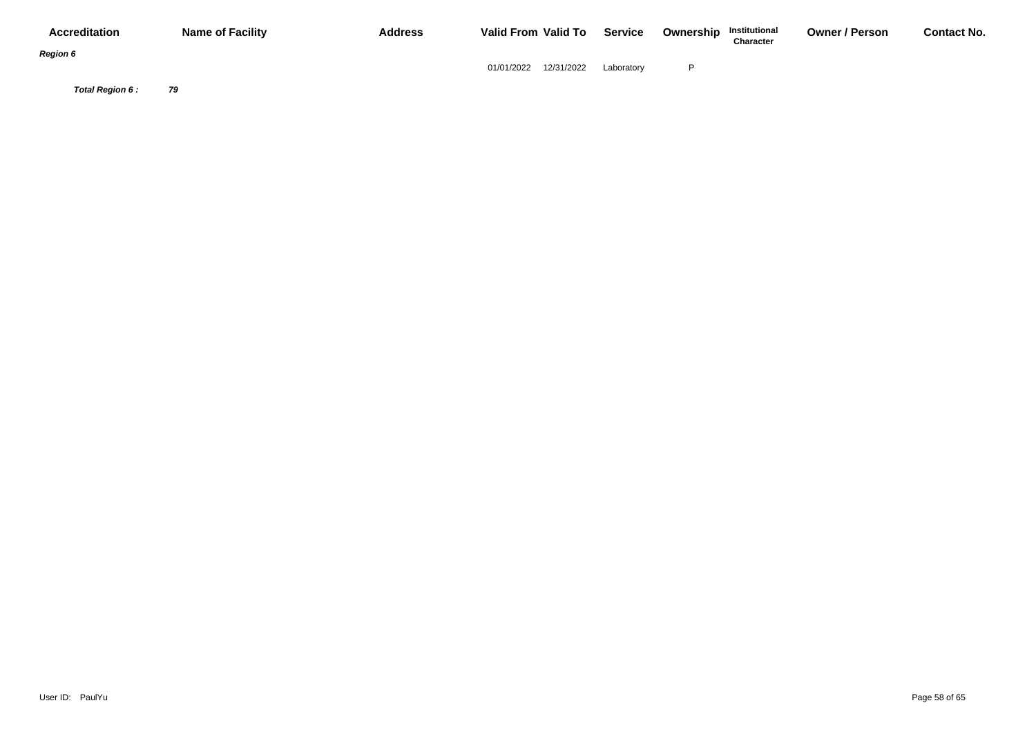| <b>Accreditation</b> | <b>Name of Facility</b> | <b>Address</b> | Valid From Valid To      | <b>Service</b> | <b>Ownership Institutional</b><br>Character | <b>Owner / Person</b> | <b>Contact No.</b> |
|----------------------|-------------------------|----------------|--------------------------|----------------|---------------------------------------------|-----------------------|--------------------|
| <b>Region 6</b>      |                         |                | 12/31/2022<br>01/01/2022 | Laboratory     |                                             |                       |                    |
| Total Region 6:      | 79                      |                |                          |                |                                             |                       |                    |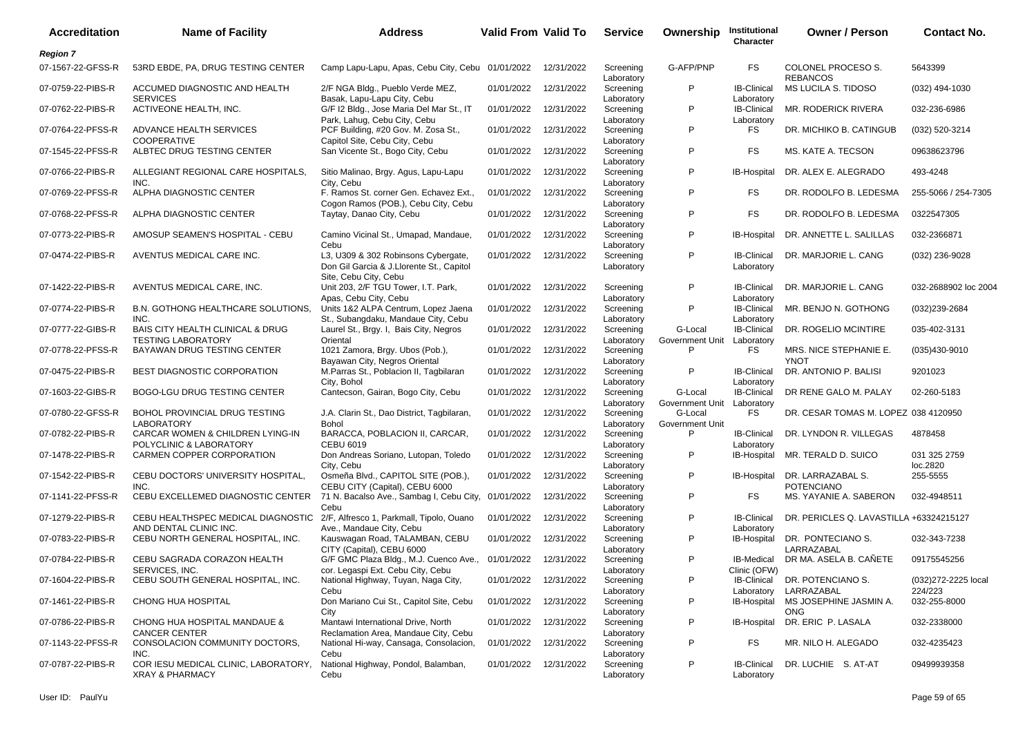| <b>Accreditation</b> | <b>Name of Facility</b>                                                    | <b>Address</b>                                                                                       | <b>Valid From Valid To</b> |            | <b>Service</b>                        | Ownership                             | Institutional<br>Character       | <b>Owner / Person</b>                   | <b>Contact No.</b>       |
|----------------------|----------------------------------------------------------------------------|------------------------------------------------------------------------------------------------------|----------------------------|------------|---------------------------------------|---------------------------------------|----------------------------------|-----------------------------------------|--------------------------|
| <b>Region 7</b>      |                                                                            |                                                                                                      |                            |            |                                       |                                       |                                  |                                         |                          |
| 07-1567-22-GFSS-R    | 53RD EBDE, PA, DRUG TESTING CENTER                                         | Camp Lapu-Lapu, Apas, Cebu City, Cebu 01/01/2022                                                     |                            | 12/31/2022 | Screening<br>Laboratory               | G-AFP/PNP                             | FS                               | COLONEL PROCESO S.<br><b>REBANCOS</b>   | 5643399                  |
| 07-0759-22-PIBS-R    | ACCUMED DIAGNOSTIC AND HEALTH<br><b>SERVICES</b>                           | 2/F NGA Bldg., Pueblo Verde MEZ,<br>Basak, Lapu-Lapu City, Cebu                                      | 01/01/2022                 | 12/31/2022 | Screening<br>Laboratory               | P                                     | <b>IB-Clinical</b><br>Laboratory | MS LUCILA S. TIDOSO                     | (032) 494-1030           |
| 07-0762-22-PIBS-R    | ACTIVEONE HEALTH, INC.                                                     | G/F I2 Bldg., Jose Maria Del Mar St., IT                                                             | 01/01/2022                 | 12/31/2022 | Screening                             | P                                     | <b>IB-Clinical</b>               | MR. RODERICK RIVERA                     | 032-236-6986             |
| 07-0764-22-PFSS-R    | ADVANCE HEALTH SERVICES<br><b>COOPERATIVE</b>                              | Park, Lahug, Cebu City, Cebu<br>PCF Building, #20 Gov. M. Zosa St.,<br>Capitol Site, Cebu City, Cebu | 01/01/2022                 | 12/31/2022 | Laboratory<br>Screening<br>Laboratory | P                                     | Laboratory<br>FS                 | DR. MICHIKO B. CATINGUB                 | (032) 520-3214           |
| 07-1545-22-PFSS-R    | ALBTEC DRUG TESTING CENTER                                                 | San Vicente St., Bogo City, Cebu                                                                     | 01/01/2022                 | 12/31/2022 | Screening<br>Laboratory               | P                                     | FS                               | MS. KATE A. TECSON                      | 09638623796              |
| 07-0766-22-PIBS-R    | ALLEGIANT REGIONAL CARE HOSPITALS,<br>INC.                                 | Sitio Malinao, Brgy. Agus, Lapu-Lapu<br>City, Cebu                                                   | 01/01/2022                 | 12/31/2022 | Screening<br>Laboratory               | P                                     | IB-Hospital                      | DR. ALEX E. ALEGRADO                    | 493-4248                 |
| 07-0769-22-PFSS-R    | ALPHA DIAGNOSTIC CENTER                                                    | F. Ramos St. corner Gen. Echavez Ext.,<br>Cogon Ramos (POB.), Cebu City, Cebu                        | 01/01/2022                 | 12/31/2022 | Screening<br>Laboratory               | P                                     | FS                               | DR. RODOLFO B. LEDESMA                  | 255-5066 / 254-7305      |
| 07-0768-22-PFSS-R    | ALPHA DIAGNOSTIC CENTER                                                    | Taytay, Danao City, Cebu                                                                             | 01/01/2022                 | 12/31/2022 | Screening<br>Laboratory               | P                                     | FS.                              | DR. RODOLFO B. LEDESMA                  | 0322547305               |
| 07-0773-22-PIBS-R    | AMOSUP SEAMEN'S HOSPITAL - CEBU                                            | Camino Vicinal St., Umapad, Mandaue,<br>Cebu                                                         | 01/01/2022                 | 12/31/2022 | Screening                             | P                                     | IB-Hospital                      | DR. ANNETTE L. SALILLAS                 | 032-2366871              |
| 07-0474-22-PIBS-R    | AVENTUS MEDICAL CARE INC.                                                  | L3, U309 & 302 Robinsons Cybergate,<br>Don Gil Garcia & J.Llorente St., Capitol                      | 01/01/2022                 | 12/31/2022 | Laboratory<br>Screening<br>Laboratory | P                                     | <b>IB-Clinical</b><br>Laboratory | DR. MARJORIE L. CANG                    | (032) 236-9028           |
| 07-1422-22-PIBS-R    | AVENTUS MEDICAL CARE. INC.                                                 | Site, Cebu City, Cebu<br>Unit 203, 2/F TGU Tower, I.T. Park,<br>Apas, Cebu City, Cebu                | 01/01/2022                 | 12/31/2022 | Screening<br>Laboratory               | P                                     | <b>IB-Clinical</b><br>Laboratory | DR. MARJORIE L. CANG                    | 032-2688902 loc 2004     |
| 07-0774-22-PIBS-R    | B.N. GOTHONG HEALTHCARE SOLUTIONS,<br>INC.                                 | Units 1&2 ALPA Centrum, Lopez Jaena<br>St., Subangdaku, Mandaue City, Cebu                           | 01/01/2022                 | 12/31/2022 | Screening<br>Laboratory               | P                                     | IB-Clinical<br>Laboratory        | MR. BENJO N. GOTHONG                    | (032)239-2684            |
| 07-0777-22-GIBS-R    | BAIS CITY HEALTH CLINICAL & DRUG<br><b>TESTING LABORATORY</b>              | Laurel St., Brgy. I, Bais City, Negros<br>Oriental                                                   | 01/01/2022                 | 12/31/2022 | Screening<br>Laboratory               | G-Local<br>Government Unit Laboratory | <b>IB-Clinical</b>               | DR. ROGELIO MCINTIRE                    | 035-402-3131             |
| 07-0778-22-PFSS-R    | BAYAWAN DRUG TESTING CENTER                                                | 1021 Zamora, Brgy. Ubos (Pob.),<br>Bayawan City, Negros Oriental                                     | 01/01/2022                 | 12/31/2022 | Screening<br>Laboratory               | P                                     | FS.                              | MRS. NICE STEPHANIE E.<br><b>YNOT</b>   | (035)430-9010            |
| 07-0475-22-PIBS-R    | <b>BEST DIAGNOSTIC CORPORATION</b>                                         | M.Parras St., Poblacion II, Tagbilaran<br>City, Bohol                                                | 01/01/2022                 | 12/31/2022 | Screening<br>Laboratory               | P                                     | IB-Clinical<br>Laboratory        | DR. ANTONIO P. BALISI                   | 9201023                  |
| 07-1603-22-GIBS-R    | BOGO-LGU DRUG TESTING CENTER                                               | Cantecson, Gairan, Bogo City, Cebu                                                                   | 01/01/2022                 | 12/31/2022 | Screening<br>Laboratory               | G-Local<br>Government Unit Laboratory | <b>IB-Clinical</b>               | DR RENE GALO M. PALAY                   | 02-260-5183              |
| 07-0780-22-GFSS-R    | BOHOL PROVINCIAL DRUG TESTING<br><b>LABORATORY</b>                         | J.A. Clarin St., Dao District, Tagbilaran,<br>Bohol                                                  | 01/01/2022                 | 12/31/2022 | Screening<br>Laboratory               | G-Local<br>Government Unit            | FS.                              | DR. CESAR TOMAS M. LOPEZ 038 4120950    |                          |
| 07-0782-22-PIBS-R    | CARCAR WOMEN & CHILDREN LYING-IN<br>POLYCLINIC & LABORATORY                | BARACCA, POBLACION II, CARCAR,<br><b>CEBU 6019</b>                                                   | 01/01/2022                 | 12/31/2022 | Screening<br>Laboratory               | P                                     | <b>IB-Clinical</b><br>Laboratory | DR. LYNDON R. VILLEGAS                  | 4878458                  |
| 07-1478-22-PIBS-R    | CARMEN COPPER CORPORATION                                                  | Don Andreas Soriano, Lutopan, Toledo<br>City, Cebu                                                   | 01/01/2022                 | 12/31/2022 | Screening<br>Laboratory               | P                                     | IB-Hospital                      | MR. TERALD D. SUICO                     | 031 325 2759<br>loc.2820 |
| 07-1542-22-PIBS-R    | CEBU DOCTORS' UNIVERSITY HOSPITAL,<br>INC.                                 | Osmeña Blvd., CAPITOL SITE (POB.),<br>CEBU CITY (Capital), CEBU 6000                                 | 01/01/2022                 | 12/31/2022 | Screening<br>Laboratory               | P                                     | IB-Hospital                      | DR. LARRAZABAL S.<br><b>POTENCIANO</b>  | 255-5555                 |
| 07-1141-22-PFSS-R    | CEBU EXCELLEMED DIAGNOSTIC CENTER                                          | 71 N. Bacalso Ave., Sambag I, Cebu City, 01/01/2022<br>Cebu                                          |                            | 12/31/2022 | Screening<br>Laboratory               | P                                     | FS                               | MS. YAYANIE A. SABERON                  | 032-4948511              |
| 07-1279-22-PIBS-R    | CEBU HEALTHSPEC MEDICAL DIAGNOSTIC<br>AND DENTAL CLINIC INC.               | 2/F, Alfresco 1, Parkmall, Tipolo, Ouano<br>Ave., Mandaue City, Cebu                                 | 01/01/2022                 | 12/31/2022 | Screening<br>Laboratory               | P                                     | <b>IB-Clinical</b><br>Laboratory | DR. PERICLES Q. LAVASTILLA +63324215127 |                          |
| 07-0783-22-PIBS-R    | CEBU NORTH GENERAL HOSPITAL, INC.                                          | Kauswagan Road, TALAMBAN, CEBU<br>CITY (Capital), CEBU 6000                                          | 01/01/2022                 | 12/31/2022 | Screening                             | P                                     | <b>IB-Hospital</b>               | DR. PONTECIANO S.<br>LARRAZABAL         | 032-343-7238             |
| 07-0784-22-PIBS-R    | CEBU SAGRADA CORAZON HEALTH<br>SERVICES, INC.                              | G/F GMC Plaza Bldg., M.J. Cuenco Ave., 01/01/2022                                                    |                            | 12/31/2022 | Laboratory<br>Screening               | P                                     | <b>IB-Medical</b>                | DR MA. ASELA B. CAÑETE                  | 09175545256              |
| 07-1604-22-PIBS-R    | CEBU SOUTH GENERAL HOSPITAL, INC.                                          | cor. Legaspi Ext. Cebu City, Cebu<br>National Highway, Tuyan, Naga City,                             | 01/01/2022                 | 12/31/2022 | Laboratory<br>Screening               | P                                     | Clinic (OFW)<br>IB-Clinical      | DR. POTENCIANO S.                       | (032) 272-2225 local     |
| 07-1461-22-PIBS-R    | CHONG HUA HOSPITAL                                                         | Cebu<br>Don Mariano Cui St., Capitol Site, Cebu                                                      | 01/01/2022                 | 12/31/2022 | Laboratory<br>Screening               | P                                     | Laboratory<br>IB-Hospital        | LARRAZABAL<br>MS JOSEPHINE JASMIN A.    | 224/223<br>032-255-8000  |
| 07-0786-22-PIBS-R    | CHONG HUA HOSPITAL MANDAUE &                                               | City<br>Mantawi International Drive, North                                                           | 01/01/2022                 | 12/31/2022 | Laboratory<br>Screening               | P                                     | IB-Hospital                      | <b>ONG</b><br>DR. ERIC P. LASALA        | 032-2338000              |
| 07-1143-22-PFSS-R    | <b>CANCER CENTER</b><br>CONSOLACION COMMUNITY DOCTORS,                     | Reclamation Area, Mandaue City, Cebu<br>National Hi-way, Cansaga, Consolacion,                       | 01/01/2022                 | 12/31/2022 | Laboratory<br>Screening               | P                                     | FS                               | MR. NILO H. ALEGADO                     | 032-4235423              |
| 07-0787-22-PIBS-R    | INC.<br>COR IESU MEDICAL CLINIC, LABORATORY,<br><b>XRAY &amp; PHARMACY</b> | Cebu<br>National Highway, Pondol, Balamban,<br>Cebu                                                  | 01/01/2022                 | 12/31/2022 | Laboratory<br>Screening<br>Laboratory | P                                     | <b>IB-Clinical</b><br>Laboratory | DR. LUCHIE S. AT-AT                     | 09499939358              |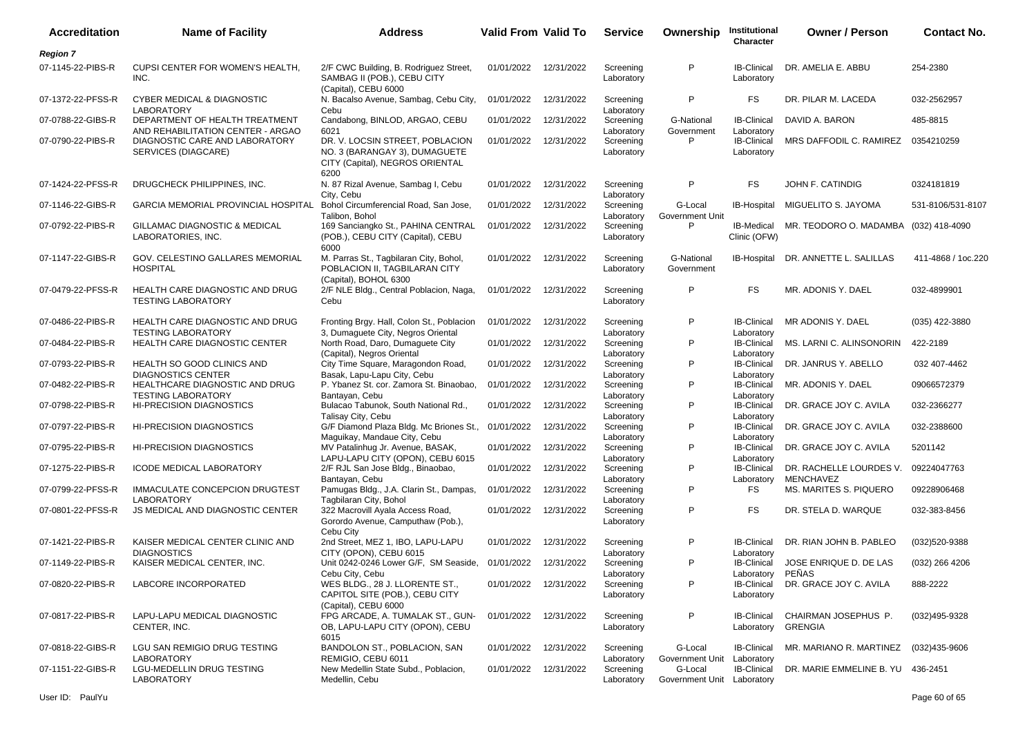| <b>Accreditation</b> | <b>Name of Facility</b>                                             | <b>Address</b>                                                                                              | <b>Valid From Valid To</b> |            | <b>Service</b>                        | Ownership                             | Institutional<br>Character             | <b>Owner / Person</b>                  | <b>Contact No.</b> |
|----------------------|---------------------------------------------------------------------|-------------------------------------------------------------------------------------------------------------|----------------------------|------------|---------------------------------------|---------------------------------------|----------------------------------------|----------------------------------------|--------------------|
| <b>Region 7</b>      |                                                                     |                                                                                                             |                            |            |                                       |                                       |                                        |                                        |                    |
| 07-1145-22-PIBS-R    | CUPSI CENTER FOR WOMEN'S HEALTH,<br>INC.                            | 2/F CWC Building, B. Rodriguez Street,<br>SAMBAG II (POB.), CEBU CITY<br>(Capital), CEBU 6000               | 01/01/2022                 | 12/31/2022 | Screening<br>Laboratory               | P                                     | <b>IB-Clinical</b><br>Laboratory       | DR. AMELIA E. ABBU                     | 254-2380           |
| 07-1372-22-PFSS-R    | <b>CYBER MEDICAL &amp; DIAGNOSTIC</b><br><b>LABORATORY</b>          | N. Bacalso Avenue, Sambag, Cebu City,                                                                       | 01/01/2022                 | 12/31/2022 | Screening                             | P                                     | FS.                                    | DR. PILAR M. LACEDA                    | 032-2562957        |
| 07-0788-22-GIBS-R    | DEPARTMENT OF HEALTH TREATMENT<br>AND REHABILITATION CENTER - ARGAO | Cebu<br>Candabong, BINLOD, ARGAO, CEBU<br>6021                                                              | 01/01/2022                 | 12/31/2022 | Laboratory<br>Screening<br>Laboratory | G-National<br>Government              | <b>IB-Clinical</b><br>Laboratory       | DAVID A. BARON                         | 485-8815           |
| 07-0790-22-PIBS-R    | DIAGNOSTIC CARE AND LABORATORY<br>SERVICES (DIAGCARE)               | DR. V. LOCSIN STREET, POBLACION<br>NO. 3 (BARANGAY 3), DUMAGUETE<br>CITY (Capital), NEGROS ORIENTAL<br>6200 | 01/01/2022                 | 12/31/2022 | Screening<br>Laboratory               | P                                     | <b>IB-Clinical</b><br>Laboratory       | MRS DAFFODIL C. RAMIREZ                | 0354210259         |
| 07-1424-22-PFSS-R    | DRUGCHECK PHILIPPINES, INC.                                         | N. 87 Rizal Avenue, Sambag I, Cebu<br>City, Cebu                                                            | 01/01/2022                 | 12/31/2022 | Screening<br>Laboratory               | P                                     | FS                                     | JOHN F. CATINDIG                       | 0324181819         |
| 07-1146-22-GIBS-R    | <b>GARCIA MEMORIAL PROVINCIAL HOSPITAL</b>                          | Bohol Circumferencial Road, San Jose,<br>Talibon, Bohol                                                     | 01/01/2022                 | 12/31/2022 | Screening<br>Laboratory               | G-Local<br>Government Unit            | <b>IB-Hospital</b>                     | MIGUELITO S. JAYOMA                    | 531-8106/531-8107  |
| 07-0792-22-PIBS-R    | GILLAMAC DIAGNOSTIC & MEDICAL<br>LABORATORIES, INC.                 | 169 Sanciangko St., PAHINA CENTRAL<br>(POB.), CEBU CITY (Capital), CEBU<br>6000                             | 01/01/2022                 | 12/31/2022 | Screening<br>Laboratory               | P                                     | <b>IB-Medical</b><br>Clinic (OFW)      | MR. TEODORO O. MADAMBA (032) 418-4090  |                    |
| 07-1147-22-GIBS-R    | GOV. CELESTINO GALLARES MEMORIAL<br><b>HOSPITAL</b>                 | M. Parras St., Tagbilaran City, Bohol,<br>POBLACION II. TAGBILARAN CITY<br>(Capital), BOHOL 6300            | 01/01/2022                 | 12/31/2022 | Screening<br>Laboratory               | G-National<br>Government              | IB-Hospital                            | DR. ANNETTE L. SALILLAS                | 411-4868 / 1oc.220 |
| 07-0479-22-PFSS-R    | HEALTH CARE DIAGNOSTIC AND DRUG<br><b>TESTING LABORATORY</b>        | 2/F NLE Bldg., Central Poblacion, Naga,<br>Cebu                                                             | 01/01/2022                 | 12/31/2022 | Screening<br>Laboratory               | P                                     | <b>FS</b>                              | MR. ADONIS Y. DAEL                     | 032-4899901        |
| 07-0486-22-PIBS-R    | HEALTH CARE DIAGNOSTIC AND DRUG<br><b>TESTING LABORATORY</b>        | Fronting Brgy. Hall, Colon St., Poblacion<br>3, Dumaguete City, Negros Oriental                             | 01/01/2022                 | 12/31/2022 | Screening<br>Laboratory               | P                                     | <b>IB-Clinical</b><br>Laboratory       | MR ADONIS Y. DAEL                      | (035) 422-3880     |
| 07-0484-22-PIBS-R    | HEALTH CARE DIAGNOSTIC CENTER                                       | North Road, Daro, Dumaquete City<br>(Capital), Negros Oriental                                              | 01/01/2022                 | 12/31/2022 | Screening<br>Laboratory               | P                                     | <b>IB-Clinical</b><br>Laboratory       | MS. LARNI C. ALINSONORIN               | 422-2189           |
| 07-0793-22-PIBS-R    | HEALTH SO GOOD CLINICS AND<br><b>DIAGNOSTICS CENTER</b>             | City Time Square, Maragondon Road,<br>Basak, Lapu-Lapu City, Cebu                                           | 01/01/2022                 | 12/31/2022 | Screening<br>Laboratory               | P                                     | <b>IB-Clinical</b><br>Laboratory       | DR. JANRUS Y. ABELLO                   | 032 407-4462       |
| 07-0482-22-PIBS-R    | HEALTHCARE DIAGNOSTIC AND DRUG<br><b>TESTING LABORATORY</b>         | P. Ybanez St. cor. Zamora St. Binaobao,<br>Bantayan, Cebu                                                   | 01/01/2022                 | 12/31/2022 | Screening<br>Laboratory               | P                                     | <b>IB-Clinical</b><br>Laboratory       | MR. ADONIS Y. DAEL                     | 09066572379        |
| 07-0798-22-PIBS-R    | <b>HI-PRECISION DIAGNOSTICS</b>                                     | Bulacao Tabunok, South National Rd.,<br>Talisay City, Cebu                                                  | 01/01/2022                 | 12/31/2022 | Screening<br>Laboratory               | P                                     | <b>IB-Clinical</b><br>Laboratory       | DR. GRACE JOY C. AVILA                 | 032-2366277        |
| 07-0797-22-PIBS-R    | <b>HI-PRECISION DIAGNOSTICS</b>                                     | G/F Diamond Plaza Bldg. Mc Briones St.,<br>Maguikay, Mandaue City, Cebu                                     | 01/01/2022                 | 12/31/2022 | Screening<br>Laboratory               | P                                     | <b>IB-Clinical</b><br>Laboratory       | DR. GRACE JOY C. AVILA                 | 032-2388600        |
| 07-0795-22-PIBS-R    | <b>HI-PRECISION DIAGNOSTICS</b>                                     | MV Patalinhug Jr. Avenue, BASAK,<br>LAPU-LAPU CITY (OPON), CEBU 6015                                        | 01/01/2022                 | 12/31/2022 | Screening<br>Laboratory               | P                                     | <b>IB-Clinical</b><br>Laboratory       | DR. GRACE JOY C. AVILA                 | 5201142            |
| 07-1275-22-PIBS-R    | <b>ICODE MEDICAL LABORATORY</b>                                     | 2/F RJL San Jose Bldg., Binaobao,<br>Bantayan, Cebu                                                         | 01/01/2022                 | 12/31/2022 | Screening<br>Laboratory               | P                                     | <b>IB-Clinical</b><br>Laboratory       | DR. RACHELLE LOURDES V.<br>MENCHAVEZ   | 09224047763        |
| 07-0799-22-PFSS-R    | IMMACULATE CONCEPCION DRUGTEST<br><b>LABORATORY</b>                 | Pamugas Bldg., J.A. Clarin St., Dampas,<br>Tagbilaran City, Bohol                                           | 01/01/2022                 | 12/31/2022 | Screening<br>Laboratory               | P                                     | FS.                                    | MS. MARITES S. PIQUERO                 | 09228906468        |
| 07-0801-22-PFSS-R    | JS MEDICAL AND DIAGNOSTIC CENTER                                    | 322 Macrovill Ayala Access Road,<br>Gorordo Avenue, Camputhaw (Pob.),<br>Cebu City                          | 01/01/2022                 | 12/31/2022 | Screening<br>Laboratory               | P                                     | FS.                                    | DR. STELA D. WARQUE                    | 032-383-8456       |
| 07-1421-22-PIBS-R    | KAISER MEDICAL CENTER CLINIC AND<br><b>DIAGNOSTICS</b>              | 2nd Street, MEZ 1, IBO, LAPU-LAPU<br>CITY (OPON), CEBU 6015                                                 | 01/01/2022                 | 12/31/2022 | Screening<br>Laboratory               | P                                     | <b>IB-Clinical</b><br>Laboratory       | DR. RIAN JOHN B. PABLEO                | (032)520-9388      |
| 07-1149-22-PIBS-R    | KAISER MEDICAL CENTER, INC.                                         | Unit 0242-0246 Lower G/F, SM Seaside, 01/01/2022<br>Cebu City, Cebu                                         |                            | 12/31/2022 | Screening<br>Laboratory               | P                                     | <b>IB-Clinical</b><br>Laboratory PEÑAS | JOSE ENRIQUE D. DE LAS                 | $(032)$ 266 4206   |
| 07-0820-22-PIBS-R    | LABCORE INCORPORATED                                                | WES BLDG., 28 J. LLORENTE ST.,<br>CAPITOL SITE (POB.), CEBU CITY<br>(Capital), CEBU 6000                    | 01/01/2022                 | 12/31/2022 | Screening<br>Laboratory               | P                                     | IB-Clinical<br>Laboratory              | DR. GRACE JOY C. AVILA                 | 888-2222           |
| 07-0817-22-PIBS-R    | LAPU-LAPU MEDICAL DIAGNOSTIC<br>CENTER, INC.                        | FPG ARCADE, A. TUMALAK ST., GUN-<br>OB, LAPU-LAPU CITY (OPON), CEBU<br>6015                                 | 01/01/2022                 | 12/31/2022 | Screening<br>Laboratory               | P                                     | <b>IB-Clinical</b><br>Laboratory       | CHAIRMAN JOSEPHUS P.<br><b>GRENGIA</b> | $(032)495 - 9328$  |
| 07-0818-22-GIBS-R    | LGU SAN REMIGIO DRUG TESTING<br><b>LABORATORY</b>                   | BANDOLON ST., POBLACION, SAN<br>REMIGIO. CEBU 6011                                                          | 01/01/2022                 | 12/31/2022 | Screening<br>Laboratory               | G-Local<br>Government Unit            | <b>IB-Clinical</b><br>Laboratory       | MR. MARIANO R. MARTINEZ                | (032)435-9606      |
| 07-1151-22-GIBS-R    | LGU-MEDELLIN DRUG TESTING<br><b>LABORATORY</b>                      | New Medellin State Subd., Poblacion,<br>Medellin, Cebu                                                      | 01/01/2022                 | 12/31/2022 | Screening<br>Laboratory               | G-Local<br>Government Unit Laboratory | <b>IB-Clinical</b>                     | DR. MARIE EMMELINE B. YU 436-2451      |                    |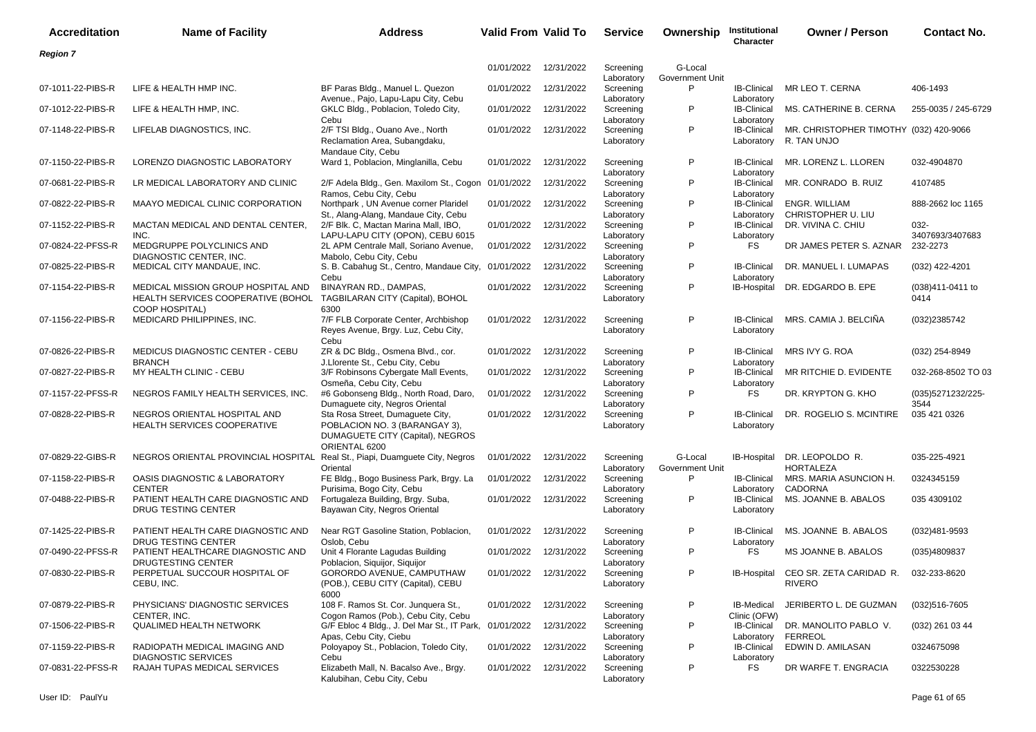| <b>Accreditation</b> | <b>Name of Facility</b>                                                  | <b>Address</b>                                                                                                         | Valid From Valid To   |            | <b>Service</b>                        | Ownership                  | Institutional<br>Character        | <b>Owner / Person</b>                                             | <b>Contact No.</b>          |
|----------------------|--------------------------------------------------------------------------|------------------------------------------------------------------------------------------------------------------------|-----------------------|------------|---------------------------------------|----------------------------|-----------------------------------|-------------------------------------------------------------------|-----------------------------|
| Region 7             |                                                                          |                                                                                                                        |                       |            |                                       |                            |                                   |                                                                   |                             |
|                      |                                                                          |                                                                                                                        | 01/01/2022            | 12/31/2022 | Screening<br>Laboratory               | G-Local<br>Government Unit |                                   |                                                                   |                             |
| 07-1011-22-PIBS-R    | LIFE & HEALTH HMP INC.                                                   | BF Paras Bldg., Manuel L. Quezon<br>Avenue., Pajo, Lapu-Lapu City, Cebu                                                | 01/01/2022            | 12/31/2022 | Screening<br>Laboratory               | P                          | <b>IB-Clinical</b><br>Laboratory  | MR LEO T. CERNA                                                   | 406-1493                    |
| 07-1012-22-PIBS-R    | LIFE & HEALTH HMP, INC.                                                  | GKLC Bldg., Poblacion, Toledo City,<br>Cebu                                                                            | 01/01/2022            | 12/31/2022 | Screening<br>Laboratory               | P                          | <b>IB-Clinical</b><br>Laboratory  | MS. CATHERINE B. CERNA                                            | 255-0035 / 245-6729         |
| 07-1148-22-PIBS-R    | LIFELAB DIAGNOSTICS, INC.                                                | 2/F TSI Bldg., Ouano Ave., North<br>Reclamation Area, Subangdaku,<br>Mandaue City, Cebu                                | 01/01/2022            | 12/31/2022 | Screening<br>Laboratory               | P                          | <b>IB-Clinical</b><br>Laboratory  | MR. CHRISTOPHER TIMOTHY (032) 420-9066<br>R. TAN UNJO             |                             |
| 07-1150-22-PIBS-R    | LORENZO DIAGNOSTIC LABORATORY                                            | Ward 1, Poblacion, Minglanilla, Cebu                                                                                   | 01/01/2022            | 12/31/2022 | Screening<br>Laboratory               | P                          | <b>IB-Clinical</b><br>Laboratory  | MR. LORENZ L. LLOREN                                              | 032-4904870                 |
| 07-0681-22-PIBS-R    | LR MEDICAL LABORATORY AND CLINIC                                         | 2/F Adela Bldg., Gen. Maxilom St., Cogon 01/01/2022<br>Ramos, Cebu City, Cebu                                          |                       | 12/31/2022 | Screening<br>Laboratory               | P                          | <b>IB-Clinical</b><br>Laboratory  | MR. CONRADO B. RUIZ                                               | 4107485                     |
| 07-0822-22-PIBS-R    | MAAYO MEDICAL CLINIC CORPORATION                                         | Northpark, UN Avenue corner Plaridel<br>St., Alang-Alang, Mandaue City, Cebu                                           | 01/01/2022            | 12/31/2022 | Screening<br>Laboratory               | P                          | <b>IB-Clinical</b><br>Laboratory  | ENGR. WILLIAM<br>CHRISTOPHER U. LIU                               | 888-2662 loc 1165           |
| 07-1152-22-PIBS-R    | MACTAN MEDICAL AND DENTAL CENTER,                                        | 2/F Blk. C, Mactan Marina Mall, IBO,                                                                                   | 01/01/2022            | 12/31/2022 | Screening                             | P                          | <b>IB-Clinical</b>                | DR. VIVINA C. CHIU                                                | 032-                        |
| 07-0824-22-PFSS-R    | INC.<br>MEDGRUPPE POLYCLINICS AND                                        | LAPU-LAPU CITY (OPON), CEBU 6015<br>2L APM Centrale Mall, Soriano Avenue,                                              | 01/01/2022            | 12/31/2022 | Laboratory<br>Screening               | P                          | Laboratory<br>FS.                 | DR JAMES PETER S. AZNAR                                           | 3407693/3407683<br>232-2273 |
| 07-0825-22-PIBS-R    | DIAGNOSTIC CENTER, INC.<br>MEDICAL CITY MANDAUE, INC.                    | Mabolo, Cebu City, Cebu<br>S. B. Cabahug St., Centro, Mandaue City, 01/01/2022                                         |                       | 12/31/2022 | Laboratory<br>Screening               | P                          | <b>IB-Clinical</b>                | DR. MANUEL I. LUMAPAS                                             | (032) 422-4201              |
| 07-1154-22-PIBS-R    | MEDICAL MISSION GROUP HOSPITAL AND<br>HEALTH SERVICES COOPERATIVE (BOHOL | Cebu<br>BINAYRAN RD., DAMPAS,<br>TAGBILARAN CITY (Capital), BOHOL                                                      | 01/01/2022            | 12/31/2022 | Laboratory<br>Screening<br>Laboratory | P                          | Laboratory<br><b>IB-Hospital</b>  | DR. EDGARDO B. EPE                                                | (038)411-0411 to<br>0414    |
| 07-1156-22-PIBS-R    | <b>COOP HOSPITAL)</b><br>MEDICARD PHILIPPINES, INC.                      | 6300<br>7/F FLB Corporate Center, Archbishop<br>Reyes Avenue, Brgy. Luz, Cebu City,<br>Cebu                            | 01/01/2022            | 12/31/2022 | Screening<br>Laboratory               | P                          | <b>IB-Clinical</b><br>Laboratory  | MRS. CAMIA J. BELCIÑA                                             | (032)2385742                |
| 07-0826-22-PIBS-R    | MEDICUS DIAGNOSTIC CENTER - CEBU<br><b>BRANCH</b>                        | ZR & DC Bldg., Osmena Blvd., cor.<br>J.Llorente St., Cebu City, Cebu                                                   | 01/01/2022            | 12/31/2022 | Screening<br>Laboratory               | P                          | <b>IB-Clinical</b><br>Laboratory  | MRS IVY G. ROA                                                    | (032) 254-8949              |
| 07-0827-22-PIBS-R    | MY HEALTH CLINIC - CEBU                                                  | 3/F Robinsons Cybergate Mall Events,                                                                                   | 01/01/2022            | 12/31/2022 | Screening                             | P                          | <b>IB-Clinical</b>                | MR RITCHIE D. EVIDENTE                                            | 032-268-8502 TO 03          |
| 07-1157-22-PFSS-R    | NEGROS FAMILY HEALTH SERVICES, INC.                                      | Osmeña, Cebu City, Cebu<br>#6 Gobonseng Bldg., North Road, Daro,<br>Dumaguete city, Negros Oriental                    | 01/01/2022            | 12/31/2022 | Laboratory<br>Screening<br>Laboratory | P                          | Laboratory<br>FS.                 | DR. KRYPTON G. KHO                                                | (035)5271232/225-<br>3544   |
| 07-0828-22-PIBS-R    | NEGROS ORIENTAL HOSPITAL AND<br>HEALTH SERVICES COOPERATIVE              | Sta Rosa Street, Dumaguete City,<br>POBLACION NO. 3 (BARANGAY 3),<br>DUMAGUETE CITY (Capital), NEGROS<br>ORIENTAL 6200 | 01/01/2022            | 12/31/2022 | Screening<br>Laboratory               | P                          | <b>IB-Clinical</b><br>Laboratory  | DR. ROGELIO S. MCINTIRE                                           | 035 421 0326                |
| 07-0829-22-GIBS-R    | NEGROS ORIENTAL PROVINCIAL HOSPITAL                                      | Real St., Piapi, Duamguete City, Negros<br>Oriental                                                                    | 01/01/2022            | 12/31/2022 | Screening<br>Laboratory               | G-Local<br>Government Unit | IB-Hospital                       | DR. LEOPOLDO R.<br><b>HORTALEZA</b>                               | 035-225-4921                |
| 07-1158-22-PIBS-R    | OASIS DIAGNOSTIC & LABORATORY<br><b>CENTER</b>                           | FE Bldg., Bogo Business Park, Brgy. La<br>Purisima, Bogo City, Cebu                                                    | 01/01/2022            | 12/31/2022 | Screening<br>Laboratory               | P                          | <b>IB-Clinical</b><br>Laboratory  | MRS. MARIA ASUNCION H<br>CADORNA                                  | 0324345159                  |
| 07-0488-22-PIBS-R    | PATIENT HEALTH CARE DIAGNOSTIC AND<br><b>DRUG TESTING CENTER</b>         | Fortugaleza Building, Brgy. Suba,<br>Bayawan City, Negros Oriental                                                     | 01/01/2022            | 12/31/2022 | Screening<br>Laboratory               | P                          | <b>IB-Clinical</b><br>Laboratory  | MS. JOANNE B. ABALOS                                              | 035 4309102                 |
| 07-1425-22-PIBS-R    | PATIENT HEALTH CARE DIAGNOSTIC AND<br>DRUG TESTING CENTER                | Near RGT Gasoline Station, Poblacion,<br>Oslob, Cebu                                                                   | 01/01/2022            | 12/31/2022 | Screening<br>Laboratory               | P                          | <b>IB-Clinical</b><br>Laboratory  | MS. JOANNE B. ABALOS                                              | (032)481-9593               |
| 07-0490-22-PFSS-R    | PATIENT HEALTHCARE DIAGNOSTIC AND<br><b>DRUGTESTING CENTER</b>           | Unit 4 Florante Lagudas Building                                                                                       | 01/01/2022            | 12/31/2022 | Screening                             | P                          | FS                                | MS JOANNE B. ABALOS                                               | (035)4809837                |
| 07-0830-22-PIBS-R    | PERPETUAL SUCCOUR HOSPITAL OF<br>CEBU, INC.                              | Poblacion, Siquijor, Siquijor<br>GORORDO AVENUE, CAMPUTHAW<br>(POB.), CEBU CITY (Capital), CEBU<br>6000                | 01/01/2022 12/31/2022 |            | Laboratory<br>Screening<br>Laboratory | D                          |                                   | IB-Hospital CEO SR. ZETA CARIDAD R. 032-233-8620<br><b>RIVERO</b> |                             |
| 07-0879-22-PIBS-R    | PHYSICIANS' DIAGNOSTIC SERVICES<br>CENTER, INC.                          | 108 F. Ramos St. Cor. Junquera St.,<br>Cogon Ramos (Pob.), Cebu City, Cebu                                             | 01/01/2022 12/31/2022 |            | Screening<br>Laboratory               | P                          | <b>IB-Medical</b><br>Clinic (OFW) | JERIBERTO L. DE GUZMAN                                            | (032)516-7605               |
| 07-1506-22-PIBS-R    | QUALIMED HEALTH NETWORK                                                  | G/F Ebloc 4 Bldg., J. Del Mar St., IT Park, 01/01/2022<br>Apas, Cebu City, Ciebu                                       |                       | 12/31/2022 | Screening<br>Laboratory               | P                          | <b>IB-Clinical</b><br>Laboratory  | DR. MANOLITO PABLO V.<br><b>FERREOL</b>                           | $(032)$ 261 03 44           |
| 07-1159-22-PIBS-R    | RADIOPATH MEDICAL IMAGING AND<br><b>DIAGNOSTIC SERVICES</b>              | Poloyapoy St., Poblacion, Toledo City,<br>Cebu                                                                         | 01/01/2022            | 12/31/2022 | Screening                             | P                          | <b>IB-Clinical</b>                | EDWIN D. AMILASAN                                                 | 0324675098                  |
| 07-0831-22-PFSS-R    | RAJAH TUPAS MEDICAL SERVICES                                             | Elizabeth Mall, N. Bacalso Ave., Brgy.<br>Kalubihan, Cebu City, Cebu                                                   | 01/01/2022            | 12/31/2022 | Laboratory<br>Screening<br>Laboratory | P                          | Laboratory<br>FS                  | DR WARFE T. ENGRACIA                                              | 0322530228                  |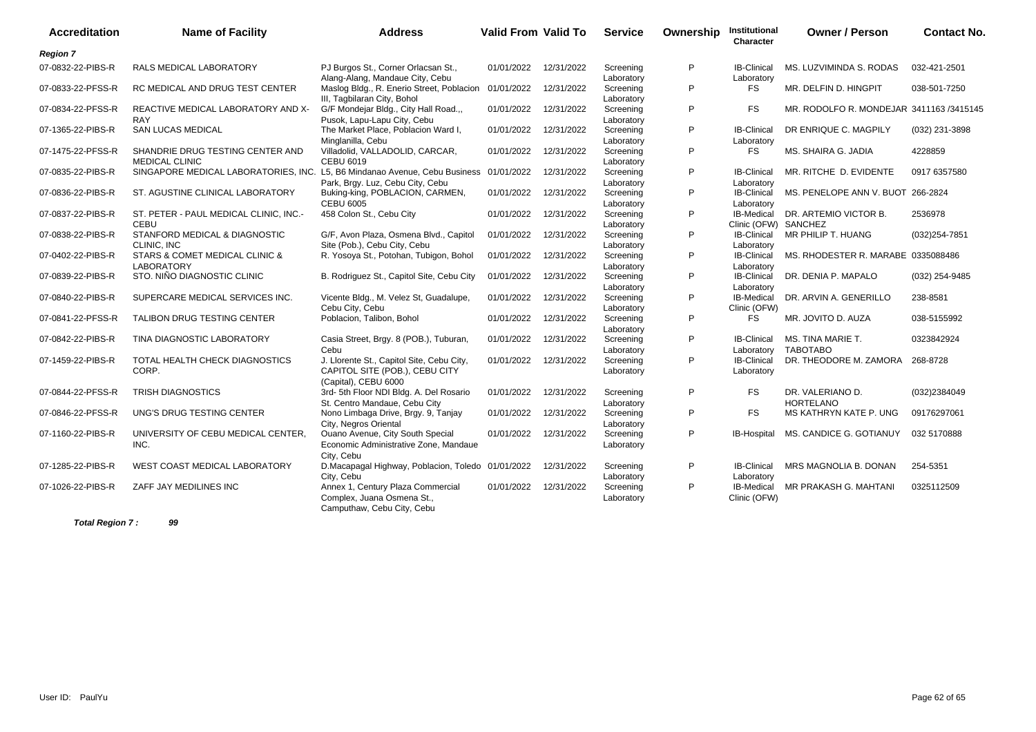| <b>Accreditation</b> | <b>Name of Facility</b>                                                    | <b>Address</b>                                                                                      | <b>Valid From Valid To</b> |            | <b>Service</b>          | Ownership | Institutional<br>Character         | <b>Owner / Person</b>                    | <b>Contact No.</b> |
|----------------------|----------------------------------------------------------------------------|-----------------------------------------------------------------------------------------------------|----------------------------|------------|-------------------------|-----------|------------------------------------|------------------------------------------|--------------------|
| <b>Region 7</b>      |                                                                            |                                                                                                     |                            |            |                         |           |                                    |                                          |                    |
| 07-0832-22-PIBS-R    | RALS MEDICAL LABORATORY                                                    | PJ Burgos St., Corner Orlacsan St.,<br>Alang-Alang, Mandaue City, Cebu                              | 01/01/2022                 | 12/31/2022 | Screening<br>Laboratory | P         | <b>IB-Clinical</b><br>Laboratory   | MS. LUZVIMINDA S. RODAS                  | 032-421-2501       |
| 07-0833-22-PFSS-R    | RC MEDICAL AND DRUG TEST CENTER                                            | Maslog Bldg., R. Enerio Street, Poblacion<br>III, Tagbilaran City, Bohol                            | 01/01/2022                 | 12/31/2022 | Screening<br>Laboratory | P         | <b>FS</b>                          | MR. DELFIN D. HINGPIT                    | 038-501-7250       |
| 07-0834-22-PFSS-R    | REACTIVE MEDICAL LABORATORY AND X-<br><b>RAY</b>                           | G/F Mondejar Bldg., City Hall Road.,,<br>Pusok, Lapu-Lapu City, Cebu                                | 01/01/2022                 | 12/31/2022 | Screening<br>Laboratory | P         | <b>FS</b>                          | MR. RODOLFO R. MONDEJAR 3411163 /3415145 |                    |
| 07-1365-22-PIBS-R    | <b>SAN LUCAS MEDICAL</b>                                                   | The Market Place, Poblacion Ward I,<br>Minglanilla, Cebu                                            | 01/01/2022                 | 12/31/2022 | Screening<br>Laboratory | P         | <b>IB-Clinical</b><br>Laboratory   | DR ENRIQUE C. MAGPILY                    | (032) 231-3898     |
| 07-1475-22-PFSS-R    | SHANDRIE DRUG TESTING CENTER AND<br><b>MEDICAL CLINIC</b>                  | Villadolid, VALLADOLID, CARCAR,<br><b>CEBU 6019</b>                                                 | 01/01/2022                 | 12/31/2022 | Screening<br>Laboratory | P         | FS                                 | MS. SHAIRA G. JADIA                      | 4228859            |
| 07-0835-22-PIBS-R    | SINGAPORE MEDICAL LABORATORIES, INC. L5, B6 Mindanao Avenue, Cebu Business | Park, Brgy. Luz, Cebu City, Cebu                                                                    | 01/01/2022                 | 12/31/2022 | Screening<br>Laboratory | P         | <b>IB-Clinical</b><br>Laboratory   | MR. RITCHE D. EVIDENTE                   | 0917 6357580       |
| 07-0836-22-PIBS-R    | ST. AGUSTINE CLINICAL LABORATORY                                           | Buking-king, POBLACION, CARMEN,<br><b>CEBU 6005</b>                                                 | 01/01/2022                 | 12/31/2022 | Screening<br>Laboratory | P         | <b>IB-Clinical</b><br>Laboratory   | MS. PENELOPE ANN V. BUOT 266-2824        |                    |
| 07-0837-22-PIBS-R    | ST. PETER - PAUL MEDICAL CLINIC, INC.-<br>CEBU                             | 458 Colon St., Cebu City                                                                            | 01/01/2022                 | 12/31/2022 | Screening<br>Laboratory | P         | IB-Medical<br>Clinic (OFW) SANCHEZ | DR. ARTEMIO VICTOR B.                    | 2536978            |
| 07-0838-22-PIBS-R    | STANFORD MEDICAL & DIAGNOSTIC<br>CLINIC, INC                               | G/F, Avon Plaza, Osmena Blvd., Capitol<br>Site (Pob.), Cebu City, Cebu                              | 01/01/2022                 | 12/31/2022 | Screening<br>Laboratory | P         | <b>IB-Clinical</b><br>Laboratory   | MR PHILIP T. HUANG                       | (032) 254-7851     |
| 07-0402-22-PIBS-R    | STARS & COMET MEDICAL CLINIC &<br><b>LABORATORY</b>                        | R. Yosoya St., Potohan, Tubigon, Bohol                                                              | 01/01/2022                 | 12/31/2022 | Screening<br>Laboratory | P         | <b>IB-Clinical</b><br>Laboratory   | MS. RHODESTER R. MARABE 0335088486       |                    |
| 07-0839-22-PIBS-R    | STO. NIÑO DIAGNOSTIC CLINIC                                                | B. Rodriguez St., Capitol Site, Cebu City                                                           | 01/01/2022                 | 12/31/2022 | Screening<br>Laboratory | P         | <b>IB-Clinical</b><br>Laboratory   | DR. DENIA P. MAPALO                      | (032) 254-9485     |
| 07-0840-22-PIBS-R    | SUPERCARE MEDICAL SERVICES INC.                                            | Vicente Bldg., M. Velez St, Guadalupe,<br>Cebu City, Cebu                                           | 01/01/2022                 | 12/31/2022 | Screening<br>Laboratory | P         | <b>IB-Medical</b><br>Clinic (OFW)  | DR. ARVIN A. GENERILLO                   | 238-8581           |
| 07-0841-22-PFSS-R    | TALIBON DRUG TESTING CENTER                                                | Poblacion, Talibon, Bohol                                                                           | 01/01/2022                 | 12/31/2022 | Screening<br>Laboratory | P         | FS                                 | MR. JOVITO D. AUZA                       | 038-5155992        |
| 07-0842-22-PIBS-R    | TINA DIAGNOSTIC LABORATORY                                                 | Casia Street, Brgy. 8 (POB.), Tuburan,<br>Cebu                                                      | 01/01/2022                 | 12/31/2022 | Screening<br>Laboratory | P         | <b>IB-Clinical</b><br>Laboratory   | MS. TINA MARIE T.<br><b>TABOTABO</b>     | 0323842924         |
| 07-1459-22-PIBS-R    | TOTAL HEALTH CHECK DIAGNOSTICS<br>CORP.                                    | J. Llorente St., Capitol Site, Cebu City,<br>CAPITOL SITE (POB.), CEBU CITY<br>(Capital), CEBU 6000 | 01/01/2022                 | 12/31/2022 | Screening<br>Laboratory | P         | <b>IB-Clinical</b><br>Laboratory   | DR. THEODORE M. ZAMORA 268-8728          |                    |
| 07-0844-22-PFSS-R    | <b>TRISH DIAGNOSTICS</b>                                                   | 3rd- 5th Floor NDI Bldg. A. Del Rosario<br>St. Centro Mandaue, Cebu City                            | 01/01/2022                 | 12/31/2022 | Screening<br>Laboratory | P         | <b>FS</b>                          | DR. VALERIANO D.<br><b>HORTELANO</b>     | (032)2384049       |
| 07-0846-22-PFSS-R    | UNG'S DRUG TESTING CENTER                                                  | Nono Limbaga Drive, Brgy. 9, Tanjay<br>City, Negros Oriental                                        | 01/01/2022                 | 12/31/2022 | Screening<br>Laboratory | P         | <b>FS</b>                          | MS KATHRYN KATE P. UNG                   | 09176297061        |
| 07-1160-22-PIBS-R    | UNIVERSITY OF CEBU MEDICAL CENTER,<br>INC.                                 | Ouano Avenue, City South Special<br>Economic Administrative Zone, Mandaue<br>City, Cebu             | 01/01/2022                 | 12/31/2022 | Screening<br>Laboratory | P         | IB-Hospital                        | MS. CANDICE G. GOTIANUY                  | 032 5170888        |
| 07-1285-22-PIBS-R    | <b>WEST COAST MEDICAL LABORATORY</b>                                       | D.Macapagal Highway, Poblacion, Toledo 01/01/2022<br>City, Cebu                                     |                            | 12/31/2022 | Screening<br>Laboratory | P         | <b>IB-Clinical</b><br>Laboratory   | <b>MRS MAGNOLIA B. DONAN</b>             | 254-5351           |
| 07-1026-22-PIBS-R    | ZAFF JAY MEDILINES INC                                                     | Annex 1, Century Plaza Commercial<br>Complex, Juana Osmena St.,<br>Camputhaw, Cebu City, Cebu       | 01/01/2022                 | 12/31/2022 | Screening<br>Laboratory | P         | <b>IB-Medical</b><br>Clinic (OFW)  | MR PRAKASH G. MAHTANI                    | 0325112509         |

**Total Region 7 : 99**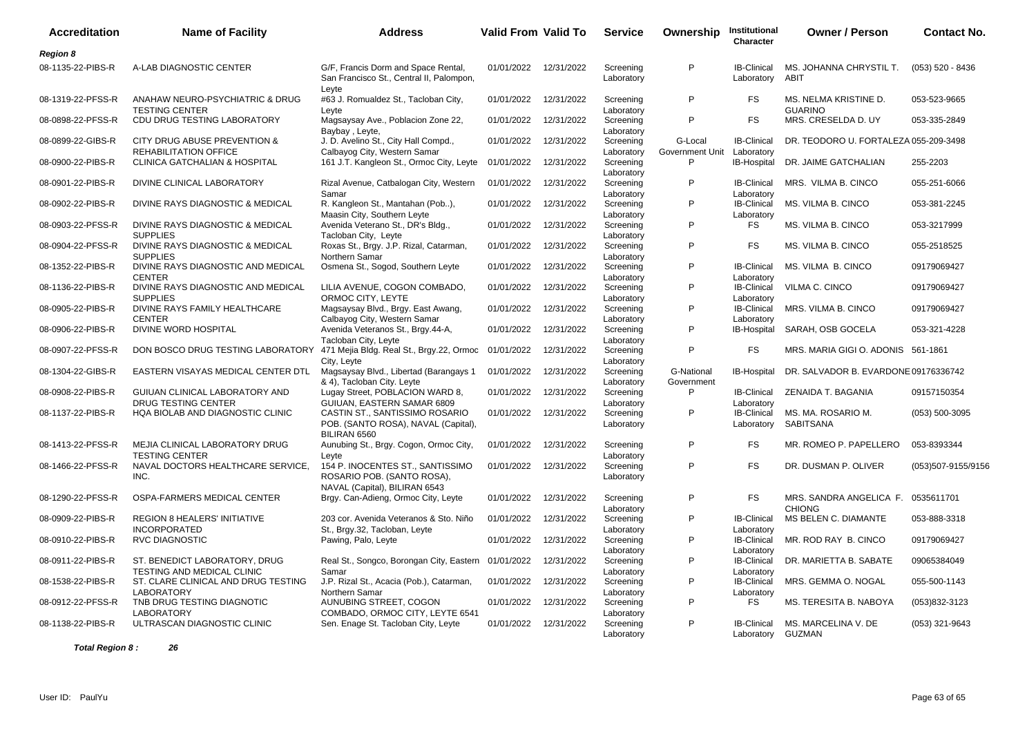| <b>Accreditation</b> | <b>Name of Facility</b>                                                               | <b>Address</b>                                                                                  | <b>Valid From Valid To</b> |            | <b>Service</b>          | Ownership                  | Institutional<br>Character       | <b>Owner / Person</b>                               | <b>Contact No.</b> |
|----------------------|---------------------------------------------------------------------------------------|-------------------------------------------------------------------------------------------------|----------------------------|------------|-------------------------|----------------------------|----------------------------------|-----------------------------------------------------|--------------------|
| <b>Region 8</b>      |                                                                                       |                                                                                                 |                            |            |                         |                            |                                  |                                                     |                    |
| 08-1135-22-PIBS-R    | A-LAB DIAGNOSTIC CENTER                                                               | G/F, Francis Dorm and Space Rental,<br>San Francisco St., Central II, Palompon,                 | 01/01/2022 12/31/2022      |            | Screening<br>Laboratory | P                          | <b>IB-Clinical</b><br>Laboratory | MS. JOHANNA CHRYSTIL T.<br><b>ABIT</b>              | $(053) 520 - 8436$ |
| 08-1319-22-PFSS-R    | ANAHAW NEURO-PSYCHIATRIC & DRUG<br><b>TESTING CENTER</b>                              | Leyte<br>#63 J. Romualdez St., Tacloban City,<br>Leyte                                          | 01/01/2022                 | 12/31/2022 | Screening<br>Laboratory | P                          | <b>FS</b>                        | MS. NELMA KRISTINE D.<br><b>GUARINO</b>             | 053-523-9665       |
| 08-0898-22-PFSS-R    | CDU DRUG TESTING LABORATORY                                                           | Magsaysay Ave., Poblacion Zone 22,<br>Baybay, Leyte,                                            | 01/01/2022                 | 12/31/2022 | Screening<br>Laboratory | P                          | <b>FS</b>                        | MRS. CRESELDA D. UY                                 | 053-335-2849       |
| 08-0899-22-GIBS-R    | CITY DRUG ABUSE PREVENTION &<br>REHABILITATION OFFICE                                 | J. D. Avelino St., City Hall Compd.,<br>Calbayog City, Western Samar                            | 01/01/2022                 | 12/31/2022 | Screening<br>Laboratory | G-Local<br>Government Unit | <b>IB-Clinical</b><br>Laboratory | DR. TEODORO U. FORTALEZA 055-209-3498               |                    |
| 08-0900-22-PIBS-R    | <b>CLINICA GATCHALIAN &amp; HOSPITAL</b>                                              | 161 J.T. Kangleon St., Ormoc City, Leyte                                                        | 01/01/2022                 | 12/31/2022 | Screening<br>Laboratory | P                          | <b>IB-Hospital</b>               | DR. JAIME GATCHALIAN                                | 255-2203           |
| 08-0901-22-PIBS-R    | DIVINE CLINICAL LABORATORY                                                            | Rizal Avenue, Catbalogan City, Western<br>Samar                                                 | 01/01/2022                 | 12/31/2022 | Screening<br>Laboratory | P                          | <b>IB-Clinical</b><br>Laboratory | MRS. VILMA B. CINCO                                 | 055-251-6066       |
| 08-0902-22-PIBS-R    | DIVINE RAYS DIAGNOSTIC & MEDICAL                                                      | R. Kangleon St., Mantahan (Pob),<br>Maasin City, Southern Leyte                                 | 01/01/2022                 | 12/31/2022 | Screening<br>Laboratory | P                          | <b>IB-Clinical</b><br>Laboratory | MS. VILMA B. CINCO                                  | 053-381-2245       |
| 08-0903-22-PFSS-R    | DIVINE RAYS DIAGNOSTIC & MEDICAL<br><b>SUPPLIES</b>                                   | Avenida Veterano St., DR's Bldg.,<br>Tacloban City, Leyte                                       | 01/01/2022                 | 12/31/2022 | Screening<br>Laboratory | P                          | <b>FS</b>                        | MS. VILMA B. CINCO                                  | 053-3217999        |
| 08-0904-22-PFSS-R    | DIVINE RAYS DIAGNOSTIC & MEDICAL<br><b>SUPPLIES</b>                                   | Roxas St., Brgy. J.P. Rizal, Catarman,<br>Northern Samar                                        | 01/01/2022                 | 12/31/2022 | Screening<br>Laboratory | P                          | <b>FS</b>                        | MS. VILMA B. CINCO                                  | 055-2518525        |
| 08-1352-22-PIBS-R    | DIVINE RAYS DIAGNOSTIC AND MEDICAL<br><b>CENTER</b>                                   | Osmena St., Sogod, Southern Leyte                                                               | 01/01/2022                 | 12/31/2022 | Screening<br>Laboratory | P                          | <b>IB-Clinical</b><br>Laboratory | MS. VILMA B. CINCO                                  | 09179069427        |
| 08-1136-22-PIBS-R    | DIVINE RAYS DIAGNOSTIC AND MEDICAL<br><b>SUPPLIES</b>                                 | LILIA AVENUE, COGON COMBADO,<br>ORMOC CITY, LEYTE                                               | 01/01/2022                 | 12/31/2022 | Screening<br>Laboratory | P                          | <b>IB-Clinical</b><br>Laboratory | VILMA C. CINCO                                      | 09179069427        |
| 08-0905-22-PIBS-R    | DIVINE RAYS FAMILY HEALTHCARE<br><b>CENTER</b>                                        | Magsaysay Blvd., Brgy. East Awang,<br>Calbayog City, Western Samar                              | 01/01/2022                 | 12/31/2022 | Screening<br>Laboratory | P                          | <b>IB-Clinical</b><br>Laboratory | MRS. VILMA B. CINCO                                 | 09179069427        |
| 08-0906-22-PIBS-R    | DIVINE WORD HOSPITAL                                                                  | Avenida Veteranos St., Brgy.44-A,<br>Tacloban City, Leyte                                       | 01/01/2022                 | 12/31/2022 | Screening<br>Laboratory | P                          | IB-Hospital                      | SARAH, OSB GOCELA                                   | 053-321-4228       |
| 08-0907-22-PFSS-R    | DON BOSCO DRUG TESTING LABORATORY 471 Mejia Bldg. Real St., Brgy.22, Ormoc 01/01/2022 | City, Leyte                                                                                     |                            | 12/31/2022 | Screening<br>Laboratory | P                          | <b>FS</b>                        | MRS. MARIA GIGI O. ADONIS 561-1861                  |                    |
| 08-1304-22-GIBS-R    | EASTERN VISAYAS MEDICAL CENTER DTL                                                    | Magsaysay Blvd., Libertad (Barangays 1<br>& 4), Tacloban City. Leyte                            | 01/01/2022                 | 12/31/2022 | Screening<br>Laboratory | G-National<br>Government   | IB-Hospital                      | DR. SALVADOR B. EVARDONE 09176336742                |                    |
| 08-0908-22-PIBS-R    | GUIUAN CLINICAL LABORATORY AND<br><b>DRUG TESTING CENTER</b>                          | Lugay Street, POBLACION WARD 8,<br>GUIUAN, EASTERN SAMAR 6809                                   | 01/01/2022                 | 12/31/2022 | Screening<br>Laboratory | P                          | <b>IB-Clinical</b><br>Laboratory | ZENAIDA T. BAGANIA                                  | 09157150354        |
| 08-1137-22-PIBS-R    | HQA BIOLAB AND DIAGNOSTIC CLINIC                                                      | CASTIN ST., SANTISSIMO ROSARIO<br>POB. (SANTO ROSA), NAVAL (Capital),<br>BILIRAN 6560           | 01/01/2022                 | 12/31/2022 | Screening<br>Laboratory | P                          | <b>IB-Clinical</b><br>Laboratory | MS. MA. ROSARIO M.<br><b>SABITSANA</b>              | $(053) 500 - 3095$ |
| 08-1413-22-PFSS-R    | MEJIA CLINICAL LABORATORY DRUG<br><b>TESTING CENTER</b>                               | Aunubing St., Brgy. Cogon, Ormoc City,<br>Levte                                                 | 01/01/2022                 | 12/31/2022 | Screening<br>Laboratory | P                          | <b>FS</b>                        | MR. ROMEO P. PAPELLERO                              | 053-8393344        |
| 08-1466-22-PFSS-R    | NAVAL DOCTORS HEALTHCARE SERVICE,<br>INC.                                             | 154 P. INOCENTES ST., SANTISSIMO<br>ROSARIO POB. (SANTO ROSA),<br>NAVAL (Capital), BILIRAN 6543 | 01/01/2022                 | 12/31/2022 | Screening<br>Laboratory | P                          | <b>FS</b>                        | DR. DUSMAN P. OLIVER                                | (053)507-9155/9156 |
| 08-1290-22-PFSS-R    | OSPA-FARMERS MEDICAL CENTER                                                           | Brgy. Can-Adieng, Ormoc City, Leyte                                                             | 01/01/2022                 | 12/31/2022 | Screening<br>Laboratory | P                          | <b>FS</b>                        | MRS. SANDRA ANGELICA F. 0535611701<br><b>CHIONG</b> |                    |
| 08-0909-22-PIBS-R    | <b>REGION 8 HEALERS' INITIATIVE</b><br><b>INCORPORATED</b>                            | 203 cor. Avenida Veteranos & Sto. Niño<br>St., Brgy.32, Tacloban, Leyte                         | 01/01/2022                 | 12/31/2022 | Screening<br>Laboratory | P                          | <b>IB-Clinical</b><br>Laboratory | MS BELEN C. DIAMANTE                                | 053-888-3318       |
| 08-0910-22-PIBS-R    | <b>RVC DIAGNOSTIC</b>                                                                 | Pawing, Palo, Leyte                                                                             | 01/01/2022                 | 12/31/2022 | Screening<br>Laboratory | P                          | <b>IB-Clinical</b><br>Laboratory | MR. ROD RAY B. CINCO                                | 09179069427        |
| 08-0911-22-PIBS-R    | ST. BENEDICT LABORATORY, DRUG<br>TESTING AND MEDICAL CLINIC                           | Real St., Songco, Borongan City, Eastern 01/01/2022<br>Samar                                    |                            | 12/31/2022 | Screening<br>Laboratory | P                          | <b>IB-Clinical</b><br>Laboratory | DR. MARIETTA B. SABATE                              | 09065384049        |
| 08-1538-22-PIBS-R    | ST. CLARE CLINICAL AND DRUG TESTING<br><b>LABORATORY</b>                              | J.P. Rizal St., Acacia (Pob.), Catarman,<br>Northern Samar                                      | 01/01/2022                 | 12/31/2022 | Screening<br>Laboratory | P                          | <b>IB-Clinical</b><br>Laboratory | MRS. GEMMA O. NOGAL                                 | 055-500-1143       |
| 08-0912-22-PFSS-R    | TNB DRUG TESTING DIAGNOTIC<br>LABORATORY                                              | AUNUBING STREET, COGON<br>COMBADO, ORMOC CITY, LEYTE 6541                                       | 01/01/2022                 | 12/31/2022 | Screening<br>Laboratory | P                          | <b>FS</b>                        | MS. TERESITA B. NABOYA                              | (053)832-3123      |
| 08-1138-22-PIBS-R    | ULTRASCAN DIAGNOSTIC CLINIC                                                           | Sen. Enage St. Tacloban City, Leyte                                                             | 01/01/2022                 | 12/31/2022 | Screening<br>Laboratory | P                          | <b>IB-Clinical</b><br>Laboratory | MS. MARCELINA V. DE<br><b>GUZMAN</b>                | (053) 321-9643     |

**Total Region 8 : 26**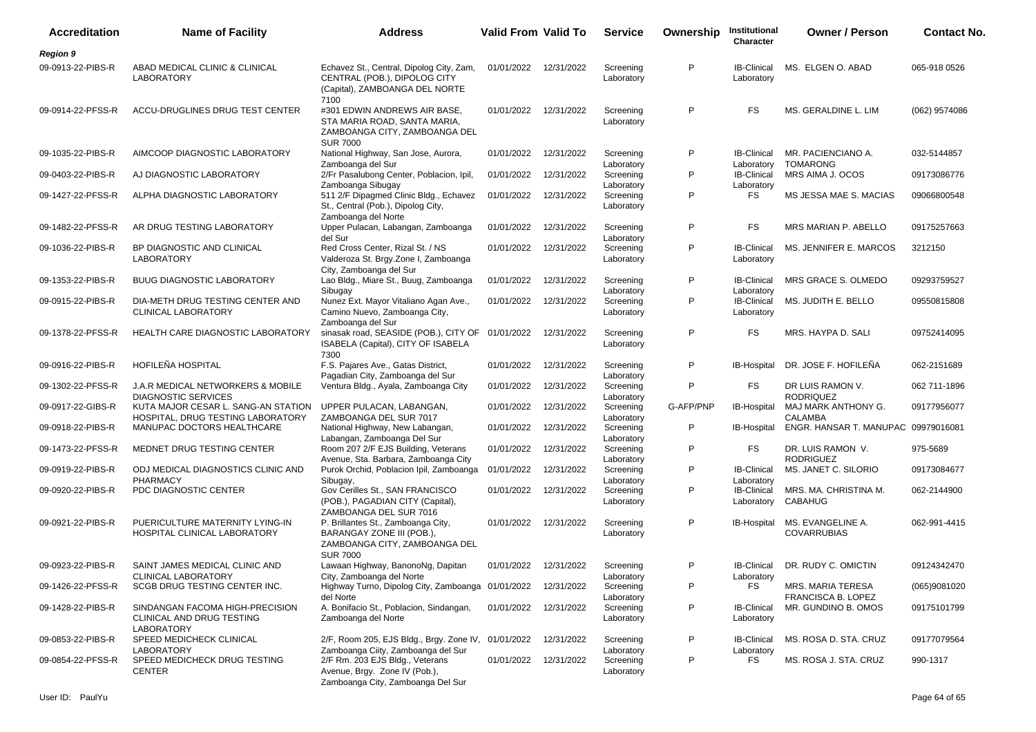| <b>Accreditation</b> | <b>Name of Facility</b>                                                           | <b>Address</b>                                                                                                      | <b>Valid From Valid To</b> |            | <b>Service</b>          | Ownership | Institutional<br>Character                     | <b>Owner / Person</b>                   | <b>Contact No.</b> |
|----------------------|-----------------------------------------------------------------------------------|---------------------------------------------------------------------------------------------------------------------|----------------------------|------------|-------------------------|-----------|------------------------------------------------|-----------------------------------------|--------------------|
| <b>Region 9</b>      |                                                                                   |                                                                                                                     |                            |            |                         |           |                                                |                                         |                    |
| 09-0913-22-PIBS-R    | ABAD MEDICAL CLINIC & CLINICAL<br>LABORATORY                                      | Echavez St., Central, Dipolog City, Zam,<br>CENTRAL (POB.), DIPOLOG CITY<br>(Capital), ZAMBOANGA DEL NORTE          | 01/01/2022                 | 12/31/2022 | Screening<br>Laboratory | P         | <b>IB-Clinical</b><br>Laboratory               | MS. ELGEN O. ABAD                       | 065-918 0526       |
| 09-0914-22-PFSS-R    | ACCU-DRUGLINES DRUG TEST CENTER                                                   | 7100<br>#301 EDWIN ANDREWS AIR BASE,<br>STA MARIA ROAD, SANTA MARIA,<br>ZAMBOANGA CITY, ZAMBOANGA DEL               | 01/01/2022 12/31/2022      |            | Screening<br>Laboratory | P         | FS                                             | MS. GERALDINE L. LIM                    | (062) 9574086      |
| 09-1035-22-PIBS-R    | AIMCOOP DIAGNOSTIC LABORATORY                                                     | <b>SUR 7000</b><br>National Highway, San Jose, Aurora,                                                              | 01/01/2022                 | 12/31/2022 | Screening<br>Laboratory | P         | <b>IB-Clinical</b>                             | MR. PACIENCIANO A.<br><b>TOMARONG</b>   | 032-5144857        |
| 09-0403-22-PIBS-R    | AJ DIAGNOSTIC LABORATORY                                                          | Zamboanga del Sur<br>2/Fr Pasalubong Center, Poblacion, Ipil,<br>Zamboanga Sibugay                                  | 01/01/2022                 | 12/31/2022 | Screening<br>Laboratory | P         | Laboratory<br><b>IB-Clinical</b><br>Laboratory | MRS AIMA J. OCOS                        | 09173086776        |
| 09-1427-22-PFSS-R    | ALPHA DIAGNOSTIC LABORATORY                                                       | 511 2/F Dipagmed Clinic Bldg., Echavez<br>St., Central (Pob.), Dipolog City,<br>Zamboanga del Norte                 | 01/01/2022                 | 12/31/2022 | Screening<br>Laboratory | P         | FS                                             | MS JESSA MAE S. MACIAS                  | 09066800548        |
| 09-1482-22-PFSS-R    | AR DRUG TESTING LABORATORY                                                        | Upper Pulacan, Labangan, Zamboanga<br>del Sur                                                                       | 01/01/2022                 | 12/31/2022 | Screening<br>Laboratory | P         | FS                                             | MRS MARIAN P. ABELLO                    | 09175257663        |
| 09-1036-22-PIBS-R    | BP DIAGNOSTIC AND CLINICAL<br>LABORATORY                                          | Red Cross Center, Rizal St. / NS<br>Valderoza St. Brgy.Zone I, Zamboanga<br>City, Zamboanga del Sur                 | 01/01/2022                 | 12/31/2022 | Screening<br>Laboratory | P         | <b>IB-Clinical</b><br>Laboratory               | MS. JENNIFER E. MARCOS                  | 3212150            |
| 09-1353-22-PIBS-R    | <b>BUUG DIAGNOSTIC LABORATORY</b>                                                 | Lao Bldg., Miare St., Buug, Zamboanga<br>Sibugay                                                                    | 01/01/2022                 | 12/31/2022 | Screening<br>Laboratory | P         | <b>IB-Clinical</b><br>Laboratory               | MRS GRACE S. OLMEDO                     | 09293759527        |
| 09-0915-22-PIBS-R    | DIA-METH DRUG TESTING CENTER AND<br>CLINICAL LABORATORY                           | Nunez Ext. Mayor Vitaliano Agan Ave.,<br>Camino Nuevo, Zamboanga City,<br>Zamboanga del Sur                         | 01/01/2022                 | 12/31/2022 | Screening<br>Laboratory | P         | <b>IB-Clinical</b><br>Laboratory               | MS. JUDITH E. BELLO                     | 09550815808        |
| 09-1378-22-PFSS-R    | <b>HEALTH CARE DIAGNOSTIC LABORATORY</b>                                          | sinasak road, SEASIDE (POB.), CITY OF 01/01/2022<br>ISABELA (Capital), CITY OF ISABELA<br>7300                      |                            | 12/31/2022 | Screening<br>Laboratory | P         | FS                                             | MRS. HAYPA D. SALI                      | 09752414095        |
| 09-0916-22-PIBS-R    | HOFILEÑA HOSPITAL                                                                 | F.S. Pajares Ave., Gatas District,<br>Pagadian City, Zamboanga del Sur                                              | 01/01/2022                 | 12/31/2022 | Screening<br>Laboratory | P         | IB-Hospital                                    | DR. JOSE F. HOFILEÑA                    | 062-2151689        |
| 09-1302-22-PFSS-R    | J.A.R MEDICAL NETWORKERS & MOBILE<br><b>DIAGNOSTIC SERVICES</b>                   | Ventura Bldg., Ayala, Zamboanga City                                                                                | 01/01/2022                 | 12/31/2022 | Screening<br>Laboratory | P         | <b>FS</b>                                      | DR LUIS RAMON V.<br><b>RODRIQUEZ</b>    | 062 711-1896       |
| 09-0917-22-GIBS-R    | KUTA MAJOR CESAR L. SANG-AN STATION<br>HOSPITAL, DRUG TESTING LABORATORY          | UPPER PULACAN, LABANGAN,<br>ZAMBOANGA DEL SUR 7017                                                                  | 01/01/2022                 | 12/31/2022 | Screening<br>Laboratory | G-AFP/PNP | <b>IB-Hospital</b>                             | MAJ MARK ANTHONY G.<br><b>CALAMBA</b>   | 09177956077        |
| 09-0918-22-PIBS-R    | MANUPAC DOCTORS HEALTHCARE                                                        | National Highway, New Labangan,<br>Labangan, Zamboanga Del Sur                                                      | 01/01/2022                 | 12/31/2022 | Screening<br>Laboratory | P         | IB-Hospital                                    | ENGR. HANSAR T. MANUPAC 09979016081     |                    |
| 09-1473-22-PFSS-R    | MEDNET DRUG TESTING CENTER                                                        | Room 207 2/F EJS Building, Veterans<br>Avenue, Sta. Barbara, Zamboanga City                                         | 01/01/2022                 | 12/31/2022 | Screening<br>Laboratory | P         | <b>FS</b>                                      | DR. LUIS RAMON V.<br><b>RODRIGUEZ</b>   | 975-5689           |
| 09-0919-22-PIBS-R    | ODJ MEDICAL DIAGNOSTICS CLINIC AND<br>PHARMACY                                    | Purok Orchid, Poblacion Ipil, Zamboanga<br>Sibugay,                                                                 | 01/01/2022                 | 12/31/2022 | Screening<br>Laboratory | P         | <b>IB-Clinical</b><br>Laboratory               | MS. JANET C. SILORIO                    | 09173084677        |
| 09-0920-22-PIBS-R    | PDC DIAGNOSTIC CENTER                                                             | Gov Cerilles St., SAN FRANCISCO<br>(POB.), PAGADIAN CITY (Capital),<br>ZAMBOANGA DEL SUR 7016                       | 01/01/2022                 | 12/31/2022 | Screening<br>Laboratory | P         | <b>IB-Clinical</b><br>Laboratory               | MRS. MA. CHRISTINA M.<br><b>CABAHUG</b> | 062-2144900        |
| 09-0921-22-PIBS-R    | PUERICULTURE MATERNITY LYING-IN<br>HOSPITAL CLINICAL LABORATORY                   | P. Brillantes St., Zamboanga City,<br>BARANGAY ZONE III (POB.),<br>ZAMBOANGA CITY, ZAMBOANGA DEL<br><b>SUR 7000</b> | 01/01/2022                 | 12/31/2022 | Screening<br>Laboratory | P         | IB-Hospital                                    | MS. EVANGELINE A.<br><b>COVARRUBIAS</b> | 062-991-4415       |
| 09-0923-22-PIBS-R    | SAINT JAMES MEDICAL CLINIC AND<br>CLINICAL LABORATORY                             | Lawaan Highway, BanonoNg, Dapitan<br>City, Zamboanga del Norte                                                      | 01/01/2022 12/31/2022      |            | Screening<br>Laboratory | P         | Laboratory                                     | IB-Clinical DR. RUDY C. OMICTIN         | 09124342470        |
| 09-1426-22-PFSS-R    | SCGB DRUG TESTING CENTER INC.                                                     | Highway Turno, Dipolog City, Zamboanga 01/01/2022 12/31/2022<br>del Norte                                           |                            |            | Screening<br>Laboratory | P         | FS                                             | MRS. MARIA TERESA<br>FRANCISCA B. LOPEZ | (065)9081020       |
| 09-1428-22-PIBS-R    | SINDANGAN FACOMA HIGH-PRECISION<br>CLINICAL AND DRUG TESTING<br><b>LABORATORY</b> | A. Bonifacio St., Poblacion, Sindangan,<br>Zamboanga del Norte                                                      | 01/01/2022 12/31/2022      |            | Screening<br>Laboratory | P         | <b>IB-Clinical</b><br>Laboratory               | MR. GUNDINO B. OMOS                     | 09175101799        |
| 09-0853-22-PIBS-R    | SPEED MEDICHECK CLINICAL<br><b>LABORATORY</b>                                     | 2/F, Room 205, EJS Bldg., Brgy. Zone IV, 01/01/2022<br>Zamboanga Ciity, Zamboanga del Sur                           |                            | 12/31/2022 | Screening<br>Laboratory | P         | <b>IB-Clinical</b><br>Laboratory               | MS. ROSA D. STA. CRUZ                   | 09177079564        |
| 09-0854-22-PFSS-R    | SPEED MEDICHECK DRUG TESTING<br><b>CENTER</b>                                     | 2/F Rm. 203 EJS Bldg., Veterans<br>Avenue, Brgy. Zone IV (Pob.),<br>Zamboanga City, Zamboanga Del Sur               | 01/01/2022 12/31/2022      |            | Screening<br>Laboratory | P         | FS                                             | MS. ROSA J. STA. CRUZ                   | 990-1317           |